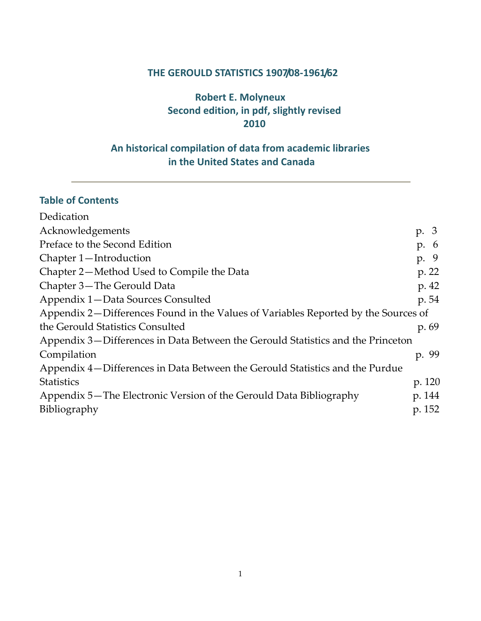#### **THE GEROULD STATISTICS 1907/08‐1961/62**

## **Robert E. Molyneux Second edition, in pdf, slightly revised 2010**

## **An historical compilation of data from academic libraries in the United States and Canada**

## **Table of Contents**

| Dedication                                                                         |          |
|------------------------------------------------------------------------------------|----------|
| Acknowledgements                                                                   | p. 3     |
| Preface to the Second Edition                                                      | p. 6     |
| Chapter 1-Introduction                                                             | -9<br>p. |
| Chapter 2—Method Used to Compile the Data                                          | p. 22    |
| Chapter 3-The Gerould Data                                                         | p. 42    |
| Appendix 1-Data Sources Consulted                                                  | p. 54    |
| Appendix 2—Differences Found in the Values of Variables Reported by the Sources of |          |
| the Gerould Statistics Consulted                                                   | p. 69    |
| Appendix 3—Differences in Data Between the Gerould Statistics and the Princeton    |          |
| Compilation                                                                        | p. 99    |
| Appendix 4—Differences in Data Between the Gerould Statistics and the Purdue       |          |
| <b>Statistics</b>                                                                  | p. 120   |
| Appendix 5—The Electronic Version of the Gerould Data Bibliography                 | p. 144   |
| <b>Bibliography</b>                                                                | p. 152   |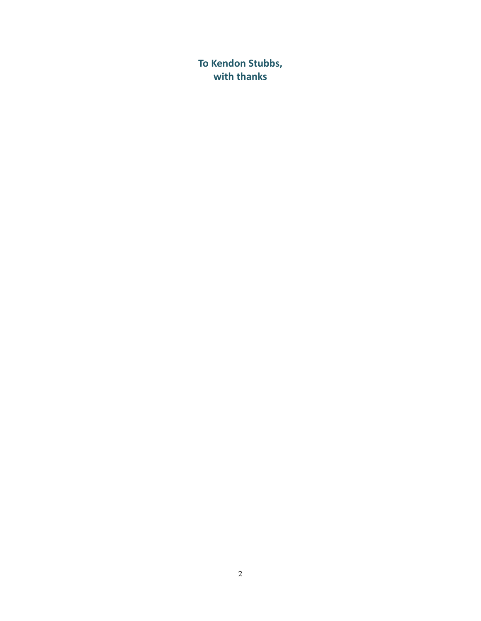**To Kendon Stubbs, with thanks**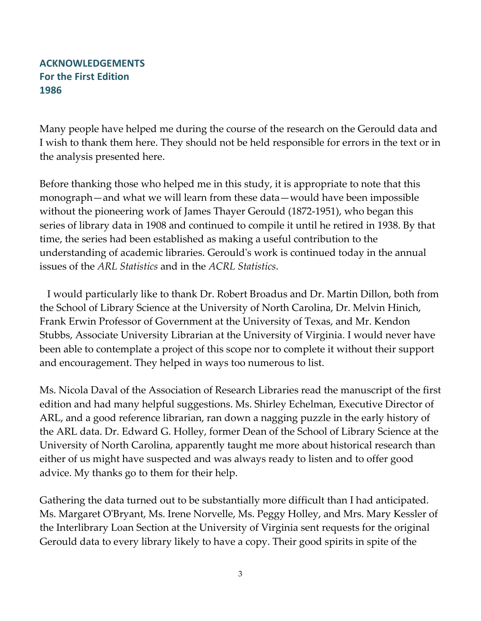### <span id="page-2-0"></span>**ACKNOWLEDGEMENTS For the First Edition 1986**

Many people have helped me during the course of the research on the Gerould data and I wish to thank them here. They should not be held responsible for errors in the text or in the analysis presented here.

Before thanking those who helped me in this study, it is appropriate to note that this monograph—and what we will learn from these data—would have been impossible without the pioneering work of James Thayer Gerould (1872‐1951), who began this series of library data in 1908 and continued to compile it until he retired in 1938. By that time, the series had been established as making a useful contribution to the understanding of academic libraries. Gerouldʹs work is continued today in the annual issues of the *ARL Statistics* and in the *ACRL Statistics*.

 I would particularly like to thank Dr. Robert Broadus and Dr. Martin Dillon, both from the School of Library Science at the University of North Carolina, Dr. Melvin Hinich, Frank Erwin Professor of Government at the University of Texas, and Mr. Kendon Stubbs, Associate University Librarian at the University of Virginia. I would never have been able to contemplate a project of this scope nor to complete it without their support and encouragement. They helped in ways too numerous to list.

Ms. Nicola Daval of the Association of Research Libraries read the manuscript of the first edition and had many helpful suggestions. Ms. Shirley Echelman, Executive Director of ARL, and a good reference librarian, ran down a nagging puzzle in the early history of the ARL data. Dr. Edward G. Holley, former Dean of the School of Library Science at the University of North Carolina, apparently taught me more about historical research than either of us might have suspected and was always ready to listen and to offer good advice. My thanks go to them for their help.

Gathering the data turned out to be substantially more difficult than I had anticipated. Ms. Margaret OʹBryant, Ms. Irene Norvelle, Ms. Peggy Holley, and Mrs. Mary Kessler of the Interlibrary Loan Section at the University of Virginia sent requests for the original Gerould data to every library likely to have a copy. Their good spirits in spite of the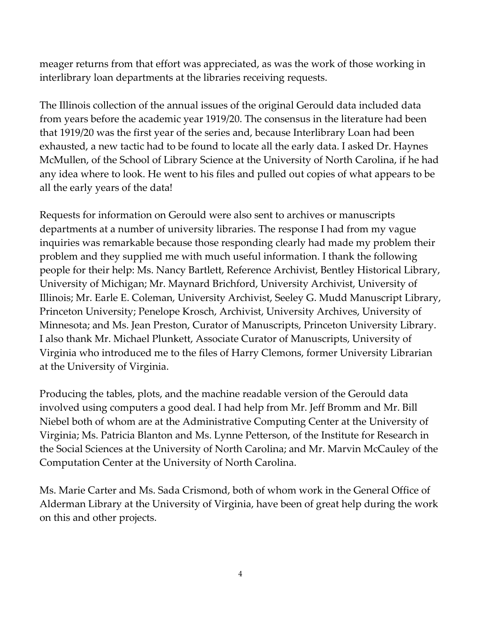meager returns from that effort was appreciated, as was the work of those working in interlibrary loan departments at the libraries receiving requests.

The Illinois collection of the annual issues of the original Gerould data included data from years before the academic year 1919/20. The consensus in the literature had been that 1919/20 was the first year of the series and, because Interlibrary Loan had been exhausted, a new tactic had to be found to locate all the early data. I asked Dr. Haynes McMullen, of the School of Library Science at the University of North Carolina, if he had any idea where to look. He went to his files and pulled out copies of what appears to be all the early years of the data!

Requests for information on Gerould were also sent to archives or manuscripts departments at a number of university libraries. The response I had from my vague inquiries was remarkable because those responding clearly had made my problem their problem and they supplied me with much useful information. I thank the following people for their help: Ms. Nancy Bartlett, Reference Archivist, Bentley Historical Library, University of Michigan; Mr. Maynard Brichford, University Archivist, University of Illinois; Mr. Earle E. Coleman, University Archivist, Seeley G. Mudd Manuscript Library, Princeton University; Penelope Krosch, Archivist, University Archives, University of Minnesota; and Ms. Jean Preston, Curator of Manuscripts, Princeton University Library. I also thank Mr. Michael Plunkett, Associate Curator of Manuscripts, University of Virginia who introduced me to the files of Harry Clemons, former University Librarian at the University of Virginia.

Producing the tables, plots, and the machine readable version of the Gerould data involved using computers a good deal. I had help from Mr. Jeff Bromm and Mr. Bill Niebel both of whom are at the Administrative Computing Center at the University of Virginia; Ms. Patricia Blanton and Ms. Lynne Petterson, of the Institute for Research in the Social Sciences at the University of North Carolina; and Mr. Marvin McCauley of the Computation Center at the University of North Carolina.

Ms. Marie Carter and Ms. Sada Crismond, both of whom work in the General Office of Alderman Library at the University of Virginia, have been of great help during the work on this and other projects.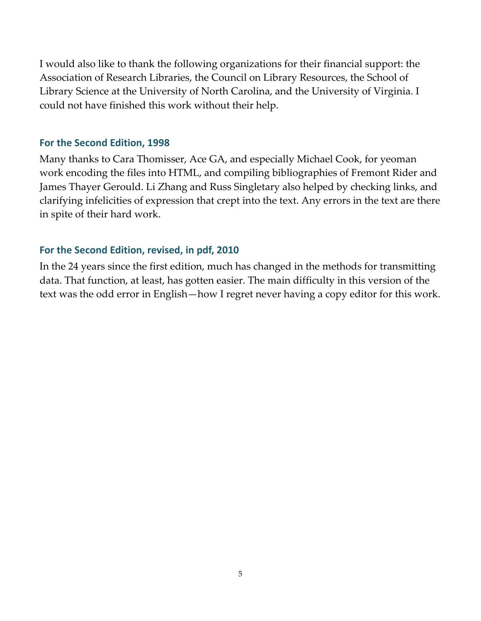I would also like to thank the following organizations for their financial support: the Association of Research Libraries, the Council on Library Resources, the School of Library Science at the University of North Carolina, and the University of Virginia. I could not have finished this work without their help.

#### **For the Second Edition, 1998**

Many thanks to Cara Thomisser, Ace GA, and especially Michael Cook, for yeoman work encoding the files into HTML, and compiling bibliographies of Fremont Rider and James Thayer Gerould. Li Zhang and Russ Singletary also helped by checking links, and clarifying infelicities of expression that crept into the text. Any errors in the text are there in spite of their hard work.

#### **For the Second Edition, revised, in pdf, 2010**

In the 24 years since the first edition, much has changed in the methods for transmitting data. That function, at least, has gotten easier. The main difficulty in this version of the text was the odd error in English—how I regret never having a copy editor for this work.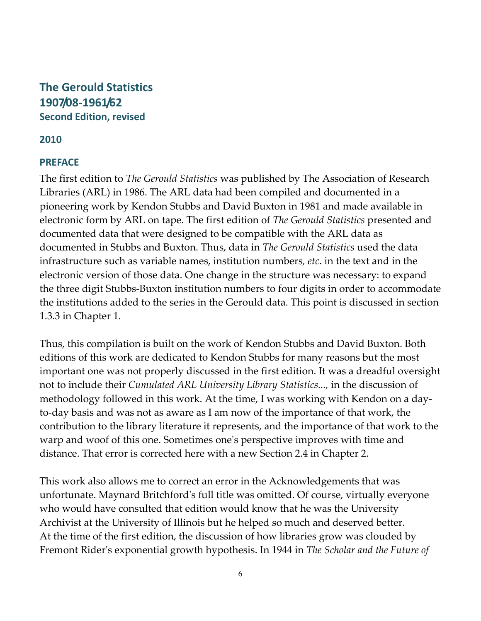## <span id="page-5-0"></span>**The Gerould Statistics 1907/08‐1961/62 Second Edition, revised**

### **2010**

#### **PREFACE**

The first edition to *The Gerould Statistics* was published by The Association of Research Libraries (ARL) in 1986. The ARL data had been compiled and documented in a pioneering work by Kendon Stubbs and David Buxton in 1981 and made available in electronic form by ARL on tape. The first edition of *The Gerould Statistics* presented and documented data that were designed to be compatible with the ARL data as documented in Stubbs and Buxton. Thus, data in *The Gerould Statistics* used the data infrastructure such as variable names, institution numbers*, etc*. in the text and in the electronic version of those data. One change in the structure was necessary: to expand the three digit Stubbs‐Buxton institution numbers to four digits in order to accommodate the institutions added to the series in the Gerould data. This point is discussed in section 1.3.3 in Chapter 1.

Thus, this compilation is built on the work of Kendon Stubbs and David Buxton. Both editions of this work are dedicated to Kendon Stubbs for many reasons but the most important one was not properly discussed in the first edition. It was a dreadful oversight not to include their *Cumulated ARL University Library Statistics...,* in the discussion of methodology followed in this work. At the time, I was working with Kendon on a day‐ to‐day basis and was not as aware as I am now of the importance of that work, the contribution to the library literature it represents, and the importance of that work to the warp and woof of this one. Sometimes oneʹs perspective improves with time and distance. That error is corrected here with a new Section 2.4 in Chapter 2.

This work also allows me to correct an error in the Acknowledgements that was unfortunate. Maynard Britchfordʹs full title was omitted. Of course, virtually everyone who would have consulted that edition would know that he was the University Archivist at the University of Illinois but he helped so much and deserved better. At the time of the first edition, the discussion of how libraries grow was clouded by Fremont Riderʹs exponential growth hypothesis. In 1944 in *The Scholar and the Future of*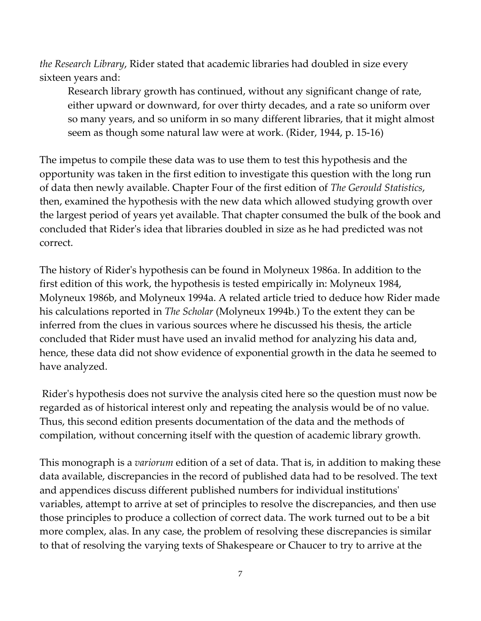*the Research Library*, Rider stated that academic libraries had doubled in size every sixteen years and:

Research library growth has continued, without any significant change of rate, either upward or downward, for over thirty decades, and a rate so uniform over so many years, and so uniform in so many different libraries, that it might almost seem as though some natural law were at work. (Rider, 1944, p. 15‐16)

The impetus to compile these data was to use them to test this hypothesis and the opportunity was taken in the first edition to investigate this question with the long run of data then newly available. Chapter Four of the first edition of *The Gerould Statistics*, then, examined the hypothesis with the new data which allowed studying growth over the largest period of years yet available. That chapter consumed the bulk of the book and concluded that Riderʹs idea that libraries doubled in size as he had predicted was not correct.

The history of Riderʹs hypothesis can be found in [Molyneux](http://fisher.lib.virginia.edu/libsites/gerould/tgsbib.html#m1986a) 1986a. In addition to the first edition of this work, the hypothesis is tested empirically in: Molyneux 1984, Molyneux 1986b, and Molyneux 1994a. A related article tried to deduce how Rider made his calculations reported in *The Scholar* (Molyneux 1994b.) To the extent they can be inferred from the clues in various sources where he discussed his thesis, the article concluded that Rider must have used an invalid method for analyzing his data and, hence, these data did not show evidence of exponential growth in the data he seemed to have analyzed.

Rider's hypothesis does not survive the analysis cited here so the question must now be regarded as of historical interest only and repeating the analysis would be of no value. Thus, this second edition presents documentation of the data and the methods of compilation, without concerning itself with the question of academic library growth.

This monograph is a *variorum* edition of a set of data. That is, in addition to making these data available, discrepancies in the record of published data had to be resolved. The text and appendices discuss different published numbers for individual institutionsʹ variables, attempt to arrive at set of principles to resolve the discrepancies, and then use those principles to produce a collection of correct data. The work turned out to be a bit more complex, alas. In any case, the problem of resolving these discrepancies is similar to that of resolving the varying texts of Shakespeare or Chaucer to try to arrive at the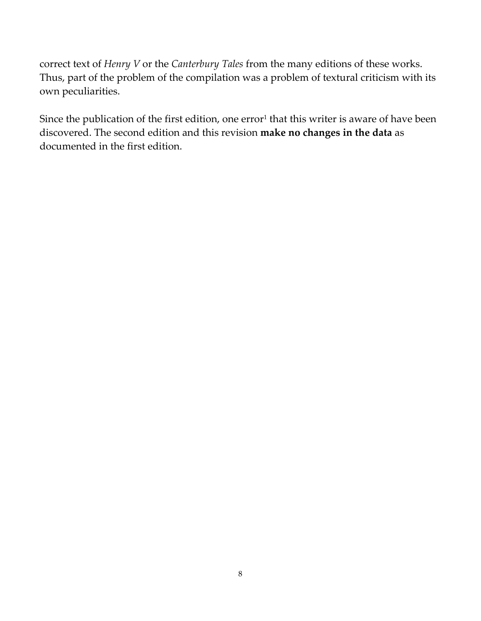correct text of *Henry V* or the *Canterbury Tales* from the many editions of these works. Thus, part of the problem of the compilation was a problem of textural criticism with its own peculiarities.

Since the publication of the first edition, one error<sup>1</sup> that this writer is aware of have been discovered. The second edition and this revision **make no changes in the data** as documented in the first edition.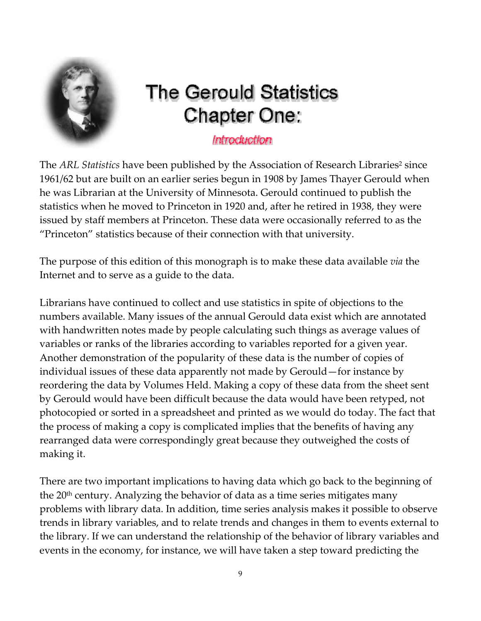<span id="page-8-0"></span>

# **The Gerould Statistics Chapter One:**

## Introduction

The *ARL Statistics* have been published by the Association of Research Libraries<sup>2</sup> since 1961/62 but are built on an earlier series begun in 1908 by James Thayer Gerould when he was Librarian at the University of Minnesota. Gerould continued to publish the statistics when he moved to Princeton in 1920 and, after he retired in 1938, they were issued by staff members at Princeton. These data were occasionally referred to as the "Princeton" statistics because of their connection with that university.

The purpose of this edition of this monograph is to make these data available *via* the Internet and to serve as a guide to the data.

Librarians have continued to collect and use statistics in spite of objections to the numbers available. Many issues of the annual Gerould data exist which are annotated with handwritten notes made by people calculating such things as average values of variables or ranks of the libraries according to variables reported for a given year. Another demonstration of the popularity of these data is the number of copies of individual issues of these data apparently not made by Gerould—for instance by reordering the data by Volumes Held. Making a copy of these data from the sheet sent by Gerould would have been difficult because the data would have been retyped, not photocopied or sorted in a spreadsheet and printed as we would do today. The fact that the process of making a copy is complicated implies that the benefits of having any rearranged data were correspondingly great because they outweighed the costs of making it.

There are two important implications to having data which go back to the beginning of the  $20<sup>th</sup>$  century. Analyzing the behavior of data as a time series mitigates many problems with library data. In addition, time series analysis makes it possible to observe trends in library variables, and to relate trends and changes in them to events external to the library. If we can understand the relationship of the behavior of library variables and events in the economy, for instance, we will have taken a step toward predicting the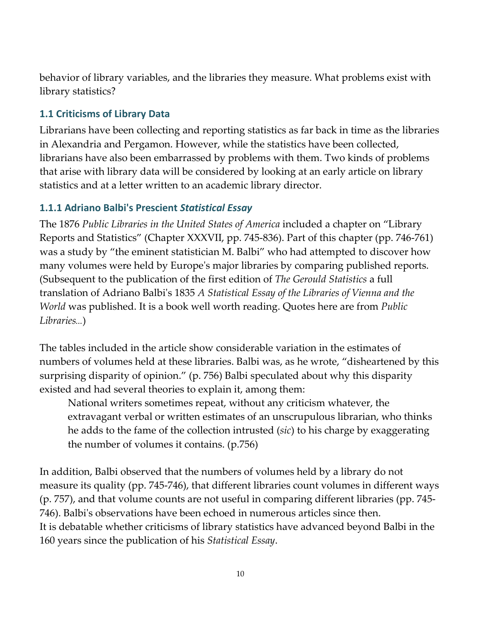behavior of library variables, and the libraries they measure. What problems exist with library statistics?

### **1.1 Criticisms of Library Data**

Librarians have been collecting and reporting statistics as far back in time as the libraries in Alexandria and Pergamon. However, while the statistics have been collected, librarians have also been embarrassed by problems with them. Two kinds of problems that arise with library data will be considered by looking at an early article on library statistics and at a letter written to an academic library director.

#### **1.1.1 Adriano Balbi's Prescient** *Statistical Essay*

The 1876 *Public Libraries in the United States of America* included a chapter on "Library Reports and Statistics" (Chapter XXXVII, pp. 745‐836). Part of this chapter (pp. 746‐761) was a study by "the eminent statistician M. Balbi" who had attempted to discover how many volumes were held by Europeʹs major libraries by comparing published reports. (Subsequent to the publication of the first edition of *The Gerould Statistics* a full translation of Adriano Balbiʹs 1835 *A Statistical Essay of the Libraries of Vienna and the World* was published. It is a book well worth reading. Quotes here are from *Public Libraries*...)

The tables included in the article show considerable variation in the estimates of numbers of volumes held at these libraries. Balbi was, as he wrote, "disheartened by this surprising disparity of opinion." (p. 756) Balbi speculated about why this disparity existed and had several theories to explain it, among them:

National writers sometimes repeat, without any criticism whatever, the extravagant verbal or written estimates of an unscrupulous librarian, who thinks he adds to the fame of the collection intrusted (*sic*) to his charge by exaggerating the number of volumes it contains. (p.756)

In addition, Balbi observed that the numbers of volumes held by a library do not measure its quality (pp. 745‐746), that different libraries count volumes in different ways (p. 757), and that volume counts are not useful in comparing different libraries (pp. 745‐ 746). Balbiʹs observations have been echoed in numerous articles since then. It is debatable whether criticisms of library statistics have advanced beyond Balbi in the 160 years since the publication of his *Statistical Essay*.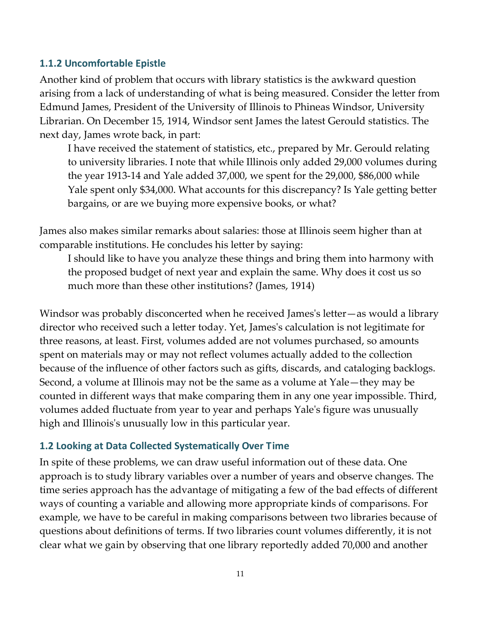#### **1.1.2 Uncomfortable Epistle**

Another kind of problem that occurs with library statistics is the awkward question arising from a lack of understanding of what is being measured. Consider the letter from Edmund James, President of the University of Illinois to Phineas Windsor, University Librarian. On December 15, 1914, Windsor sent James the latest Gerould statistics. The next day, James wrote back, in part:

I have received the statement of statistics, etc., prepared by Mr. Gerould relating to university libraries. I note that while Illinois only added 29,000 volumes during the year 1913‐14 and Yale added 37,000, we spent for the 29,000, \$86,000 while Yale spent only \$34,000. What accounts for this discrepancy? Is Yale getting better bargains, or are we buying more expensive books, or what?

James also makes similar remarks about salaries: those at Illinois seem higher than at comparable institutions. He concludes his letter by saying:

I should like to have you analyze these things and bring them into harmony with the proposed budget of next year and explain the same. Why does it cost us so much more than these other institutions? (James, 1914)

Windsor was probably disconcerted when he received Jamesʹs letter—as would a library director who received such a letter today. Yet, Jamesʹs calculation is not legitimate for three reasons, at least. First, volumes added are not volumes purchased, so amounts spent on materials may or may not reflect volumes actually added to the collection because of the influence of other factors such as gifts, discards, and cataloging backlogs. Second, a volume at Illinois may not be the same as a volume at Yale—they may be counted in different ways that make comparing them in any one year impossible. Third, volumes added fluctuate from year to year and perhaps Yaleʹs figure was unusually high and Illinois's unusually low in this particular year.

#### **1.2 Looking at Data Collected Systematically Over Time**

In spite of these problems, we can draw useful information out of these data. One approach is to study library variables over a number of years and observe changes. The time series approach has the advantage of mitigating a few of the bad effects of different ways of counting a variable and allowing more appropriate kinds of comparisons. For example, we have to be careful in making comparisons between two libraries because of questions about definitions of terms. If two libraries count volumes differently, it is not clear what we gain by observing that one library reportedly added 70,000 and another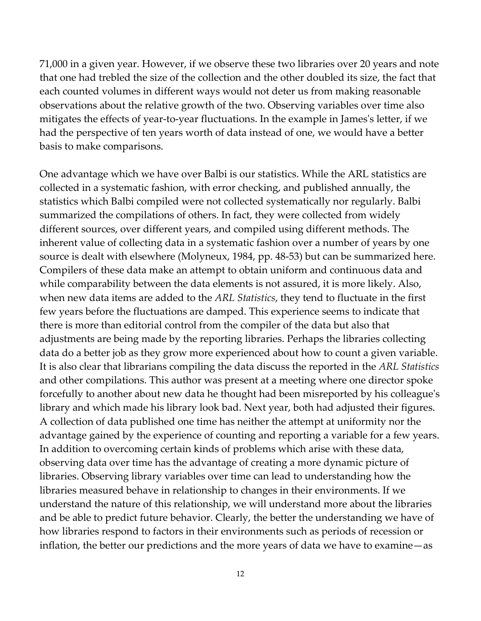71,000 in a given year. However, if we observe these two libraries over 20 years and note that one had trebled the size of the collection and the other doubled its size, the fact that each counted volumes in different ways would not deter us from making reasonable observations about the relative growth of the two. Observing variables over time also mitigates the effects of year‐to‐year fluctuations. In the example in Jamesʹs letter, if we had the perspective of ten years worth of data instead of one, we would have a better basis to make comparisons.

One advantage which we have over Balbi is our statistics. While the ARL statistics are collected in a systematic fashion, with error checking, and published annually, the statistics which Balbi compiled were not collected systematically nor regularly. Balbi summarized the compilations of others. In fact, they were collected from widely different sources, over different years, and compiled using different methods. The inherent value of collecting data in a systematic fashion over a number of years by one source is dealt with elsewhere (Molyneux, 1984, pp. 48‐53) but can be summarized here. Compilers of these data make an attempt to obtain uniform and continuous data and while comparability between the data elements is not assured, it is more likely. Also, when new data items are added to the *ARL Statistics*, they tend to fluctuate in the first few years before the fluctuations are damped. This experience seems to indicate that there is more than editorial control from the compiler of the data but also that adjustments are being made by the reporting libraries. Perhaps the libraries collecting data do a better job as they grow more experienced about how to count a given variable. It is also clear that librarians compiling the data discuss the reported in the *ARL Statistics* and other compilations. This author was present at a meeting where one director spoke forcefully to another about new data he thought had been misreported by his colleagueʹs library and which made his library look bad. Next year, both had adjusted their figures. A collection of data published one time has neither the attempt at uniformity nor the advantage gained by the experience of counting and reporting a variable for a few years. In addition to overcoming certain kinds of problems which arise with these data, observing data over time has the advantage of creating a more dynamic picture of libraries. Observing library variables over time can lead to understanding how the libraries measured behave in relationship to changes in their environments. If we understand the nature of this relationship, we will understand more about the libraries and be able to predict future behavior. Clearly, the better the understanding we have of how libraries respond to factors in their environments such as periods of recession or inflation, the better our predictions and the more years of data we have to examine—as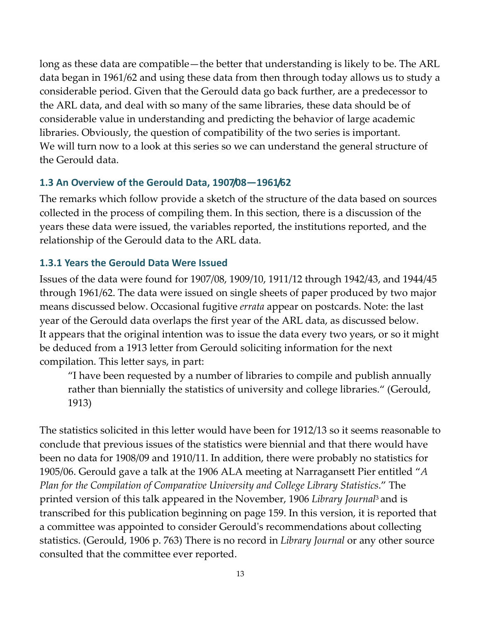long as these data are compatible—the better that understanding is likely to be. The ARL data began in 1961/62 and using these data from then through today allows us to study a considerable period. Given that the Gerould data go back further, are a predecessor to the ARL data, and deal with so many of the same libraries, these data should be of considerable value in understanding and predicting the behavior of large academic libraries. Obviously, the question of compatibility of the two series is important. We will turn now to a look at this series so we can understand the general structure of the Gerould data.

#### **1.3 An Overview of the Gerould Data, 1907/08—1961/62**

The remarks which follow provide a sketch of the structure of the data based on sources collected in the process of compiling them. In this section, there is a discussion of the years these data were issued, the variables reported, the institutions reported, and the relationship of the Gerould data to the ARL data.

#### **1.3.1 Years the Gerould Data Were Issued**

Issues of the data were found for 1907/08, 1909/10, 1911/12 through 1942/43, and 1944/45 through 1961/62. The data were issued on single sheets of paper produced by two major means discussed below. Occasional fugitive *errata* appear on postcards. Note: the last year of the Gerould data overlaps the first year of the ARL data, as discussed below. It appears that the original intention was to issue the data every two years, or so it might be deduced from a 1913 letter from Gerould soliciting information for the next compilation. This letter says, in part:

"I have been requested by a number of libraries to compile and publish annually rather than biennially the statistics of university and college libraries." (Gerould, 1913)

The statistics solicited in this letter would have been for 1912/13 so it seems reasonable to conclude that previous issues of the statistics were biennial and that there would have been no data for 1908/09 and 1910/11. In addition, there were probably no statistics for 1905/06. Gerould gave a talk at the 1906 ALA meeting at Narragansett Pier entitled "*A Plan for the Compilation of Comparative University and College Library Statistics*." The printed version of this talk appeared in the November, 1906 *Library Journal*<sup>3</sup> and is transcribed for this publication beginning on page 159. In this version, it is reported that a committee was appointed to consider Gerouldʹs recommendations about collecting statistics. (Gerould, 1906 p. 763) There is no record in *Library Journal* or any other source consulted that the committee ever reported.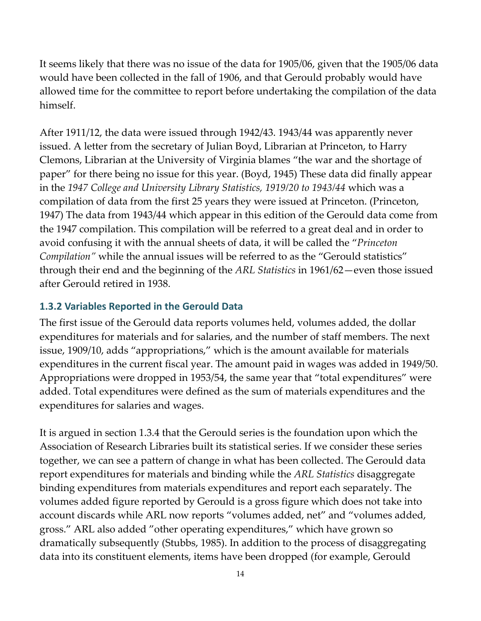It seems likely that there was no issue of the data for 1905/06, given that the 1905/06 data would have been collected in the fall of 1906, and that Gerould probably would have allowed time for the committee to report before undertaking the compilation of the data himself.

After 1911/12, the data were issued through 1942/43. 1943/44 was apparently never issued. A letter from the secretary of Julian Boyd, Librarian at Princeton, to Harry Clemons, Librarian at the University of Virginia blames "the war and the shortage of paper" for there being no issue for this year. (Boyd, 1945) These data did finally appear in the *1947 College and University Library Statistics, 1919/20 to 1943/44* which was a compilation of data from the first 25 years they were issued at Princeton. (Princeton, 1947) The data from 1943/44 which appear in this edition of the Gerould data come from the 1947 compilation. This compilation will be referred to a great deal and in order to avoid confusing it with the annual sheets of data, it will be called the "*Princeton Compilation"* while the annual issues will be referred to as the "Gerould statistics" through their end and the beginning of the *ARL Statistics* in 1961/62—even those issued after Gerould retired in 1938.

#### **1.3.2 Variables Reported in the Gerould Data**

The first issue of the Gerould data reports volumes held, volumes added, the dollar expenditures for materials and for salaries, and the number of staff members. The next issue, 1909/10, adds "appropriations," which is the amount available for materials expenditures in the current fiscal year. The amount paid in wages was added in 1949/50. Appropriations were dropped in 1953/54, the same year that "total expenditures" were added. Total expenditures were defined as the sum of materials expenditures and the expenditures for salaries and wages.

It is argued in section 1.3.4 that the Gerould series is the foundation upon which the Association of Research Libraries built its statistical series. If we consider these series together, we can see a pattern of change in what has been collected. The Gerould data report expenditures for materials and binding while the *ARL Statistics* disaggregate binding expenditures from materials expenditures and report each separately. The volumes added figure reported by Gerould is a gross figure which does not take into account discards while ARL now reports "volumes added, net" and "volumes added, gross." ARL also added "other operating expenditures," which have grown so dramatically subsequently (Stubbs, 1985). In addition to the process of disaggregating data into its constituent elements, items have been dropped (for example, Gerould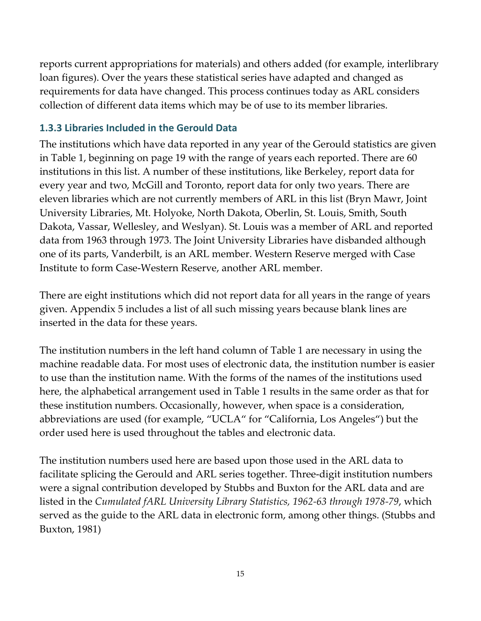reports current appropriations for materials) and others added (for example, interlibrary loan figures). Over the years these statistical series have adapted and changed as requirements for data have changed. This process continues today as ARL considers collection of different data items which may be of use to its member libraries.

### **1.3.3 Libraries Included in the Gerould Data**

The institutions which have data reported in any year of the Gerould statistics are given in Table 1, beginning on page 19 with the range of years each reported. There are 60 institutions in this list. A number of these institutions, like Berkeley, report data for every year and two, McGill and Toronto, report data for only two years. There are eleven libraries which are not currently members of ARL in this list (Bryn Mawr, Joint University Libraries, Mt. Holyoke, North Dakota, Oberlin, St. Louis, Smith, South Dakota, Vassar, Wellesley, and Weslyan). St. Louis was a member of ARL and reported data from 1963 through 1973. The Joint University Libraries have disbanded although one of its parts, Vanderbilt, is an ARL member. Western Reserve merged with Case Institute to form Case‐Western Reserve, another ARL member.

There are eight institutions which did not report data for all years in the range of years given. Appendix 5 includes a list of all such missing years because blank lines are inserted in the data for these years.

The institution numbers in the left hand column of Table 1 are necessary in using the machine readable data. For most uses of electronic data, the institution number is easier to use than the institution name. With the forms of the names of the institutions used here, the alphabetical arrangement used in Table 1 results in the same order as that for these institution numbers. Occasionally, however, when space is a consideration, abbreviations are used (for example, "UCLA" for "California, Los Angeles") but the order used here is used throughout the tables and electronic data.

The institution numbers used here are based upon those used in the ARL data to facilitate splicing the Gerould and ARL series together. Three‐digit institution numbers were a signal contribution developed by Stubbs and Buxton for the ARL data and are listed in the *Cumulated fARL University Library Statistics, 1962‐63 through 1978‐79*, which served as the guide to the ARL data in electronic form, among other things. (Stubbs and Buxton, 1981)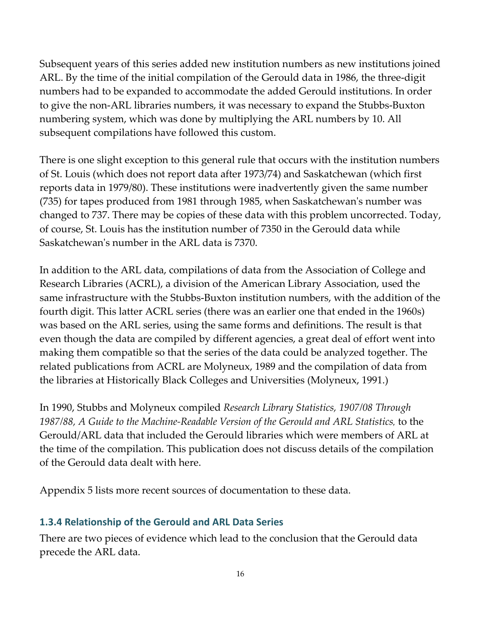Subsequent years of this series added new institution numbers as new institutions joined ARL. By the time of the initial compilation of the Gerould data in 1986, the three‐digit numbers had to be expanded to accommodate the added Gerould institutions. In order to give the non‐ARL libraries numbers, it was necessary to expand the Stubbs‐Buxton numbering system, which was done by multiplying the ARL numbers by 10. All subsequent compilations have followed this custom.

There is one slight exception to this general rule that occurs with the institution numbers of St. Louis (which does not report data after 1973/74) and Saskatchewan (which first reports data in 1979/80). These institutions were inadvertently given the same number (735) for tapes produced from 1981 through 1985, when Saskatchewanʹs number was changed to 737. There may be copies of these data with this problem uncorrected. Today, of course, St. Louis has the institution number of 7350 in the Gerould data while Saskatchewan's number in the ARL data is 7370.

In addition to the ARL data, compilations of data from the Association of College and Research Libraries (ACRL), a division of the American Library Association, used the same infrastructure with the Stubbs‐Buxton institution numbers, with the addition of the fourth digit. This latter ACRL series (there was an earlier one that ended in the 1960s) was based on the ARL series, using the same forms and definitions. The result is that even though the data are compiled by different agencies, a great deal of effort went into making them compatible so that the series of the data could be analyzed together. The related publications from ACRL are Molyneux, 1989 and the compilation of data from the libraries at Historically Black Colleges and Universities (Molyneux, 1991.)

In 1990, Stubbs and Molyneux compiled *Research Library Statistics, 1907/08 Through 1987/88, A Guide to the Machine‐Readable Version of the Gerould and ARL Statistics*, to the Gerould/ARL data that included the Gerould libraries which were members of ARL at the time of the compilation. This publication does not discuss details of the compilation of the Gerould data dealt with here.

Appendix 5 lists more recent sources of documentation to these data.

## **1.3.4 Relationship of the Gerould and ARL Data Series**

There are two pieces of evidence which lead to the conclusion that the Gerould data precede the ARL data.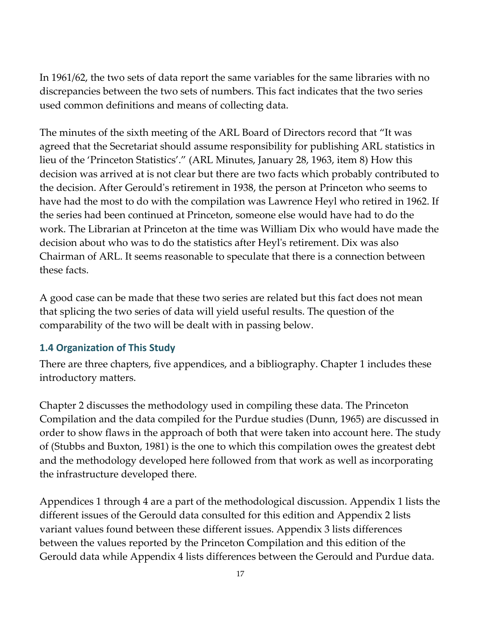In 1961/62, the two sets of data report the same variables for the same libraries with no discrepancies between the two sets of numbers. This fact indicates that the two series used common definitions and means of collecting data.

The minutes of the sixth meeting of the ARL Board of Directors record that "It was agreed that the Secretariat should assume responsibility for publishing ARL statistics in lieu of the 'Princeton Statistics'." (ARL Minutes, January 28, 1963, item 8) How this decision was arrived at is not clear but there are two facts which probably contributed to the decision. After Gerouldʹs retirement in 1938, the person at Princeton who seems to have had the most to do with the compilation was Lawrence Heyl who retired in 1962. If the series had been continued at Princeton, someone else would have had to do the work. The Librarian at Princeton at the time was William Dix who would have made the decision about who was to do the statistics after Heylʹs retirement. Dix was also Chairman of ARL. It seems reasonable to speculate that there is a connection between these facts.

A good case can be made that these two series are related but this fact does not mean that splicing the two series of data will yield useful results. The question of the comparability of the two will be dealt with in passing below.

#### **1.4 Organization of This Study**

There are three chapters, five appendices, and a bibliography. Chapter 1 includes these introductory matters.

Chapter 2 discusses the methodology used in compiling these data. The Princeton Compilation and the data compiled for the Purdue studies (Dunn, 1965) are discussed in order to show flaws in the approach of both that were taken into account here. The study of (Stubbs and Buxton, 1981) is the one to which this compilation owes the greatest debt and the methodology developed here followed from that work as well as incorporating the infrastructure developed there.

Appendices 1 through 4 are a part of the methodological discussion. Appendix 1 lists the different issues of the Gerould data consulted for this edition and Appendix 2 lists variant values found between these different issues. Appendix 3 lists differences between the values reported by the Princeton Compilation and this edition of the Gerould data while Appendix 4 lists differences between the Gerould and Purdue data.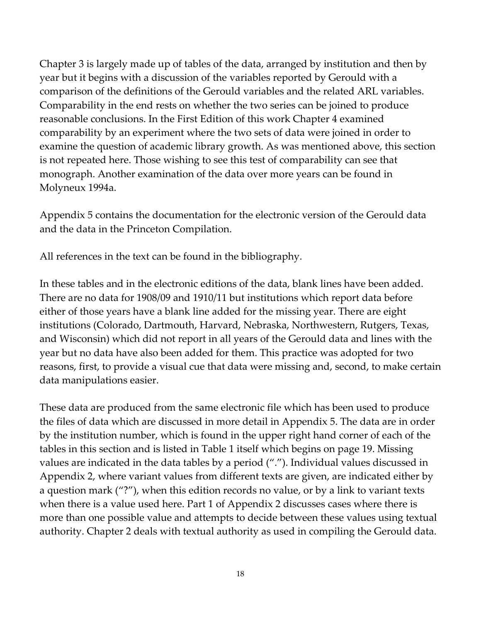Chapter 3 is largely made up of tables of the data, arranged by institution and then by year but it begins with a discussion of the variables reported by Gerould with a comparison of the definitions of the Gerould variables and the related ARL variables. Comparability in the end rests on whether the two series can be joined to produce reasonable conclusions. In the First Edition of this work Chapter 4 examined comparability by an experiment where the two sets of data were joined in order to examine the question of academic library growth. As was mentioned above, this section is not repeated here. Those wishing to see this test of comparability can see that monograph. Another examination of the data over more years can be found in Molyneux 1994a.

[Appendix](#page-143-0) 5 contains the documentation for the electronic version of the Gerould data and the data in the Princeton Compilation.

All references in the text can be found in the bibliography.

In these tables and in the electronic editions of the data, blank lines have been added. There are no data for 1908/09 and 1910/11 but institutions which report data before either of those years have a blank line added for the missing year. There are eight institutions (Colorado, Dartmouth, Harvard, Nebraska, Northwestern, Rutgers, Texas, and Wisconsin) which did not report in all years of the Gerould data and lines with the year but no data have also been added for them. This practice was adopted for two reasons, first, to provide a visual cue that data were missing and, second, to make certain data manipulations easier.

These data are produced from the same electronic file which has been used to produce the files of data which are discussed in more detail in [Appendix](#page-143-0) 5. The data are in order by the institution number, which is found in the upper right hand corner of each of the tables in this section and is listed in Table 1 itself which begins on page 19. Missing values are indicated in the data tables by a period ("."). Individual values discussed in Appendix 2, where variant values from different texts are given, are indicated either by a question mark ("?"), when this edition records no value, or by a link to variant texts when there is a value used here. Part 1 of Appendix 2 discusses cases where there is more than one possible value and attempts to decide between these values using textual authority. Chapter 2 deals with textual authority as used in compiling the Gerould data.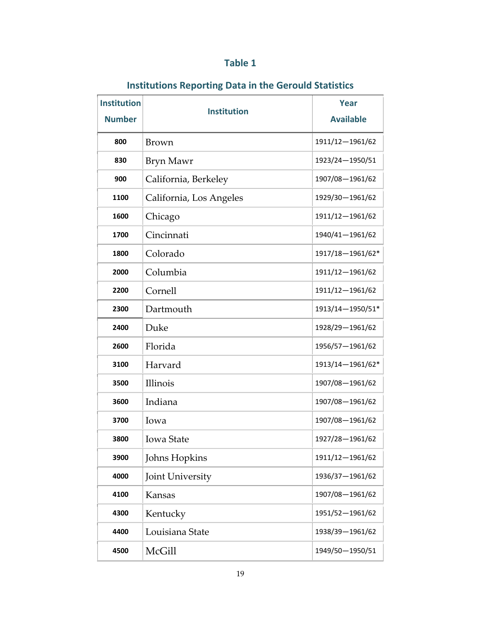## **Table 1**

## **Institutions Reporting Data in the Gerould Statistics**

| <b>Institution</b><br><b>Number</b> | <b>Institution</b>      | Year<br><b>Available</b> |  |
|-------------------------------------|-------------------------|--------------------------|--|
| 800                                 | <b>Brown</b>            | 1911/12-1961/62          |  |
| 830                                 | Bryn Mawr               | 1923/24-1950/51          |  |
| 900                                 | California, Berkeley    | 1907/08-1961/62          |  |
| 1100                                | California, Los Angeles | 1929/30-1961/62          |  |
| 1600                                | Chicago                 | 1911/12-1961/62          |  |
| 1700                                | Cincinnati              | 1940/41-1961/62          |  |
| 1800                                | Colorado                | 1917/18-1961/62*         |  |
| 2000                                | Columbia                | 1911/12-1961/62          |  |
| 2200                                | Cornell                 | 1911/12-1961/62          |  |
| 2300                                | Dartmouth               | 1913/14-1950/51*         |  |
| 2400                                | Duke                    | 1928/29-1961/62          |  |
| 2600                                | Florida                 | 1956/57-1961/62          |  |
| 3100                                | Harvard                 | 1913/14-1961/62*         |  |
| 3500                                | Illinois                | 1907/08-1961/62          |  |
| 3600                                | Indiana                 | 1907/08-1961/62          |  |
| 3700                                | Iowa                    | 1907/08-1961/62          |  |
| 3800                                | <b>Iowa State</b>       | 1927/28-1961/62          |  |
| 3900                                | Johns Hopkins           | 1911/12-1961/62          |  |
| 4000                                | Joint University        | 1936/37-1961/62          |  |
| 4100                                | Kansas                  | 1907/08-1961/62          |  |
| 4300                                | Kentucky                | 1951/52-1961/62          |  |
| 4400                                | Louisiana State         | 1938/39-1961/62          |  |
| 4500                                | McGill                  | 1949/50-1950/51          |  |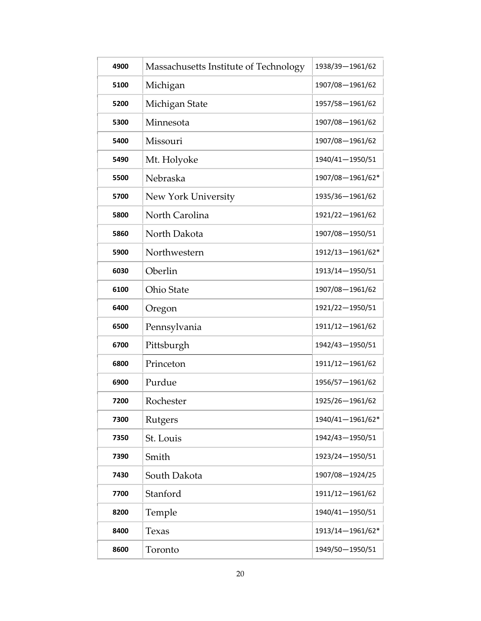| 4900 | Massachusetts Institute of Technology | 1938/39-1961/62  |
|------|---------------------------------------|------------------|
| 5100 | Michigan                              | 1907/08-1961/62  |
| 5200 | Michigan State                        | 1957/58-1961/62  |
| 5300 | Minnesota                             | 1907/08-1961/62  |
| 5400 | Missouri                              | 1907/08-1961/62  |
| 5490 | Mt. Holyoke                           | 1940/41-1950/51  |
| 5500 | Nebraska                              | 1907/08-1961/62* |
| 5700 | New York University                   | 1935/36-1961/62  |
| 5800 | North Carolina                        | 1921/22-1961/62  |
| 5860 | North Dakota                          | 1907/08-1950/51  |
| 5900 | Northwestern                          | 1912/13-1961/62* |
| 6030 | Oberlin                               | 1913/14-1950/51  |
| 6100 | Ohio State                            | 1907/08-1961/62  |
| 6400 | Oregon                                | 1921/22-1950/51  |
| 6500 | Pennsylvania                          | 1911/12-1961/62  |
| 6700 | Pittsburgh                            | 1942/43-1950/51  |
| 6800 | Princeton                             | 1911/12-1961/62  |
| 6900 | Purdue                                | 1956/57-1961/62  |
| 7200 | Rochester                             | 1925/26-1961/62  |
| 7300 | Rutgers                               | 1940/41-1961/62* |
| 7350 | St. Louis                             | 1942/43-1950/51  |
| 7390 | Smith                                 | 1923/24-1950/51  |
| 7430 | South Dakota                          | 1907/08-1924/25  |
| 7700 | Stanford                              | 1911/12-1961/62  |
| 8200 | Temple                                | 1940/41-1950/51  |
| 8400 | Texas                                 | 1913/14-1961/62* |
| 8600 | Toronto                               | 1949/50-1950/51  |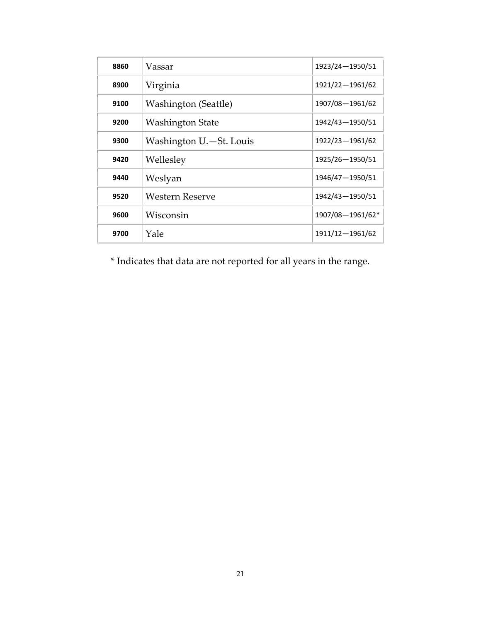| 8860 | Vassar                      | 1923/24-1950/51  |
|------|-----------------------------|------------------|
| 8900 | Virginia                    | 1921/22-1961/62  |
| 9100 | <b>Washington (Seattle)</b> | 1907/08-1961/62  |
| 9200 | Washington State            | 1942/43-1950/51  |
| 9300 | Washington U.-St. Louis     | 1922/23-1961/62  |
| 9420 | Wellesley                   | 1925/26-1950/51  |
| 9440 | Weslyan                     | 1946/47-1950/51  |
| 9520 | Western Reserve             | 1942/43-1950/51  |
| 9600 | Wisconsin                   | 1907/08-1961/62* |
| 9700 | Yale                        | 1911/12-1961/62  |

\* Indicates that data are not reported for all years in the range.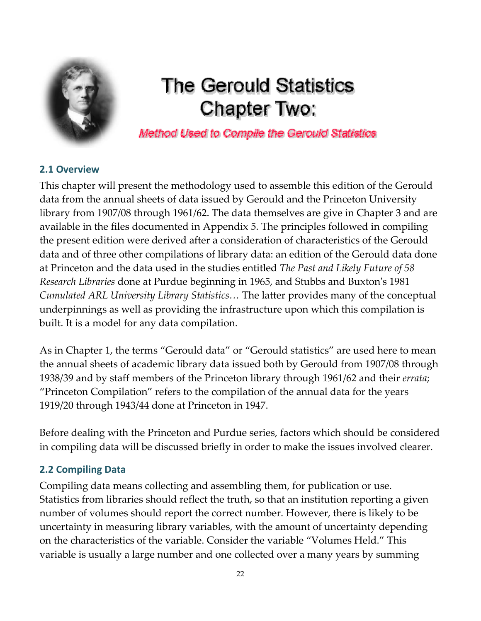<span id="page-21-0"></span>

# **The Gerould Statistics Chapter Two:**

Method Used to Compile the Gerould Statistics

### **2.1 Overview**

This chapter will present the methodology used to assemble this edition of the Gerould data from the annual sheets of data issued by Gerould and the Princeton University library from 1907/08 through 1961/62. The data themselves are give in Chapter 3 and are available in the files documented in Appendix 5. The principles followed in compiling the present edition were derived after a consideration of characteristics of the Gerould data and of three other compilations of library data: an edition of the Gerould data done at Princeton and the data used in the studies entitled *The Past and Likely Future of 58 Research Libraries* done at Purdue beginning in 1965, and Stubbs and Buxtonʹs 1981 *Cumulated ARL University Library Statistics…* The latter provides many of the conceptual underpinnings as well as providing the infrastructure upon which this compilation is built. It is a model for any data compilation.

As in Chapter 1, the terms "Gerould data" or "Gerould statistics" are used here to mean the annual sheets of academic library data issued both by Gerould from 1907/08 through 1938/39 and by staff members of the Princeton library through 1961/62 and their *errata*; "Princeton Compilation" refers to the compilation of the annual data for the years 1919/20 through 1943/44 done at Princeton in 1947.

Before dealing with the Princeton and Purdue series, factors which should be considered in compiling data will be discussed briefly in order to make the issues involved clearer.

## **2.2 Compiling Data**

Compiling data means collecting and assembling them, for publication or use. Statistics from libraries should reflect the truth, so that an institution reporting a given number of volumes should report the correct number. However, there is likely to be uncertainty in measuring library variables, with the amount of uncertainty depending on the characteristics of the variable. Consider the variable "Volumes Held." This variable is usually a large number and one collected over a many years by summing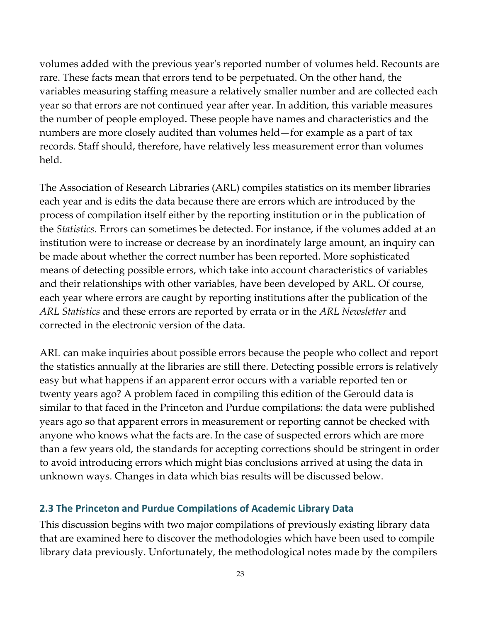volumes added with the previous yearʹs reported number of volumes held. Recounts are rare. These facts mean that errors tend to be perpetuated. On the other hand, the variables measuring staffing measure a relatively smaller number and are collected each year so that errors are not continued year after year. In addition, this variable measures the number of people employed. These people have names and characteristics and the numbers are more closely audited than volumes held—for example as a part of tax records. Staff should, therefore, have relatively less measurement error than volumes held.

The Association of Research Libraries (ARL) compiles statistics on its member libraries each year and is edits the data because there are errors which are introduced by the process of compilation itself either by the reporting institution or in the publication of the *Statistics*. Errors can sometimes be detected. For instance, if the volumes added at an institution were to increase or decrease by an inordinately large amount, an inquiry can be made about whether the correct number has been reported. More sophisticated means of detecting possible errors, which take into account characteristics of variables and their relationships with other variables, have been developed by ARL. Of course, each year where errors are caught by reporting institutions after the publication of the *ARL Statistics* and these errors are reported by errata or in the *ARL Newsletter* and corrected in the electronic version of the data.

ARL can make inquiries about possible errors because the people who collect and report the statistics annually at the libraries are still there. Detecting possible errors is relatively easy but what happens if an apparent error occurs with a variable reported ten or twenty years ago? A problem faced in compiling this edition of the Gerould data is similar to that faced in the Princeton and Purdue compilations: the data were published years ago so that apparent errors in measurement or reporting cannot be checked with anyone who knows what the facts are. In the case of suspected errors which are more than a few years old, the standards for accepting corrections should be stringent in order to avoid introducing errors which might bias conclusions arrived at using the data in unknown ways. Changes in data which bias results will be discussed below.

#### **2.3 The Princeton and Purdue Compilations of Academic Library Data**

This discussion begins with two major compilations of previously existing library data that are examined here to discover the methodologies which have been used to compile library data previously. Unfortunately, the methodological notes made by the compilers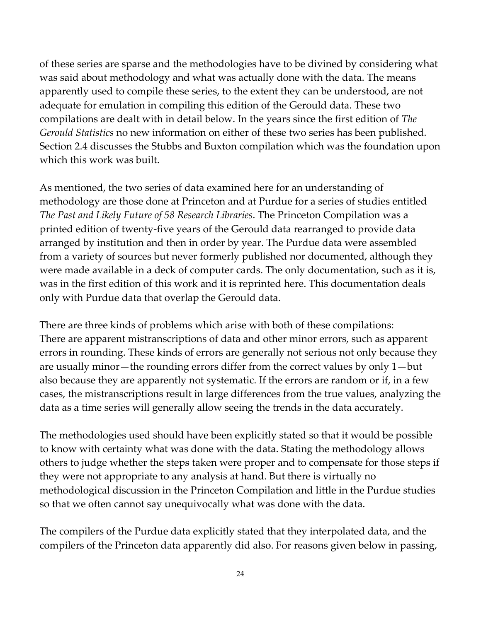of these series are sparse and the methodologies have to be divined by considering what was said about methodology and what was actually done with the data. The means apparently used to compile these series, to the extent they can be understood, are not adequate for emulation in compiling this edition of the Gerould data. These two compilations are dealt with in detail below. In the years since the first edition of *The Gerould Statistics* no new information on either of these two series has been published. Section 2.4 discusses the Stubbs and Buxton compilation which was the foundation upon which this work was built.

As mentioned, the two series of data examined here for an understanding of methodology are those done at Princeton and at Purdue for a series of studies entitled *The Past and Likely Future of 58 Research Libraries*. The Princeton Compilation was a printed edition of twenty‐five years of the Gerould data rearranged to provide data arranged by institution and then in order by year. The Purdue data were assembled from a variety of sources but never formerly published nor documented, although they were made available in a deck of computer cards. The only documentation, such as it is, was in the first edition of this work and it is reprinted here. This documentation deals only with Purdue data that overlap the Gerould data.

There are three kinds of problems which arise with both of these compilations: There are apparent mistranscriptions of data and other minor errors, such as apparent errors in rounding. These kinds of errors are generally not serious not only because they are usually minor—the rounding errors differ from the correct values by only 1—but also because they are apparently not systematic. If the errors are random or if, in a few cases, the mistranscriptions result in large differences from the true values, analyzing the data as a time series will generally allow seeing the trends in the data accurately.

The methodologies used should have been explicitly stated so that it would be possible to know with certainty what was done with the data. Stating the methodology allows others to judge whether the steps taken were proper and to compensate for those steps if they were not appropriate to any analysis at hand. But there is virtually no methodological discussion in the Princeton Compilation and little in the Purdue studies so that we often cannot say unequivocally what was done with the data.

The compilers of the Purdue data explicitly stated that they interpolated data, and the compilers of the Princeton data apparently did also. For reasons given below in passing,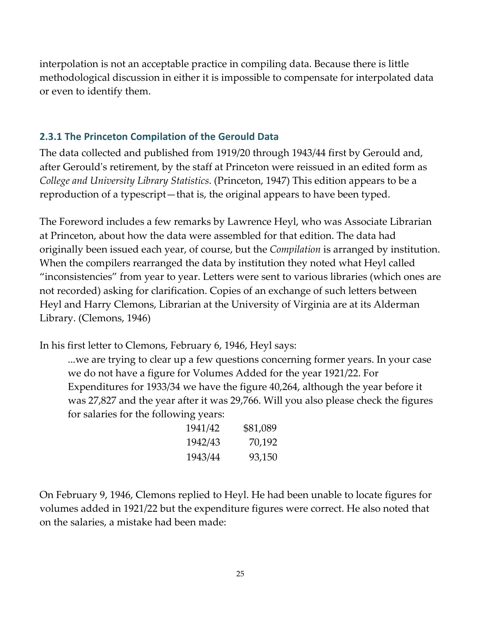interpolation is not an acceptable practice in compiling data. Because there is little methodological discussion in either it is impossible to compensate for interpolated data or even to identify them.

### **2.3.1 The Princeton Compilation of the Gerould Data**

The data collected and published from 1919/20 through 1943/44 first by Gerould and, after Gerouldʹs retirement, by the staff at Princeton were reissued in an edited form as *College and University Library Statistics*. (Princeton, 1947) This edition appears to be a reproduction of a typescript—that is, the original appears to have been typed.

The Foreword includes a few remarks by Lawrence Heyl, who was Associate Librarian at Princeton, about how the data were assembled for that edition. The data had originally been issued each year, of course, but the *Compilation* is arranged by institution. When the compilers rearranged the data by institution they noted what Heyl called "inconsistencies" from year to year. Letters were sent to various libraries (which ones are not recorded) asking for clarification. Copies of an exchange of such letters between Heyl and Harry Clemons, Librarian at the University of Virginia are at its Alderman Library. (Clemons, 1946)

In his first letter to Clemons, February 6, 1946, Heyl says:

...we are trying to clear up a few questions concerning former years. In your case we do not have a figure for Volumes Added for the year 1921/22. For Expenditures for 1933/34 we have the figure 40,264, although the year before it was 27,827 and the year after it was 29,766. Will you also please check the figures for salaries for the following years:

| 1941/42 | \$81,089 |
|---------|----------|
| 1942/43 | 70,192   |
| 1943/44 | 93,150   |

On February 9, 1946, Clemons replied to Heyl. He had been unable to locate figures for volumes added in 1921/22 but the expenditure figures were correct. He also noted that on the salaries, a mistake had been made: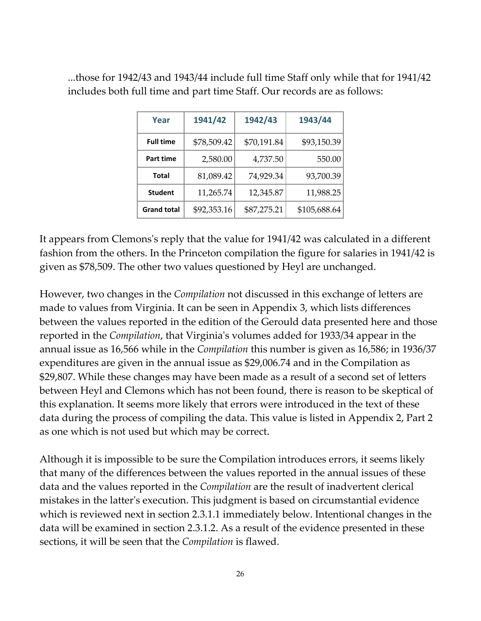| Year               | 1941/42     | 1942/43     | 1943/44      |
|--------------------|-------------|-------------|--------------|
| <b>Full time</b>   | \$78,509.42 | \$70,191.84 | \$93,150.39  |
| Part time          | 2,580.00    | 4,737.50    | 550.00       |
| <b>Total</b>       | 81,089.42   | 74,929.34   | 93,700.39    |
| <b>Student</b>     | 11,265.74   | 12,345.87   | 11,988.25    |
| <b>Grand total</b> | \$92,353.16 | \$87,275.21 | \$105,688.64 |

...those for 1942/43 and 1943/44 include full time Staff only while that for 1941/42 includes both full time and part time Staff. Our records are as follows:

It appears from Clemons's reply that the value for 1941/42 was calculated in a different fashion from the others. In the Princeton compilation the figure for salaries in 1941/42 is given as \$78,509. The other two values questioned by Heyl are unchanged.

However, two changes in the *Compilation* not discussed in this exchange of letters are made to values from Virginia. It can be seen in [Appendix](#page-98-0) 3, which lists differences between the values reported in the edition of the Gerould data presented here and those reported in the *Compilation*, that Virginiaʹs volumes added for 1933/34 appear in the annual issue as 16,566 while in the *Compilation* this number is given as 16,586; in 1936/37 expenditures are given in the annual issue as \$29,006.74 and in the Compilation as \$29,807. While these changes may have been made as a result of a second set of letters between Heyl and Clemons which has not been found, there is reason to be skeptical of this explanation. It seems more likely that errors were introduced in the text of these data during the process of compiling the data. This value is listed in [Appendix](#page-68-0) 2, Part 2 as one which is not used but which may be correct.

Although it is impossible to be sure the Compilation introduces errors, it seems likely that many of the differences between the values reported in the annual issues of these data and the values reported in the *Compilation* are the result of inadvertent clerical mistakes in the latterʹs execution. This judgment is based on circumstantial evidence which is reviewed next in section 2.3.1.1 immediately below. Intentional changes in the data will be examined in section 2.3.1.2. As a result of the evidence presented in these sections, it will be seen that the *Compilation* is flawed.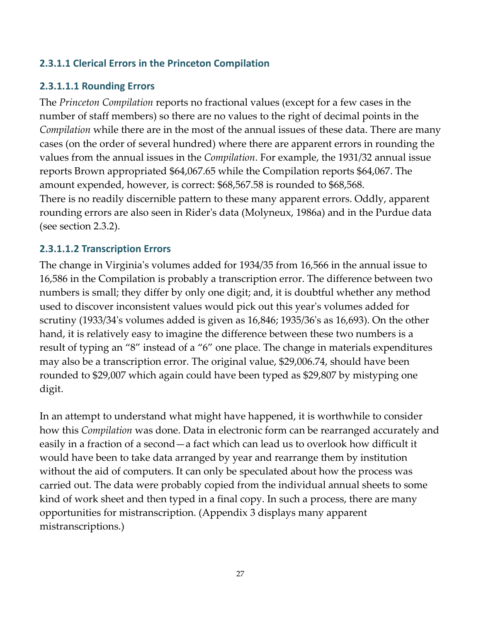## **2.3.1.1 Clerical Errors in the Princeton Compilation**

## **2.3.1.1.1 Rounding Errors**

The *Princeton Compilation* reports no fractional values (except for a few cases in the number of staff members) so there are no values to the right of decimal points in the *Compilation* while there are in the most of the annual issues of these data. There are many cases (on the order of several hundred) where there are apparent errors in rounding the values from the annual issues in the *Compilation*. For example, the 1931/32 annual issue reports Brown appropriated \$64,067.65 while the Compilation reports \$64,067. The amount expended, however, is correct: \$68,567.58 is rounded to \$68,568. There is no readily discernible pattern to these many apparent errors. Oddly, apparent rounding errors are also seen in Riderʹs data (Molyneux, 1986a) and in the Purdue data (see section 2.3.2).

### **2.3.1.1.2 Transcription Errors**

The change in Virginiaʹs volumes added for 1934/35 from 16,566 in the annual issue to 16,586 in the Compilation is probably a transcription error. The difference between two numbers is small; they differ by only one digit; and, it is doubtful whether any method used to discover inconsistent values would pick out this yearʹs volumes added for scrutiny (1933/34ʹs volumes added is given as 16,846; 1935/36ʹs as 16,693). On the other hand, it is relatively easy to imagine the difference between these two numbers is a result of typing an "8" instead of a "6" one place. The change in materials expenditures may also be a transcription error. The original value, \$29,006.74, should have been rounded to \$29,007 which again could have been typed as \$29,807 by mistyping one digit.

In an attempt to understand what might have happened, it is worthwhile to consider how this *Compilation* was done. Data in electronic form can be rearranged accurately and easily in a fraction of a second—a fact which can lead us to overlook how difficult it would have been to take data arranged by year and rearrange them by institution without the aid of computers. It can only be speculated about how the process was carried out. The data were probably copied from the individual annual sheets to some kind of work sheet and then typed in a final copy. In such a process, there are many opportunities for mistranscription. (Appendix 3 displays many apparent mistranscriptions.)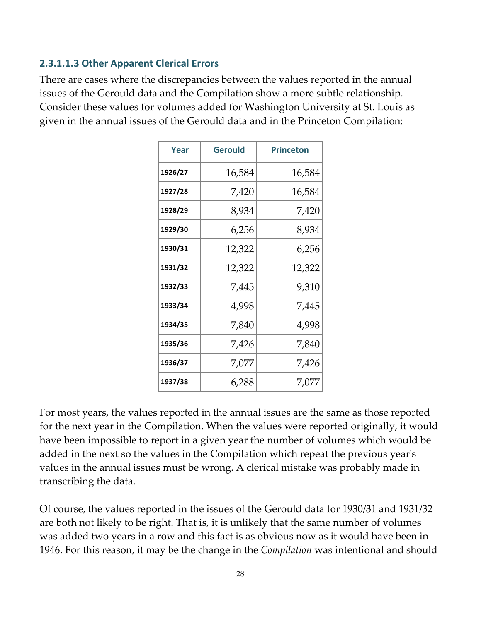#### **2.3.1.1.3 Other Apparent Clerical Errors**

There are cases where the discrepancies between the values reported in the annual issues of the Gerould data and the Compilation show a more subtle relationship. Consider these values for volumes added for Washington University at St. Louis as given in the annual issues of the Gerould data and in the Princeton Compilation:

| Year    | <b>Gerould</b> | <b>Princeton</b> |
|---------|----------------|------------------|
| 1926/27 | 16,584         | 16,584           |
| 1927/28 | 7,420          | 16,584           |
| 1928/29 | 8,934          | 7,420            |
| 1929/30 | 6,256          | 8,934            |
| 1930/31 | 12,322         | 6,256            |
| 1931/32 | 12,322         | 12,322           |
| 1932/33 | 7,445          | 9,310            |
| 1933/34 | 4,998          | 7,445            |
| 1934/35 | 7,840          | 4,998            |
| 1935/36 | 7,426          | 7,840            |
| 1936/37 | 7,077          | 7,426            |
| 1937/38 | 6,288          | 7,077            |

For most years, the values reported in the annual issues are the same as those reported for the next year in the Compilation. When the values were reported originally, it would have been impossible to report in a given year the number of volumes which would be added in the next so the values in the Compilation which repeat the previous yearʹs values in the annual issues must be wrong. A clerical mistake was probably made in transcribing the data.

Of course, the values reported in the issues of the Gerould data for 1930/31 and 1931/32 are both not likely to be right. That is, it is unlikely that the same number of volumes was added two years in a row and this fact is as obvious now as it would have been in 1946. For this reason, it may be the change in the *Compilation* was intentional and should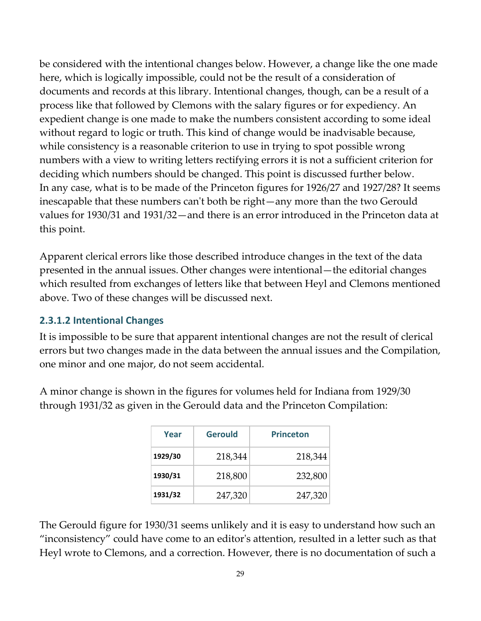be considered with the intentional changes below. However, a change like the one made here, which is logically impossible, could not be the result of a consideration of documents and records at this library. Intentional changes, though, can be a result of a process like that followed by Clemons with the salary figures or for expediency. An expedient change is one made to make the numbers consistent according to some ideal without regard to logic or truth. This kind of change would be inadvisable because, while consistency is a reasonable criterion to use in trying to spot possible wrong numbers with a view to writing letters rectifying errors it is not a sufficient criterion for deciding which numbers should be changed. This point is discussed further below. In any case, what is to be made of the Princeton figures for 1926/27 and 1927/28? It seems inescapable that these numbers canʹt both be right—any more than the two Gerould values for 1930/31 and 1931/32—and there is an error introduced in the Princeton data at this point.

Apparent clerical errors like those described introduce changes in the text of the data presented in the annual issues. Other changes were intentional—the editorial changes which resulted from exchanges of letters like that between Heyl and Clemons mentioned above. Two of these changes will be discussed next.

#### **2.3.1.2 Intentional Changes**

It is impossible to be sure that apparent intentional changes are not the result of clerical errors but two changes made in the data between the annual issues and the Compilation, one minor and one major, do not seem accidental.

A minor change is shown in the figures for volumes held for Indiana from 1929/30 through 1931/32 as given in the Gerould data and the Princeton Compilation:

| Year    | Gerould | <b>Princeton</b> |
|---------|---------|------------------|
| 1929/30 | 218,344 | 218,344          |
| 1930/31 | 218,800 | 232,800          |
| 1931/32 | 247,320 | 247,320          |

The Gerould figure for 1930/31 seems unlikely and it is easy to understand how such an "inconsistency" could have come to an editorʹs attention, resulted in a letter such as that Heyl wrote to Clemons, and a correction. However, there is no documentation of such a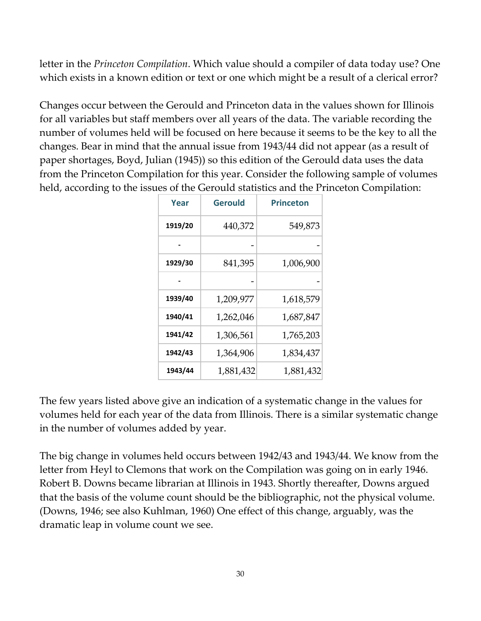letter in the *Princeton Compilation*. Which value should a compiler of data today use? One which exists in a known edition or text or one which might be a result of a clerical error?

Changes occur between the Gerould and Princeton data in the values shown for Illinois for all variables but staff members over all years of the data. The variable recording the number of volumes held will be focused on here because it seems to be the key to all the changes. Bear in mind that the annual issue from 1943/44 did not appear (as a result of paper shortages, Boyd, Julian (1945)) so this edition of the Gerould data uses the data from the Princeton Compilation for this year. Consider the following sample of volumes held, according to the issues of the Gerould statistics and the Princeton Compilation:

| Year    | Gerould   | Princeton |
|---------|-----------|-----------|
| 1919/20 | 440,372   | 549,873   |
|         |           |           |
| 1929/30 | 841,395   | 1,006,900 |
|         |           |           |
| 1939/40 | 1,209,977 | 1,618,579 |
| 1940/41 | 1,262,046 | 1,687,847 |
| 1941/42 | 1,306,561 | 1,765,203 |
| 1942/43 | 1,364,906 | 1,834,437 |
| 1943/44 | 1,881,432 | 1,881,432 |

The few years listed above give an indication of a systematic change in the values for volumes held for each year of the data from Illinois. There is a similar systematic change in the number of volumes added by year.

The big change in volumes held occurs between 1942/43 and 1943/44. We know from the letter from Heyl to Clemons that work on the Compilation was going on in early 1946. Robert B. Downs became librarian at Illinois in 1943. Shortly thereafter, Downs argued that the basis of the volume count should be the bibliographic, not the physical volume. (Downs, 1946; see also Kuhlman, 1960) One effect of this change, arguably, was the dramatic leap in volume count we see.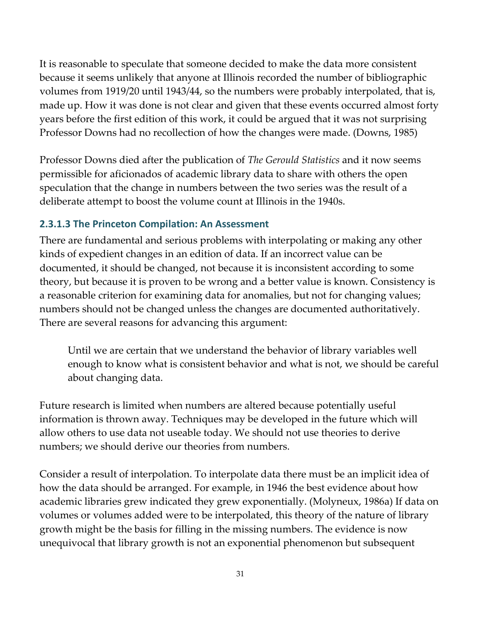It is reasonable to speculate that someone decided to make the data more consistent because it seems unlikely that anyone at Illinois recorded the number of bibliographic volumes from 1919/20 until 1943/44, so the numbers were probably interpolated, that is, made up. How it was done is not clear and given that these events occurred almost forty years before the first edition of this work, it could be argued that it was not surprising Professor Downs had no recollection of how the changes were made. (Downs, 1985)

Professor Downs died after the publication of *The Gerould Statistics* and it now seems permissible for aficionados of academic library data to share with others the open speculation that the change in numbers between the two series was the result of a deliberate attempt to boost the volume count at Illinois in the 1940s.

#### **2.3.1.3 The Princeton Compilation: An Assessment**

There are fundamental and serious problems with interpolating or making any other kinds of expedient changes in an edition of data. If an incorrect value can be documented, it should be changed, not because it is inconsistent according to some theory, but because it is proven to be wrong and a better value is known. Consistency is a reasonable criterion for examining data for anomalies, but not for changing values; numbers should not be changed unless the changes are documented authoritatively. There are several reasons for advancing this argument:

Until we are certain that we understand the behavior of library variables well enough to know what is consistent behavior and what is not, we should be careful about changing data.

Future research is limited when numbers are altered because potentially useful information is thrown away. Techniques may be developed in the future which will allow others to use data not useable today. We should not use theories to derive numbers; we should derive our theories from numbers.

Consider a result of interpolation. To interpolate data there must be an implicit idea of how the data should be arranged. For example, in 1946 the best evidence about how academic libraries grew indicated they grew exponentially. (Molyneux, 1986a) If data on volumes or volumes added were to be interpolated, this theory of the nature of library growth might be the basis for filling in the missing numbers. The evidence is now unequivocal that library growth is not an exponential phenomenon but subsequent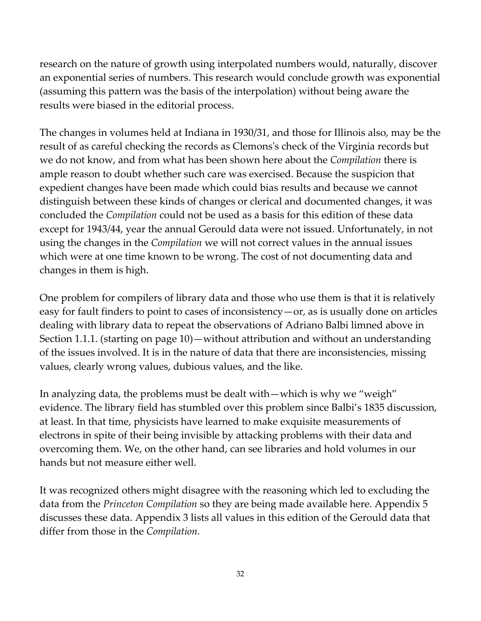research on the nature of growth using interpolated numbers would, naturally, discover an exponential series of numbers. This research would conclude growth was exponential (assuming this pattern was the basis of the interpolation) without being aware the results were biased in the editorial process.

The changes in volumes held at Indiana in 1930/31, and those for Illinois also, may be the result of as careful checking the records as Clemonsʹs check of the Virginia records but we do not know, and from what has been shown here about the *Compilation* there is ample reason to doubt whether such care was exercised. Because the suspicion that expedient changes have been made which could bias results and because we cannot distinguish between these kinds of changes or clerical and documented changes, it was concluded the *Compilation* could not be used as a basis for this edition of these data except for 1943/44, year the annual Gerould data were not issued. Unfortunately, in not using the changes in the *Compilation* we will not correct values in the annual issues which were at one time known to be wrong. The cost of not documenting data and changes in them is high.

One problem for compilers of library data and those who use them is that it is relatively easy for fault finders to point to cases of inconsistency—or, as is usually done on articles dealing with library data to repeat the observations of Adriano Balbi limned above in Section 1.1.1. (starting on page 10)—without attribution and without an understanding of the issues involved. It is in the nature of data that there are inconsistencies, missing values, clearly wrong values, dubious values, and the like.

In analyzing data, the problems must be dealt with—which is why we "weigh" evidence. The library field has stumbled over this problem since Balbi's 1835 discussion, at least. In that time, physicists have learned to make exquisite measurements of electrons in spite of their being invisible by attacking problems with their data and overcoming them. We, on the other hand, can see libraries and hold volumes in our hands but not measure either well.

It was recognized others might disagree with the reasoning which led to excluding the data from the *Princeton Compilation* so they are being made available here. Appendix 5 discusses these data. Appendix 3 lists all values in this edition of the Gerould data that differ from those in the *Compilation.*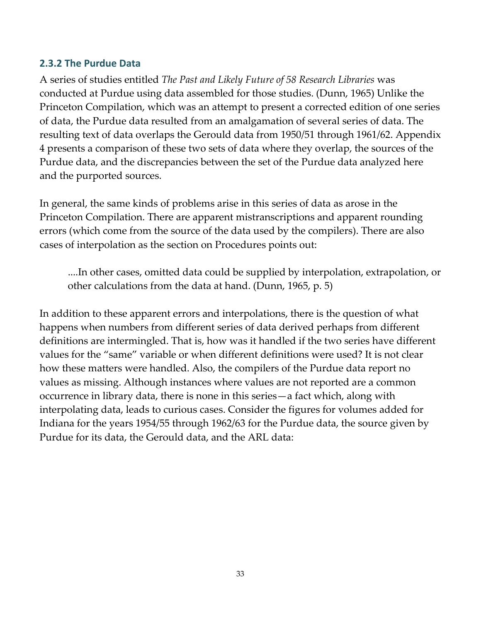#### **2.3.2 The Purdue Data**

A series of studies entitled *The Past and Likely Future of 58 Research Libraries* was conducted at Purdue using data assembled for those studies. (Dunn, 1965) Unlike the Princeton Compilation, which was an attempt to present a corrected edition of one series of data, the Purdue data resulted from an amalgamation of several series of data. The resulting text of data overlaps the Gerould data from 1950/51 through 1961/62. Appendix 4 presents a comparison of these two sets of data where they overlap, the sources of the Purdue data, and the discrepancies between the set of the Purdue data analyzed here and the purported sources.

In general, the same kinds of problems arise in this series of data as arose in the Princeton Compilation. There are apparent mistranscriptions and apparent rounding errors (which come from the source of the data used by the compilers). There are also cases of interpolation as the section on Procedures points out:

....In other cases, omitted data could be supplied by interpolation, extrapolation, or other calculations from the data at hand. (Dunn, 1965, p. 5)

In addition to these apparent errors and interpolations, there is the question of what happens when numbers from different series of data derived perhaps from different definitions are intermingled. That is, how was it handled if the two series have different values for the "same" variable or when different definitions were used? It is not clear how these matters were handled. Also, the compilers of the Purdue data report no values as missing. Although instances where values are not reported are a common occurrence in library data, there is none in this series—a fact which, along with interpolating data, leads to curious cases. Consider the figures for volumes added for Indiana for the years 1954/55 through 1962/63 for the Purdue data, the source given by Purdue for its data, the Gerould data, and the ARL data: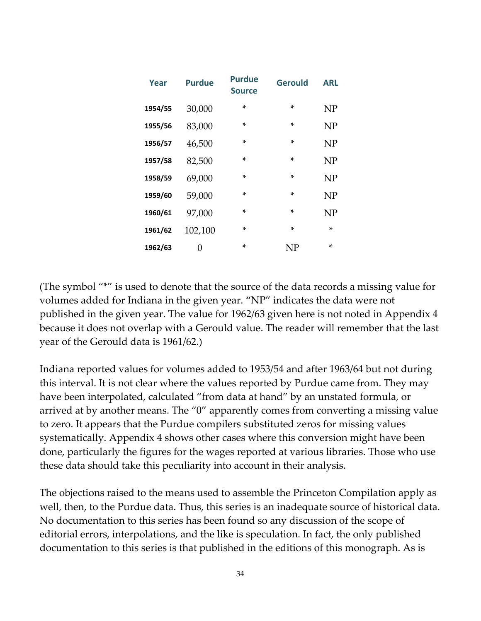| Year    | <b>Purdue</b> | <b>Purdue</b><br><b>Source</b> | <b>Gerould</b> | ARL       |
|---------|---------------|--------------------------------|----------------|-----------|
| 1954/55 | 30,000        | $\ast$                         | *              | <b>NP</b> |
| 1955/56 | 83,000        | ×                              | ×.             | NP        |
| 1956/57 | 46,500        | $\ast$                         | $\star$        | NP        |
| 1957/58 | 82,500        | ×                              | ×.             | NP        |
| 1958/59 | 69,000        | ×                              | ×.             | <b>NP</b> |
| 1959/60 | 59,000        | ×                              | ×.             | <b>NP</b> |
| 1960/61 | 97,000        | ×                              | ×.             | NP        |
| 1961/62 | 102,100       | ×                              | $\star$        | ×         |
| 1962/63 | 0             | *                              | NP             | $\star$   |

(The symbol "\*" is used to denote that the source of the data records a missing value for volumes added for Indiana in the given year. "NP" indicates the data were not published in the given year. The value for 1962/63 given here is not noted in Appendix 4 because it does not overlap with a Gerould value. The reader will remember that the last year of the Gerould data is 1961/62.)

Indiana reported values for volumes added to 1953/54 and after 1963/64 but not during this interval. It is not clear where the values reported by Purdue came from. They may have been interpolated, calculated "from data at hand" by an unstated formula, or arrived at by another means. The "0" apparently comes from converting a missing value to zero. It appears that the Purdue compilers substituted zeros for missing values systematically. Appendix 4 shows other cases where this conversion might have been done, particularly the figures for the wages reported at various libraries. Those who use these data should take this peculiarity into account in their analysis.

The objections raised to the means used to assemble the Princeton Compilation apply as well, then, to the Purdue data. Thus, this series is an inadequate source of historical data. No documentation to this series has been found so any discussion of the scope of editorial errors, interpolations, and the like is speculation. In fact, the only published documentation to this series is that published in the editions of this monograph. As is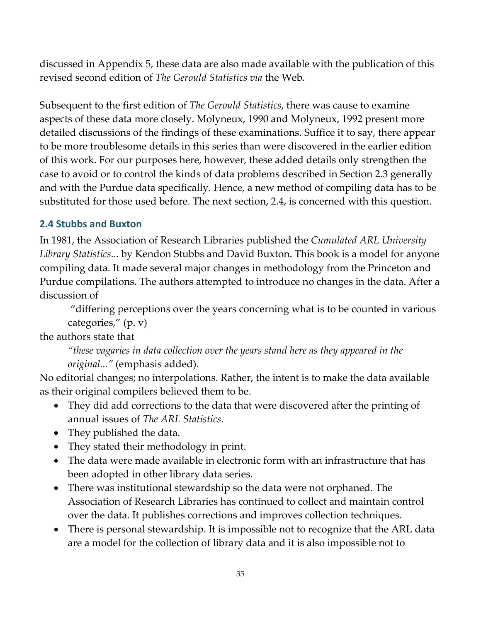discussed in Appendix 5, these data are also made available with the publication of this revised second edition of *The Gerould Statistics via* the Web.

Subsequent to the first edition of *The Gerould Statistics*, there was cause to examine aspects of these data more closely. Molyneux, 1990 and Molyneux, 1992 present more detailed discussions of the findings of these examinations. Suffice it to say, there appear to be more troublesome details in this series than were discovered in the earlier edition of this work. For our purposes here, however, these added details only strengthen the case to avoid or to control the kinds of data problems described in Section 2.3 generally and with the Purdue data specifically. Hence, a new method of compiling data has to be substituted for those used before. The next section, 2.4, is concerned with this question.

## **2.4 Stubbs and Buxton**

In 1981, the Association of Research Libraries published the *Cumulated ARL University Library Statistics...* by Kendon Stubbs and David Buxton. This book is a model for anyone compiling data. It made several major changes in methodology from the Princeton and Purdue compilations. The authors attempted to introduce no changes in the data. After a discussion of

"differing perceptions over the years concerning what is to be counted in various categories," (p. v)

the authors state that

*"these vagaries in data collection over the years stand here as they appeared in the original..."* (emphasis added).

No editorial changes; no interpolations. Rather, the intent is to make the data available as their original compilers believed them to be.

- They did add corrections to the data that were discovered after the printing of annual issues of *The ARL Statistics*.
- They published the data.
- They stated their methodology in print.
- The data were made available in electronic form with an infrastructure that has been adopted in other library data series.
- There was institutional stewardship so the data were not orphaned. The Association of Research Libraries has continued to collect and maintain control over the data. It publishes corrections and improves collection techniques.
- There is personal stewardship. It is impossible not to recognize that the ARL data are a model for the collection of library data and it is also impossible not to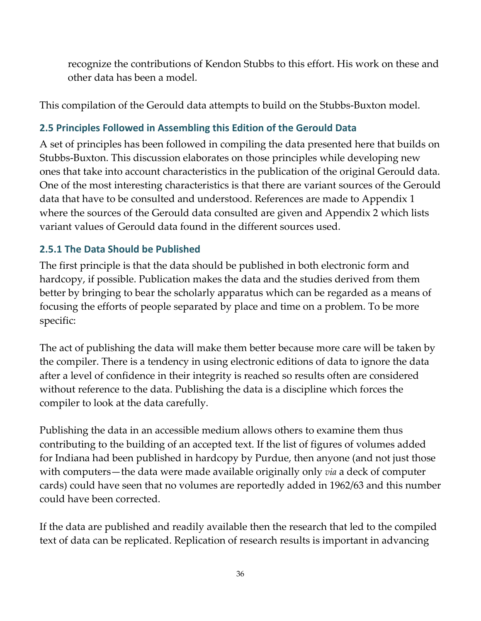recognize the contributions of Kendon Stubbs to this effort. His work on these and other data has been a model.

This compilation of the Gerould data attempts to build on the Stubbs‐Buxton model.

## **2.5 Principles Followed in Assembling this Edition of the Gerould Data**

A set of principles has been followed in compiling the data presented here that builds on Stubbs‐Buxton. This discussion elaborates on those principles while developing new ones that take into account characteristics in the publication of the original Gerould data. One of the most interesting characteristics is that there are variant sources of the Gerould data that have to be consulted and understood. References are made to Appendix 1 where the sources of the Gerould data consulted are given and Appendix 2 which lists variant values of Gerould data found in the different sources used.

## **2.5.1 The Data Should be Published**

The first principle is that the data should be published in both electronic form and hardcopy, if possible. Publication makes the data and the studies derived from them better by bringing to bear the scholarly apparatus which can be regarded as a means of focusing the efforts of people separated by place and time on a problem. To be more specific:

The act of publishing the data will make them better because more care will be taken by the compiler. There is a tendency in using electronic editions of data to ignore the data after a level of confidence in their integrity is reached so results often are considered without reference to the data. Publishing the data is a discipline which forces the compiler to look at the data carefully.

Publishing the data in an accessible medium allows others to examine them thus contributing to the building of an accepted text. If the list of figures of volumes added for Indiana had been published in hardcopy by Purdue, then anyone (and not just those with computers—the data were made available originally only *via* a deck of computer cards) could have seen that no volumes are reportedly added in 1962/63 and this number could have been corrected.

If the data are published and readily available then the research that led to the compiled text of data can be replicated. Replication of research results is important in advancing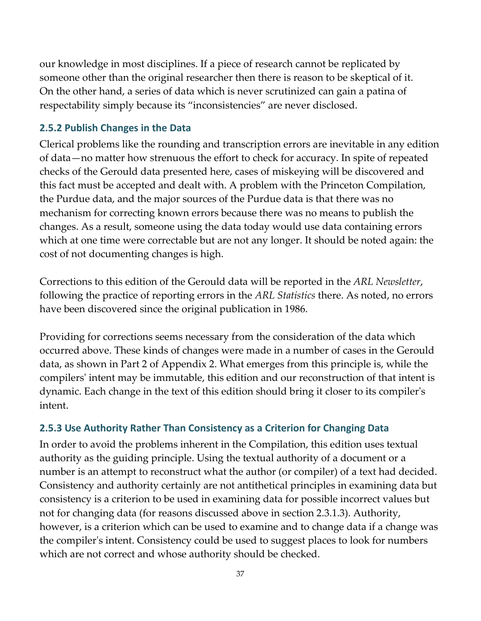our knowledge in most disciplines. If a piece of research cannot be replicated by someone other than the original researcher then there is reason to be skeptical of it. On the other hand, a series of data which is never scrutinized can gain a patina of respectability simply because its "inconsistencies" are never disclosed.

## **2.5.2 Publish Changes in the Data**

Clerical problems like the rounding and transcription errors are inevitable in any edition of data—no matter how strenuous the effort to check for accuracy. In spite of repeated checks of the Gerould data presented here, cases of miskeying will be discovered and this fact must be accepted and dealt with. A problem with the Princeton Compilation, the Purdue data, and the major sources of the Purdue data is that there was no mechanism for correcting known errors because there was no means to publish the changes. As a result, someone using the data today would use data containing errors which at one time were correctable but are not any longer. It should be noted again: the cost of not documenting changes is high.

Corrections to this edition of the Gerould data will be reported in the *ARL Newsletter*, following the practice of reporting errors in the *ARL Statistics* there. As noted, no errors have been discovered since the original publication in 1986.

Providing for corrections seems necessary from the consideration of the data which occurred above. These kinds of changes were made in a number of cases in the Gerould data, as shown in Part 2 of Appendix 2. What emerges from this principle is, while the compilersʹ intent may be immutable, this edition and our reconstruction of that intent is dynamic. Each change in the text of this edition should bring it closer to its compilerʹs intent.

## **2.5.3 Use Authority Rather Than Consistency as a Criterion for Changing Data**

In order to avoid the problems inherent in the Compilation, this edition uses textual authority as the guiding principle. Using the textual authority of a document or a number is an attempt to reconstruct what the author (or compiler) of a text had decided. Consistency and authority certainly are not antithetical principles in examining data but consistency is a criterion to be used in examining data for possible incorrect values but not for changing data (for reasons discussed above in section 2.3.1.3). Authority, however, is a criterion which can be used to examine and to change data if a change was the compilerʹs intent. Consistency could be used to suggest places to look for numbers which are not correct and whose authority should be checked.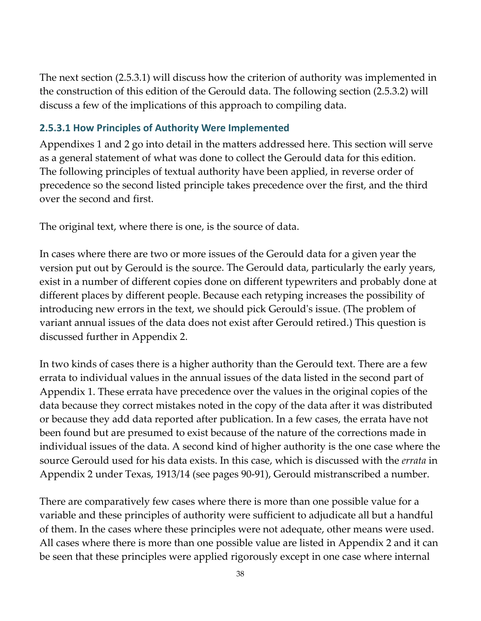The next section (2.5.3.1) will discuss how the criterion of authority was implemented in the construction of this edition of the Gerould data. The following section (2.5.3.2) will discuss a few of the implications of this approach to compiling data.

## **2.5.3.1 How Principles of Authority Were Implemented**

Appendixes 1 and 2 go into detail in the matters addressed here. This section will serve as a general statement of what was done to collect the Gerould data for this edition. The following principles of textual authority have been applied, in reverse order of precedence so the second listed principle takes precedence over the first, and the third over the second and first.

The original text, where there is one, is the source of data.

In cases where there are two or more issues of the Gerould data for a given year the version put out by Gerould is the source. The Gerould data, particularly the early years, exist in a number of different copies done on different typewriters and probably done at different places by different people. Because each retyping increases the possibility of introducing new errors in the text, we should pick Gerouldʹs issue. (The problem of variant annual issues of the data does not exist after Gerould retired.) This question is discussed further in [Appendix](#page-68-0) 2.

In two kinds of cases there is a higher authority than the Gerould text. There are a few errata to individual values in the annual issues of the data listed in the second part of Appendix 1. These errata have precedence over the values in the original copies of the data because they correct mistakes noted in the copy of the data after it was distributed or because they add data reported after publication. In a few cases, the errata have not been found but are presumed to exist because of the nature of the corrections made in individual issues of the data. A second kind of higher authority is the one case where the source Gerould used for his data exists. In this case, which is discussed with the *errata* in Appendix 2 under Texas, 1913/14 (see pages 90‐91), Gerould mistranscribed a number.

There are comparatively few cases where there is more than one possible value for a variable and these principles of authority were sufficient to adjudicate all but a handful of them. In the cases where these principles were not adequate, other means were used. All cases where there is more than one possible value are listed in [Appendix](#page-68-0) 2 and it can be seen that these principles were applied rigorously except in one case where internal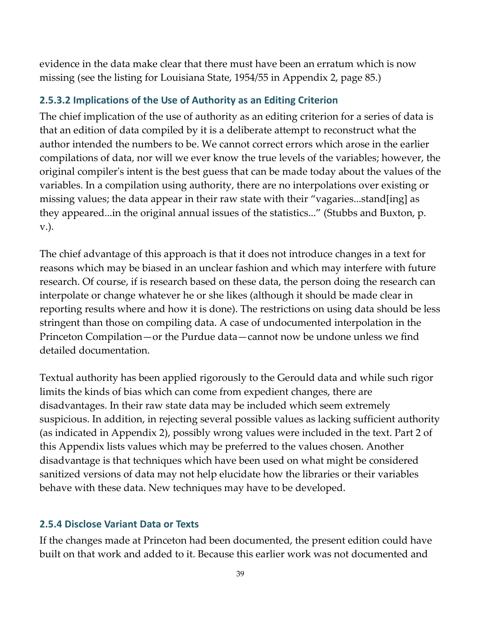evidence in the data make clear that there must have been an erratum which is now missing (see the listing for Louisiana State, 1954/55 in [Appendix](#page-84-0) 2, page 85.)

### **2.5.3.2 Implications of the Use of Authority as an Editing Criterion**

The chief implication of the use of authority as an editing criterion for a series of data is that an edition of data compiled by it is a deliberate attempt to reconstruct what the author intended the numbers to be. We cannot correct errors which arose in the earlier compilations of data, nor will we ever know the true levels of the variables; however, the original compilerʹs intent is the best guess that can be made today about the values of the variables. In a compilation using authority, there are no interpolations over existing or missing values; the data appear in their raw state with their "vagaries...stand[ing] as they appeared...in the original annual issues of the statistics..." (Stubbs and Buxton, p. v.).

The chief advantage of this approach is that it does not introduce changes in a text for reasons which may be biased in an unclear fashion and which may interfere with future research. Of course, if is research based on these data, the person doing the research can interpolate or change whatever he or she likes (although it should be made clear in reporting results where and how it is done). The restrictions on using data should be less stringent than those on compiling data. A case of undocumented interpolation in the Princeton Compilation—or the Purdue data—cannot now be undone unless we find detailed documentation.

Textual authority has been applied rigorously to the Gerould data and while such rigor limits the kinds of bias which can come from expedient changes, there are disadvantages. In their raw state data may be included which seem extremely suspicious. In addition, in rejecting several possible values as lacking sufficient authority (as indicated in Appendix 2), possibly wrong values were included in the text. Part 2 of this Appendix lists values which may be preferred to the values chosen. Another disadvantage is that techniques which have been used on what might be considered sanitized versions of data may not help elucidate how the libraries or their variables behave with these data. New techniques may have to be developed.

### **2.5.4 Disclose Variant Data or Texts**

If the changes made at Princeton had been documented, the present edition could have built on that work and added to it. Because this earlier work was not documented and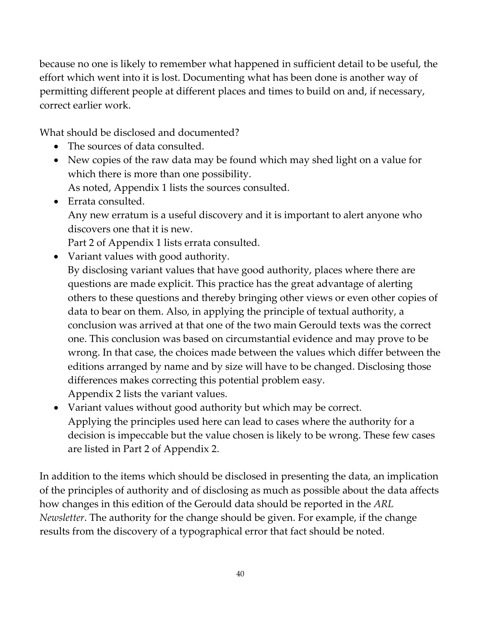because no one is likely to remember what happened in sufficient detail to be useful, the effort which went into it is lost. Documenting what has been done is another way of permitting different people at different places and times to build on and, if necessary, correct earlier work.

What should be disclosed and documented?

- The sources of data consulted.
- New copies of the raw data may be found which may shed light on a value for which there is more than one possibility. As noted, Appendix 1 lists the sources consulted.
- Errata consulted. Any new erratum is a useful discovery and it is important to alert anyone who discovers one that it is new.

Part 2 of Appendix 1 lists errata consulted.

- Variant values with good authority. By disclosing variant values that have good authority, places where there are questions are made explicit. This practice has the great advantage of alerting others to these questions and thereby bringing other views or even other copies of data to bear on them. Also, in applying the principle of textual authority, a conclusion was arrived at that one of the two main Gerould texts was the correct one. This conclusion was based on circumstantial evidence and may prove to be wrong. In that case, the choices made between the values which differ between the editions arranged by name and by size will have to be changed. Disclosing those differences makes correcting this potential problem easy. Appendix 2 lists the variant values.
- Variant values without good authority but which may be correct. Applying the principles used here can lead to cases where the authority for a decision is impeccable but the value chosen is likely to be wrong. These few cases are listed in Part 2 of Appendix 2.

In addition to the items which should be disclosed in presenting the data, an implication of the principles of authority and of disclosing as much as possible about the data affects how changes in this edition of the Gerould data should be reported in the *ARL Newsletter*. The authority for the change should be given. For example, if the change results from the discovery of a typographical error that fact should be noted.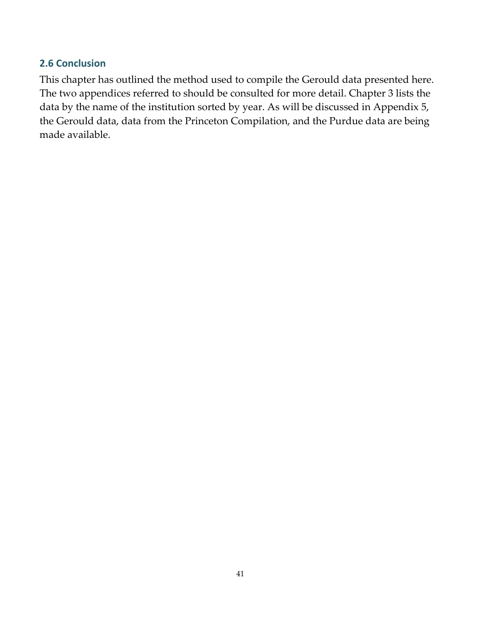## **2.6 Conclusion**

This chapter has outlined the method used to compile the Gerould data presented here. The two appendices referred to should be consulted for more detail. Chapter 3 lists the data by the name of the institution sorted by year. As will be discussed in Appendix 5, the Gerould data, data from the Princeton Compilation, and the Purdue data are being made available.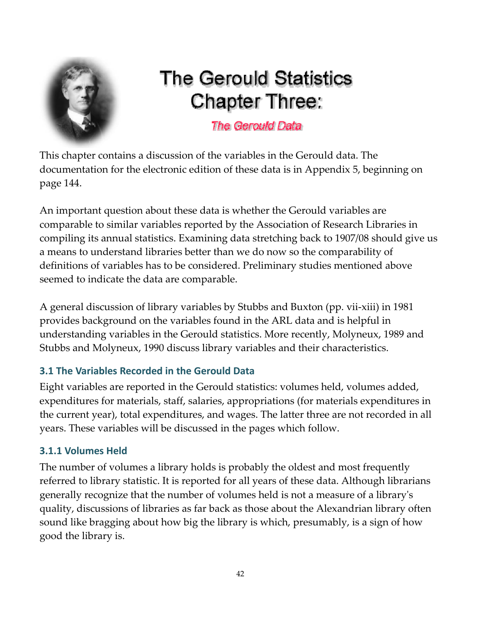

# **The Gerould Statistics Chapter Three:**

## The Gerould Data

This chapter contains a discussion of the variables in the Gerould data. The documentation for the electronic edition of these data is in Appendix 5, beginning on page 144.

An important question about these data is whether the Gerould variables are comparable to similar variables reported by the Association of Research Libraries in compiling its annual statistics. Examining data stretching back to 1907/08 should give us a means to understand libraries better than we do now so the comparability of definitions of variables has to be considered. Preliminary studies mentioned above seemed to indicate the data are comparable.

A general discussion of library variables by Stubbs and Buxton (pp. vii‐xiii) in 1981 provides background on the variables found in the ARL data and is helpful in understanding variables in the Gerould statistics. More recently, Molyneux, 1989 and Stubbs and Molyneux, 1990 discuss library variables and their characteristics.

## **3.1 The Variables Recorded in the Gerould Data**

Eight variables are reported in the Gerould statistics: volumes held, volumes added, expenditures for materials, staff, salaries, appropriations (for materials expenditures in the current year), total expenditures, and wages. The latter three are not recorded in all years. These variables will be discussed in the pages which follow.

## **3.1.1 Volumes Held**

The number of volumes a library holds is probably the oldest and most frequently referred to library statistic. It is reported for all years of these data. Although librarians generally recognize that the number of volumes held is not a measure of a libraryʹs quality, discussions of libraries as far back as those about the Alexandrian library often sound like bragging about how big the library is which, presumably, is a sign of how good the library is.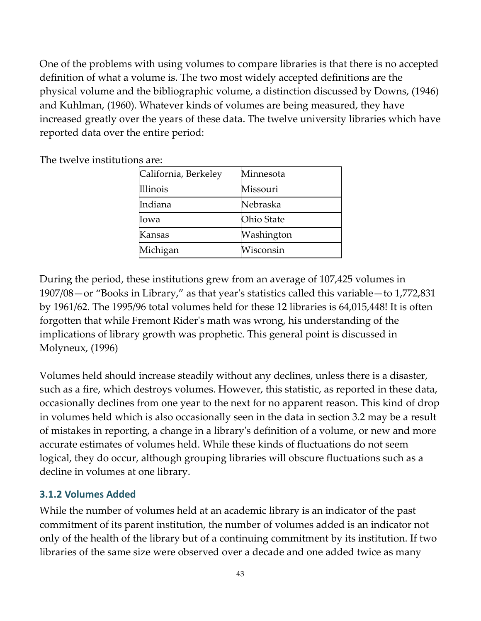One of the problems with using volumes to compare libraries is that there is no accepted definition of what a volume is. The two most widely accepted definitions are the physical volume and the bibliographic volume, a distinction discussed by Downs, (1946) and Kuhlman, (1960). Whatever kinds of volumes are being measured, they have increased greatly over the years of these data. The twelve university libraries which have reported data over the entire period:

| California, Berkeley | Minnesota         |
|----------------------|-------------------|
| Illinois             | Missouri          |
| Indiana              | Nebraska          |
| Iowa                 | <b>Ohio State</b> |
| Kansas               | Washington        |
| Michigan             | Wisconsin         |

The twelve institutions are:

During the period, these institutions grew from an average of 107,425 volumes in 1907/08—or "Books in Library," as that yearʹs statistics called this variable—to 1,772,831 by 1961/62. The 1995/96 total volumes held for these 12 libraries is 64,015,448! It is often forgotten that while Fremont Riderʹs math was wrong, his understanding of the implications of library growth was prophetic. This general point is discussed in Molyneux, (1996)

Volumes held should increase steadily without any declines, unless there is a disaster, such as a fire, which destroys volumes. However, this statistic, as reported in these data, occasionally declines from one year to the next for no apparent reason. This kind of drop in volumes held which is also occasionally seen in the data in section 3.2 may be a result of mistakes in reporting, a change in a libraryʹs definition of a volume, or new and more accurate estimates of volumes held. While these kinds of fluctuations do not seem logical, they do occur, although grouping libraries will obscure fluctuations such as a decline in volumes at one library.

## **3.1.2 Volumes Added**

While the number of volumes held at an academic library is an indicator of the past commitment of its parent institution, the number of volumes added is an indicator not only of the health of the library but of a continuing commitment by its institution. If two libraries of the same size were observed over a decade and one added twice as many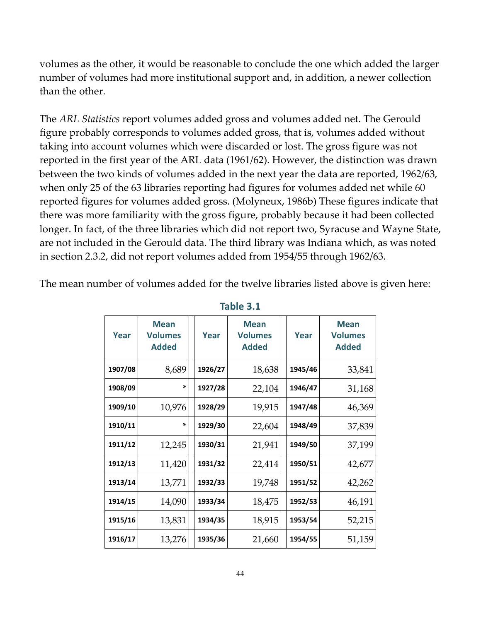volumes as the other, it would be reasonable to conclude the one which added the larger number of volumes had more institutional support and, in addition, a newer collection than the other.

The *ARL Statistics* report volumes added gross and volumes added net. The Gerould figure probably corresponds to volumes added gross, that is, volumes added without taking into account volumes which were discarded or lost. The gross figure was not reported in the first year of the ARL data (1961/62). However, the distinction was drawn between the two kinds of volumes added in the next year the data are reported, 1962/63, when only 25 of the 63 libraries reporting had figures for volumes added net while 60 reported figures for volumes added gross. [\(Molyneux,](http://fisher.lib.virginia.edu/libsites/gerould/tgsbib.html#m1986b) 1986b) These figures indicate that there was more familiarity with the gross figure, probably because it had been collected longer. In fact, of the three libraries which did not report two, Syracuse and Wayne State, are not included in the Gerould data. The third library was Indiana which, as was noted in section 2.3.2, did not report volumes added from 1954/55 through 1962/63.

The mean number of volumes added for the twelve libraries listed above is given here:

| Year    | <b>Mean</b><br><b>Volumes</b><br><b>Added</b> | Year    | <b>Mean</b><br><b>Volumes</b><br><b>Added</b> | Year    | <b>Mean</b><br><b>Volumes</b><br><b>Added</b> |
|---------|-----------------------------------------------|---------|-----------------------------------------------|---------|-----------------------------------------------|
| 1907/08 | 8,689                                         | 1926/27 | 18,638                                        | 1945/46 | 33,841                                        |
| 1908/09 | $\ast$                                        | 1927/28 | 22,104                                        | 1946/47 | 31,168                                        |
| 1909/10 | 10,976                                        | 1928/29 | 19,915                                        | 1947/48 | 46,369                                        |
| 1910/11 | $\ast$                                        | 1929/30 | 22,604                                        | 1948/49 | 37,839                                        |
| 1911/12 | 12,245                                        | 1930/31 | 21,941                                        | 1949/50 | 37,199                                        |
| 1912/13 | 11,420                                        | 1931/32 | 22,414                                        | 1950/51 | 42,677                                        |
| 1913/14 | 13,771                                        | 1932/33 | 19,748                                        | 1951/52 | 42,262                                        |
| 1914/15 | 14,090                                        | 1933/34 | 18,475                                        | 1952/53 | 46,191                                        |
| 1915/16 | 13,831                                        | 1934/35 | 18,915                                        | 1953/54 | 52,215                                        |
| 1916/17 | 13,276                                        | 1935/36 | 21,660                                        | 1954/55 | 51,159                                        |

**Table 3.1**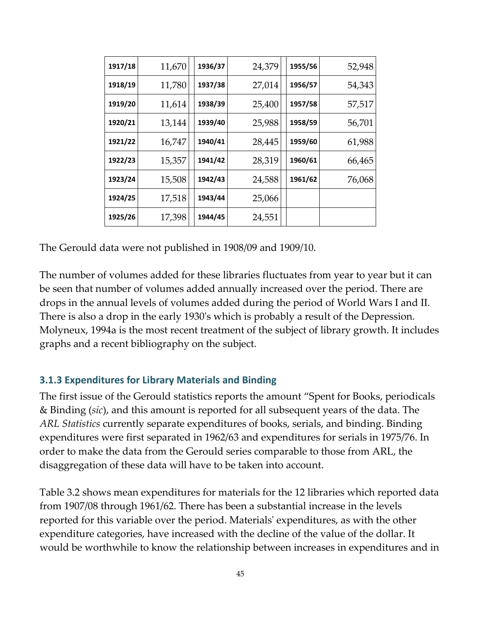| 1917/18 | 11,670 | 1936/37 | 24,379 | 1955/56 | 52,948 |
|---------|--------|---------|--------|---------|--------|
| 1918/19 | 11,780 | 1937/38 | 27,014 | 1956/57 | 54,343 |
| 1919/20 | 11,614 | 1938/39 | 25,400 | 1957/58 | 57,517 |
| 1920/21 | 13,144 | 1939/40 | 25,988 | 1958/59 | 56,701 |
| 1921/22 | 16,747 | 1940/41 | 28,445 | 1959/60 | 61,988 |
| 1922/23 | 15,357 | 1941/42 | 28,319 | 1960/61 | 66,465 |
| 1923/24 | 15,508 | 1942/43 | 24,588 | 1961/62 | 76,068 |
| 1924/25 | 17,518 | 1943/44 | 25,066 |         |        |
| 1925/26 | 17,398 | 1944/45 | 24,551 |         |        |

The Gerould data were not published in 1908/09 and 1909/10.

The number of volumes added for these libraries fluctuates from year to year but it can be seen that number of volumes added annually increased over the period. There are drops in the annual levels of volumes added during the period of World Wars I and II. There is also a drop in the early 1930ʹs which is probably a result of the Depression. Molyneux, 1994a is the most recent treatment of the subject of library growth. It includes graphs and a recent bibliography on the subject.

### **3.1.3 Expenditures for Library Materials and Binding**

The first issue of the Gerould statistics reports the amount "Spent for Books, periodicals & Binding (*sic*), and this amount is reported for all subsequent years of the data. The *ARL Statistics* currently separate expenditures of books, serials, and binding. Binding expenditures were first separated in 1962/63 and expenditures for serials in 1975/76. In order to make the data from the Gerould series comparable to those from ARL, the disaggregation of these data will have to be taken into account.

Table 3.2 shows mean expenditures for materials for the 12 libraries which reported data from 1907/08 through 1961/62. There has been a substantial increase in the levels reported for this variable over the period. Materialsʹ expenditures, as with the other expenditure categories, have increased with the decline of the value of the dollar. It would be worthwhile to know the relationship between increases in expenditures and in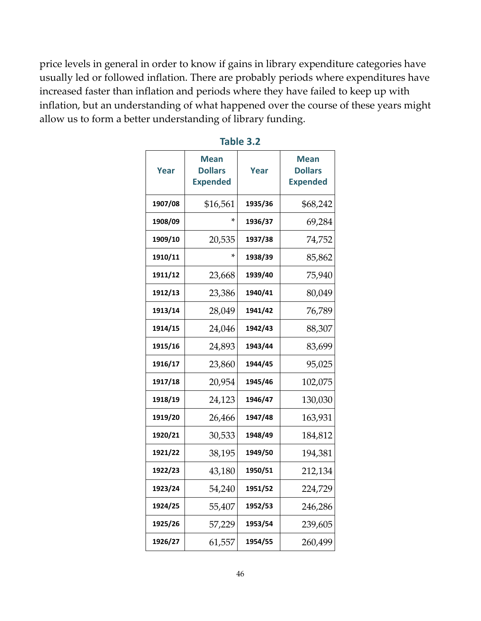price levels in general in order to know if gains in library expenditure categories have usually led or followed inflation. There are probably periods where expenditures have increased faster than inflation and periods where they have failed to keep up with inflation, but an understanding of what happened over the course of these years might allow us to form a better understanding of library funding.

| Year    | Mean<br><b>Dollars</b><br><b>Expended</b> | Year    | Mean<br><b>Dollars</b><br><b>Expended</b> |
|---------|-------------------------------------------|---------|-------------------------------------------|
| 1907/08 | \$16,561                                  | 1935/36 | \$68,242                                  |
| 1908/09 | ×                                         | 1936/37 | 69,284                                    |
| 1909/10 | 20,535                                    | 1937/38 | 74,752                                    |
| 1910/11 |                                           | 1938/39 | 85,862                                    |
| 1911/12 | 23,668                                    | 1939/40 | 75,940                                    |
| 1912/13 | 23,386                                    | 1940/41 | 80,049                                    |
| 1913/14 | 28,049                                    | 1941/42 | 76,789                                    |
| 1914/15 | 24,046                                    | 1942/43 | 88,307                                    |
| 1915/16 | 24,893                                    | 1943/44 | 83,699                                    |
| 1916/17 | 23,860                                    | 1944/45 | 95,025                                    |
| 1917/18 | 20,954                                    | 1945/46 | 102,075                                   |
| 1918/19 | 24,123                                    | 1946/47 | 130,030                                   |
| 1919/20 | 26,466                                    | 1947/48 | 163,931                                   |
| 1920/21 | 30,533                                    | 1948/49 | 184,812                                   |
| 1921/22 | 38,195                                    | 1949/50 | 194,381                                   |
| 1922/23 | 43,180                                    | 1950/51 | 212,134                                   |
| 1923/24 | 54,240                                    | 1951/52 | 224,729                                   |
| 1924/25 | 55,407                                    | 1952/53 | 246,286                                   |
| 1925/26 | 57,229                                    | 1953/54 | 239,605                                   |
| 1926/27 | 61,557                                    | 1954/55 | 260,499                                   |

| ►<br>. . | I<br>o |  |  |
|----------|--------|--|--|
|          |        |  |  |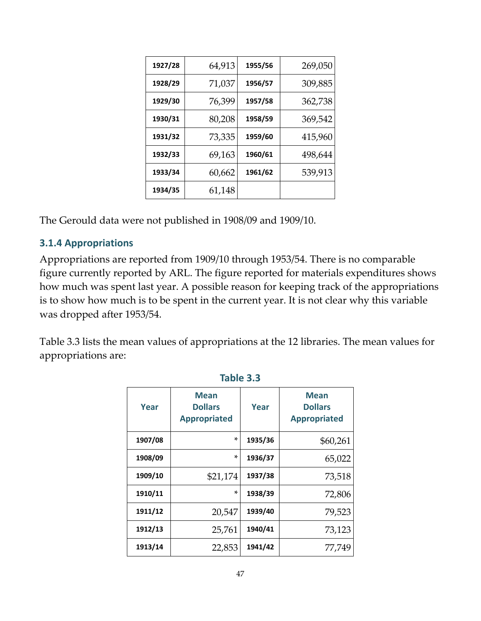| 1927/28 | 64,913 | 1955/56 | 269,050 |
|---------|--------|---------|---------|
| 1928/29 | 71,037 | 1956/57 | 309,885 |
| 1929/30 | 76,399 | 1957/58 | 362,738 |
| 1930/31 | 80,208 | 1958/59 | 369,542 |
| 1931/32 | 73,335 | 1959/60 | 415,960 |
| 1932/33 | 69,163 | 1960/61 | 498,644 |
| 1933/34 | 60,662 | 1961/62 | 539,913 |
| 1934/35 | 61,148 |         |         |

The Gerould data were not published in 1908/09 and 1909/10.

## **3.1.4 Appropriations**

Appropriations are reported from 1909/10 through 1953/54. There is no comparable figure currently reported by ARL. The figure reported for materials expenditures shows how much was spent last year. A possible reason for keeping track of the appropriations is to show how much is to be spent in the current year. It is not clear why this variable was dropped after 1953/54.

Table 3.3 lists the mean values of appropriations at the 12 libraries. The mean values for appropriations are:

| Year    | <b>Mean</b><br><b>Dollars</b><br><b>Appropriated</b> | Year    | <b>Mean</b><br><b>Dollars</b><br><b>Appropriated</b> |
|---------|------------------------------------------------------|---------|------------------------------------------------------|
| 1907/08 | $\ast$                                               | 1935/36 | \$60,261                                             |
| 1908/09 | *                                                    | 1936/37 | 65,022                                               |
| 1909/10 | \$21,174                                             | 1937/38 | 73,518                                               |
| 1910/11 | *                                                    | 1938/39 | 72,806                                               |
| 1911/12 | 20,547                                               | 1939/40 | 79,523                                               |
| 1912/13 | 25,761                                               | 1940/41 | 73,123                                               |
| 1913/14 | 22,853                                               | 1941/42 | 77,749                                               |

**Table 3.3**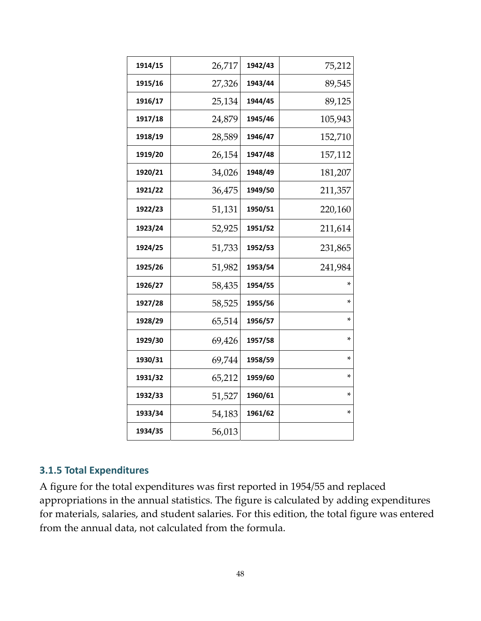| 1914/15 | 26,717 | 1942/43 | 75,212  |
|---------|--------|---------|---------|
| 1915/16 | 27,326 | 1943/44 | 89,545  |
| 1916/17 | 25,134 | 1944/45 | 89,125  |
| 1917/18 | 24,879 | 1945/46 | 105,943 |
| 1918/19 | 28,589 | 1946/47 | 152,710 |
| 1919/20 | 26,154 | 1947/48 | 157,112 |
| 1920/21 | 34,026 | 1948/49 | 181,207 |
| 1921/22 | 36,475 | 1949/50 | 211,357 |
| 1922/23 | 51,131 | 1950/51 | 220,160 |
| 1923/24 | 52,925 | 1951/52 | 211,614 |
| 1924/25 | 51,733 | 1952/53 | 231,865 |
| 1925/26 | 51,982 | 1953/54 | 241,984 |
| 1926/27 | 58,435 | 1954/55 | ×       |
| 1927/28 | 58,525 | 1955/56 | *       |
| 1928/29 | 65,514 | 1956/57 | *       |
| 1929/30 | 69,426 | 1957/58 | *       |
| 1930/31 | 69,744 | 1958/59 | *       |
| 1931/32 | 65,212 | 1959/60 | *       |
| 1932/33 | 51,527 | 1960/61 | *       |
| 1933/34 | 54,183 | 1961/62 | *       |
| 1934/35 | 56,013 |         |         |

### **3.1.5 Total Expenditures**

A figure for the total expenditures was first reported in 1954/55 and replaced appropriations in the annual statistics. The figure is calculated by adding expenditures for materials, salaries, and student salaries. For this edition, the total figure was entered from the annual data, not calculated from the formula.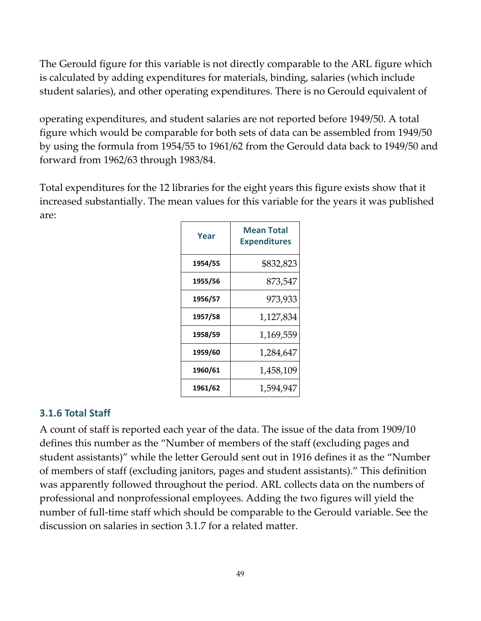The Gerould figure for this variable is not directly comparable to the ARL figure which is calculated by adding expenditures for materials, binding, salaries (which include student salaries), and other operating expenditures. There is no Gerould equivalent of

operating expenditures, and student salaries are not reported before 1949/50. A total figure which would be comparable for both sets of data can be assembled from 1949/50 by using the formula from 1954/55 to 1961/62 from the Gerould data back to 1949/50 and forward from 1962/63 through 1983/84.

Total expenditures for the 12 libraries for the eight years this figure exists show that it increased substantially. The mean values for this variable for the years it was published are:

| Year    | <b>Mean Total</b><br><b>Expenditures</b> |
|---------|------------------------------------------|
| 1954/55 | \$832,823                                |
| 1955/56 | 873,547                                  |
| 1956/57 | 973,933                                  |
| 1957/58 | 1,127,834                                |
| 1958/59 | 1,169,559                                |
| 1959/60 | 1,284,647                                |
| 1960/61 | 1,458,109                                |
| 1961/62 | 1,594,947                                |

## **3.1.6 Total Staff**

A count of staff is reported each year of the data. The issue of the data from 1909/10 defines this number as the "Number of members of the staff (excluding pages and student assistants)" while the letter Gerould sent out in 1916 defines it as the "Number of members of staff (excluding janitors, pages and student assistants)." This definition was apparently followed throughout the period. ARL collects data on the numbers of professional and nonprofessional employees. Adding the two figures will yield the number of full-time staff which should be comparable to the Gerould variable. See the discussion on salaries in section 3.1.7 for a related matter.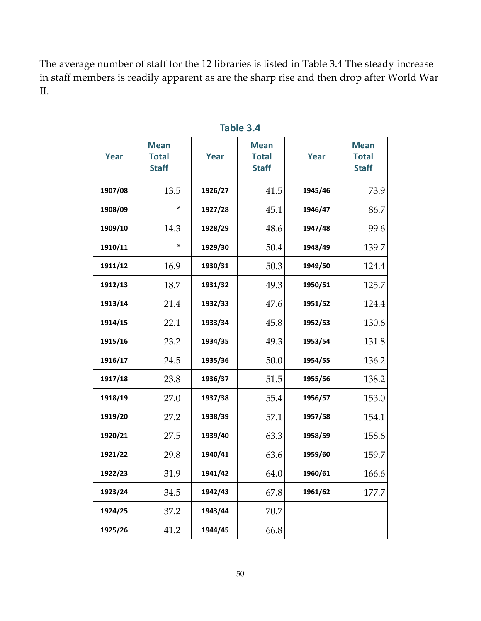The average number of staff for the 12 libraries is listed in Table 3.4 The steady increase in staff members is readily apparent as are the sharp rise and then drop after World War II.

| <b>Year</b> | <b>Mean</b><br><b>Total</b><br><b>Staff</b> | Year    | <b>Mean</b><br><b>Total</b><br><b>Staff</b> | Year    | <b>Mean</b><br><b>Total</b><br><b>Staff</b> |
|-------------|---------------------------------------------|---------|---------------------------------------------|---------|---------------------------------------------|
| 1907/08     | 13.5                                        | 1926/27 | 41.5                                        | 1945/46 | 73.9                                        |
| 1908/09     | ×                                           | 1927/28 | 45.1                                        | 1946/47 | 86.7                                        |
| 1909/10     | 14.3                                        | 1928/29 | 48.6                                        | 1947/48 | 99.6                                        |
| 1910/11     | *                                           | 1929/30 | 50.4                                        | 1948/49 | 139.7                                       |
| 1911/12     | 16.9                                        | 1930/31 | 50.3                                        | 1949/50 | 124.4                                       |
| 1912/13     | 18.7                                        | 1931/32 | 49.3                                        | 1950/51 | 125.7                                       |
| 1913/14     | 21.4                                        | 1932/33 | 47.6                                        | 1951/52 | 124.4                                       |
| 1914/15     | 22.1                                        | 1933/34 | 45.8                                        | 1952/53 | 130.6                                       |
| 1915/16     | 23.2                                        | 1934/35 | 49.3                                        | 1953/54 | 131.8                                       |
| 1916/17     | 24.5                                        | 1935/36 | 50.0                                        | 1954/55 | 136.2                                       |
| 1917/18     | 23.8                                        | 1936/37 | 51.5                                        | 1955/56 | 138.2                                       |
| 1918/19     | 27.0                                        | 1937/38 | 55.4                                        | 1956/57 | 153.0                                       |
| 1919/20     | 27.2                                        | 1938/39 | 57.1                                        | 1957/58 | 154.1                                       |
| 1920/21     | 27.5                                        | 1939/40 | 63.3                                        | 1958/59 | 158.6                                       |
| 1921/22     | 29.8                                        | 1940/41 | 63.6                                        | 1959/60 | 159.7                                       |
| 1922/23     | 31.9                                        | 1941/42 | 64.0                                        | 1960/61 | 166.6                                       |
| 1923/24     | 34.5                                        | 1942/43 | 67.8                                        | 1961/62 | 177.7                                       |
| 1924/25     | 37.2                                        | 1943/44 | 70.7                                        |         |                                             |
| 1925/26     | 41.2                                        | 1944/45 | 66.8                                        |         |                                             |

## **Table 3.4**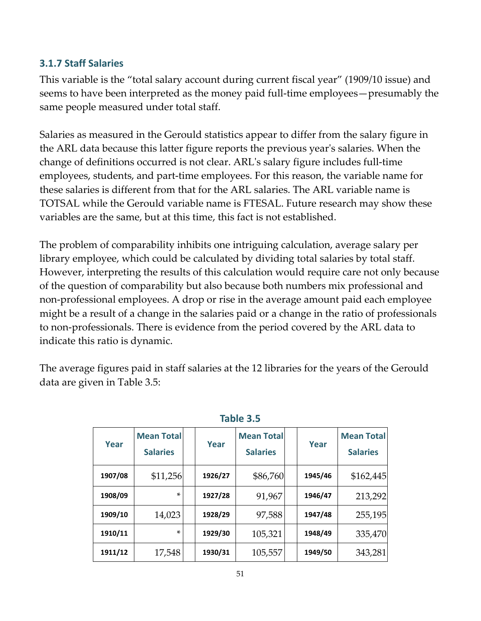## **3.1.7 Staff Salaries**

This variable is the "total salary account during current fiscal year" (1909/10 issue) and seems to have been interpreted as the money paid full‐time employees—presumably the same people measured under total staff.

Salaries as measured in the Gerould statistics appear to differ from the salary figure in the ARL data because this latter figure reports the previous yearʹs salaries. When the change of definitions occurred is not clear. ARLʹs salary figure includes full‐time employees, students, and part‐time employees. For this reason, the variable name for these salaries is different from that for the ARL salaries. The ARL variable name is TOTSAL while the Gerould variable name is FTESAL. Future research may show these variables are the same, but at this time, this fact is not established.

The problem of comparability inhibits one intriguing calculation, average salary per library employee, which could be calculated by dividing total salaries by total staff. However, interpreting the results of this calculation would require care not only because of the question of comparability but also because both numbers mix professional and non‐professional employees. A drop or rise in the average amount paid each employee might be a result of a change in the salaries paid or a change in the ratio of professionals to non‐professionals. There is evidence from the period covered by the ARL data to indicate this ratio is dynamic.

The average figures paid in staff salaries at the 12 libraries for the years of the Gerould data are given in Table 3.5:

| Year    | <b>Mean Total</b><br><b>Salaries</b> | Year    | <b>Mean Total</b><br><b>Salaries</b> | Year    | <b>Mean Total</b><br><b>Salaries</b> |
|---------|--------------------------------------|---------|--------------------------------------|---------|--------------------------------------|
| 1907/08 | \$11,256                             | 1926/27 | \$86,760                             | 1945/46 | \$162,445                            |
| 1908/09 | $\ast$                               | 1927/28 | 91,967                               | 1946/47 | 213,292                              |
| 1909/10 | 14,023                               | 1928/29 | 97,588                               | 1947/48 | 255,195                              |
| 1910/11 | $\ast$                               | 1929/30 | 105,321                              | 1948/49 | 335,470                              |
| 1911/12 | 17,548                               | 1930/31 | 105,557                              | 1949/50 | 343,281                              |

### **Table 3.5**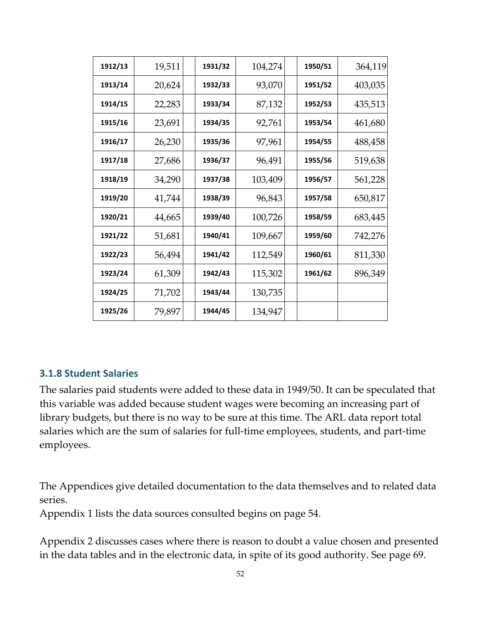| 1912/13 | 19,511 | 1931/32 | 104,274 | 1950/51 | 364,119 |
|---------|--------|---------|---------|---------|---------|
| 1913/14 | 20,624 | 1932/33 | 93,070  | 1951/52 | 403,035 |
| 1914/15 | 22,283 | 1933/34 | 87,132  | 1952/53 | 435,513 |
| 1915/16 | 23,691 | 1934/35 | 92,761  | 1953/54 | 461,680 |
| 1916/17 | 26,230 | 1935/36 | 97,961  | 1954/55 | 488,458 |
| 1917/18 | 27,686 | 1936/37 | 96,491  | 1955/56 | 519,638 |
| 1918/19 | 34,290 | 1937/38 | 103,409 | 1956/57 | 561,228 |
| 1919/20 | 41,744 | 1938/39 | 96,843  | 1957/58 | 650,817 |
| 1920/21 | 44,665 | 1939/40 | 100,726 | 1958/59 | 683,445 |
| 1921/22 | 51,681 | 1940/41 | 109,667 | 1959/60 | 742,276 |
| 1922/23 | 56,494 | 1941/42 | 112,549 | 1960/61 | 811,330 |
| 1923/24 | 61,309 | 1942/43 | 115,302 | 1961/62 | 896,349 |
| 1924/25 | 71,702 | 1943/44 | 130,735 |         |         |
| 1925/26 | 79,897 | 1944/45 | 134,947 |         |         |

### **3.1.8 Student Salaries**

The salaries paid students were added to these data in 1949/50. It can be speculated that this variable was added because student wages were becoming an increasing part of library budgets, but there is no way to be sure at this time. The ARL data report total salaries which are the sum of salaries for full-time employees, students, and part-time employees.

The Appendices give detailed documentation to the data themselves and to related data series.

[Appendix](#page-53-0) 1 lists the data sources consulted begins on page 54.

[Appendix](#page-68-0) 2 discusses cases where there is reason to doubt a value chosen and presented in the data tables and in the electronic data, in spite of its good authority. See page 69.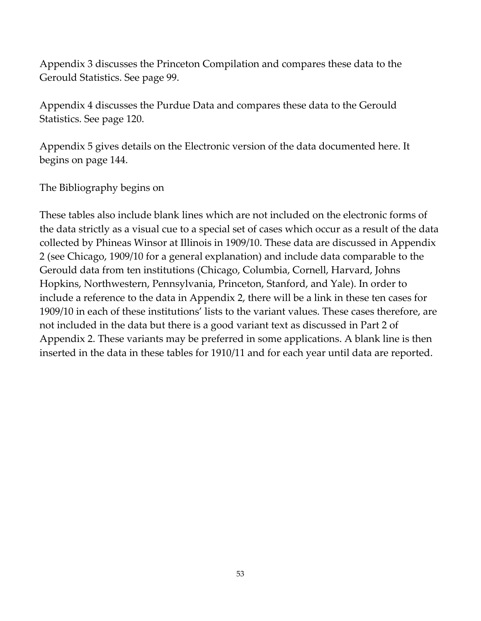[Appendix](#page-98-0) 3 discusses the Princeton Compilation and compares these data to the Gerould Statistics. See page 99.

[Appendix](#page-119-0) 4 discusses the Purdue Data and compares these data to the Gerould Statistics. See page 120.

[Appendix](#page-143-0) 5 gives details on the Electronic version of the data documented here. It begins on page 144.

The [Bibliography](#page-151-0) begins on

These tables also include blank lines which are not included on the electronic forms of the data strictly as a visual cue to a special set of cases which occur as a result of the data collected by Phineas Winsor at Illinois in 1909/10. These data are discussed in Appendix 2 (see [Chicago,](http://fisher.lib.virginia.edu/libsites/gerould/tgsapp2.html#winsor) 1909/10 for a general explanation) and include data comparable to the Gerould data from ten institutions (Chicago, Columbia, Cornell, Harvard, Johns Hopkins, Northwestern, Pennsylvania, Princeton, Stanford, and Yale). In order to include a reference to the data in Appendix 2, there will be a link in these ten cases for 1909/10 in each of these institutions' lists to the variant values. These cases therefore, are not included in the data but there is a good variant text as discussed in Part 2 of Appendix 2. These variants may be preferred in some applications. A blank line is then inserted in the data in these tables for 1910/11 and for each year until data are reported.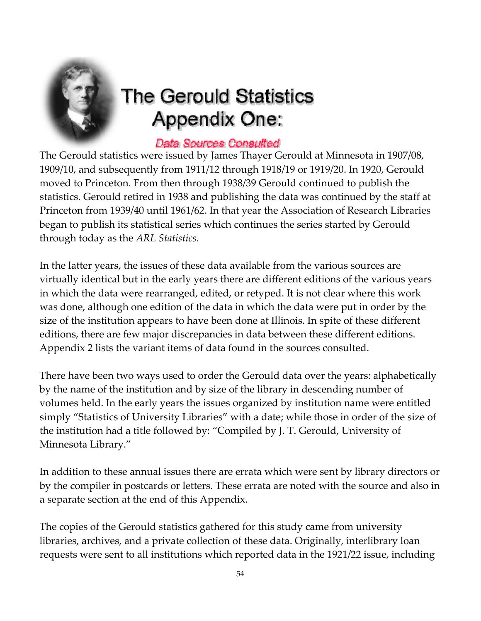<span id="page-53-0"></span>

# **The Gerould Statistics Appendix One:**

## Data Sources Consulted

The Gerould statistics were issued by James Thayer Gerould at Minnesota in 1907/08, 1909/10, and subsequently from 1911/12 through 1918/19 or 1919/20. In 1920, Gerould moved to Princeton. From then through 1938/39 Gerould continued to publish the statistics. Gerould retired in 1938 and publishing the data was continued by the staff at Princeton from 1939/40 until 1961/62. In that year the Association of Research Libraries began to publish its statistical series which continues the series started by Gerould through today as the *ARL Statistics*.

In the latter years, the issues of these data available from the various sources are virtually identical but in the early years there are different editions of the various years in which the data were rearranged, edited, or retyped. It is not clear where this work was done, although one edition of the data in which the data were put in order by the size of the institution appears to have been done at Illinois. In spite of these different editions, there are few major discrepancies in data between these different editions. Appendix 2 lists the variant items of data found in the sources consulted.

There have been two ways used to order the Gerould data over the years: alphabetically by the name of the institution and by size of the library in descending number of volumes held. In the early years the issues organized by institution name were entitled simply "Statistics of University Libraries" with a date; while those in order of the size of the institution had a title followed by: "Compiled by J. T. Gerould, University of Minnesota Library."

In addition to these annual issues there are errata which were sent by library directors or by the compiler in postcards or letters. These errata are noted with the source and also in a separate section at the end of this Appendix.

The copies of the Gerould statistics gathered for this study came from university libraries, archives, and a private collection of these data. Originally, interlibrary loan requests were sent to all institutions which reported data in the 1921/22 issue, including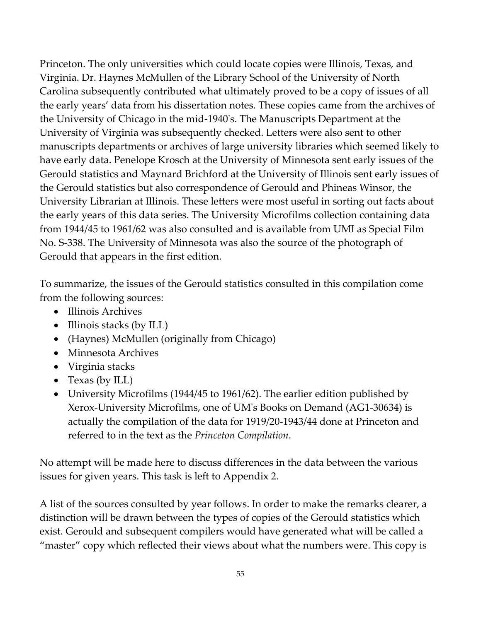Princeton. The only universities which could locate copies were Illinois, Texas, and Virginia. Dr. Haynes McMullen of the Library School of the University of North Carolina subsequently contributed what ultimately proved to be a copy of issues of all the early years' data from his dissertation notes. These copies came from the archives of the University of Chicago in the mid‐1940ʹs. The Manuscripts Department at the University of Virginia was subsequently checked. Letters were also sent to other manuscripts departments or archives of large university libraries which seemed likely to have early data. Penelope Krosch at the University of Minnesota sent early issues of the Gerould statistics and Maynard Brichford at the University of Illinois sent early issues of the Gerould statistics but also correspondence of Gerould and Phineas Winsor, the University Librarian at Illinois. These letters were most useful in sorting out facts about the early years of this data series. The University Microfilms collection containing data from 1944/45 to 1961/62 was also consulted and is available from UMI as Special Film No. S‐338. The University of Minnesota was also the source of the photograph of Gerould that appears in the first edition.

To summarize, the issues of the Gerould statistics consulted in this compilation come from the following sources:

- Illinois Archives
- Illinois stacks (by ILL)
- (Haynes) McMullen (originally from Chicago)
- Minnesota Archives
- Virginia stacks
- Texas (by ILL)
- University Microfilms (1944/45 to 1961/62). The earlier edition published by Xerox‐University Microfilms, one of UMʹs Books on Demand (AG1‐30634) is actually the compilation of the data for 1919/20‐1943/44 done at Princeton and referred to in the text as the *Princeton Compilation*.

No attempt will be made here to discuss differences in the data between the various issues for given years. This task is left to Appendix 2.

A list of the sources consulted by year follows. In order to make the remarks clearer, a distinction will be drawn between the types of copies of the Gerould statistics which exist. Gerould and subsequent compilers would have generated what will be called a "master" copy which reflected their views about what the numbers were. This copy is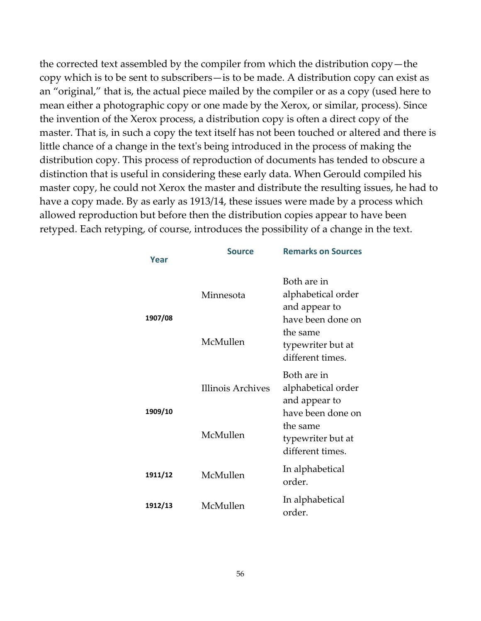the corrected text assembled by the compiler from which the distribution copy—the copy which is to be sent to subscribers—is to be made. A distribution copy can exist as an "original," that is, the actual piece mailed by the compiler or as a copy (used here to mean either a photographic copy or one made by the Xerox, or similar, process). Since the invention of the Xerox process, a distribution copy is often a direct copy of the master. That is, in such a copy the text itself has not been touched or altered and there is little chance of a change in the text's being introduced in the process of making the distribution copy. This process of reproduction of documents has tended to obscure a distinction that is useful in considering these early data. When Gerould compiled his master copy, he could not Xerox the master and distribute the resulting issues, he had to have a copy made. By as early as 1913/14, these issues were made by a process which allowed reproduction but before then the distribution copies appear to have been retyped. Each retyping, of course, introduces the possibility of a change in the text.

| Year    | <b>Source</b>     | <b>Remarks on Sources</b>                                               |
|---------|-------------------|-------------------------------------------------------------------------|
| 1907/08 | Minnesota         | Both are in<br>alphabetical order<br>and appear to<br>have been done on |
|         | McMullen          | the same<br>typewriter but at<br>different times.                       |
|         | Illinois Archives | Both are in<br>alphabetical order<br>and appear to                      |
| 1909/10 | McMullen          | have been done on<br>the same<br>typewriter but at<br>different times.  |
| 1911/12 | McMullen          | In alphabetical<br>order.                                               |
| 1912/13 | McMullen          | In alphabetical<br>order.                                               |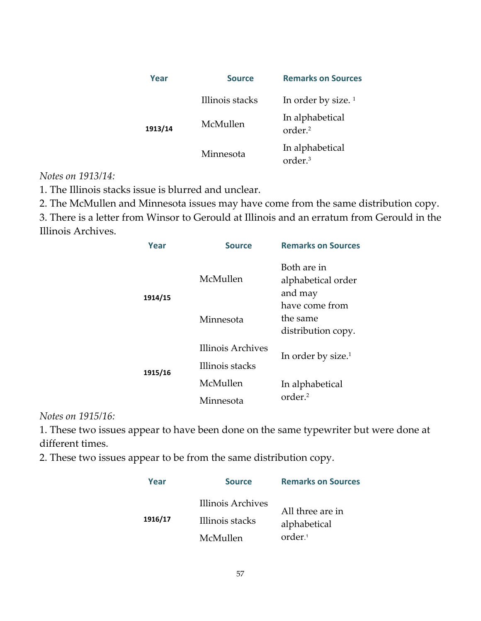| Year    | <b>Source</b>   | <b>Remarks on Sources</b>              |
|---------|-----------------|----------------------------------------|
| 1913/14 | Illinois stacks | In order by size. $1$                  |
|         | McMullen        | In alphabetical<br>order. <sup>2</sup> |
|         | Minnesota       | In alphabetical<br>order <sup>3</sup>  |

### *Notes on 1913/14:*

1. The Illinois stacks issue is blurred and unclear.

2. The McMullen and Minnesota issues may have come from the same distribution copy.

3. There is a letter from Winsor to Gerould at Illinois and an erratum from Gerould in the Illinois Archives.

| Year    | <b>Source</b>               | <b>Remarks on Sources</b>                        |
|---------|-----------------------------|--------------------------------------------------|
| 1914/15 | McMullen                    | Both are in<br>alphabetical order<br>and may     |
|         | Minnesota                   | have come from<br>the same<br>distribution copy. |
|         | Illinois Archives           | In order by size. <sup>1</sup>                   |
| 1915/16 | Illinois stacks<br>McMullen | In alphabetical                                  |
|         | Minnesota                   | order. <sup>2</sup>                              |

*Notes on 1915/16:* 

1. These two issues appear to have been done on the same typewriter but were done at different times.

2. These two issues appear to be from the same distribution copy.

| Year    | <b>Source</b>                                    | <b>Remarks on Sources</b>                               |
|---------|--------------------------------------------------|---------------------------------------------------------|
| 1916/17 | Illinois Archives<br>Illinois stacks<br>McMullen | All three are in<br>alphabetical<br>order. <sup>1</sup> |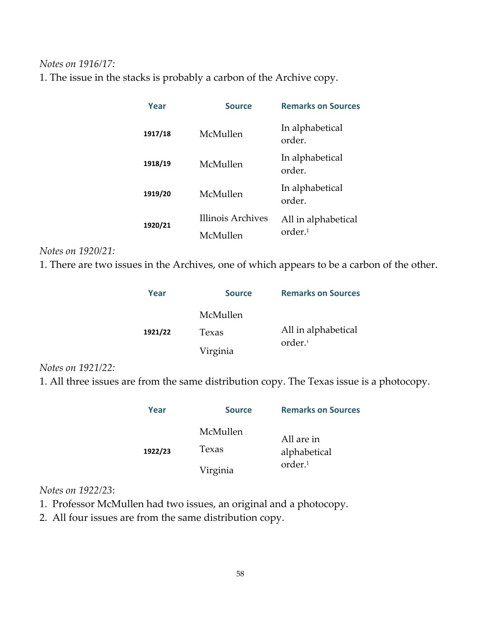### *Notes on 1916/17:*

1. The issue in the stacks is probably a carbon of the Archive copy.

| Year    | <b>Source</b>                 | <b>Remarks on Sources</b>                 |
|---------|-------------------------------|-------------------------------------------|
| 1917/18 | McMullen                      | In alphabetical<br>order.                 |
| 1918/19 | McMullen                      | In alphabetical<br>order.                 |
| 1919/20 | McMullen                      | In alphabetical<br>order.                 |
| 1920/21 | Illinois Archives<br>McMullen | All in alphabetical<br>order <sup>1</sup> |

### *Notes on 1920/21:*

1. There are two issues in the Archives, one of which appears to be a carbon of the other.

| Year    | <b>Source</b> | <b>Remarks on Sources</b> |
|---------|---------------|---------------------------|
|         | McMullen      |                           |
| 1921/22 | Texas         | All in alphabetical       |
|         | Virginia      | order. <sup>1</sup>       |

### *Notes on 1921/22:*

1. All three issues are from the same distribution copy. The Texas issue is a photocopy.

| Year    | <b>Source</b> | <b>Remarks on Sources</b> |
|---------|---------------|---------------------------|
| 1922/23 | McMullen      | All are in                |
|         | Texas         | alphabetical              |
|         | Virginia      | order. <sup>1</sup>       |

## *Notes on 1922/23*:

1. Professor McMullen had two issues, an original and a photocopy.

2. All four issues are from the same distribution copy.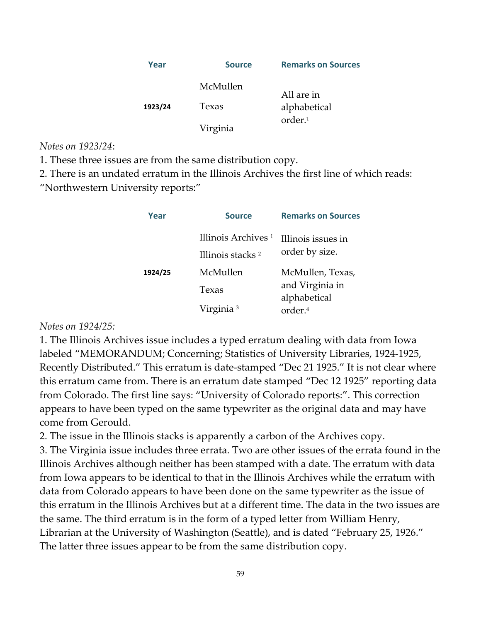| Year    | <b>Source</b> | <b>Remarks on Sources</b> |
|---------|---------------|---------------------------|
|         | McMullen      | All are in                |
| 1923/24 | Texas         | alphabetical              |
|         | Virginia      | order <sup>1</sup>        |

*Notes on 1923/24*:

1. These three issues are from the same distribution copy.

2. There is an undated erratum in the Illinois Archives the first line of which reads: "Northwestern University reports:"

| Year    | <b>Source</b>                                                  | <b>Remarks on Sources</b>                           |
|---------|----------------------------------------------------------------|-----------------------------------------------------|
|         | Illinois Archives <sup>1</sup><br>Illinois stacks <sup>2</sup> | Illinois issues in<br>order by size.                |
| 1924/25 | McMullen<br>Texas                                              | McMullen, Texas,<br>and Virginia in<br>alphabetical |
|         | Virginia <sup>3</sup>                                          | order <sup>4</sup>                                  |

#### *Notes on 1924/25:*

1. The Illinois Archives issue includes a typed erratum dealing with data from Iowa labeled "MEMORANDUM; Concerning; Statistics of University Libraries, 1924‐1925, Recently Distributed." This erratum is date‐stamped "Dec 21 1925." It is not clear where this erratum came from. There is an erratum date stamped "Dec 12 1925" reporting data from Colorado. The first line says: "University of Colorado reports:". This correction appears to have been typed on the same typewriter as the original data and may have come from Gerould.

2. The issue in the Illinois stacks is apparently a carbon of the Archives copy.

3. The Virginia issue includes three errata. Two are other issues of the errata found in the Illinois Archives although neither has been stamped with a date. The erratum with data from Iowa appears to be identical to that in the Illinois Archives while the erratum with data from Colorado appears to have been done on the same typewriter as the issue of this erratum in the Illinois Archives but at a different time. The data in the two issues are the same. The third erratum is in the form of a typed letter from William Henry, Librarian at the University of Washington (Seattle), and is dated "February 25, 1926." The latter three issues appear to be from the same distribution copy.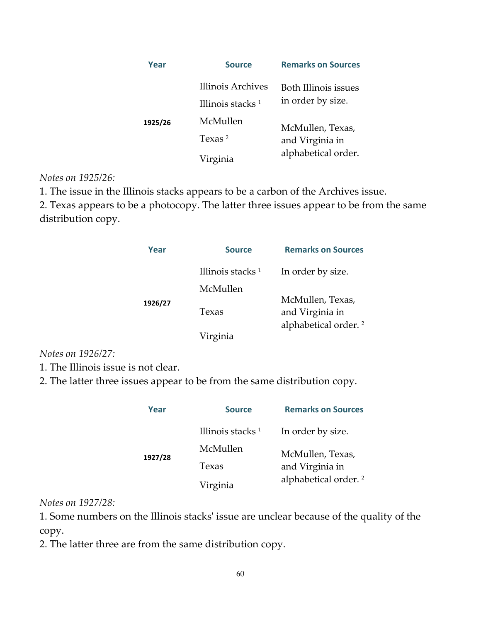| Year    | <b>Source</b>                              | <b>Remarks on Sources</b>                                  |
|---------|--------------------------------------------|------------------------------------------------------------|
|         | Illinois Archives<br>Illinois stacks $1$   | Both Illinois issues<br>in order by size.                  |
| 1925/26 | McMullen<br>Texas <sup>2</sup><br>Virginia | McMullen, Texas,<br>and Virginia in<br>alphabetical order. |

### *Notes on 1925/26:*

1. The issue in the Illinois stacks appears to be a carbon of the Archives issue.

2. Texas appears to be a photocopy. The latter three issues appear to be from the same distribution copy.

| Year    | <b>Source</b>                | <b>Remarks on Sources</b>        |
|---------|------------------------------|----------------------------------|
| 1926/27 | Illinois stacks <sup>1</sup> | In order by size.                |
|         | McMullen                     |                                  |
|         |                              | McMullen, Texas,                 |
|         | Texas                        | and Virginia in                  |
|         |                              | alphabetical order. <sup>2</sup> |
|         | Virginia                     |                                  |

*Notes on 1926/27:* 

1. The Illinois issue is not clear.

2. The latter three issues appear to be from the same distribution copy.

| Year    | <b>Source</b>                | <b>Remarks on Sources</b>           |
|---------|------------------------------|-------------------------------------|
| 1927/28 | Illinois stacks <sup>1</sup> | In order by size.                   |
|         | McMullen                     | McMullen, Texas,<br>and Virginia in |
|         | Texas                        |                                     |
|         | Virginia                     | alphabetical order. <sup>2</sup>    |

*Notes on 1927/28:* 

1. Some numbers on the Illinois stacksʹ issue are unclear because of the quality of the copy.

2. The latter three are from the same distribution copy.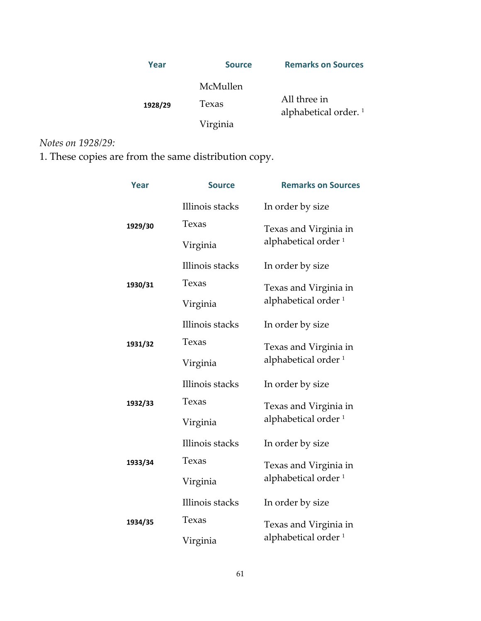| Year    | <b>Source</b>     | <b>Remarks on Sources</b>               |
|---------|-------------------|-----------------------------------------|
| 1928/29 | McMullen<br>Texas | All three in<br>alphabetical order. $1$ |
|         | Virginia          |                                         |

*Notes on 1928/29:* 

1. These copies are from the same distribution copy.

| <b>Year</b> | <b>Source</b>   | <b>Remarks on Sources</b>       |
|-------------|-----------------|---------------------------------|
|             | Illinois stacks | In order by size                |
| 1929/30     | Texas           | Texas and Virginia in           |
|             | Virginia        | alphabetical order <sup>1</sup> |
|             | Illinois stacks | In order by size                |
| 1930/31     | Texas           | Texas and Virginia in           |
|             | Virginia        | alphabetical order <sup>1</sup> |
|             | Illinois stacks | In order by size                |
| 1931/32     | Texas           | Texas and Virginia in           |
|             | Virginia        | alphabetical order <sup>1</sup> |
|             | Illinois stacks | In order by size                |
| 1932/33     | Texas           | Texas and Virginia in           |
|             | Virginia        | alphabetical order <sup>1</sup> |
|             | Illinois stacks | In order by size                |
| 1933/34     | Texas           | Texas and Virginia in           |
|             | Virginia        | alphabetical order <sup>1</sup> |
| 1934/35     | Illinois stacks | In order by size                |
|             | Texas           | Texas and Virginia in           |
|             | Virginia        | alphabetical order <sup>1</sup> |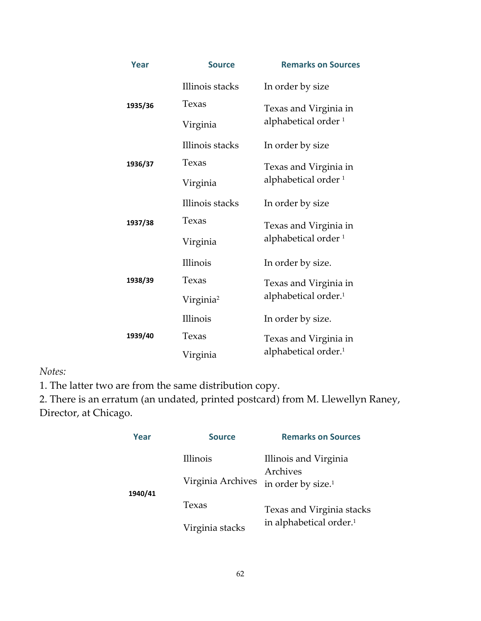| Year    | <b>Source</b>         | <b>Remarks on Sources</b>                                |
|---------|-----------------------|----------------------------------------------------------|
|         | Illinois stacks       | In order by size                                         |
| 1935/36 | Texas                 | Texas and Virginia in<br>alphabetical order <sup>1</sup> |
|         | Virginia              |                                                          |
|         | Illinois stacks       | In order by size                                         |
| 1936/37 | Texas                 | Texas and Virginia in                                    |
|         | Virginia              | alphabetical order <sup>1</sup>                          |
|         | Illinois stacks       | In order by size                                         |
| 1937/38 | Texas                 | Texas and Virginia in                                    |
|         | Virginia              | alphabetical order <sup>1</sup>                          |
|         | <b>Illinois</b>       | In order by size.                                        |
| 1938/39 | Texas                 | Texas and Virginia in                                    |
|         | Virginia <sup>2</sup> | alphabetical order. <sup>1</sup>                         |
| 1939/40 | <b>Illinois</b>       | In order by size.                                        |
|         | Texas                 | Texas and Virginia in                                    |
|         | Virginia              | alphabetical order. <sup>1</sup>                         |

*Notes:* 

1. The latter two are from the same distribution copy.

2. There is an erratum (an undated, printed postcard) from M. Llewellyn Raney, Director, at Chicago.

| Year    | <b>Source</b>                 | <b>Remarks on Sources</b>                                           |
|---------|-------------------------------|---------------------------------------------------------------------|
| 1940/41 | Illinois<br>Virginia Archives | Illinois and Virginia<br>Archives<br>in order by size. <sup>1</sup> |
|         | Texas                         | Texas and Virginia stacks                                           |
|         | Virginia stacks               | in alphabetical order. <sup>1</sup>                                 |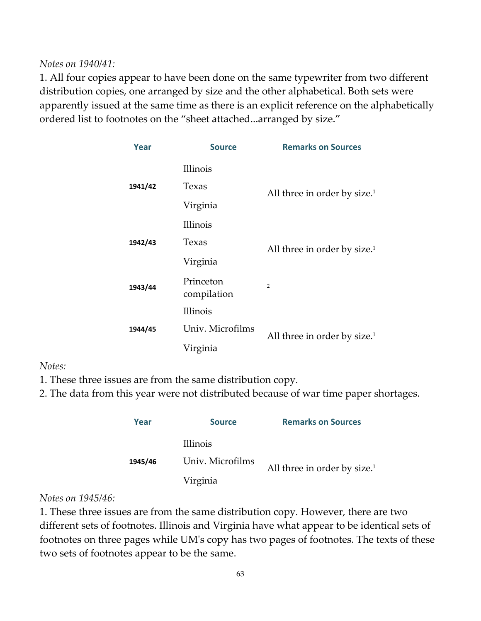*Notes on 1940/41:*

1. All four copies appear to have been done on the same typewriter from two different distribution copies, one arranged by size and the other alphabetical. Both sets were apparently issued at the same time as there is an explicit reference on the alphabetically ordered list to footnotes on the "sheet attached...arranged by size."

| Year    | <b>Source</b>            | <b>Remarks on Sources</b>                |
|---------|--------------------------|------------------------------------------|
|         | Illinois                 |                                          |
| 1941/42 | Texas                    | All three in order by size. <sup>1</sup> |
|         | Virginia                 |                                          |
|         | Illinois                 |                                          |
| 1942/43 | Texas                    | All three in order by size. <sup>1</sup> |
|         | Virginia                 |                                          |
| 1943/44 | Princeton<br>compilation | $\mathcal{P}$                            |
|         | Illinois                 |                                          |
| 1944/45 | Univ. Microfilms         | All three in order by size. <sup>1</sup> |
|         | Virginia                 |                                          |

*Notes:*

- 1. These three issues are from the same distribution copy.
- 2. The data from this year were not distributed because of war time paper shortages.

| Year    | <b>Source</b>    | <b>Remarks on Sources</b>       |
|---------|------------------|---------------------------------|
|         | Illinois         |                                 |
| 1945/46 | Univ. Microfilms | All three in order by size. $1$ |
|         | Virginia         |                                 |

## *Notes on 1945/46:*

1. These three issues are from the same distribution copy. However, there are two different sets of footnotes. Illinois and Virginia have what appear to be identical sets of footnotes on three pages while UMʹs copy has two pages of footnotes. The texts of these two sets of footnotes appear to be the same.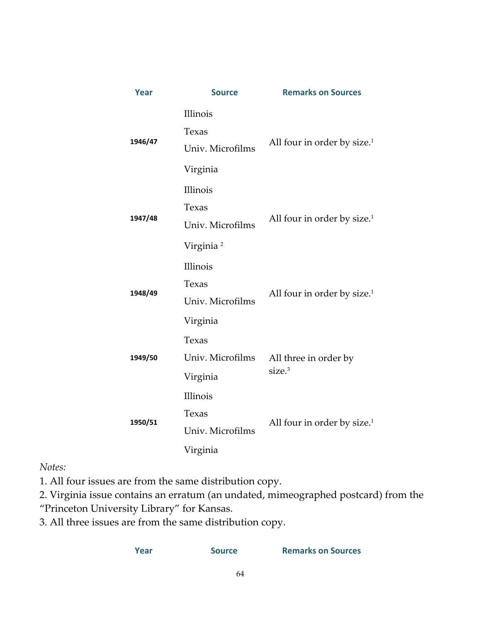| Year    | <b>Source</b>                                     | <b>Remarks on Sources</b>                   |
|---------|---------------------------------------------------|---------------------------------------------|
| 1946/47 | Illinois<br>Texas<br>Univ. Microfilms             | All four in order by size. <sup>1</sup>     |
|         | Virginia                                          |                                             |
| 1947/48 | Illinois<br>Texas<br>Univ. Microfilms             | All four in order by size. <sup>1</sup>     |
|         | Virginia <sup>2</sup>                             |                                             |
| 1948/49 | Illinois<br>Texas<br>Univ. Microfilms<br>Virginia | All four in order by size. <sup>1</sup>     |
| 1949/50 | Texas<br>Univ. Microfilms<br>Virginia             | All three in order by<br>size. <sup>3</sup> |
| 1950/51 | Illinois<br>Texas<br>Univ. Microfilms<br>Virginia | All four in order by size. <sup>1</sup>     |

 $Notes:$ 

1. All four issues are from the same distribution copy.

2. Virginia issue contains an erratum (an undated, mimeographed postcard) from the "Princeton University Library" for Kansas.

3. All three issues are from the same distribution copy.

| Year | <b>Source</b> | <b>Remarks on Sources</b> |
|------|---------------|---------------------------|
|      |               |                           |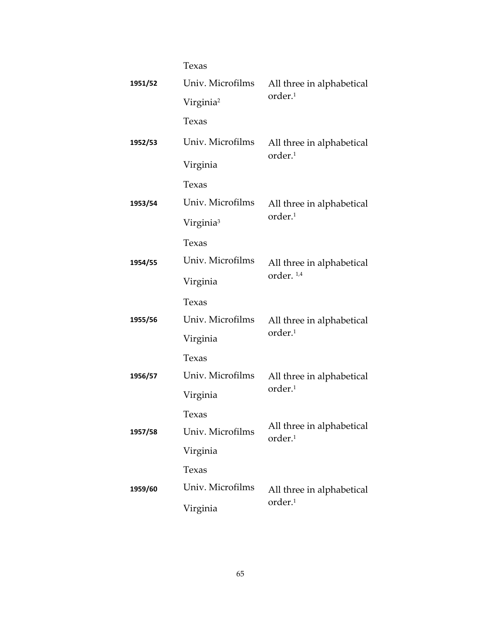|         | Texas                 |                                                  |  |
|---------|-----------------------|--------------------------------------------------|--|
| 1951/52 | Univ. Microfilms      | All three in alphabetical                        |  |
|         | Virginia <sup>2</sup> | order. <sup>1</sup>                              |  |
|         | Texas                 |                                                  |  |
| 1952/53 | Univ. Microfilms      | All three in alphabetical<br>order. <sup>1</sup> |  |
|         | Virginia              |                                                  |  |
|         | Texas                 |                                                  |  |
| 1953/54 | Univ. Microfilms      | All three in alphabetical                        |  |
|         | Virginia <sup>3</sup> | order. <sup>1</sup>                              |  |
|         | Texas                 |                                                  |  |
| 1954/55 | Univ. Microfilms      | All three in alphabetical                        |  |
|         | Virginia              | order. <sup>1,4</sup>                            |  |
|         | Texas                 |                                                  |  |
| 1955/56 | Univ. Microfilms      | All three in alphabetical                        |  |
|         | Virginia              | order. <sup>1</sup>                              |  |
|         | Texas                 |                                                  |  |
| 1956/57 | Univ. Microfilms      | All three in alphabetical                        |  |
|         | Virginia              | order. <sup>1</sup>                              |  |
|         | Texas                 |                                                  |  |
| 1957/58 | Univ. Microfilms      | All three in alphabetical<br>order. <sup>1</sup> |  |
|         | Virginia              |                                                  |  |
| 1959/60 | Texas                 |                                                  |  |
|         | Univ. Microfilms      | All three in alphabetical                        |  |
|         | Virginia              | order. <sup>1</sup>                              |  |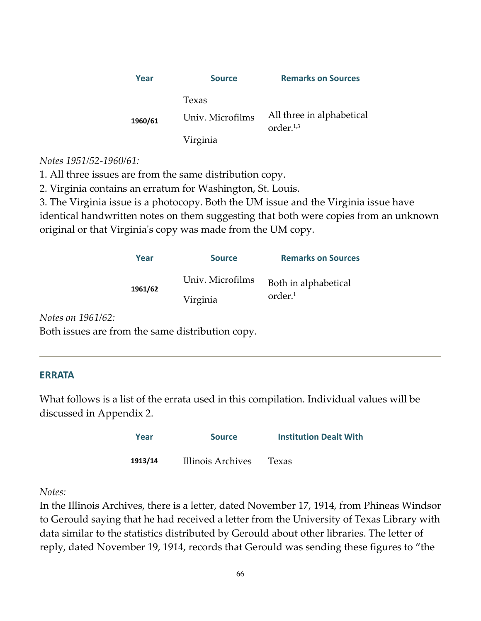| Year    | <b>Source</b>             | <b>Remarks on Sources</b>                 |
|---------|---------------------------|-------------------------------------------|
| 1960/61 | Texas<br>Univ. Microfilms | All three in alphabetical<br>order. $1,3$ |
|         | Virginia                  |                                           |

### *Notes 1951/52‐1960/61:*

1. All three issues are from the same distribution copy.

2. Virginia contains an erratum for Washington, St. Louis.

3. The Virginia issue is a photocopy. Both the UM issue and the Virginia issue have

identical handwritten notes on them suggesting that both were copies from an unknown original or that Virginiaʹs copy was made from the UM copy.

| Year    | <b>Source</b>    | <b>Remarks on Sources</b> |
|---------|------------------|---------------------------|
| 1961/62 | Univ. Microfilms | Both in alphabetical      |
|         | Virginia         | order. <sup>1</sup>       |

*Notes on 1961/62:* 

Both issues are from the same distribution copy.

### **ERRATA**

What follows is a list of the errata used in this compilation. Individual values will be discussed in Appendix 2.

| Year    | <b>Source</b>     | <b>Institution Dealt With</b> |
|---------|-------------------|-------------------------------|
| 1913/14 | Illinois Archives | Texas                         |

### *Notes:*

In the Illinois Archives, there is a letter, dated November 17, 1914, from Phineas Windsor to Gerould saying that he had received a letter from the University of Texas Library with data similar to the statistics distributed by Gerould about other libraries. The letter of reply, dated November 19, 1914, records that Gerould was sending these figures to "the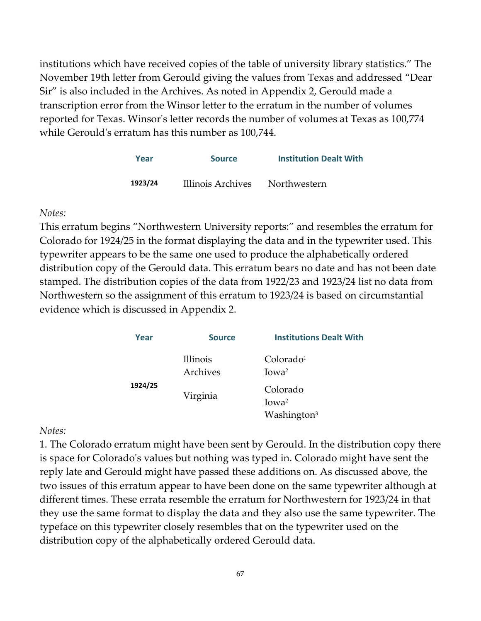institutions which have received copies of the table of university library statistics." The November 19th letter from Gerould giving the values from Texas and addressed "Dear Sir" is also included in the Archives. As noted in Appendix 2, Gerould made a transcription error from the Winsor letter to the erratum in the number of volumes reported for Texas. Winsorʹs letter records the number of volumes at Texas as 100,774 while Gerould's erratum has this number as 100,744.

| Year    | <b>Source</b>     | <b>Institution Dealt With</b> |
|---------|-------------------|-------------------------------|
| 1923/24 | Illinois Archives | Northwestern                  |

### *Notes:*

This erratum begins "Northwestern University reports:" and resembles the erratum for Colorado for 1924/25 in the format displaying the data and in the typewriter used. This typewriter appears to be the same one used to produce the alphabetically ordered distribution copy of the Gerould data. This erratum bears no date and has not been date stamped. The distribution copies of the data from 1922/23 and 1923/24 list no data from Northwestern so the assignment of this erratum to 1923/24 is based on circumstantial evidence which is discussed in Appendix 2.

| Year    | <b>Source</b>        | <b>Institutions Dealt With</b>                           |
|---------|----------------------|----------------------------------------------------------|
| 1924/25 | Illinois<br>Archives | Colorado <sup>1</sup><br>Iowa <sup>2</sup>               |
|         | Virginia             | Colorado<br>Iowa <sup>2</sup><br>Washington <sup>3</sup> |

### *Notes:*

1. The Colorado erratum might have been sent by Gerould. In the distribution copy there is space for Coloradoʹs values but nothing was typed in. Colorado might have sent the reply late and Gerould might have passed these additions on. As discussed above, the two issues of this erratum appear to have been done on the same typewriter although at different times. These errata resemble the erratum for Northwestern for 1923/24 in that they use the same format to display the data and they also use the same typewriter. The typeface on this typewriter closely resembles that on the typewriter used on the distribution copy of the alphabetically ordered Gerould data.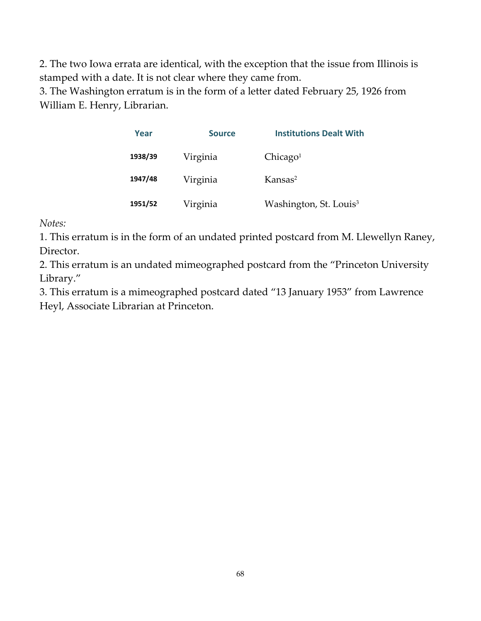2. The two Iowa errata are identical, with the exception that the issue from Illinois is stamped with a date. It is not clear where they came from.

3. The Washington erratum is in the form of a letter dated February 25, 1926 from William E. Henry, Librarian.

| Year    | <b>Source</b> | <b>Institutions Dealt With</b>     |
|---------|---------------|------------------------------------|
| 1938/39 | Virginia      | Chicago <sup>1</sup>               |
| 1947/48 | Virginia      | Kansas <sup>2</sup>                |
| 1951/52 | Virginia      | Washington, St. Louis <sup>3</sup> |

 $Notes:$ 

1. This erratum is in the form of an undated printed postcard from M. Llewellyn Raney, Director.

2. This erratum is an undated mimeographed postcard from the "Princeton University Library."

3. This erratum is a mimeographed postcard dated "13 January 1953" from Lawrence Heyl, Associate Librarian at Princeton.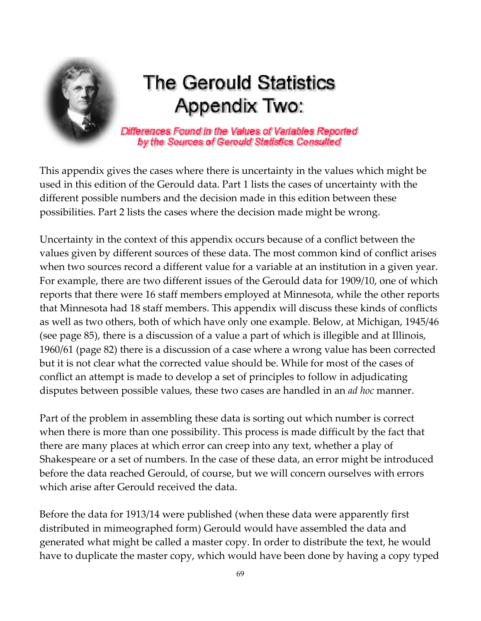<span id="page-68-0"></span>

## The Gerould Statistics Appendix Two:

Differences Found in the Values of Variables Reported by the Sources of Gerould Statistics Consulted

This appendix gives the cases where there is uncertainty in the values which might be used in this edition of the Gerould data. Part 1 lists the cases of uncertainty with the different possible numbers and the decision made in this edition between these possibilities. Part 2 lists the cases where the decision made might be wrong.

Uncertainty in the context of this appendix occurs because of a conflict between the values given by different sources of these data. The most common kind of conflict arises when two sources record a different value for a variable at an institution in a given year. For example, there are two different issues of the Gerould data for 1909/10, one of which reports that there were 16 staff members employed at Minnesota, while the other reports that Minnesota had 18 staff members. This appendix will discuss these kinds of conflicts as well as two others, both of which have only one example. Below, at Michigan, 1945/46 (see page 85), there is a discussion of a value a part of which is illegible and at Illinois, 1960/61 (page 82) there is a discussion of a case where a wrong value has been corrected but it is not clear what the corrected value should be. While for most of the cases of conflict an attempt is made to develop a set of principles to follow in adjudicating disputes between possible values, these two cases are handled in an *ad hoc* manner.

Part of the problem in assembling these data is sorting out which number is correct when there is more than one possibility. This process is made difficult by the fact that there are many places at which error can creep into any text, whether a play of Shakespeare or a set of numbers. In the case of these data, an error might be introduced before the data reached Gerould, of course, but we will concern ourselves with errors which arise after Gerould received the data.

Before the data for 1913/14 were published (when these data were apparently first distributed in mimeographed form) Gerould would have assembled the data and generated what might be called a master copy. In order to distribute the text, he would have to duplicate the master copy, which would have been done by having a copy typed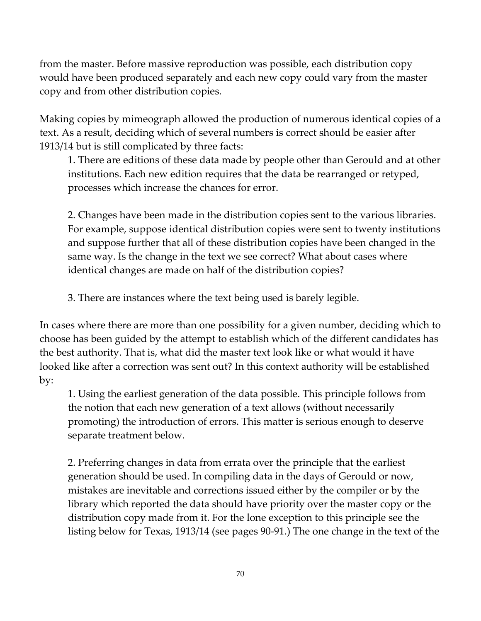from the master. Before massive reproduction was possible, each distribution copy would have been produced separately and each new copy could vary from the master copy and from other distribution copies.

Making copies by mimeograph allowed the production of numerous identical copies of a text. As a result, deciding which of several numbers is correct should be easier after 1913/14 but is still complicated by three facts:

1. There are editions of these data made by people other than Gerould and at other institutions. Each new edition requires that the data be rearranged or retyped, processes which increase the chances for error.

2. Changes have been made in the distribution copies sent to the various libraries. For example, suppose identical distribution copies were sent to twenty institutions and suppose further that all of these distribution copies have been changed in the same way. Is the change in the text we see correct? What about cases where identical changes are made on half of the distribution copies?

3. There are instances where the text being used is barely legible.

In cases where there are more than one possibility for a given number, deciding which to choose has been guided by the attempt to establish which of the different candidates has the best authority. That is, what did the master text look like or what would it have looked like after a correction was sent out? In this context authority will be established by:

1. Using the earliest generation of the data possible. This principle follows from the notion that each new generation of a text allows (without necessarily promoting) the introduction of errors. This matter is serious enough to deserve separate treatment below.

2. Preferring changes in data from errata over the principle that the earliest generation should be used. In compiling data in the days of Gerould or now, mistakes are inevitable and corrections issued either by the compiler or by the library which reported the data should have priority over the master copy or the distribution copy made from it. For the lone exception to this principle see the listing below for Texas, 1913/14 (see pages 90‐91.) The one change in the text of the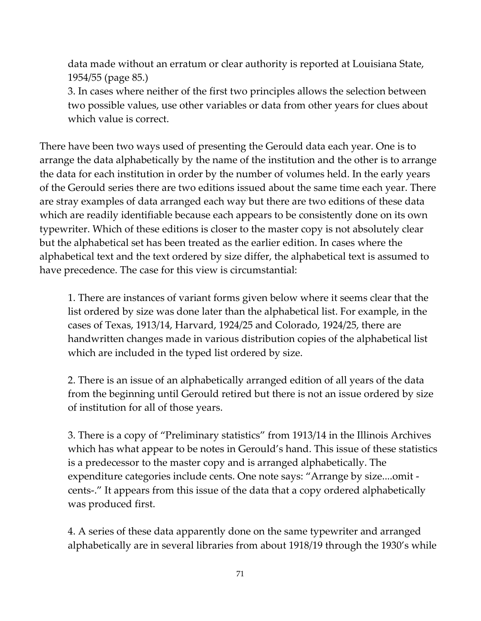data made without an erratum or clear authority is reported at Louisiana State, 1954/55 (page 85.)

3. In cases where neither of the first two principles allows the selection between two possible values, use other variables or data from other years for clues about which value is correct.

There have been two ways used of presenting the Gerould data each year. One is to arrange the data alphabetically by the name of the institution and the other is to arrange the data for each institution in order by the number of volumes held. In the early years of the Gerould series there are two editions issued about the same time each year. There are stray examples of data arranged each way but there are two editions of these data which are readily identifiable because each appears to be consistently done on its own typewriter. Which of these editions is closer to the master copy is not absolutely clear but the alphabetical set has been treated as the earlier edition. In cases where the alphabetical text and the text ordered by size differ, the alphabetical text is assumed to have precedence. The case for this view is circumstantial:

1. There are instances of variant forms given below where it seems clear that the list ordered by size was done later than the alphabetical list. For example, in the cases of Texas, 1913/14, Harvard, 1924/25 and Colorado, 1924/25, there are handwritten changes made in various distribution copies of the alphabetical list which are included in the typed list ordered by size.

2. There is an issue of an alphabetically arranged edition of all years of the data from the beginning until Gerould retired but there is not an issue ordered by size of institution for all of those years.

3. There is a copy of "Preliminary statistics" from 1913/14 in the Illinois Archives which has what appear to be notes in Gerould's hand. This issue of these statistics is a predecessor to the master copy and is arranged alphabetically. The expenditure categories include cents. One note says: "Arrange by size....omit ‐ cents‐." It appears from this issue of the data that a copy ordered alphabetically was produced first.

4. A series of these data apparently done on the same typewriter and arranged alphabetically are in several libraries from about 1918/19 through the 1930's while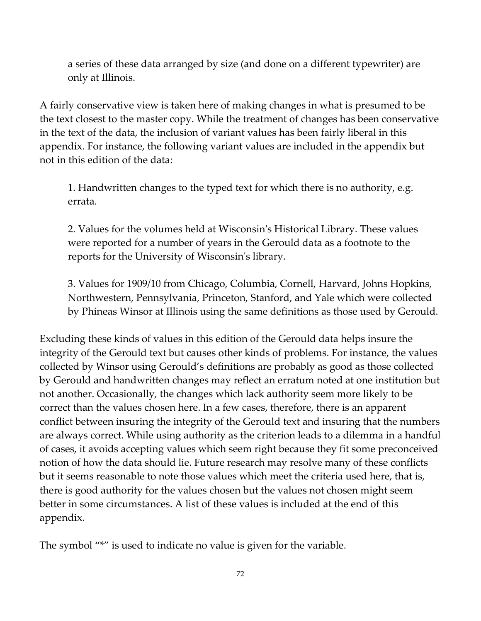a series of these data arranged by size (and done on a different typewriter) are only at Illinois.

A fairly conservative view is taken here of making changes in what is presumed to be the text closest to the master copy. While the treatment of changes has been conservative in the text of the data, the inclusion of variant values has been fairly liberal in this appendix. For instance, the following variant values are included in the appendix but not in this edition of the data:

1. Handwritten changes to the typed text for which there is no authority, e.g. errata.

2. Values for the volumes held at Wisconsinʹs Historical Library. These values were reported for a number of years in the Gerould data as a footnote to the reports for the University of Wisconsinʹs library.

3. Values for 1909/10 from Chicago, Columbia, Cornell, Harvard, Johns Hopkins, Northwestern, Pennsylvania, Princeton, Stanford, and Yale which were collected by Phineas Winsor at Illinois using the same definitions as those used by Gerould.

Excluding these kinds of values in this edition of the Gerould data helps insure the integrity of the Gerould text but causes other kinds of problems. For instance, the values collected by Winsor using Gerould's definitions are probably as good as those collected by Gerould and handwritten changes may reflect an erratum noted at one institution but not another. Occasionally, the changes which lack authority seem more likely to be correct than the values chosen here. In a few cases, therefore, there is an apparent conflict between insuring the integrity of the Gerould text and insuring that the numbers are always correct. While using authority as the criterion leads to a dilemma in a handful of cases, it avoids accepting values which seem right because they fit some preconceived notion of how the data should lie. Future research may resolve many of these conflicts but it seems reasonable to note those values which meet the criteria used here, that is, there is good authority for the values chosen but the values not chosen might seem better in some circumstances. A list of these values is included at the end of this appendix.

The symbol "\*" is used to indicate no value is given for the variable.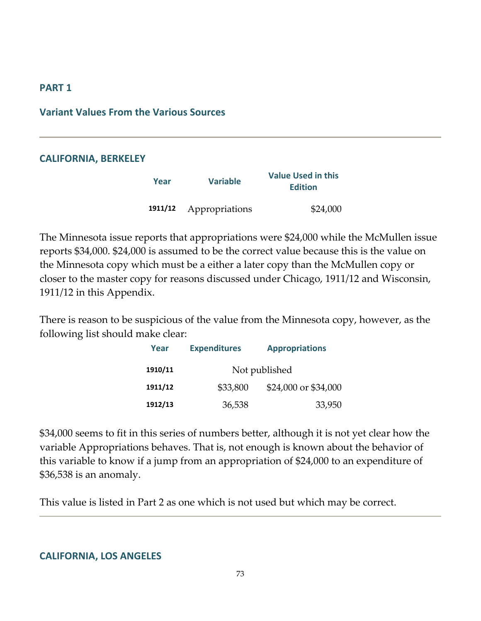#### **PART 1**

#### **Variant Values From the Various Sources**

#### **CALIFORNIA, BERKELEY**

| Year | <b>Variable</b>        | <b>Value Used in this</b><br><b>Edition</b> |
|------|------------------------|---------------------------------------------|
|      | 1911/12 Appropriations | \$24,000                                    |

The Minnesota issue reports that appropriations were \$24,000 while the McMullen issue reports \$34,000. \$24,000 is assumed to be the correct value because this is the value on the Minnesota copy which must be a either a later copy than the McMullen copy or closer to the master copy for reasons discussed under Chicago, 1911/12 and Wisconsin, 1911/12 in this Appendix.

There is reason to be suspicious of the value from the Minnesota copy, however, as the following list should make clear:

| Year    | <b>Expenditures</b> | <b>Appropriations</b> |
|---------|---------------------|-----------------------|
| 1910/11 |                     | Not published         |
| 1911/12 | \$33,800            | \$24,000 or \$34,000  |
| 1912/13 | 36,538              | 33,950                |

\$34,000 seems to fit in this series of numbers better, although it is not yet clear how the variable Appropriations behaves. That is, not enough is known about the behavior of this variable to know if a jump from an appropriation of \$24,000 to an expenditure of \$36,538 is an anomaly.

This value is listed in Part 2 as one which is not used but which may be correct.

#### **CALIFORNIA, LOS ANGELES**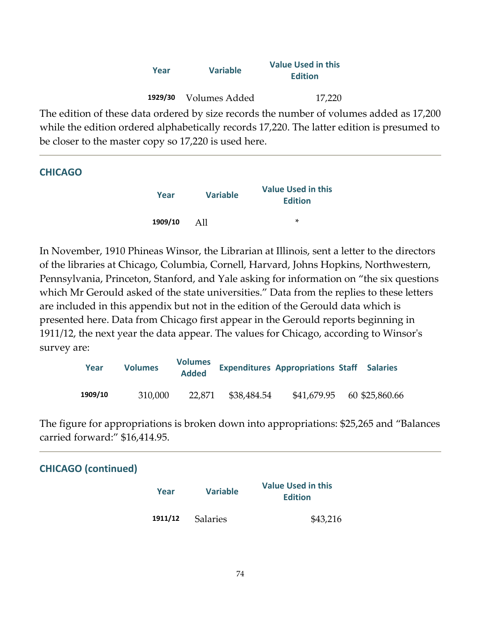| Year    | <b>Variable</b> | <b>Value Used in this</b><br><b>Edition</b> |
|---------|-----------------|---------------------------------------------|
| 1929/30 | Volumes Added   | 17,220                                      |

The edition of these data ordered by size records the number of volumes added as 17,200 while the edition ordered alphabetically records 17,220. The latter edition is presumed to be closer to the master copy so 17,220 is used here.

| <b>CHICAGO</b> |         |                 |                                             |
|----------------|---------|-----------------|---------------------------------------------|
|                | Year    | <b>Variable</b> | <b>Value Used in this</b><br><b>Edition</b> |
|                | 1909/10 | A11             | *                                           |

In November, 1910 Phineas Winsor, the Librarian at Illinois, sent a letter to the directors of the libraries at Chicago, Columbia, Cornell, Harvard, Johns Hopkins, Northwestern, Pennsylvania, Princeton, Stanford, and Yale asking for information on "the six questions which Mr Gerould asked of the state universities." Data from the replies to these letters are included in this appendix but not in the edition of the Gerould data which is presented here. Data from Chicago first appear in the Gerould reports beginning in 1911/12, the next year the data appear. The values for Chicago, according to Winsorʹs survey are:

| Year    | <b>Volumes</b> | <b>Volumes</b><br><b>Added</b> |             | <b>Expenditures Appropriations Staff Salaries</b> |                |
|---------|----------------|--------------------------------|-------------|---------------------------------------------------|----------------|
| 1909/10 | 310,000        | 22.871                         | \$38,484.54 | \$41,679.95                                       | 60 \$25,860.66 |

The figure for appropriations is broken down into appropriations: \$25,265 and "Balances carried forward:" \$16,414.95.

| Year    | <b>Variable</b> | <b>Value Used in this</b><br><b>Edition</b> |
|---------|-----------------|---------------------------------------------|
| 1911/12 | <b>Salaries</b> | \$43,216                                    |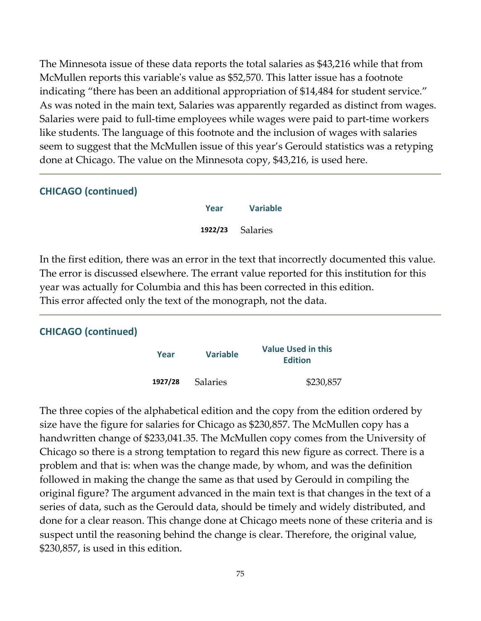The Minnesota issue of these data reports the total salaries as \$43,216 while that from McMullen reports this variableʹs value as \$52,570. This latter issue has a footnote indicating "there has been an additional appropriation of \$14,484 for student service." As was noted in the main text, Salaries was apparently regarded as distinct from wages. Salaries were paid to full‐time employees while wages were paid to part‐time workers like students. The language of this footnote and the inclusion of wages with salaries seem to suggest that the McMullen issue of this year's Gerould statistics was a retyping done at Chicago. The value on the Minnesota copy, \$43,216, is used here.

#### **CHICAGO (continued)**

| Year    | <b>Variable</b> |
|---------|-----------------|
| 1922/23 | <b>Salaries</b> |

In the first edition, there was an error in the text that incorrectly documented this value. The error is discussed elsewhere. The errant value reported for this institution for this year was actually for Columbia and this has been corrected in this edition. This error affected only the text of the monograph, not the data.

## **CHICAGO (continued)**

| Year    | <b>Variable</b> | <b>Value Used in this</b><br><b>Edition</b> |  |
|---------|-----------------|---------------------------------------------|--|
| 1927/28 | <b>Salaries</b> | \$230,857                                   |  |

The three copies of the alphabetical edition and the copy from the edition ordered by size have the figure for salaries for Chicago as \$230,857. The McMullen copy has a handwritten change of \$233,041.35. The McMullen copy comes from the University of Chicago so there is a strong temptation to regard this new figure as correct. There is a problem and that is: when was the change made, by whom, and was the definition followed in making the change the same as that used by Gerould in compiling the original figure? The argument advanced in the main text is that changes in the text of a series of data, such as the Gerould data, should be timely and widely distributed, and done for a clear reason. This change done at Chicago meets none of these criteria and is suspect until the reasoning behind the change is clear. Therefore, the original value, \$230,857, is used in this edition.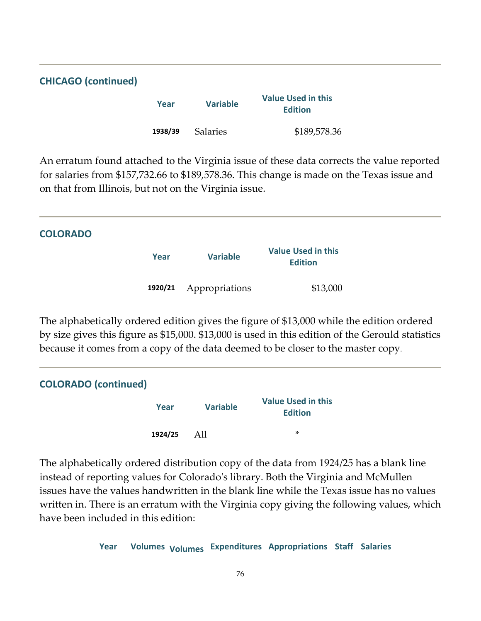| <b>CHICAGO (continued)</b> |         |                 |                                             |  |
|----------------------------|---------|-----------------|---------------------------------------------|--|
|                            | Year    | <b>Variable</b> | <b>Value Used in this</b><br><b>Edition</b> |  |
|                            | 1938/39 | <b>Salaries</b> | \$189,578.36                                |  |

An erratum found attached to the Virginia issue of these data corrects the value reported for salaries from \$157,732.66 to \$189,578.36. This change is made on the Texas issue and on that from Illinois, but not on the Virginia issue.

| <b>COLORADO</b> |         |                 |                                             |  |
|-----------------|---------|-----------------|---------------------------------------------|--|
|                 | Year    | <b>Variable</b> | <b>Value Used in this</b><br><b>Edition</b> |  |
|                 | 1920/21 | Appropriations  | \$13,000                                    |  |

The alphabetically ordered edition gives the figure of \$13,000 while the edition ordered by size gives this figure as \$15,000. \$13,000 is used in this edition of the Gerould statistics because it comes from a copy of the data deemed to be closer to the master copy.

| <b>COLORADO</b> (continued) |         |                 |                                             |  |
|-----------------------------|---------|-----------------|---------------------------------------------|--|
|                             | Year    | <b>Variable</b> | <b>Value Used in this</b><br><b>Edition</b> |  |
|                             | 1924/25 | All             | $\ast$                                      |  |

The alphabetically ordered distribution copy of the data from 1924/25 has a blank line instead of reporting values for Coloradoʹs library. Both the Virginia and McMullen issues have the values handwritten in the blank line while the Texas issue has no values written in. There is an erratum with the Virginia copy giving the following values, which have been included in this edition:

**Year Volumes Volumes Expenditures Appropriations Staff Salaries**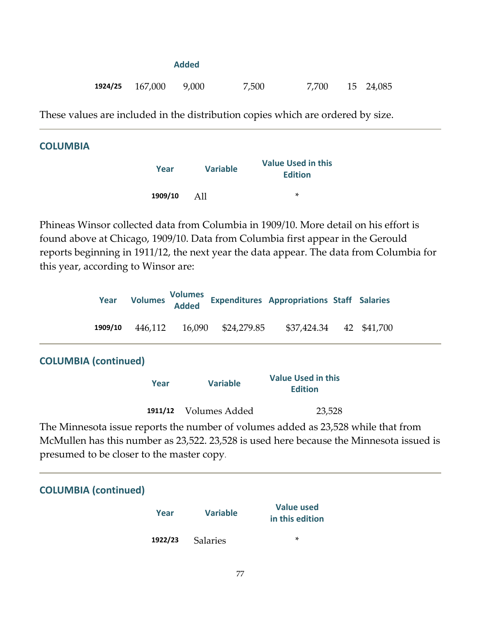|  |                     | Added |       |       |           |
|--|---------------------|-------|-------|-------|-----------|
|  | $1924/25$ $167,000$ | 9,000 | 7,500 | 7,700 | 15 24,085 |

These values are included in the distribution copies which are ordered by size.

#### **COLUMBIA**

| Year    | <b>Variable</b> | <b>Value Used in this</b><br><b>Edition</b> |  |  |
|---------|-----------------|---------------------------------------------|--|--|
| 1909/10 | AII             | ×                                           |  |  |

Phineas Winsor collected data from Columbia in 1909/10. More detail on his effort is found above at Chicago, 1909/10. Data from Columbia first appear in the Gerould reports beginning in 1911/12, the next year the data appear. The data from Columbia for this year, according to Winsor are:

|         |  | Year Volumes Volumes Expenditures Appropriations Staff Salaries |  |
|---------|--|-----------------------------------------------------------------|--|
| 1909/10 |  | 446,112 16,090 \$24,279.85 \$37,424.34 42 \$41,700              |  |
|         |  |                                                                 |  |

## **COLUMBIA (continued)**

| Year | <b>Variable</b>       | <b>Value Used in this</b><br><b>Edition</b> |
|------|-----------------------|---------------------------------------------|
|      | 1911/12 Volumes Added | 23,528                                      |

The Minnesota issue reports the number of volumes added as 23,528 while that from McMullen has this number as 23,522. 23,528 is used here because the Minnesota issued is presumed to be closer to the master copy.

## **COLUMBIA (continued)**

| Year    | <b>Variable</b> | <b>Value used</b><br>in this edition |
|---------|-----------------|--------------------------------------|
| 1922/23 | <b>Salaries</b> | ×.                                   |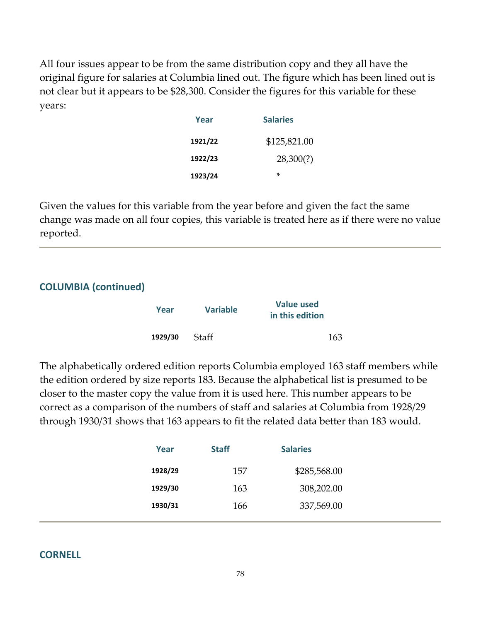All four issues appear to be from the same distribution copy and they all have the original figure for salaries at Columbia lined out. The figure which has been lined out is not clear but it appears to be \$28,300. Consider the figures for this variable for these years:

| Year    | <b>Salaries</b> |
|---------|-----------------|
| 1921/22 | \$125,821.00    |
| 1922/23 | 28,300(?)       |
| 1923/24 | ×               |

Given the values for this variable from the year before and given the fact the same change was made on all four copies, this variable is treated here as if there were no value reported.

| <b>COLUMBIA (continued)</b> |         |                 |                                      |  |
|-----------------------------|---------|-----------------|--------------------------------------|--|
|                             | Year    | <b>Variable</b> | <b>Value used</b><br>in this edition |  |
|                             | 1929/30 | <b>Staff</b>    | 163                                  |  |

The alphabetically ordered edition reports Columbia employed 163 staff members while the edition ordered by size reports 183. Because the alphabetical list is presumed to be closer to the master copy the value from it is used here. This number appears to be correct as a comparison of the numbers of staff and salaries at Columbia from 1928/29 through 1930/31 shows that 163 appears to fit the related data better than 183 would.

| Year    | <b>Staff</b> | <b>Salaries</b> |  |
|---------|--------------|-----------------|--|
| 1928/29 | 157          | \$285,568.00    |  |
| 1929/30 | 163          | 308,202.00      |  |
| 1930/31 | 166          | 337,569.00      |  |

## **CORNELL**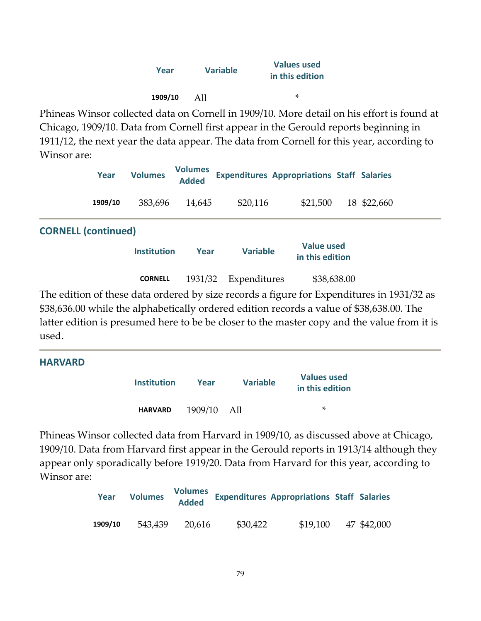| Year    | <b>Variable</b> | <b>Values used</b><br>in this edition |  |  |
|---------|-----------------|---------------------------------------|--|--|
| 1909/10 | AII             | ×                                     |  |  |

Phineas Winsor collected data on Cornell in 1909/10. More detail on his effort is found at Chicago, 1909/10. Data from Cornell first appear in the Gerould reports beginning in 1911/12, the next year the data appear. The data from Cornell for this year, according to Winsor are:

|                            | Year    | <b>Volumes</b>     | <b>Volumes</b><br><b>Added</b> |                 | <b>Expenditures Appropriations Staff Salaries</b> |             |  |
|----------------------------|---------|--------------------|--------------------------------|-----------------|---------------------------------------------------|-------------|--|
|                            | 1909/10 | 383,696            | 14,645                         | \$20,116        | \$21,500                                          | 18 \$22,660 |  |
| <b>CORNELL (continued)</b> |         |                    |                                |                 |                                                   |             |  |
|                            |         | <b>Institution</b> | Year                           | <b>Variable</b> | <b>Value used</b><br>in this edition              |             |  |
|                            |         | <b>CORNELL</b>     | 1931/32                        | Expenditures    | \$38,638.00                                       |             |  |
|                            |         |                    |                                |                 |                                                   |             |  |

The edition of these data ordered by size records a figure for Expenditures in 1931/32 as \$38,636.00 while the alphabetically ordered edition records a value of \$38,638.00. The latter edition is presumed here to be be closer to the master copy and the value from it is used.

| <b>HARVARD</b> |                    |         |                 |                                       |
|----------------|--------------------|---------|-----------------|---------------------------------------|
|                | <b>Institution</b> | Year    | <b>Variable</b> | <b>Values used</b><br>in this edition |
|                | <b>HARVARD</b>     | 1909/10 | - All           | ∗                                     |

Phineas Winsor collected data from Harvard in 1909/10, as discussed above at Chicago, 1909/10. Data from Harvard first appear in the Gerould reports in 1913/14 although they appear only sporadically before 1919/20. Data from Harvard for this year, according to Winsor are:

| Year    | <b>Volumes</b> | <b>Volumes</b><br><b>Added</b> |          | <b>Expenditures Appropriations Staff Salaries</b> |             |
|---------|----------------|--------------------------------|----------|---------------------------------------------------|-------------|
| 1909/10 | 543,439        | 20.616                         | \$30,422 | \$19,100                                          | 47 \$42,000 |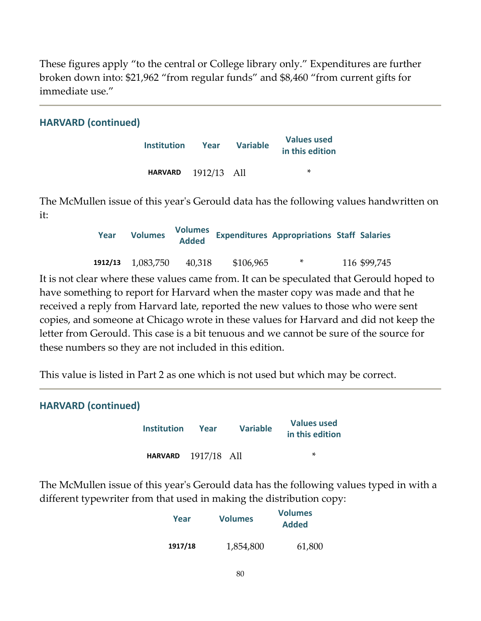These figures apply "to the central or College library only." Expenditures are further broken down into: \$21,962 "from regular funds" and \$8,460 "from current gifts for immediate use."

## **HARVARD (continued)**

| <b>Institution</b> | Year        | <b>Variable</b> | <b>Values used</b><br>in this edition |
|--------------------|-------------|-----------------|---------------------------------------|
| <b>HARVARD</b>     | 1912/13 All |                 | ×                                     |

The McMullen issue of this yearʹs Gerould data has the following values handwritten on it:

| Year | <b>Volumes</b>        | <b>Volumes</b><br><b>Added</b> |           | <b>Expenditures Appropriations Staff Salaries</b> |              |
|------|-----------------------|--------------------------------|-----------|---------------------------------------------------|--------------|
|      | $1912/13$ $1,083,750$ | 40,318                         | \$106,965 | ∗                                                 | 116 \$99,745 |

It is not clear where these values came from. It can be speculated that Gerould hoped to have something to report for Harvard when the master copy was made and that he received a reply from Harvard late, reported the new values to those who were sent copies, and someone at Chicago wrote in these values for Harvard and did not keep the letter from Gerould. This case is a bit tenuous and we cannot be sure of the source for these numbers so they are not included in this edition.

This value is listed in Part 2 as one which is not used but which may be correct.

| <b>HARVARD (continued)</b> |                            |      |                 |                                       |  |  |
|----------------------------|----------------------------|------|-----------------|---------------------------------------|--|--|
|                            | <b>Institution</b>         | Year | <b>Variable</b> | <b>Values used</b><br>in this edition |  |  |
|                            | <b>HARVARD</b> 1917/18 All |      |                 | ×                                     |  |  |

The McMullen issue of this yearʹs Gerould data has the following values typed in with a different typewriter from that used in making the distribution copy:

| Year    | <b>Volumes</b> | <b>Volumes</b><br><b>Added</b> |  |  |
|---------|----------------|--------------------------------|--|--|
| 1917/18 | 1,854,800      | 61,800                         |  |  |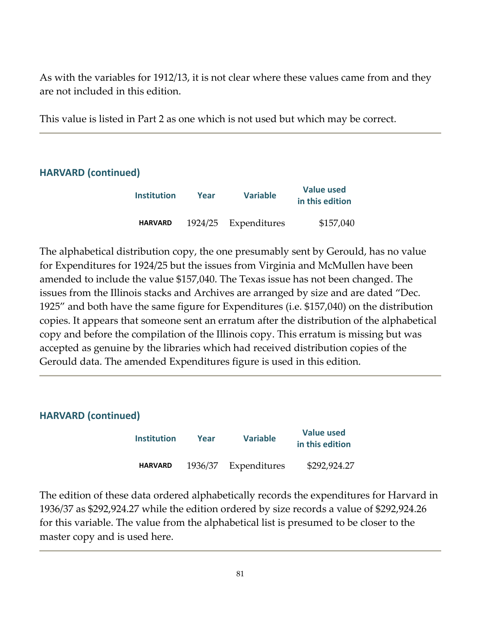As with the variables for 1912/13, it is not clear where these values came from and they are not included in this edition.

This value is listed in Part 2 as one which is not used but which may be correct.

## **HARVARD (continued)**

| <b>Institution</b> | Year    | <b>Variable</b> | <b>Value used</b><br>in this edition |
|--------------------|---------|-----------------|--------------------------------------|
| <b>HARVARD</b>     | 1924/25 | Expenditures    | \$157,040                            |

The alphabetical distribution copy, the one presumably sent by Gerould, has no value for Expenditures for 1924/25 but the issues from Virginia and McMullen have been amended to include the value \$157,040. The Texas issue has not been changed. The issues from the Illinois stacks and Archives are arranged by size and are dated "Dec. 1925" and both have the same figure for Expenditures (i.e. \$157,040) on the distribution copies. It appears that someone sent an erratum after the distribution of the alphabetical copy and before the compilation of the Illinois copy. This erratum is missing but was accepted as genuine by the libraries which had received distribution copies of the Gerould data. The amended Expenditures figure is used in this edition.

| <b>HARVARD (continued)</b> |                    |         |                 |                                      |  |  |
|----------------------------|--------------------|---------|-----------------|--------------------------------------|--|--|
|                            | <b>Institution</b> | Year    | <b>Variable</b> | <b>Value used</b><br>in this edition |  |  |
|                            | <b>HARVARD</b>     | 1936/37 | Expenditures    | \$292,924.27                         |  |  |

The edition of these data ordered alphabetically records the expenditures for Harvard in 1936/37 as \$292,924.27 while the edition ordered by size records a value of \$292,924.26 for this variable. The value from the alphabetical list is presumed to be closer to the master copy and is used here.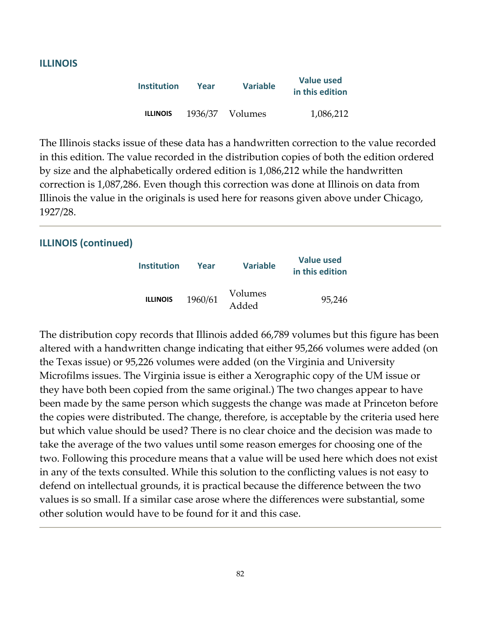#### **ILLINOIS**

| <b>Institution</b> | Year    | <b>Variable</b> | <b>Value used</b><br>in this edition |
|--------------------|---------|-----------------|--------------------------------------|
| <b>ILLINOIS</b>    | 1936/37 | Volumes         | 1,086,212                            |

The Illinois stacks issue of these data has a handwritten correction to the value recorded in this edition. The value recorded in the distribution copies of both the edition ordered by size and the alphabetically ordered edition is 1,086,212 while the handwritten correction is 1,087,286. Even though this correction was done at Illinois on data from Illinois the value in the originals is used here for reasons given above under Chicago, 1927/28.

#### **ILLINOIS (continued)**

| Institution     | Year    | <b>Variable</b>  | <b>Value used</b><br>in this edition |
|-----------------|---------|------------------|--------------------------------------|
| <b>ILLINOIS</b> | 1960/61 | Volumes<br>Added | 95,246                               |

The distribution copy records that Illinois added 66,789 volumes but this figure has been altered with a handwritten change indicating that either 95,266 volumes were added (on the Texas issue) or 95,226 volumes were added (on the Virginia and University Microfilms issues. The Virginia issue is either a Xerographic copy of the UM issue or they have both been copied from the same original.) The two changes appear to have been made by the same person which suggests the change was made at Princeton before the copies were distributed. The change, therefore, is acceptable by the criteria used here but which value should be used? There is no clear choice and the decision was made to take the average of the two values until some reason emerges for choosing one of the two. Following this procedure means that a value will be used here which does not exist in any of the texts consulted. While this solution to the conflicting values is not easy to defend on intellectual grounds, it is practical because the difference between the two values is so small. If a similar case arose where the differences were substantial, some other solution would have to be found for it and this case.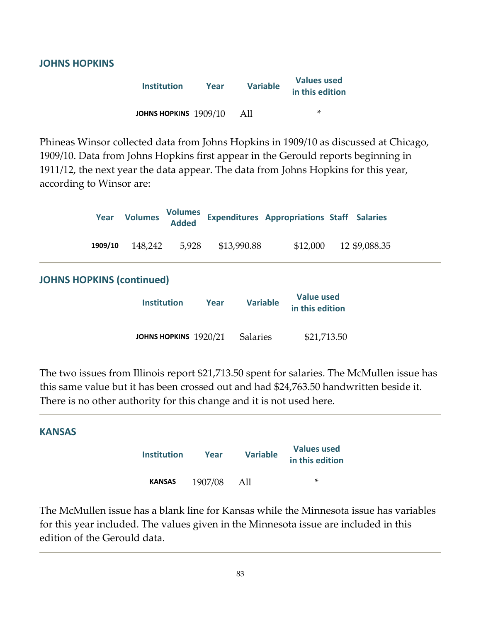#### **JOHNS HOPKINS**

| <b>Institution</b>    | Year | <b>Variable</b> | <b>Values used</b><br>in this edition |
|-----------------------|------|-----------------|---------------------------------------|
| JOHNS HOPKINS 1909/10 |      | AII             | ×                                     |

Phineas Winsor collected data from Johns Hopkins in 1909/10 as discussed at Chicago, 1909/10. Data from Johns Hopkins first appear in the Gerould reports beginning in 1911/12, the next year the data appear. The data from Johns Hopkins for this year, according to Winsor are:

|                                  | Year    | <b>Volumes</b>     | <b>Volumes</b><br><b>Added</b> |      |                 |                 | <b>Expenditures Appropriations Staff Salaries</b> |               |  |
|----------------------------------|---------|--------------------|--------------------------------|------|-----------------|-----------------|---------------------------------------------------|---------------|--|
|                                  | 1909/10 | 148,242            | 5,928                          |      | \$13,990.88     |                 | \$12,000                                          | 12 \$9,088.35 |  |
| <b>JOHNS HOPKINS (continued)</b> |         |                    |                                |      |                 |                 |                                                   |               |  |
|                                  |         | <b>Institution</b> |                                | Year |                 | <b>Variable</b> | <b>Value used</b><br>in this edition              |               |  |
|                                  |         |                    | JOHNS HOPKINS 1920/21          |      | <b>Salaries</b> |                 | \$21,713.50                                       |               |  |

The two issues from Illinois report \$21,713.50 spent for salaries. The McMullen issue has this same value but it has been crossed out and had \$24,763.50 handwritten beside it. There is no other authority for this change and it is not used here.

## **KANSAS**

| <b>Institution</b> | Year    | <b>Variable</b> | <b>Values used</b><br>in this edition |
|--------------------|---------|-----------------|---------------------------------------|
| <b>KANSAS</b>      | 1907/08 | All             | ×                                     |

The McMullen issue has a blank line for Kansas while the Minnesota issue has variables for this year included. The values given in the Minnesota issue are included in this edition of the Gerould data.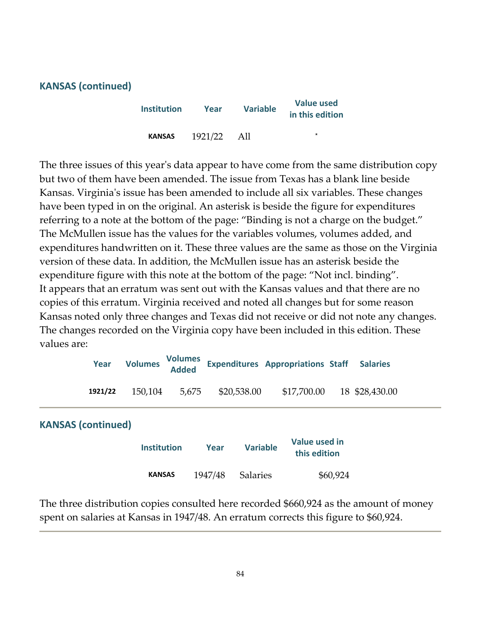#### **KANSAS (continued)**

| <b>Institution</b> | Year    | <b>Variable</b> | <b>Value used</b><br>in this edition |
|--------------------|---------|-----------------|--------------------------------------|
| <b>KANSAS</b>      | 1921/22 | All             | *                                    |

The three issues of this year's data appear to have come from the same distribution copy but two of them have been amended. The issue from Texas has a blank line beside Kansas. Virginia's issue has been amended to include all six variables. These changes have been typed in on the original. An asterisk is beside the figure for expenditures referring to a note at the bottom of the page: "Binding is not a charge on the budget." The McMullen issue has the values for the variables volumes, volumes added, and expenditures handwritten on it. These three values are the same as those on the Virginia version of these data. In addition, the McMullen issue has an asterisk beside the expenditure figure with this note at the bottom of the page: "Not incl. binding". It appears that an erratum was sent out with the Kansas values and that there are no copies of this erratum. Virginia received and noted all changes but for some reason Kansas noted only three changes and Texas did not receive or did not note any changes. The changes recorded on the Virginia copy have been included in this edition. These values are:

|                           | Year    | <b>Volumes</b>     | <b>Volumes</b><br><b>Added</b> |         |                 | <b>Expenditures Appropriations Staff</b> |          | <b>Salaries</b> |  |
|---------------------------|---------|--------------------|--------------------------------|---------|-----------------|------------------------------------------|----------|-----------------|--|
|                           | 1921/22 | 150,104            | 5,675                          |         | \$20,538.00     | \$17,700.00                              |          | 18 \$28,430.00  |  |
| <b>KANSAS (continued)</b> |         |                    |                                |         |                 |                                          |          |                 |  |
|                           |         | <b>Institution</b> |                                | Year    | <b>Variable</b> | Value used in<br>this edition            |          |                 |  |
|                           |         | <b>KANSAS</b>      |                                | 1947/48 | <b>Salaries</b> |                                          | \$60,924 |                 |  |

The three distribution copies consulted here recorded \$660,924 as the amount of money spent on salaries at Kansas in 1947/48. An erratum corrects this figure to \$60,924.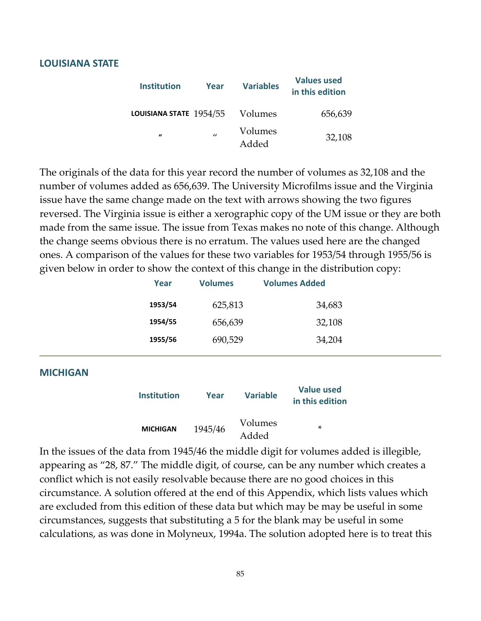#### **LOUISIANA STATE**

| <b>Institution</b>      | Year           | <b>Variables</b> | <b>Values used</b><br>in this edition |
|-------------------------|----------------|------------------|---------------------------------------|
| LOUISIANA STATE 1954/55 |                | Volumes          | 656,639                               |
| $\iota$                 | $\prime\prime$ | Volumes<br>Added | 32,108                                |

The originals of the data for this year record the number of volumes as 32,108 and the number of volumes added as 656,639. The University Microfilms issue and the Virginia issue have the same change made on the text with arrows showing the two figures reversed. The Virginia issue is either a xerographic copy of the UM issue or they are both made from the same issue. The issue from Texas makes no note of this change. Although the change seems obvious there is no erratum. The values used here are the changed ones. A comparison of the values for these two variables for 1953/54 through 1955/56 is given below in order to show the context of this change in the distribution copy:

| Year    | <b>Volumes</b> | <b>Volumes Added</b> |  |
|---------|----------------|----------------------|--|
| 1953/54 | 625,813        | 34,683               |  |
| 1954/55 | 656,639        | 32,108               |  |
| 1955/56 | 690,529        | 34,204               |  |
|         |                |                      |  |

#### **MICHIGAN**

| <b>Institution</b> | Year    | <b>Variable</b>  | <b>Value used</b><br>in this edition |
|--------------------|---------|------------------|--------------------------------------|
| <b>MICHIGAN</b>    | 1945/46 | Volumes<br>Added | ×                                    |

In the issues of the data from 1945/46 the middle digit for volumes added is illegible, appearing as "28, 87." The middle digit, of course, can be any number which creates a conflict which is not easily resolvable because there are no good choices in this circumstance. A solution offered at the end of this Appendix, which lists values which are excluded from this edition of these data but which may be may be useful in some circumstances, suggests that substituting a 5 for the blank may be useful in some calculations, as was done in Molyneux, 1994a. The solution adopted here is to treat this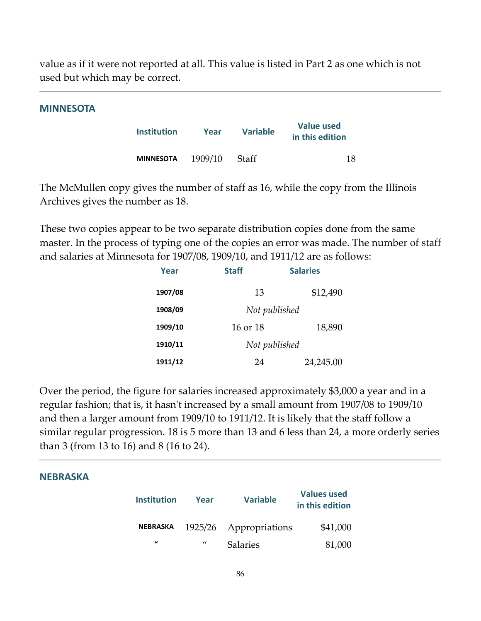value as if it were not reported at all. This value is listed in Part 2 as one which is not used but which may be correct.

#### **MINNESOTA**

| <b>Institution</b> | Year    | <b>Variable</b> | <b>Value used</b><br>in this edition |
|--------------------|---------|-----------------|--------------------------------------|
| <b>MINNESOTA</b>   | 1909/10 | Staff           | 18                                   |

The McMullen copy gives the number of staff as 16, while the copy from the Illinois Archives gives the number as 18.

These two copies appear to be two separate distribution copies done from the same master. In the process of typing one of the copies an error was made. The number of staff and salaries at Minnesota for 1907/08, 1909/10, and 1911/12 are as follows:

| Year    | <b>Staff</b> | <b>Salaries</b> |
|---------|--------------|-----------------|
| 1907/08 | 13           | \$12,490        |
| 1908/09 |              | Not published   |
| 1909/10 | 16 or 18     | 18,890          |
| 1910/11 |              | Not published   |
| 1911/12 | 24           | 24,245.00       |

Over the period, the figure for salaries increased approximately \$3,000 a year and in a regular fashion; that is, it hasn't increased by a small amount from 1907/08 to 1909/10 and then a larger amount from 1909/10 to 1911/12. It is likely that the staff follow a similar regular progression. 18 is 5 more than 13 and 6 less than 24, a more orderly series than 3 (from 13 to 16) and 8 (16 to 24).

#### **NEBRASKA**

| <b>Institution</b> | Year    | <b>Variable</b> | <b>Values used</b><br>in this edition |
|--------------------|---------|-----------------|---------------------------------------|
| <b>NEBRASKA</b>    | 1925/26 | Appropriations  | \$41,000                              |
| $\prime$           | "       | <b>Salaries</b> | 81,000                                |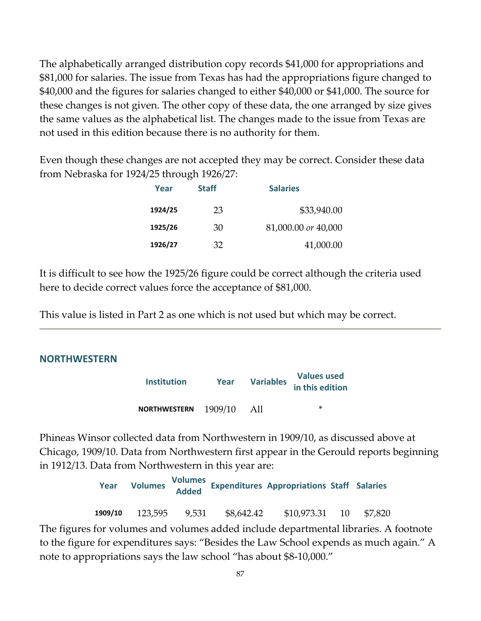The alphabetically arranged distribution copy records \$41,000 for appropriations and \$81,000 for salaries. The issue from Texas has had the appropriations figure changed to \$40,000 and the figures for salaries changed to either \$40,000 or \$41,000. The source for these changes is not given. The other copy of these data, the one arranged by size gives the same values as the alphabetical list. The changes made to the issue from Texas are not used in this edition because there is no authority for them.

Even though these changes are not accepted they may be correct. Consider these data from Nebraska for 1924/25 through 1926/27:

| Year    | <b>Staff</b> | <b>Salaries</b>     |
|---------|--------------|---------------------|
| 1924/25 | 23           | \$33,940.00         |
| 1925/26 | 30           | 81,000.00 or 40,000 |
| 1926/27 | 32           | 41,000.00           |

It is difficult to see how the 1925/26 figure could be correct although the criteria used here to decide correct values force the acceptance of \$81,000.

This value is listed in Part 2 as one which is not used but which may be correct.

## **NORTHWESTERN**

| <b>Institution</b>  | Year    | <b>Variables</b> | <b>Values used</b><br>in this edition |  |
|---------------------|---------|------------------|---------------------------------------|--|
| <b>NORTHWESTERN</b> | 1909/10 | AII              | ∗                                     |  |

Phineas Winsor collected data from Northwestern in 1909/10, as discussed above at Chicago, 1909/10. Data from Northwestern first appear in the Gerould reports beginning in 1912/13. Data from Northwestern in this year are:

> **Year Volumes Volumes Added Expenditures Appropriations Staff Salaries 1909/10**  123,595 9,531 \$8,642.42 \$10,973.31 10 \$7,820

The figures for volumes and volumes added include departmental libraries. A footnote to the figure for expenditures says: "Besides the Law School expends as much again." A note to appropriations says the law school "has about \$8‐10,000."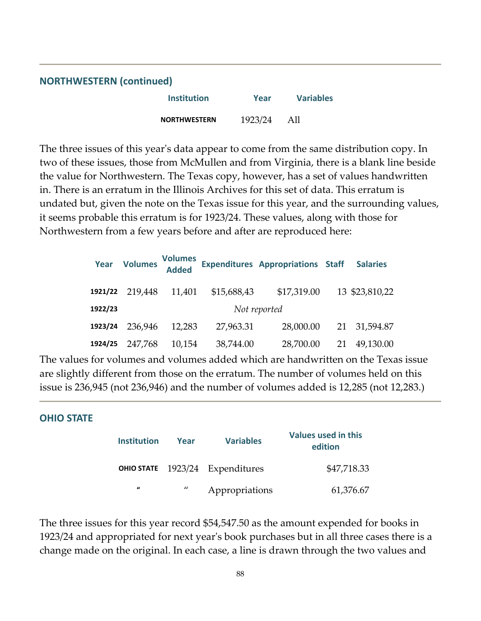| <b>NORTHWESTERN (continued)</b> |         |                  |  |  |
|---------------------------------|---------|------------------|--|--|
| Institution                     | Year    | <b>Variables</b> |  |  |
| <b>NORTHWESTERN</b>             | 1923/24 | All              |  |  |

The three issues of this year's data appear to come from the same distribution copy. In two of these issues, those from McMullen and from Virginia, there is a blank line beside the value for Northwestern. The Texas copy, however, has a set of values handwritten in. There is an erratum in the Illinois Archives for this set of data. This erratum is undated but, given the note on the Texas issue for this year, and the surrounding values, it seems probable this erratum is for 1923/24. These values, along with those for Northwestern from a few years before and after are reproduced here:

| Year    | <b>Volumes</b> | <b>Volumes</b><br><b>Added</b> |             | <b>Expenditures Appropriations Staff</b> |    | <b>Salaries</b> |
|---------|----------------|--------------------------------|-------------|------------------------------------------|----|-----------------|
| 1921/22 | 219,448        | 11,401                         | \$15,688,43 | \$17,319.00                              |    | 13 \$23,810,22  |
| 1922/23 |                |                                |             | Not reported                             |    |                 |
| 1923/24 | 236,946        | 12,283                         | 27,963.31   | 28,000.00                                |    | 21 31,594.87    |
| 1924/25 | 247,768        | 10,154                         | 38,744.00   | 28,700.00                                | 21 | 49,130.00       |

The values for volumes and volumes added which are handwritten on the Texas issue are slightly different from those on the erratum. The number of volumes held on this issue is 236,945 (not 236,946) and the number of volumes added is 12,285 (not 12,283.)

#### **OHIO STATE**

| <b>Institution</b> | Year              | <b>Variables</b>                | <b>Values used in this</b><br>edition |
|--------------------|-------------------|---------------------------------|---------------------------------------|
|                    |                   | OHIO STATE 1923/24 Expenditures | \$47,718.33                           |
| $\mathbf{u}$       | $^{\prime\prime}$ | Appropriations                  | 61,376.67                             |

The three issues for this year record \$54,547.50 as the amount expended for books in 1923/24 and appropriated for next yearʹs book purchases but in all three cases there is a change made on the original. In each case, a line is drawn through the two values and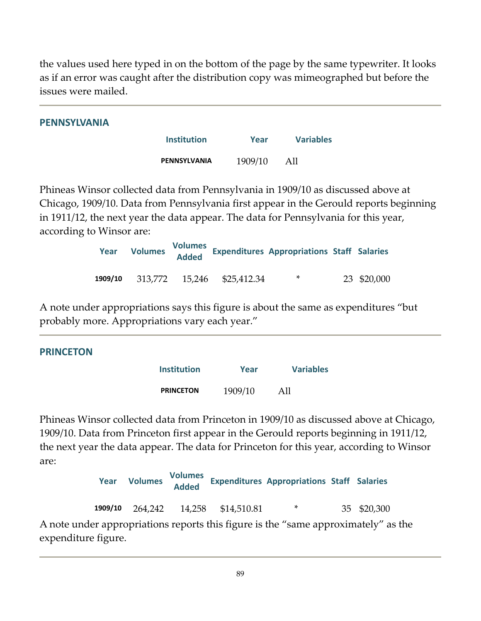the values used here typed in on the bottom of the page by the same typewriter. It looks as if an error was caught after the distribution copy was mimeographed but before the issues were mailed.

| <b>PENNSYLVANIA</b> |                    |         |                  |
|---------------------|--------------------|---------|------------------|
|                     | <b>Institution</b> | Year    | <b>Variables</b> |
|                     | PENNSYLVANIA       | 1909/10 | All              |

Phineas Winsor collected data from Pennsylvania in 1909/10 as discussed above at Chicago, 1909/10. Data from Pennsylvania first appear in the Gerould reports beginning in 1911/12, the next year the data appear. The data for Pennsylvania for this year, according to Winsor are:

| Year    | The Volumes and Value of Lape |                            | Volumes<br>Salaries Appropriations Staff Salaries |             |
|---------|-------------------------------|----------------------------|---------------------------------------------------|-------------|
| 1909/10 |                               | 313,772 15,246 \$25,412.34 | ∗                                                 | 23 \$20,000 |

A note under appropriations says this figure is about the same as expenditures "but probably more. Appropriations vary each year."

| <b>PRINCETON</b> |                    |         |                  |  |
|------------------|--------------------|---------|------------------|--|
|                  | <b>Institution</b> | Year    | <b>Variables</b> |  |
|                  | <b>PRINCETON</b>   | 1909/10 | All              |  |

Phineas Winsor collected data from Princeton in 1909/10 as discussed above at Chicago, 1909/10. Data from Princeton first appear in the Gerould reports beginning in 1911/12, the next year the data appear. The data for Princeton for this year, according to Winsor are:

**Year Volumes Volumes Added Expenditures Appropriations Staff Salaries 1909/10**  264,242 14,258 \$14,510.81 \* 35 \$20,300 A note under appropriations reports this figure is the "same approximately" as the

expenditure figure.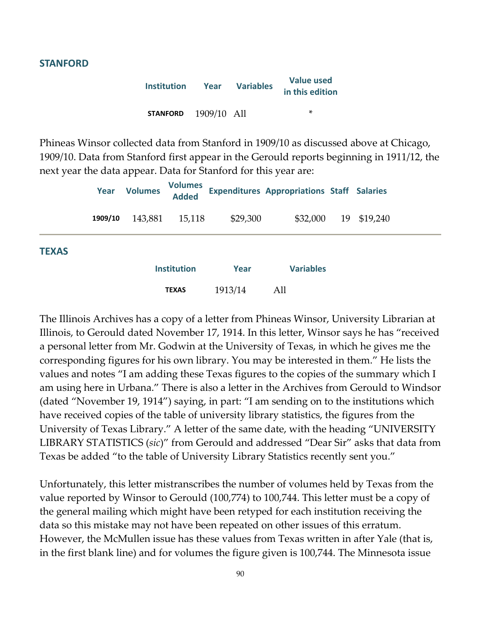#### **STANFORD**

| <b>Institution</b> | Year        | <b>Variables</b> | <b>Value used</b><br>in this edition |
|--------------------|-------------|------------------|--------------------------------------|
| <b>STANFORD</b>    | 1909/10 All |                  | ×.                                   |

Phineas Winsor collected data from Stanford in 1909/10 as discussed above at Chicago, 1909/10. Data from Stanford first appear in the Gerould reports beginning in 1911/12, the next year the data appear. Data for Stanford for this year are:

|              | Year    | <b>Volumes</b> | <b>Volumes</b><br><b>Added</b> |          | <b>Expenditures Appropriations Staff Salaries</b> |    |          |  |
|--------------|---------|----------------|--------------------------------|----------|---------------------------------------------------|----|----------|--|
|              | 1909/10 | 143,881        | 15,118                         | \$29,300 | \$32,000                                          | 19 | \$19,240 |  |
| <b>TEXAS</b> |         |                | <b>Institution</b>             | Year     | <b>Variables</b>                                  |    |          |  |
|              |         |                | <b>TEXAS</b>                   | 1913/14  | All                                               |    |          |  |

The Illinois Archives has a copy of a letter from Phineas Winsor, University Librarian at Illinois, to Gerould dated November 17, 1914. In this letter, Winsor says he has "received a personal letter from Mr. Godwin at the University of Texas, in which he gives me the corresponding figures for his own library. You may be interested in them." He lists the values and notes "I am adding these Texas figures to the copies of the summary which I am using here in Urbana." There is also a letter in the Archives from Gerould to Windsor (dated "November 19, 1914") saying, in part: "I am sending on to the institutions which have received copies of the table of university library statistics, the figures from the University of Texas Library." A letter of the same date, with the heading "UNIVERSITY LIBRARY STATISTICS (*sic*)" from Gerould and addressed "Dear Sir" asks that data from Texas be added "to the table of University Library Statistics recently sent you."

Unfortunately, this letter mistranscribes the number of volumes held by Texas from the value reported by Winsor to Gerould (100,774) to 100,744. This letter must be a copy of the general mailing which might have been retyped for each institution receiving the data so this mistake may not have been repeated on other issues of this erratum. However, the McMullen issue has these values from Texas written in after Yale (that is, in the first blank line) and for volumes the figure given is 100,744. The Minnesota issue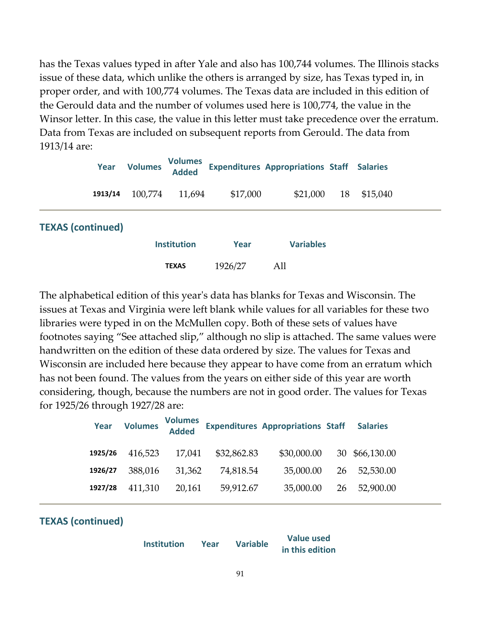has the Texas values typed in after Yale and also has 100,744 volumes. The Illinois stacks issue of these data, which unlike the others is arranged by size, has Texas typed in, in proper order, and with 100,774 volumes. The Texas data are included in this edition of the Gerould data and the number of volumes used here is 100,774, the value in the Winsor letter. In this case, the value in this letter must take precedence over the erratum. Data from Texas are included on subsequent reports from Gerould. The data from 1913/14 are:

| Year                     |  | <b>Volumes</b> | <b>Volumes</b><br><b>Added</b> |          | <b>Expenditures Appropriations Staff Salaries</b> |    |          |  |
|--------------------------|--|----------------|--------------------------------|----------|---------------------------------------------------|----|----------|--|
| 1913/14                  |  | 100,774        | 11,694                         | \$17,000 | \$21,000                                          | 18 | \$15,040 |  |
| <b>TEXAS (continued)</b> |  |                |                                |          |                                                   |    |          |  |
|                          |  |                | <b>Institution</b>             | Year     | <b>Variables</b>                                  |    |          |  |
|                          |  |                | <b>TEXAS</b>                   | 1926/27  | All                                               |    |          |  |

The alphabetical edition of this yearʹs data has blanks for Texas and Wisconsin. The issues at Texas and Virginia were left blank while values for all variables for these two libraries were typed in on the McMullen copy. Both of these sets of values have footnotes saying "See attached slip," although no slip is attached. The same values were handwritten on the edition of these data ordered by size. The values for Texas and Wisconsin are included here because they appear to have come from an erratum which has not been found. The values from the years on either side of this year are worth considering, though, because the numbers are not in good order. The values for Texas for 1925/26 through 1927/28 are:

|         | Year Volumes | <b>Volumes</b><br>Added |             | <b>Expenditures Appropriations Staff</b> | <b>Salaries</b> |
|---------|--------------|-------------------------|-------------|------------------------------------------|-----------------|
| 1925/26 | 416,523      | 17,041                  | \$32,862.83 | \$30,000.00                              | 30 \$66,130.00  |
| 1926/27 | 388,016      | 31,362                  | 74,818.54   | 35,000.00                                | 26 52,530.00    |
| 1927/28 | 411,310      | 20,161                  | 59,912.67   | 35,000.00                                | 26 52,900.00    |

## **TEXAS (continued)**

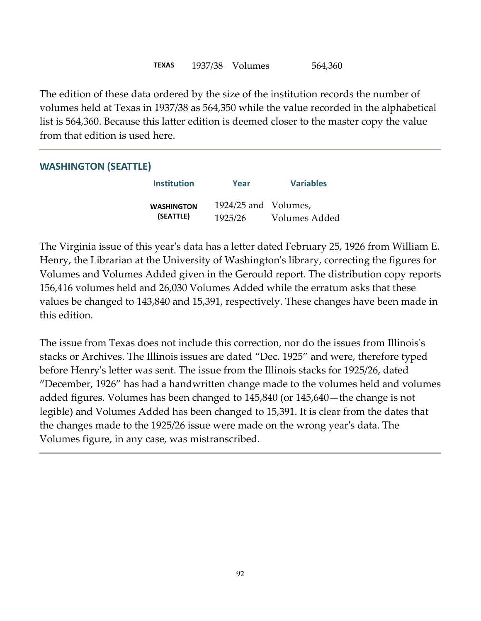The edition of these data ordered by the size of the institution records the number of volumes held at Texas in 1937/38 as 564,350 while the value recorded in the alphabetical list is 564,360. Because this latter edition is deemed closer to the master copy the value from that edition is used here.

## **WASHINGTON (SEATTLE)**

| <b>Institution</b> | Year                 | <b>Variables</b> |
|--------------------|----------------------|------------------|
| <b>WASHINGTON</b>  | 1924/25 and Volumes, |                  |
| (SEATTLE)          | 1925/26              | Volumes Added    |

The Virginia issue of this yearʹs data has a letter dated February 25, 1926 from William E. Henry, the Librarian at the University of Washingtonʹs library, correcting the figures for Volumes and Volumes Added given in the Gerould report. The distribution copy reports 156,416 volumes held and 26,030 Volumes Added while the erratum asks that these values be changed to 143,840 and 15,391, respectively. These changes have been made in this edition.

The issue from Texas does not include this correction, nor do the issues from Illinois's stacks or Archives. The Illinois issues are dated "Dec. 1925" and were, therefore typed before Henryʹs letter was sent. The issue from the Illinois stacks for 1925/26, dated "December, 1926" has had a handwritten change made to the volumes held and volumes added figures. Volumes has been changed to 145,840 (or 145,640—the change is not legible) and Volumes Added has been changed to 15,391. It is clear from the dates that the changes made to the 1925/26 issue were made on the wrong yearʹs data. The Volumes figure, in any case, was mistranscribed.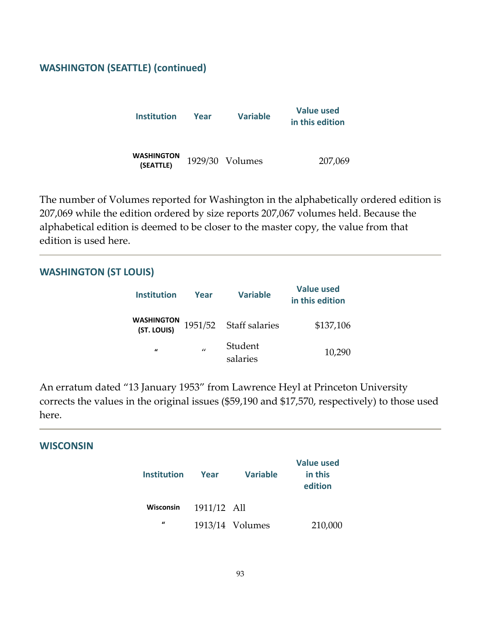## **WASHINGTON (SEATTLE) (continued)**

| Institution                    | Year | <b>Variable</b> | Value used<br>in this edition |
|--------------------------------|------|-----------------|-------------------------------|
| <b>WASHINGTON</b><br>(SEATTLE) |      | 1929/30 Volumes | 207,069                       |

The number of Volumes reported for Washington in the alphabetically ordered edition is 207,069 while the edition ordered by size reports 207,067 volumes held. Because the alphabetical edition is deemed to be closer to the master copy, the value from that edition is used here.

#### **WASHINGTON (ST LOUIS)**

| <b>Institution</b>               | Year         | <b>Variable</b>        | <b>Value used</b><br>in this edition |
|----------------------------------|--------------|------------------------|--------------------------------------|
| <b>WASHINGTON</b><br>(ST. LOUIS) |              | 1951/52 Staff salaries | \$137,106                            |
| $\iota$                          | $\mathbf{u}$ | Student<br>salaries    | 10,290                               |

An erratum dated "13 January 1953" from Lawrence Heyl at Princeton University corrects the values in the original issues (\$59,190 and \$17,570, respectively) to those used here.

#### **WISCONSIN**

| <b>Institution</b> | Year        | <b>Variable</b>   | <b>Value used</b><br>in this<br>edition |
|--------------------|-------------|-------------------|-----------------------------------------|
| <b>Wisconsin</b>   | 1911/12 All |                   |                                         |
| $\mathbf{u}$       |             | $1913/14$ Volumes | 210,000                                 |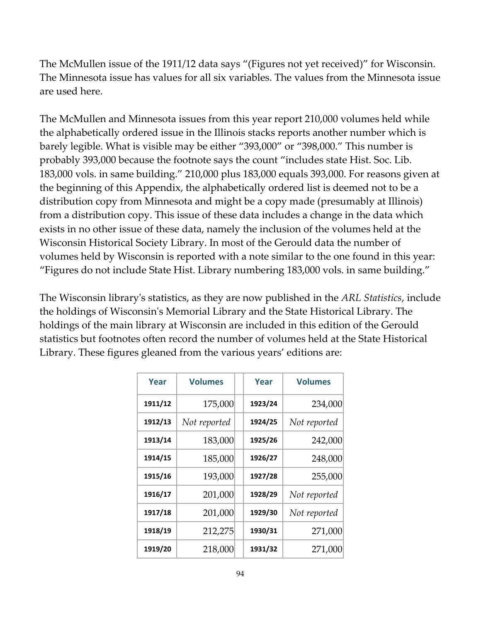The McMullen issue of the 1911/12 data says "(Figures not yet received)" for Wisconsin. The Minnesota issue has values for all six variables. The values from the Minnesota issue are used here.

The McMullen and Minnesota issues from this year report 210,000 volumes held while the alphabetically ordered issue in the Illinois stacks reports another number which is barely legible. What is visible may be either "393,000" or "398,000." This number is probably 393,000 because the footnote says the count "includes state Hist. Soc. Lib. 183,000 vols. in same building." 210,000 plus 183,000 equals 393,000. For reasons given at the beginning of this Appendix, the alphabetically ordered list is deemed not to be a distribution copy from Minnesota and might be a copy made (presumably at Illinois) from a distribution copy. This issue of these data includes a change in the data which exists in no other issue of these data, namely the inclusion of the volumes held at the Wisconsin Historical Society Library. In most of the Gerould data the number of volumes held by Wisconsin is reported with a note similar to the one found in this year: "Figures do not include State Hist. Library numbering 183,000 vols. in same building."

The Wisconsin libraryʹs statistics, as they are now published in the *ARL Statistics*, include the holdings of Wisconsinʹs Memorial Library and the State Historical Library. The holdings of the main library at Wisconsin are included in this edition of the Gerould statistics but footnotes often record the number of volumes held at the State Historical Library. These figures gleaned from the various years' editions are:

| Year    | <b>Volumes</b> | Year    | <b>Volumes</b> |
|---------|----------------|---------|----------------|
| 1911/12 | 175,000        | 1923/24 | 234,000        |
| 1912/13 | Not reported   | 1924/25 | Not reported   |
| 1913/14 | 183,000        | 1925/26 | 242,000        |
| 1914/15 | 185,000        | 1926/27 | 248,000        |
| 1915/16 | 193,000        | 1927/28 | 255,000        |
| 1916/17 | 201,000        | 1928/29 | Not reported   |
| 1917/18 | 201,000        | 1929/30 | Not reported   |
| 1918/19 | 212,275        | 1930/31 | 271,000        |
| 1919/20 | 218,000        | 1931/32 | 271,000        |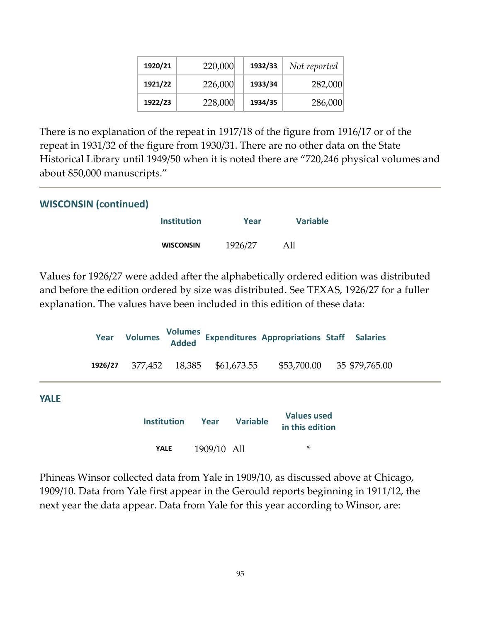| 1920/21 | 220,000 | 1932/33 | Not reported |
|---------|---------|---------|--------------|
| 1921/22 | 226,000 | 1933/34 | 282,000      |
| 1922/23 | 228,000 | 1934/35 | 286,000      |

There is no explanation of the repeat in 1917/18 of the figure from 1916/17 or of the repeat in 1931/32 of the figure from 1930/31. There are no other data on the State Historical Library until 1949/50 when it is noted there are "720,246 physical volumes and about 850,000 manuscripts."

| <b>WISCONSIN (continued)</b> |                    |         |                 |
|------------------------------|--------------------|---------|-----------------|
|                              | <b>Institution</b> | Year    | <b>Variable</b> |
|                              | <b>WISCONSIN</b>   | 1926/27 | All             |

Values for 1926/27 were added after the alphabetically ordered edition was distributed and before the edition ordered by size was distributed. See TEXAS, 1926/27 for a fuller explanation. The values have been included in this edition of these data:

|             | Year    | <b>Volumes</b>     | <b>Volumes</b><br><b>Added</b> |             |                 | <b>Expenditures Appropriations Staff Salaries</b> |                |  |
|-------------|---------|--------------------|--------------------------------|-------------|-----------------|---------------------------------------------------|----------------|--|
|             | 1926/27 | 377,452            | 18,385                         |             | \$61,673.55     | \$53,700.00                                       | 35 \$79,765.00 |  |
| <b>YALE</b> |         |                    |                                |             |                 |                                                   |                |  |
|             |         | <b>Institution</b> |                                | Year        | <b>Variable</b> | <b>Values used</b><br>in this edition             |                |  |
|             |         | <b>YALE</b>        |                                | 1909/10 All |                 | *                                                 |                |  |

Phineas Winsor collected data from Yale in 1909/10, as discussed above at Chicago, 1909/10. Data from Yale first appear in the Gerould reports beginning in 1911/12, the next year the data appear. Data from Yale for this year according to Winsor, are: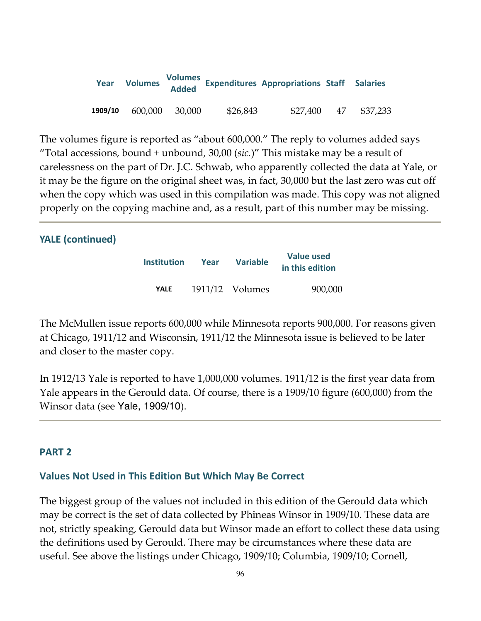| <b>Year</b> |         |        |          | Volumes<br>Volumes Added Expenditures Appropriations Staff Salaries |    |          |
|-------------|---------|--------|----------|---------------------------------------------------------------------|----|----------|
| 1909/10     | 600,000 | 30,000 | \$26,843 | \$27,400                                                            | 47 | \$37,233 |

The volumes figure is reported as "about 600,000." The reply to volumes added says "Total accessions, bound + unbound, 30,00 (*sic.*)" This mistake may be a result of carelessness on the part of Dr. J.C. Schwab, who apparently collected the data at Yale, or it may be the figure on the original sheet was, in fact, 30,000 but the last zero was cut off when the copy which was used in this compilation was made. This copy was not aligned properly on the copying machine and, as a result, part of this number may be missing.

#### **YALE (continued)**

| <b>Institution</b> | Year | <b>Variable</b>   | <b>Value used</b><br>in this edition |
|--------------------|------|-------------------|--------------------------------------|
| <b>YALE</b>        |      | $1911/12$ Volumes | 900,000                              |

The McMullen issue reports 600,000 while Minnesota reports 900,000. For reasons given at Chicago, 1911/12 and Wisconsin, 1911/12 the Minnesota issue is believed to be later and closer to the master copy.

In 1912/13 Yale is reported to have 1,000,000 volumes. 1911/12 is the first year data from Yale appears in the Gerould data. Of course, there is a 1909/10 figure (600,000) from the Winsor data (see Yale, 1909/10).

#### **PART 2**

#### **Values Not Used in This Edition But Which May Be Correct**

The biggest group of the values not included in this edition of the Gerould data which may be correct is the set of data collected by Phineas Winsor in 1909/10. These data are not, strictly speaking, Gerould data but Winsor made an effort to collect these data using the definitions used by Gerould. There may be circumstances where these data are useful. See above the listings under Chicago, 1909/10; Columbia, 1909/10; Cornell,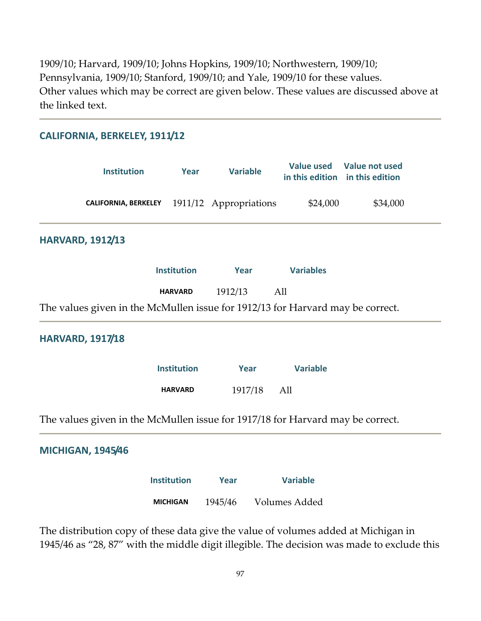1909/10; Harvard, 1909/10; Johns Hopkins, 1909/10; Northwestern, 1909/10; Pennsylvania, 1909/10; Stanford, 1909/10; and Yale, 1909/10 for these values. Other values which may be correct are given below. These values are discussed above at the linked text.

| CALIFORNIA, BERKELEY, 1911/12                                                  |                    |                        |                  |                                                              |
|--------------------------------------------------------------------------------|--------------------|------------------------|------------------|--------------------------------------------------------------|
| <b>Institution</b>                                                             | Year               | <b>Variable</b>        |                  | Value used Value not used<br>in this edition in this edition |
| <b>CALIFORNIA, BERKELEY</b>                                                    |                    | 1911/12 Appropriations | \$24,000         | \$34,000                                                     |
| <b>HARVARD, 1912/13</b>                                                        |                    |                        |                  |                                                              |
|                                                                                | <b>Institution</b> | Year                   | <b>Variables</b> |                                                              |
|                                                                                | <b>HARVARD</b>     | 1912/13                | All              |                                                              |
| The values given in the McMullen issue for 1912/13 for Harvard may be correct. |                    |                        |                  |                                                              |
| <b>HARVARD, 1917/18</b>                                                        |                    |                        |                  |                                                              |
|                                                                                | <b>Institution</b> | Year                   | <b>Variable</b>  |                                                              |
|                                                                                | <b>HARVARD</b>     | 1917/18                | All              |                                                              |
| The values given in the McMullen issue for 1917/18 for Harvard may be correct. |                    |                        |                  |                                                              |
| <b>MICHIGAN, 1945/46</b>                                                       |                    |                        |                  |                                                              |
|                                                                                | <b>Institution</b> | Year                   | <b>Variable</b>  |                                                              |
|                                                                                | <b>MICHIGAN</b>    | 1945/46                | Volumes Added    |                                                              |

The distribution copy of these data give the value of volumes added at Michigan in 1945/46 as "28, 87" with the middle digit illegible. The decision was made to exclude this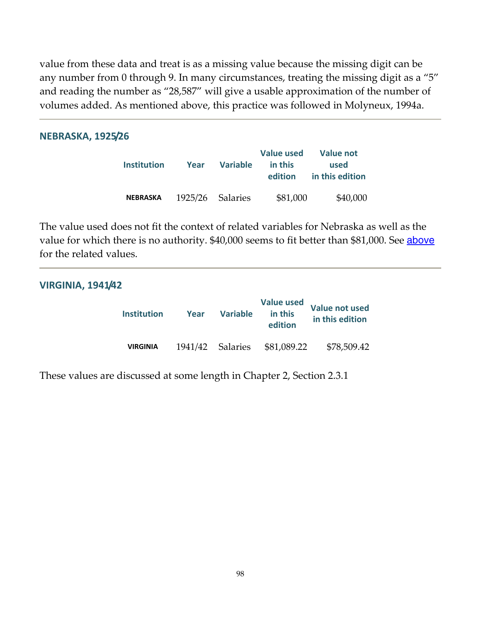value from these data and treat is as a missing value because the missing digit can be any number from 0 through 9. In many circumstances, treating the missing digit as a "5" and reading the number as "28,587" will give a usable approximation of the number of volumes added. As mentioned above, this practice was followed in Molyneux, 1994a.

#### **NEBRASKA, 1925/26**

| <b>Institution</b> | Year | Variable         | <b>Value used</b><br>in this<br>edition | Value not<br>used<br>in this edition |
|--------------------|------|------------------|-----------------------------------------|--------------------------------------|
| <b>NEBRASKA</b>    |      | 1925/26 Salaries | \$81,000                                | \$40,000                             |

The value used does not fit the context of related variables for Nebraska as well as the value for which there is no authority. \$40,000 seems to fit better than \$81,000. See [above](http://fisher.lib.virginia.edu/libsites/gerould/tgsapp2.html#nebr26) for the related values.

#### **VIRGINIA, 1941/42**

| <b>Institution</b> | Year | <b>Variable</b>  | <b>Value used</b><br>in this<br>edition | <b>Value not used</b><br>in this edition |
|--------------------|------|------------------|-----------------------------------------|------------------------------------------|
| <b>VIRGINIA</b>    |      | 1941/42 Salaries | \$81,089.22                             | \$78,509.42                              |

These values are discussed at some length in Chapter 2, Section 2.3.1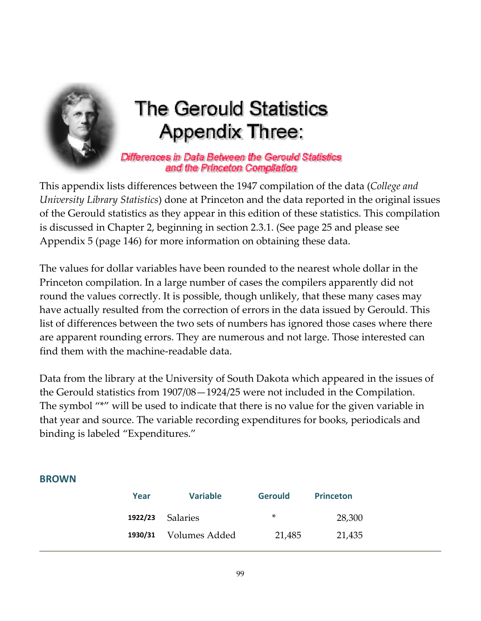

# **The Gerould Statistics Appendix Three:**

Differences in Data Between the Gerould Statistics and the Princeton Compilation

This appendix lists differences between the 1947 compilation of the data (*College and University Library Statistics*) done at Princeton and the data reported in the original issues of the Gerould statistics as they appear in this edition of these statistics. This compilation is discussed in Chapter 2, beginning in section 2.3.1. (See page 25 and please see Appendix 5 (page 146) for more [information](#page-145-0) on obtaining these data.

The values for dollar variables have been rounded to the nearest whole dollar in the Princeton compilation. In a large number of cases the compilers apparently did not round the values correctly. It is possible, though unlikely, that these many cases may have actually resulted from the correction of errors in the data issued by Gerould. This list of differences between the two sets of numbers has ignored those cases where there are apparent rounding errors. They are numerous and not large. Those interested can find them with the machine‐readable data.

Data from the library at the University of South Dakota which appeared in the issues of the Gerould statistics from 1907/08—1924/25 were not included in the Compilation. The symbol "\*" will be used to indicate that there is no value for the given variable in that year and source. The variable recording expenditures for books, periodicals and binding is labeled "Expenditures."

#### **BROWN**

| <b>Variable</b> | <b>Princeton</b>          |                |
|-----------------|---------------------------|----------------|
|                 | *                         | 28,300         |
|                 | 21,485                    | 21,435         |
|                 | Salaries<br>Volumes Added | <b>Gerould</b> |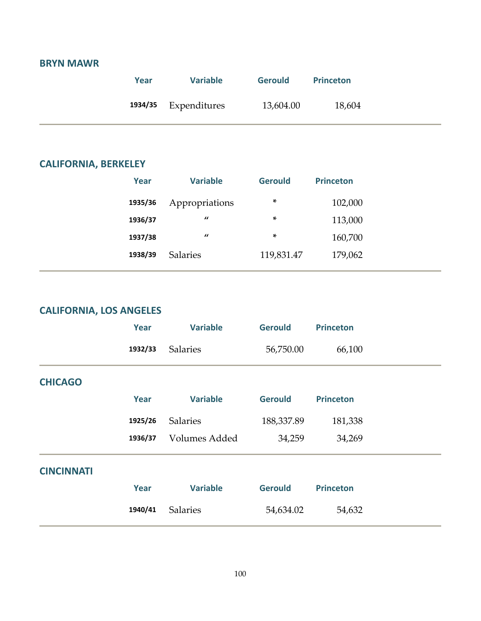## **BRYN MAWR**

| Year | <b>Variable</b>      | <b>Gerould</b> | <b>Princeton</b> |
|------|----------------------|----------------|------------------|
|      | 1934/35 Expenditures | 13,604.00      | 18,604           |

÷.

#### **CALIFORNIA, BERKELEY**

| Year    | <b>Variable</b> | <b>Gerould</b> | <b>Princeton</b> |
|---------|-----------------|----------------|------------------|
| 1935/36 | Appropriations  | *              | 102,000          |
| 1936/37 | $\prime\prime$  | *              | 113,000          |
| 1937/38 | $\prime\prime$  | *              | 160,700          |
| 1938/39 | <b>Salaries</b> | 119,831.47     | 179,062          |
|         |                 |                |                  |

## **CALIFORNIA, LOS ANGELES**

|                   | Year    | <b>Variable</b> | <b>Gerould</b> | <b>Princeton</b> |  |
|-------------------|---------|-----------------|----------------|------------------|--|
|                   | 1932/33 | <b>Salaries</b> | 56,750.00      | 66,100           |  |
| <b>CHICAGO</b>    |         |                 |                |                  |  |
|                   | Year    | <b>Variable</b> | <b>Gerould</b> | <b>Princeton</b> |  |
|                   | 1925/26 | <b>Salaries</b> | 188,337.89     | 181,338          |  |
|                   | 1936/37 | Volumes Added   | 34,259         | 34,269           |  |
| <b>CINCINNATI</b> |         |                 |                |                  |  |
|                   | Year    | <b>Variable</b> | <b>Gerould</b> | <b>Princeton</b> |  |
|                   | 1940/41 | <b>Salaries</b> | 54,634.02      | 54,632           |  |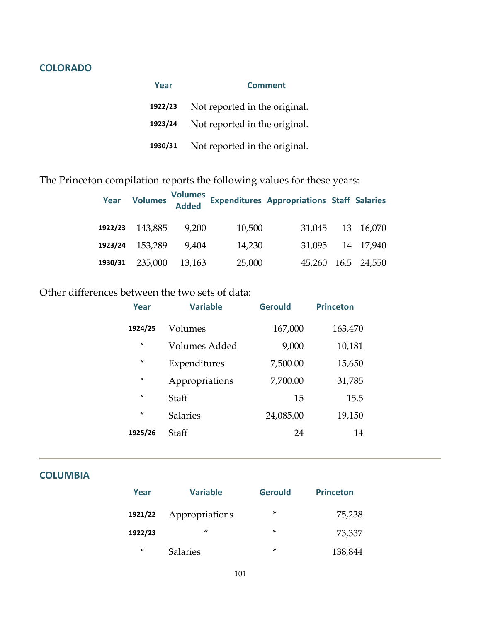## **COLORADO**

| Year    | <b>Comment</b>                |  |
|---------|-------------------------------|--|
| 1922/23 | Not reported in the original. |  |
| 1923/24 | Not reported in the original. |  |
| 1930/31 | Not reported in the original. |  |

#### The Princeton compilation reports the following values for these years:

|         | Year Volumes Volumes<br>Added |        |        | <b>Expenditures Appropriations Staff Salaries</b> |                    |
|---------|-------------------------------|--------|--------|---------------------------------------------------|--------------------|
| 1922/23 | 143,885                       | 9,200  | 10,500 |                                                   | 31,045 13 16,070   |
| 1923/24 | 153,289                       | 9.404  | 14,230 |                                                   | 31,095 14 17,940   |
| 1930/31 | 235,000                       | 13,163 | 25,000 |                                                   | 45,260 16.5 24,550 |

## Other differences between the two sets of data:

| Year         | <b>Variable</b> | <b>Gerould</b> | <b>Princeton</b> |
|--------------|-----------------|----------------|------------------|
| 1924/25      | Volumes         | 167,000        | 163,470          |
| $\mathbf{u}$ | Volumes Added   | 9,000          | 10,181           |
| $\mathbf{u}$ | Expenditures    | 7,500.00       | 15,650           |
| $\mathbf{u}$ | Appropriations  | 7,700.00       | 31,785           |
| $\mathbf{u}$ | Staff           | 15             | 15.5             |
| $\mathbf{u}$ | <b>Salaries</b> | 24,085.00      | 19,150           |
| 1925/26      | Staff           | 24             | 14               |

#### **COLUMBIA**

| Year             | <b>Variable</b>   | <b>Gerould</b> | <b>Princeton</b> |
|------------------|-------------------|----------------|------------------|
| 1921/22          | Appropriations    | *              | 75,238           |
| 1922/23          | $^{\prime\prime}$ | ×              | 73,337           |
| $\boldsymbol{u}$ | <b>Salaries</b>   | ×              | 138,844          |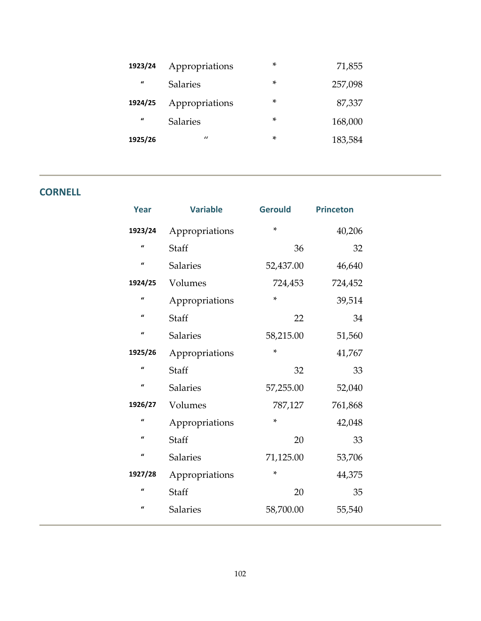| 1923/24          | Appropriations  | ×      | 71,855  |
|------------------|-----------------|--------|---------|
| $\boldsymbol{u}$ | <b>Salaries</b> | $\ast$ | 257,098 |
| 1924/25          | Appropriations  | ×      | 87,337  |
| $\boldsymbol{u}$ | <b>Salaries</b> | ×      | 168,000 |
| 1925/26          | $\prime\prime$  | ×      | 183,584 |

## **CORNELL**

| Year         | <b>Variable</b> | <b>Gerould</b> | <b>Princeton</b> |
|--------------|-----------------|----------------|------------------|
| 1923/24      | Appropriations  | ×.             | 40,206           |
| $\mathbf{u}$ | Staff           | 36             | 32               |
| $\mathbf{u}$ | <b>Salaries</b> | 52,437.00      | 46,640           |
| 1924/25      | Volumes         | 724,453        | 724,452          |
| $\mathbf{u}$ | Appropriations  | *              | 39,514           |
| $\mathbf{u}$ | Staff           | 22             | 34               |
| $\mathbf{u}$ | Salaries        | 58,215.00      | 51,560           |
| 1925/26      | Appropriations  | $\ast$         | 41,767           |
| $\mathbf{u}$ | Staff           | 32             | 33               |
| $\mathbf{u}$ | <b>Salaries</b> | 57,255.00      | 52,040           |
| 1926/27      | Volumes         | 787,127        | 761,868          |
| $\mathbf{u}$ | Appropriations  | *              | 42,048           |
| $\mathbf{u}$ | Staff           | 20             | 33               |
| $\iota$      | <b>Salaries</b> | 71,125.00      | 53,706           |
| 1927/28      | Appropriations  | *              | 44,375           |
| $\mathbf{u}$ | Staff           | 20             | 35               |
| $\mathbf{u}$ | <b>Salaries</b> | 58,700.00      | 55,540           |
|              |                 |                |                  |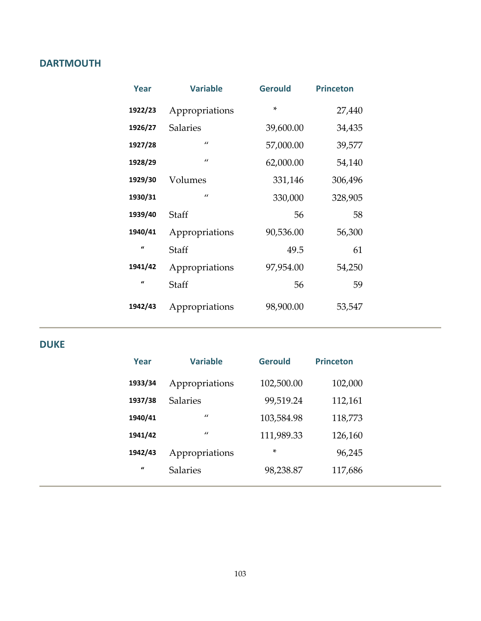## **DARTMOUTH**

| Year         | <b>Variable</b> | <b>Gerould</b> | <b>Princeton</b> |
|--------------|-----------------|----------------|------------------|
| 1922/23      | Appropriations  | $\star$        | 27,440           |
| 1926/27      | <b>Salaries</b> | 39,600.00      | 34,435           |
| 1927/28      | $\prime$        | 57,000.00      | 39,577           |
| 1928/29      | $\prime\prime$  | 62,000.00      | 54,140           |
| 1929/30      | Volumes         | 331,146        | 306,496          |
| 1930/31      | $\prime\prime$  | 330,000        | 328,905          |
| 1939/40      | Staff           | 56             | 58               |
| 1940/41      | Appropriations  | 90,536.00      | 56,300           |
| $\mathbf{u}$ | Staff           | 49.5           | 61               |
| 1941/42      | Appropriations  | 97,954.00      | 54,250           |
| $\mathbf{u}$ | Staff           | 56             | 59               |
| 1942/43      | Appropriations  | 98,900.00      | 53,547           |

#### **DUKE**

| Year           | <b>Variable</b> | <b>Gerould</b> | <b>Princeton</b> |
|----------------|-----------------|----------------|------------------|
| 1933/34        | Appropriations  | 102,500.00     | 102,000          |
| 1937/38        | <b>Salaries</b> | 99,519.24      | 112,161          |
| 1940/41        | $\prime\prime$  | 103,584.98     | 118,773          |
| 1941/42        | $\prime$        | 111,989.33     | 126,160          |
| 1942/43        | Appropriations  | *              | 96,245           |
| $\overline{u}$ | <b>Salaries</b> | 98,238.87      | 117,686          |
|                |                 |                |                  |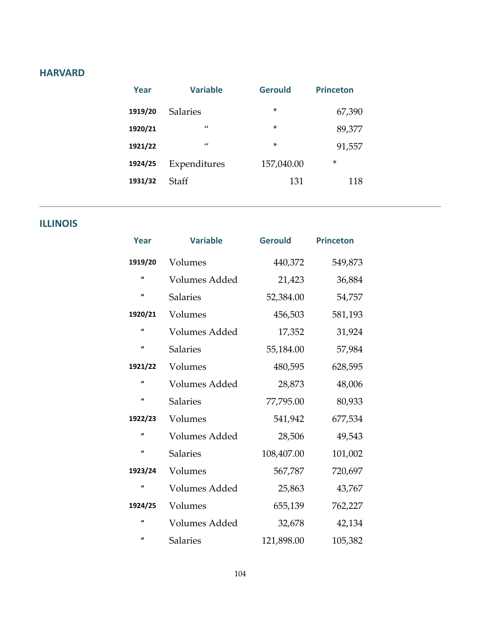#### **HARVARD**

| Year    | <b>Variable</b> | <b>Gerould</b> | <b>Princeton</b> |
|---------|-----------------|----------------|------------------|
| 1919/20 | <b>Salaries</b> | $\ast$         | 67,390           |
| 1920/21 | $\prime\prime$  | $\ast$         | 89,377           |
| 1921/22 | $\prime$        | $\ast$         | 91,557           |
| 1924/25 | Expenditures    | 157,040.00     | $\ast$           |
| 1931/32 | Staff           | 131            | 118              |

## **ILLINOIS**

| Year         | <b>Variable</b> | <b>Gerould</b> | <b>Princeton</b> |
|--------------|-----------------|----------------|------------------|
| 1919/20      | Volumes         | 440,372        | 549,873          |
| $\mathbf{u}$ | Volumes Added   | 21,423         | 36,884           |
| $\mathbf{u}$ | <b>Salaries</b> | 52,384.00      | 54,757           |
| 1920/21      | Volumes         | 456,503        | 581,193          |
| $\mathbf{u}$ | Volumes Added   | 17,352         | 31,924           |
| $\mathbf{u}$ | <b>Salaries</b> | 55,184.00      | 57,984           |
| 1921/22      | Volumes         | 480,595        | 628,595          |
| $\mathbf{u}$ | Volumes Added   | 28,873         | 48,006           |
| $\mathbf{u}$ | <b>Salaries</b> | 77,795.00      | 80,933           |
| 1922/23      | Volumes         | 541,942        | 677,534          |
| $\mathbf{u}$ | Volumes Added   | 28,506         | 49,543           |
| $\mathbf{u}$ | <b>Salaries</b> | 108,407.00     | 101,002          |
| 1923/24      | Volumes         | 567,787        | 720,697          |
| $\mathbf{u}$ | Volumes Added   | 25,863         | 43,767           |
| 1924/25      | Volumes         | 655,139        | 762,227          |
| $\mathbf{u}$ | Volumes Added   | 32,678         | 42,134           |
| $\mathbf{u}$ | <b>Salaries</b> | 121,898.00     | 105,382          |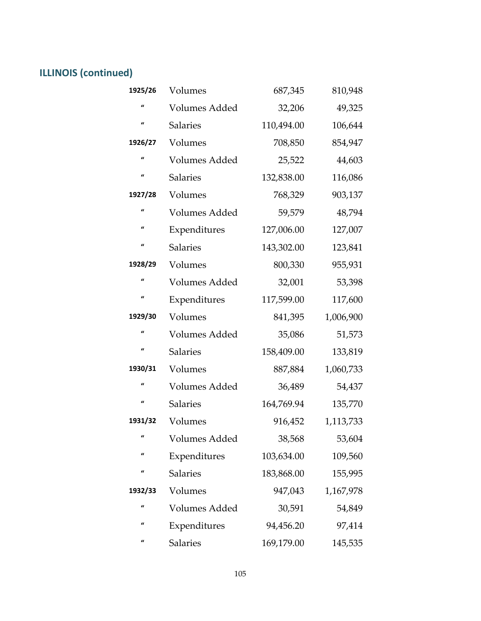# **ILLINOIS (continued)**

| 1925/26      | Volumes              | 687,345    | 810,948   |
|--------------|----------------------|------------|-----------|
| u            | Volumes Added        | 32,206     | 49,325    |
| $\mathbf{u}$ | <b>Salaries</b>      | 110,494.00 | 106,644   |
| 1926/27      | Volumes              | 708,850    | 854,947   |
| $\mathbf{u}$ | Volumes Added        | 25,522     | 44,603    |
| $\mathbf{u}$ | <b>Salaries</b>      | 132,838.00 | 116,086   |
| 1927/28      | Volumes              | 768,329    | 903,137   |
| $\mathbf{u}$ | Volumes Added        | 59,579     | 48,794    |
| $\mathbf{u}$ | Expenditures         | 127,006.00 | 127,007   |
| $\iota$      | <b>Salaries</b>      | 143,302.00 | 123,841   |
| 1928/29      | Volumes              | 800,330    | 955,931   |
| $\iota$      | Volumes Added        | 32,001     | 53,398    |
| $\mathbf{u}$ | Expenditures         | 117,599.00 | 117,600   |
| 1929/30      | Volumes              | 841,395    | 1,006,900 |
| u            | Volumes Added        | 35,086     | 51,573    |
| $\iota$      | <b>Salaries</b>      | 158,409.00 | 133,819   |
| 1930/31      | Volumes              | 887,884    | 1,060,733 |
| $\mathbf{u}$ | Volumes Added        | 36,489     | 54,437    |
| $\mathbf{u}$ | <b>Salaries</b>      | 164,769.94 | 135,770   |
| 1931/32      | Volumes              | 916,452    | 1,113,733 |
|              | Volumes Added        | 38,568     | 53,604    |
| u            | Expenditures         | 103,634.00 | 109,560   |
| $\iota$      | <b>Salaries</b>      | 183,868.00 | 155,995   |
| 1932/33      | Volumes              | 947,043    | 1,167,978 |
| $\mathbf{u}$ | <b>Volumes Added</b> | 30,591     | 54,849    |
| u            | Expenditures         | 94,456.20  | 97,414    |
| u            | <b>Salaries</b>      | 169,179.00 | 145,535   |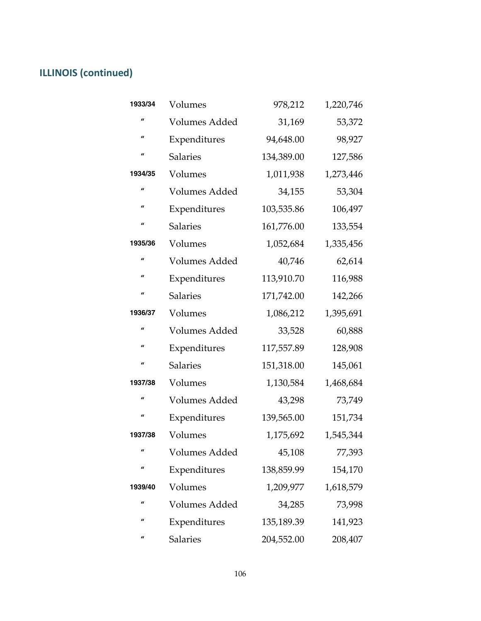# **ILLINOIS (continued)**

| 1933/34          | Volumes              | 978,212    | 1,220,746 |
|------------------|----------------------|------------|-----------|
| $\iota$          | <b>Volumes Added</b> | 31,169     | 53,372    |
| $\mathbf{u}$     | Expenditures         | 94,648.00  | 98,927    |
| $\boldsymbol{u}$ | <b>Salaries</b>      | 134,389.00 | 127,586   |
| 1934/35          | Volumes              | 1,011,938  | 1,273,446 |
| $\iota$          | <b>Volumes Added</b> | 34,155     | 53,304    |
| $\boldsymbol{u}$ | Expenditures         | 103,535.86 | 106,497   |
| $\iota$          | <b>Salaries</b>      | 161,776.00 | 133,554   |
| 1935/36          | Volumes              | 1,052,684  | 1,335,456 |
| $\mathbf{u}$     | <b>Volumes Added</b> | 40,746     | 62,614    |
| $\iota$          | Expenditures         | 113,910.70 | 116,988   |
| $\mathbf{u}$     | <b>Salaries</b>      | 171,742.00 | 142,266   |
| 1936/37          | Volumes              | 1,086,212  | 1,395,691 |
| $\mathbf{u}$     | Volumes Added        | 33,528     | 60,888    |
| u                | Expenditures         | 117,557.89 | 128,908   |
| $\iota$          | <b>Salaries</b>      | 151,318.00 | 145,061   |
| 1937/38          | Volumes              | 1,130,584  | 1,468,684 |
| $\iota$          | <b>Volumes Added</b> | 43,298     | 73,749    |
| $\iota$          | Expenditures         | 139,565.00 | 151,734   |
| 1937/38          | Volumes              | 1,175,692  | 1,545,344 |
| "                | Volumes Added        | 45,108     | 77,393    |
| $\iota$          | Expenditures         | 138,859.99 | 154,170   |
| 1939/40          | Volumes              | 1,209,977  | 1,618,579 |
| $\iota$          | <b>Volumes Added</b> | 34,285     | 73,998    |
| $\mathbf{u}$     | Expenditures         | 135,189.39 | 141,923   |
|                  |                      |            |           |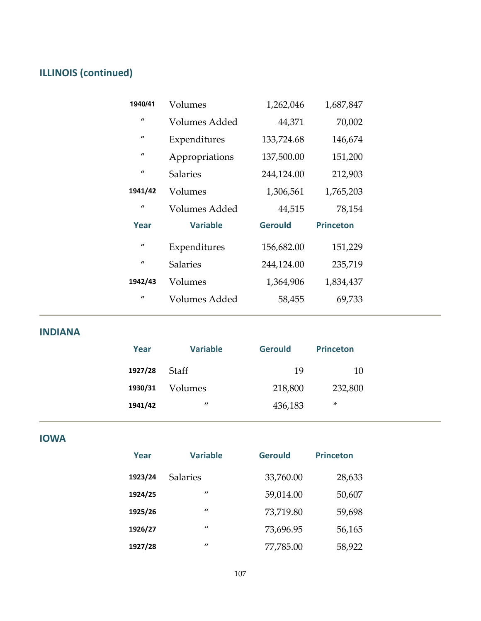# **ILLINOIS (continued)**

| 1940/41      | Volumes         | 1,262,046      | 1,687,847        |  |
|--------------|-----------------|----------------|------------------|--|
| $\iota$      | Volumes Added   | 44,371         | 70,002           |  |
| $\iota$      | Expenditures    | 133,724.68     | 146,674          |  |
| $\iota$      | Appropriations  | 137,500.00     | 151,200          |  |
| $\iota$      | <b>Salaries</b> | 244,124.00     | 212,903          |  |
| 1941/42      | Volumes         | 1,306,561      | 1,765,203        |  |
| $\mathbf{u}$ | Volumes Added   | 44,515         | 78,154           |  |
|              |                 |                |                  |  |
| Year         | <b>Variable</b> | <b>Gerould</b> | <b>Princeton</b> |  |
| $\mathbf{u}$ | Expenditures    | 156,682.00     | 151,229          |  |
| $\iota$      | <b>Salaries</b> | 244,124.00     | 235,719          |  |
| 1942/43      | Volumes         | 1,364,906      | 1,834,437        |  |
| $\mathbf{u}$ | Volumes Added   | 58,455         | 69,733           |  |

**INDIANA**

| Year    | <b>Variable</b> | <b>Gerould</b> | <b>Princeton</b> |
|---------|-----------------|----------------|------------------|
| 1927/28 | Staff           | 19             | 10               |
| 1930/31 | Volumes         | 218,800        | 232,800          |
| 1941/42 | $\prime\prime$  | 436,183        | ×                |

**IOWA**

| Year    | <b>Variable</b> | <b>Gerould</b> | <b>Princeton</b> |
|---------|-----------------|----------------|------------------|
| 1923/24 | <b>Salaries</b> | 33,760.00      | 28,633           |
| 1924/25 | $\prime$        | 59,014.00      | 50,607           |
| 1925/26 | $\prime$        | 73,719.80      | 59,698           |
| 1926/27 | $\prime$        | 73,696.95      | 56,165           |
| 1927/28 | $\prime$        | 77,785.00      | 58,922           |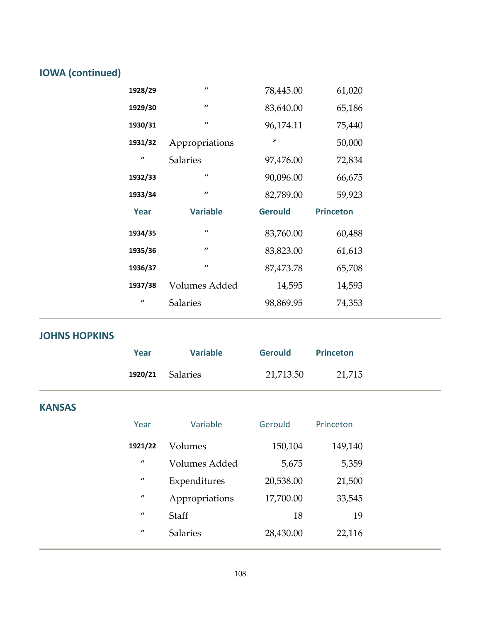# **IOWA (continued)**

| 1928/29      | $\prime$        | 78,445.00      | 61,020           |
|--------------|-----------------|----------------|------------------|
| 1929/30      | $\prime\prime$  | 83,640.00      | 65,186           |
| 1930/31      | $\prime$        | 96,174.11      | 75,440           |
| 1931/32      | Appropriations  | *              | 50,000           |
| $\mathbf{u}$ | <b>Salaries</b> | 97,476.00      | 72,834           |
| 1932/33      | $\prime\prime$  | 90,096.00      | 66,675           |
| 1933/34      | $\prime$        | 82,789.00      | 59,923           |
|              |                 |                |                  |
| Year         | <b>Variable</b> | <b>Gerould</b> | <b>Princeton</b> |
| 1934/35      | $\prime\prime$  | 83,760.00      | 60,488           |
| 1935/36      | $\prime$        | 83,823.00      | 61,613           |
| 1936/37      | $\prime\prime$  | 87,473.78      | 65,708           |
| 1937/38      | Volumes Added   | 14,595         | 14,593           |
| $\mathbf{u}$ | <b>Salaries</b> | 98,869.95      | 74,353           |

## **JOHNS HOPKINS**

| Year | <b>Variable</b>  | <b>Gerould</b> | Princeton |  |
|------|------------------|----------------|-----------|--|
|      | 1920/21 Salaries | 21,713.50      | 21,715    |  |
|      |                  |                |           |  |

## **KANSAS**

| Year                | Variable        | Gerould   | Princeton |
|---------------------|-----------------|-----------|-----------|
| 1921/22             | Volumes         | 150,104   | 149,140   |
| $\pmb{\mathcal{U}}$ | Volumes Added   | 5,675     | 5,359     |
| $\mathbf{u}$        | Expenditures    | 20,538.00 | 21,500    |
| $\mathbf{u}$        | Appropriations  | 17,700.00 | 33,545    |
| $\mathbf{u}$        | Staff           | 18        | 19        |
| $\mathbf{u}$        | <b>Salaries</b> | 28,430.00 | 22,116    |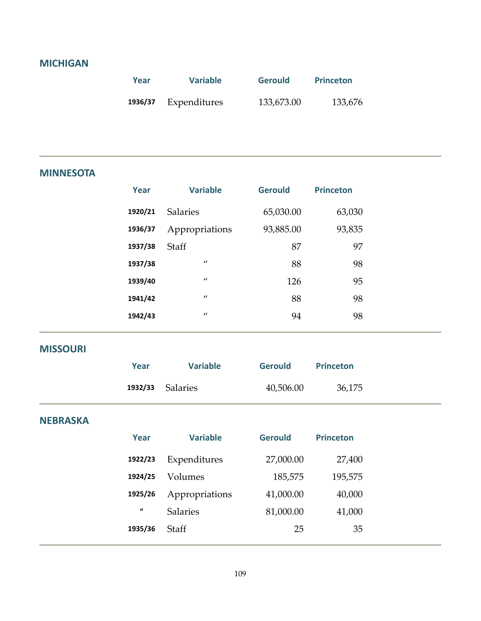#### **MICHIGAN**

| Year    | <b>Variable</b> | <b>Gerould</b> | <b>Princeton</b> |
|---------|-----------------|----------------|------------------|
| 1936/37 | Expenditures    | 133,673.00     | 133,676          |

#### **MINNESOTA**

| Year    | <b>Variable</b> | <b>Gerould</b> | <b>Princeton</b> |
|---------|-----------------|----------------|------------------|
| 1920/21 | <b>Salaries</b> | 65,030.00      | 63,030           |
| 1936/37 | Appropriations  | 93,885.00      | 93,835           |
| 1937/38 | <b>Staff</b>    | 87             | 97               |
| 1937/38 | $\prime\prime$  | 88             | 98               |
| 1939/40 | $\prime\prime$  | 126            | 95               |
| 1941/42 | $\prime\prime$  | 88             | 98               |
| 1942/43 | $\prime\prime$  | 94             | 98               |
|         |                 |                |                  |

#### **MISSOURI**

| Year |                         | <b>Variable</b> | <b>Gerould</b> | <b>Princeton</b> |        |  |
|------|-------------------------|-----------------|----------------|------------------|--------|--|
|      | <b>1932/33</b> Salaries |                 | 40,506.00      |                  | 36,175 |  |

#### **NEBRASKA**

| Year         | <b>Variable</b> | <b>Gerould</b> | <b>Princeton</b> |
|--------------|-----------------|----------------|------------------|
| 1922/23      | Expenditures    | 27,000.00      | 27,400           |
| 1924/25      | Volumes         | 185,575        | 195,575          |
| 1925/26      | Appropriations  | 41,000.00      | 40,000           |
| $\mathbf{u}$ | <b>Salaries</b> | 81,000.00      | 41,000           |
| 1935/36      | Staff           | 25             | 35               |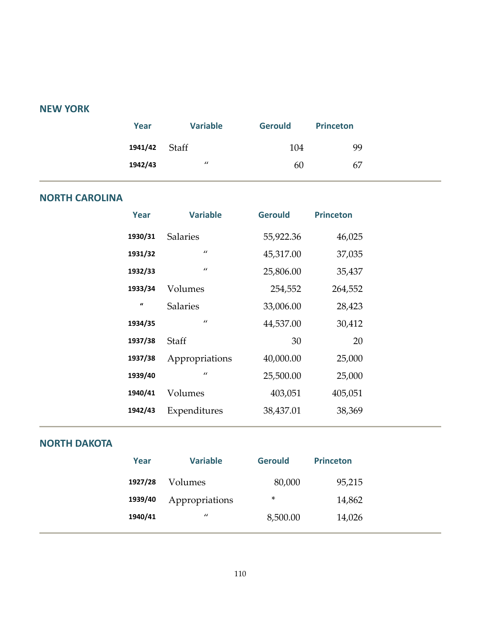#### **NEW YORK**

| Year          | <b>Variable</b>   | <b>Gerould</b> | <b>Princeton</b> |  |
|---------------|-------------------|----------------|------------------|--|
| 1941/42 Staff |                   | 104            | 99               |  |
| 1942/43       | $^{\prime\prime}$ | 60             | 67               |  |

#### **NORTH CAROLINA**

| <b>Variable</b> | <b>Gerould</b> | <b>Princeton</b> |  |
|-----------------|----------------|------------------|--|
| <b>Salaries</b> | 55,922.36      | 46,025           |  |
| $\prime$        | 45,317.00      | 37,035           |  |
| $\prime$        | 25,806.00      | 35,437           |  |
| Volumes         | 254,552        | 264,552          |  |
| <b>Salaries</b> | 33,006.00      | 28,423           |  |
| $\prime\prime$  | 44,537.00      | 30,412           |  |
| <b>Staff</b>    | 30             | 20               |  |
| Appropriations  | 40,000.00      | 25,000           |  |
| $\prime$        | 25,500.00      | 25,000           |  |
| Volumes         | 403,051        | 405,051          |  |
| Expenditures    | 38,437.01      | 38,369           |  |
|                 |                |                  |  |

#### **NORTH DAKOTA**

| Year    | <b>Variable</b> | <b>Gerould</b> | <b>Princeton</b> |
|---------|-----------------|----------------|------------------|
| 1927/28 | Volumes         | 80,000         | 95,215           |
| 1939/40 | Appropriations  | ∗              | 14,862           |
| 1940/41 | $\prime\prime$  | 8,500.00       | 14,026           |
|         |                 |                |                  |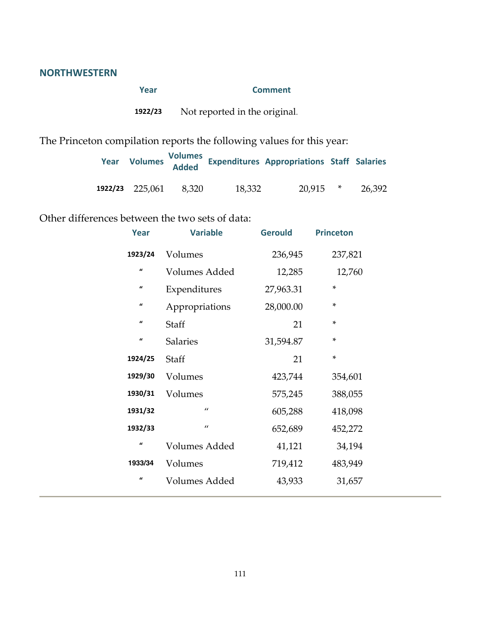#### **NORTHWESTERN**

| Year    | <b>Comment</b>                |
|---------|-------------------------------|
| 1922/23 | Not reported in the original. |

The Princeton compilation reports the following values for this year:

| Year |                 |       |        | Volumes Volumes<br>Added Expenditures Appropriations Staff Salaries |        |        |
|------|-----------------|-------|--------|---------------------------------------------------------------------|--------|--------|
|      | 1922/23 225,061 | 8.320 | 18,332 | 20,915                                                              | $\ast$ | 26,392 |

Other differences between the two sets of data:

| Year                | <b>Variable</b> | <b>Gerould</b> | <b>Princeton</b> |  |
|---------------------|-----------------|----------------|------------------|--|
| 1923/24             | Volumes         | 236,945        | 237,821          |  |
| $\boldsymbol{u}$    | Volumes Added   | 12,285         | 12,760           |  |
| $\pmb{\mathcal{U}}$ | Expenditures    | 27,963.31      | ×                |  |
| $\pmb{\mathcal{U}}$ | Appropriations  | 28,000.00      | ×.               |  |
| $\pmb{\mathcal{U}}$ | Staff           | 21             | ×.               |  |
| $\pmb{\mathcal{U}}$ | <b>Salaries</b> | 31,594.87      | ×.               |  |
| 1924/25             | Staff           | 21             | ×.               |  |
| 1929/30             | Volumes         | 423,744        | 354,601          |  |
| 1930/31             | Volumes         | 575,245        | 388,055          |  |
| 1931/32             | $\prime\prime$  | 605,288        | 418,098          |  |
| 1932/33             | $\prime\prime$  | 652,689        | 452,272          |  |
| $\pmb{\mathcal{U}}$ | Volumes Added   | 41,121         | 34,194           |  |
| 1933/34             | Volumes         | 719,412        | 483,949          |  |
| $\pmb{\mathcal{U}}$ | Volumes Added   | 43,933         | 31,657           |  |
|                     |                 |                |                  |  |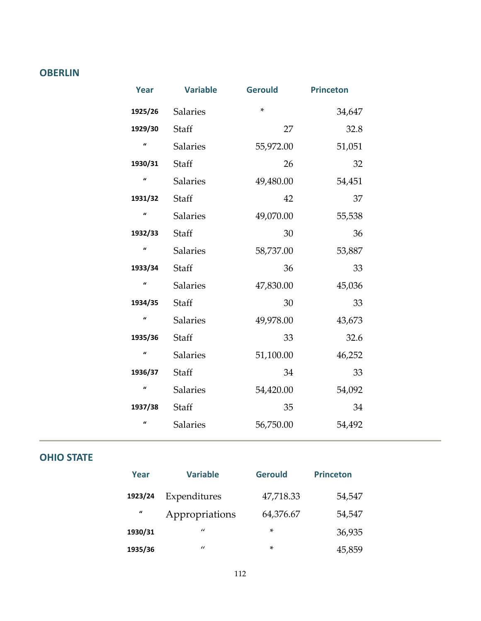#### **OBERLIN**

| <b>Year</b>         | <b>Variable</b> | <b>Gerould</b> | <b>Princeton</b> |
|---------------------|-----------------|----------------|------------------|
| 1925/26             | <b>Salaries</b> | $\ast$         | 34,647           |
| 1929/30             | Staff           | 27             | 32.8             |
| $\mathbf{u}$        | <b>Salaries</b> | 55,972.00      | 51,051           |
| 1930/31             | Staff           | 26             | 32               |
| $\mathbf{u}$        | Salaries        | 49,480.00      | 54,451           |
| 1931/32             | Staff           | 42             | 37               |
| $\pmb{\mathcal{U}}$ | <b>Salaries</b> | 49,070.00      | 55,538           |
| 1932/33             | Staff           | 30             | 36               |
| $\pmb{\mathcal{U}}$ | <b>Salaries</b> | 58,737.00      | 53,887           |
| 1933/34             | Staff           | 36             | 33               |
| $\mathbf{u}$        | Salaries        | 47,830.00      | 45,036           |
| 1934/35             | Staff           | 30             | 33               |
| $\mathbf{u}$        | Salaries        | 49,978.00      | 43,673           |
| 1935/36             | Staff           | 33             | 32.6             |
| $\pmb{\mathcal{U}}$ | <b>Salaries</b> | 51,100.00      | 46,252           |
| 1936/37             | Staff           | 34             | 33               |
| $\mathbf{u}$        | Salaries        | 54,420.00      | 54,092           |
| 1937/38             | Staff           | 35             | 34               |
| $\mathbf{u}$        | <b>Salaries</b> | 56,750.00      | 54,492           |

#### **OHIO STATE**

| Year         | <b>Variable</b> | <b>Gerould</b> | <b>Princeton</b> |
|--------------|-----------------|----------------|------------------|
| 1923/24      | Expenditures    | 47,718.33      | 54,547           |
| $\mathbf{u}$ | Appropriations  | 64,376.67      | 54,547           |
| 1930/31      | $\prime\prime$  | ×              | 36,935           |
| 1935/36      | $\prime\prime$  | ×              | 45,859           |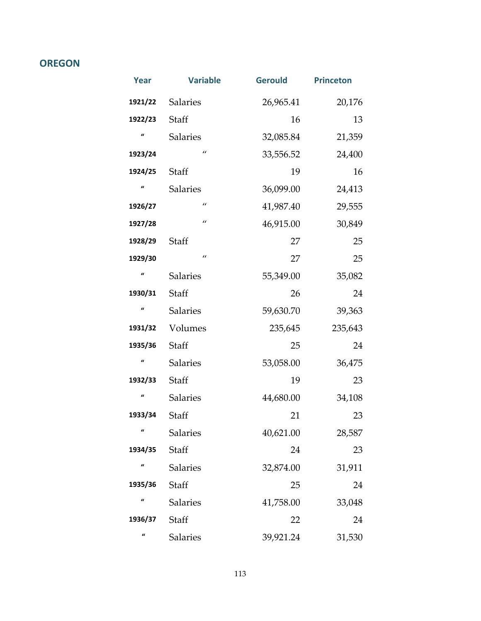#### **OREGON**

| Year             | <b>Variable</b> | <b>Gerould</b> | <b>Princeton</b> |
|------------------|-----------------|----------------|------------------|
| 1921/22          | <b>Salaries</b> | 26,965.41      | 20,176           |
| 1922/23          | Staff           | 16             | 13               |
| $\mathbf{u}$     | <b>Salaries</b> | 32,085.84      | 21,359           |
| 1923/24          | $\prime\prime$  | 33,556.52      | 24,400           |
| 1924/25          | Staff           | 19             | 16               |
| $\overline{a}$   | <b>Salaries</b> | 36,099.00      | 24,413           |
| 1926/27          | $\prime\prime$  | 41,987.40      | 29,555           |
| 1927/28          | $\prime\prime$  | 46,915.00      | 30,849           |
| 1928/29          | Staff           | 27             | 25               |
| 1929/30          | $\prime\prime$  | 27             | 25               |
| $\mathbf{u}$     | <b>Salaries</b> | 55,349.00      | 35,082           |
| 1930/31          | Staff           | 26             | 24               |
| $\boldsymbol{u}$ | <b>Salaries</b> | 59,630.70      | 39,363           |
| 1931/32          | Volumes         | 235,645        | 235,643          |
| 1935/36          | Staff           | 25             | 24               |
| $\overline{a}$   | <b>Salaries</b> | 53,058.00      | 36,475           |
| 1932/33          | Staff           | 19             | 23               |
| $\mathbf{u}$     | <b>Salaries</b> | 44,680.00      | 34,108           |
| 1933/34          | Staff           | 21             | 23               |
| $\iota$          | <b>Salaries</b> | 40,621.00      | 28,587           |
| 1934/35          | Staff           | 24             | 23               |
| $\overline{a}$   | <b>Salaries</b> | 32,874.00      | 31,911           |
| 1935/36          | Staff           | 25             | 24               |
| $\overline{a}$   | <b>Salaries</b> | 41,758.00      | 33,048           |
| 1936/37          | Staff           | 22             | 24               |
| $\iota$          | Salaries        | 39,921.24      | 31,530           |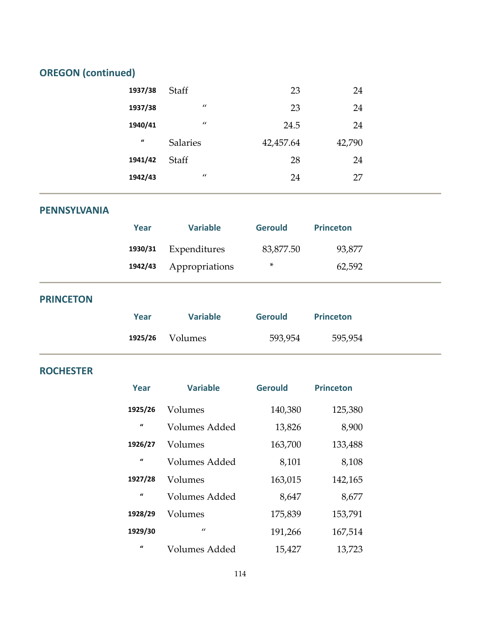# **OREGON (continued)**

| 1937/38             | Staff           | 23        | 24     |  |
|---------------------|-----------------|-----------|--------|--|
| 1937/38             | $\prime\prime$  | 23        | 24     |  |
| 1940/41             | $\prime\prime$  | 24.5      | 24     |  |
| $\pmb{\mathcal{U}}$ | <b>Salaries</b> | 42,457.64 | 42,790 |  |
| 1941/42             | <b>Staff</b>    | 28        | 24     |  |
| 1942/43             | $\prime\prime$  | 24        | 27     |  |

#### **PENNSYLVANIA**

| Year | <b>Variable</b>        | <b>Gerould</b> | <b>Princeton</b> |  |
|------|------------------------|----------------|------------------|--|
|      | 1930/31 Expenditures   | 83,877.50      | 93,877           |  |
|      | 1942/43 Appropriations | *              | 62,592           |  |

#### **PRINCETON**

| Year    | <b>Variable</b> | <b>Gerould</b> | <b>Princeton</b> |
|---------|-----------------|----------------|------------------|
| 1925/26 | Volumes         | 593,954        | 595,954          |

#### **ROCHESTER**

| Year         | <b>Variable</b>      | <b>Gerould</b> | <b>Princeton</b> |
|--------------|----------------------|----------------|------------------|
| 1925/26      | Volumes              | 140,380        | 125,380          |
| $\mathbf{u}$ | Volumes Added        | 13,826         | 8,900            |
| 1926/27      | Volumes              | 163,700        | 133,488          |
| $\mathbf{u}$ | Volumes Added        | 8,101          | 8,108            |
| 1927/28      | Volumes              | 163,015        | 142,165          |
| $\mathbf{u}$ | <b>Volumes Added</b> | 8,647          | 8,677            |
| 1928/29      | Volumes              | 175,839        | 153,791          |
| 1929/30      | $\prime$             | 191,266        | 167,514          |
| $\mathbf{u}$ | Volumes Added        | 15,427         | 13,723           |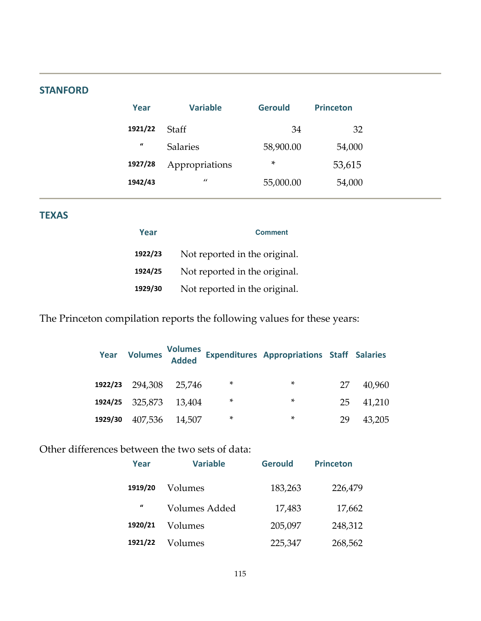#### **STANFORD**

| Year                | <b>Variable</b> | <b>Gerould</b> | <b>Princeton</b> |
|---------------------|-----------------|----------------|------------------|
| 1921/22             | Staff           | 34             | 32               |
| $\pmb{\mathcal{U}}$ | Salaries        | 58,900.00      | 54,000           |
| 1927/28             | Appropriations  | ∗              | 53,615           |
| 1942/43             | $\prime\prime$  | 55,000.00      | 54,000           |

#### **TEXAS**

| Year    | <b>Comment</b>                |
|---------|-------------------------------|
| 1922/23 | Not reported in the original. |
| 1924/25 | Not reported in the original. |
| 1929/30 | Not reported in the original. |

The Princeton compilation reports the following values for these years:

| Year    | <b>Volumes</b>         | Volumes<br>Added |        | <b>Expenditures Appropriations Staff Salaries</b> |    |        |
|---------|------------------------|------------------|--------|---------------------------------------------------|----|--------|
|         | 1922/23 294,308 25,746 |                  | *      | *                                                 | 27 | 40,960 |
|         | 1924/25 325,873 13,404 |                  | $\ast$ | *                                                 | 25 | 41,210 |
| 1929/30 | 407,536 14,507         |                  | *      | *                                                 | 29 | 43.205 |

#### Other differences between the two sets of data:

| Year                | <b>Variable</b> | <b>Gerould</b> | <b>Princeton</b> |
|---------------------|-----------------|----------------|------------------|
| 1919/20             | Volumes         | 183,263        | 226,479          |
| $\pmb{\mathcal{U}}$ | Volumes Added   | 17,483         | 17,662           |
| 1920/21             | Volumes         | 205,097        | 248,312          |
| 1921/22             | Volumes         | 225,347        | 268,562          |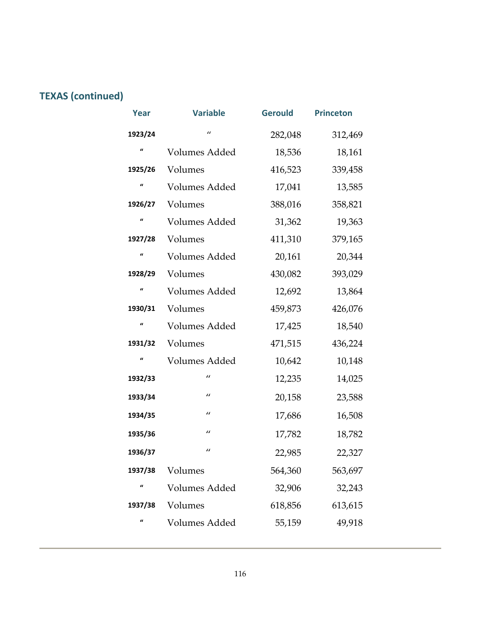# **TEXAS (continued)**

| Year                | <b>Variable</b>      | <b>Gerould</b> | <b>Princeton</b> |
|---------------------|----------------------|----------------|------------------|
| 1923/24             | $\prime$             | 282,048        | 312,469          |
| $\mathbf{u}$        | Volumes Added        | 18,536         | 18,161           |
| 1925/26             | Volumes              | 416,523        | 339,458          |
| $\pmb{\mathcal{U}}$ | Volumes Added        | 17,041         | 13,585           |
| 1926/27             | Volumes              | 388,016        | 358,821          |
| $\mathbf{u}$        | Volumes Added        | 31,362         | 19,363           |
| 1927/28             | Volumes              | 411,310        | 379,165          |
| $\boldsymbol{u}$    | Volumes Added        | 20,161         | 20,344           |
| 1928/29             | Volumes              | 430,082        | 393,029          |
| $\mathbf{u}$        | Volumes Added        | 12,692         | 13,864           |
| 1930/31             | Volumes              | 459,873        | 426,076          |
| $\mathbf{u}$        | <b>Volumes Added</b> | 17,425         | 18,540           |
| 1931/32             | Volumes              | 471,515        | 436,224          |
| $\mathbf{u}$        | Volumes Added        | 10,642         | 10,148           |
| 1932/33             | $\prime\prime$       | 12,235         | 14,025           |
| 1933/34             | $\prime\prime$       | 20,158         | 23,588           |
| 1934/35             | $\prime\prime$       | 17,686         | 16,508           |
| 1935/36             | $\prime\prime$       | 17,782         | 18,782           |
| 1936/37             | $\prime\prime$       | 22,985         | 22,327           |
| 1937/38             | Volumes              | 564,360        | 563,697          |
| $\mathbf{u}$        | Volumes Added        | 32,906         | 32,243           |
| 1937/38             | Volumes              | 618,856        | 613,615          |
| $\mathbf{u}$        | Volumes Added        | 55,159         | 49,918           |
|                     |                      |                |                  |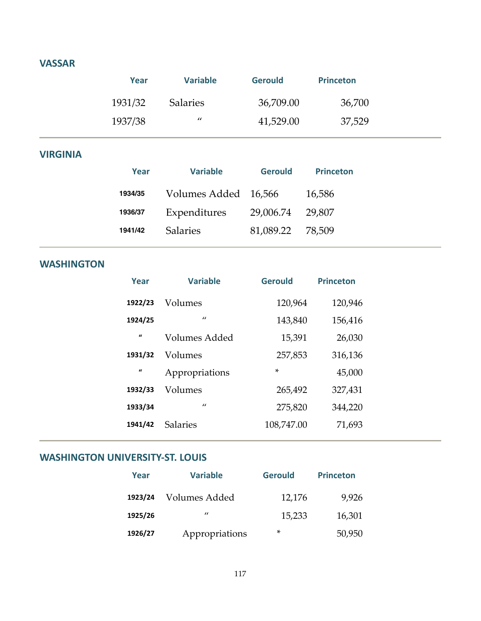#### **VASSAR**

| Year    | <b>Variable</b>   | <b>Gerould</b> | <b>Princeton</b> |  |
|---------|-------------------|----------------|------------------|--|
| 1931/32 | <b>Salaries</b>   | 36,709.00      | 36,700           |  |
| 1937/38 | $^{\prime\prime}$ | 41,529.00      | 37,529           |  |

#### **VIRGINIA**

| Year    | <b>Variable</b>      | <b>Gerould</b> | <b>Princeton</b> |
|---------|----------------------|----------------|------------------|
| 1934/35 | Volumes Added 16,566 |                | 16,586           |
| 1936/37 | Expenditures         | 29,006.74      | 29.807           |
| 1941/42 | <b>Salaries</b>      | 81,089.22      | 78.509           |

#### **WASHINGTON**

| Year         | <b>Variable</b> | <b>Gerould</b> | <b>Princeton</b> |
|--------------|-----------------|----------------|------------------|
| 1922/23      | Volumes         | 120,964        | 120,946          |
| 1924/25      | $\prime$        | 143,840        | 156,416          |
| $\mathbf{u}$ | Volumes Added   | 15,391         | 26,030           |
| 1931/32      | Volumes         | 257,853        | 316,136          |
| $\mathbf{u}$ | Appropriations  | $\star$        | 45,000           |
| 1932/33      | Volumes         | 265,492        | 327,431          |
| 1933/34      | $\prime$        | 275,820        | 344,220          |
| 1941/42      | <b>Salaries</b> | 108,747.00     | 71,693           |

#### **WASHINGTON UNIVERSITY‐ST. LOUIS**

| Year    | <b>Variable</b>   | <b>Gerould</b> | <b>Princeton</b> |
|---------|-------------------|----------------|------------------|
| 1923/24 | Volumes Added     | 12,176         | 9,926            |
| 1925/26 | $^{\prime\prime}$ | 15,233         | 16,301           |
| 1926/27 | Appropriations    | *              | 50,950           |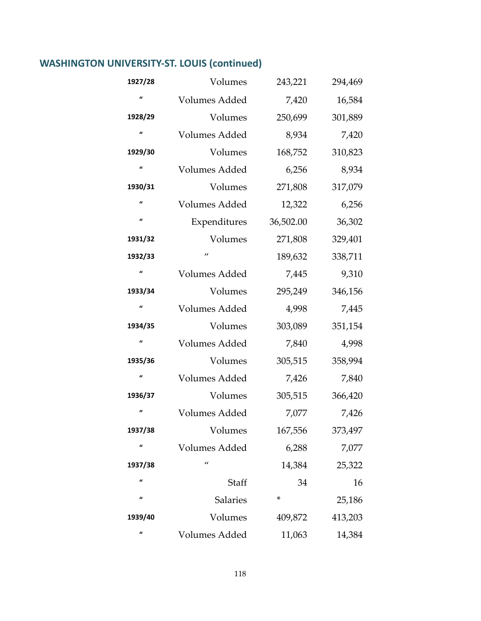# **WASHINGTON UNIVERSITY‐ST. LOUIS (continued)**

| 1927/28             | Volumes              | 243,221   | 294,469 |
|---------------------|----------------------|-----------|---------|
| $\mathbf{u}$        | Volumes Added        | 7,420     | 16,584  |
| 1928/29             | Volumes              | 250,699   | 301,889 |
| $\mathbf{u}$        | Volumes Added        | 8,934     | 7,420   |
| 1929/30             | Volumes              | 168,752   | 310,823 |
| $\pmb{\mathcal{U}}$ | Volumes Added        | 6,256     | 8,934   |
| 1930/31             | Volumes              | 271,808   | 317,079 |
| $\mathbf{u}$        | Volumes Added        | 12,322    | 6,256   |
| $\pmb{\mathcal{U}}$ | Expenditures         | 36,502.00 | 36,302  |
| 1931/32             | Volumes              | 271,808   | 329,401 |
| 1932/33             | $\prime$             | 189,632   | 338,711 |
| $\mathbf{u}$        | Volumes Added        | 7,445     | 9,310   |
| 1933/34             | Volumes              | 295,249   | 346,156 |
| $\mathbf{u}$        | Volumes Added        | 4,998     | 7,445   |
| 1934/35             | Volumes              | 303,089   | 351,154 |
| $\pmb{\mathcal{U}}$ | Volumes Added        | 7,840     | 4,998   |
| 1935/36             | Volumes              | 305,515   | 358,994 |
| $\mathbf{u}$        | Volumes Added        | 7,426     | 7,840   |
| 1936/37             | Volumes              | 305,515   | 366,420 |
| $\mathbf{u}$        | Volumes Added        | 7,077     | 7,426   |
| 1937/38             | Volumes              | 167,556   | 373,497 |
| $\boldsymbol{a}$    | <b>Volumes Added</b> | 6,288     | 7,077   |
| 1937/38             | $\prime\prime$       | 14,384    | 25,322  |
| $\iota$             | Staff                | 34        | 16      |
| $\boldsymbol{a}$    | Salaries             | ×         | 25,186  |
| 1939/40             | Volumes              | 409,872   | 413,203 |
| $\mathbf{u}$        | Volumes Added        | 11,063    | 14,384  |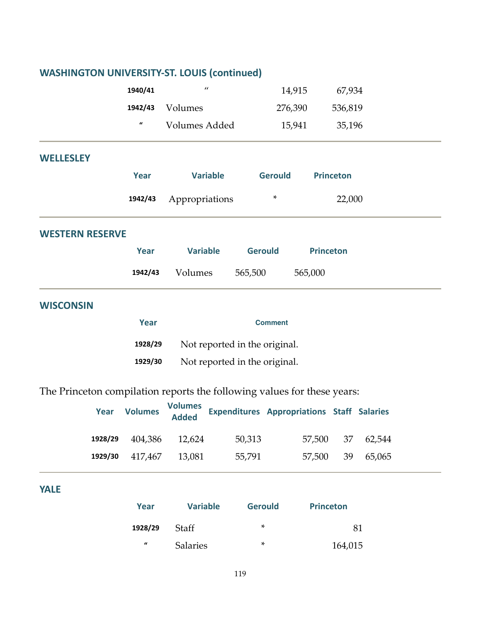| <b>WASHINGTON UNIVERSITY-ST. LOUIS (continued)</b>                      |                     |                                |                                                   |                  |        |
|-------------------------------------------------------------------------|---------------------|--------------------------------|---------------------------------------------------|------------------|--------|
|                                                                         | 1940/41             | $\prime\prime$                 | 14,915                                            | 67,934           |        |
|                                                                         | 1942/43             | Volumes                        | 276,390                                           | 536,819          |        |
|                                                                         | $\pmb{\mathcal{U}}$ | Volumes Added                  | 15,941                                            | 35,196           |        |
| <b>WELLESLEY</b>                                                        |                     |                                |                                                   |                  |        |
|                                                                         | <b>Year</b>         | <b>Variable</b>                | <b>Gerould</b>                                    | <b>Princeton</b> |        |
|                                                                         | 1942/43             | Appropriations                 | *                                                 | 22,000           |        |
| <b>WESTERN RESERVE</b>                                                  |                     |                                |                                                   |                  |        |
|                                                                         | <b>Year</b>         | <b>Variable</b>                | <b>Gerould</b>                                    | <b>Princeton</b> |        |
|                                                                         | 1942/43             | Volumes                        | 565,500                                           | 565,000          |        |
| <b>WISCONSIN</b>                                                        |                     |                                |                                                   |                  |        |
|                                                                         | Year                |                                | <b>Comment</b>                                    |                  |        |
|                                                                         | 1928/29             |                                | Not reported in the original.                     |                  |        |
|                                                                         | 1929/30             |                                | Not reported in the original.                     |                  |        |
| The Princeton compilation reports the following values for these years: |                     |                                |                                                   |                  |        |
| Year                                                                    | <b>Volumes</b>      | <b>Volumes</b><br><b>Added</b> | <b>Expenditures Appropriations Staff Salaries</b> |                  |        |
| 1928/29                                                                 | 404,386             | 12,624                         | 50,313                                            | 37<br>57,500     | 62,544 |
| 1929/30                                                                 | 417,467             | 13,081                         | 55,791                                            | 57,500<br>39     | 65,065 |
|                                                                         |                     |                                |                                                   |                  |        |

**YALE**

| Year             | <b>Variable</b> | <b>Gerould</b> | <b>Princeton</b> |
|------------------|-----------------|----------------|------------------|
| 1928/29          | Staff           | ×              | 81               |
| $\boldsymbol{u}$ | <b>Salaries</b> | ×              | 164,015          |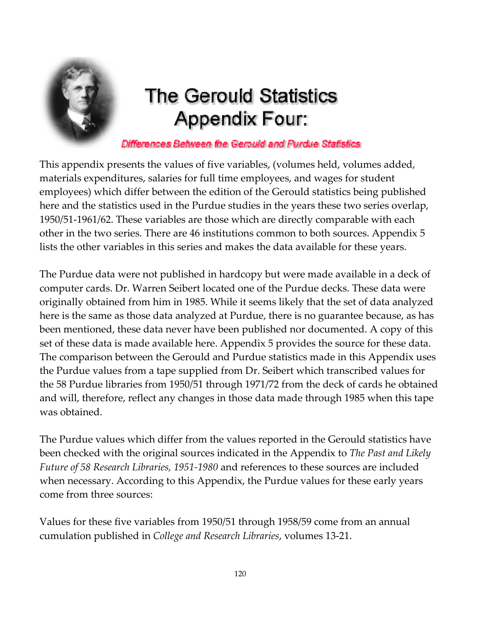

# **The Gerould Statistics Appendix Four:**

Differences Between the Gerould and Purdue Statistics

This appendix presents the values of five variables, (volumes held, volumes added, materials expenditures, salaries for full time employees, and wages for student employees) which differ between the edition of the Gerould statistics being published here and the statistics used in the Purdue studies in the years these two series overlap, 1950/51‐1961/62. These variables are those which are directly comparable with each other in the two series. There are 46 institutions common to both sources. Appendix 5 lists the other variables in this series and makes the data available for these years.

The Purdue data were not published in hardcopy but were made available in a deck of computer cards. Dr. Warren Seibert located one of the Purdue decks. These data were originally obtained from him in 1985. While it seems likely that the set of data analyzed here is the same as those data analyzed at Purdue, there is no guarantee because, as has been mentioned, these data never have been published nor documented. A copy of this set of these data is made available here. Appendix 5 provides the source for these data. The comparison between the Gerould and Purdue statistics made in this Appendix uses the Purdue values from a tape supplied from Dr. Seibert which transcribed values for the 58 Purdue libraries from 1950/51 through 1971/72 from the deck of cards he obtained and will, therefore, reflect any changes in those data made through 1985 when this tape was obtained.

The Purdue values which differ from the values reported in the Gerould statistics have been checked with the original sources indicated in the Appendix to *The Past and Likely Future of 58 Research Libraries, 1951‐1980* and references to these sources are included when necessary. According to this Appendix, the Purdue values for these early years come from three sources:

Values for these five variables from 1950/51 through 1958/59 come from an annual cumulation published in *College and Research Libraries*, volumes 13‐21.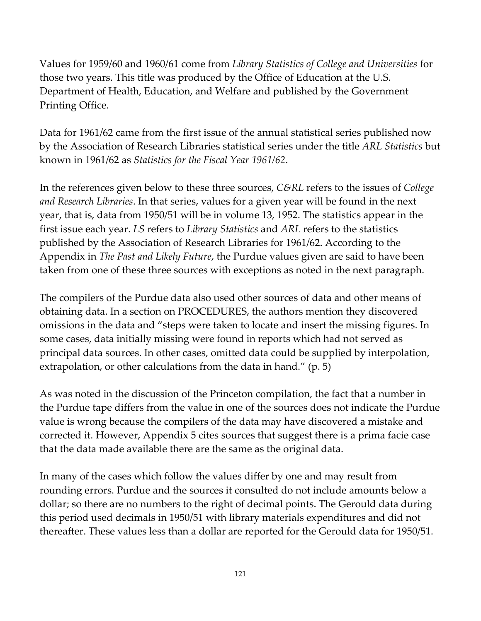Values for 1959/60 and 1960/61 come from *Library Statistics of College and Universities* for those two years. This title was produced by the Office of Education at the U.S. Department of Health, Education, and Welfare and published by the Government Printing Office.

Data for 1961/62 came from the first issue of the annual statistical series published now by the Association of Research Libraries statistical series under the title *ARL Statistics* but known in 1961/62 as *Statistics for the Fiscal Year 1961/62*.

In the references given below to these three sources, *C&RL* refers to the issues of *College and Research Libraries*. In that series, values for a given year will be found in the next year, that is, data from 1950/51 will be in volume 13, 1952. The statistics appear in the first issue each year. *LS* refers to *Library Statistics* and *ARL* refers to the statistics published by the Association of Research Libraries for 1961/62. According to the Appendix in *The Past and Likely Future*, the Purdue values given are said to have been taken from one of these three sources with exceptions as noted in the next paragraph.

The compilers of the Purdue data also used other sources of data and other means of obtaining data. In a section on PROCEDURES, the authors mention they discovered omissions in the data and "steps were taken to locate and insert the missing figures. In some cases, data initially missing were found in reports which had not served as principal data sources. In other cases, omitted data could be supplied by interpolation, extrapolation, or other calculations from the data in hand." (p. 5)

As was noted in the discussion of the Princeton compilation, the fact that a number in the Purdue tape differs from the value in one of the sources does not indicate the Purdue value is wrong because the compilers of the data may have discovered a mistake and corrected it. However, Appendix 5 cites sources that suggest there is a prima facie case that the data made available there are the same as the original data.

In many of the cases which follow the values differ by one and may result from rounding errors. Purdue and the sources it consulted do not include amounts below a dollar; so there are no numbers to the right of decimal points. The Gerould data during this period used decimals in 1950/51 with library materials expenditures and did not thereafter. These values less than a dollar are reported for the Gerould data for 1950/51.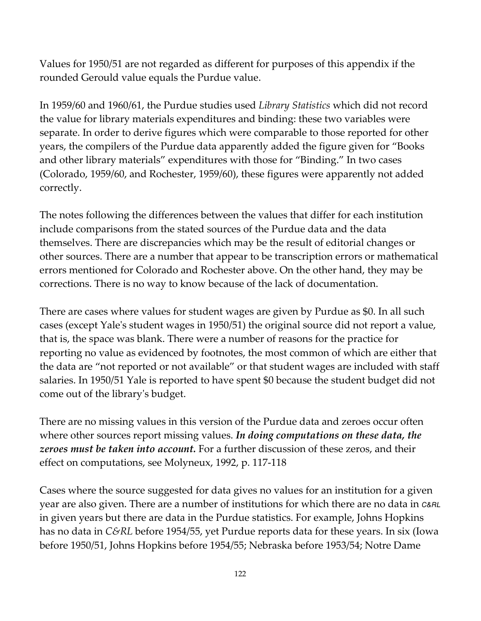Values for 1950/51 are not regarded as different for purposes of this appendix if the rounded Gerould value equals the Purdue value.

In 1959/60 and 1960/61, the Purdue studies used *Library Statistics* which did not record the value for library materials expenditures and binding: these two variables were separate. In order to derive figures which were comparable to those reported for other years, the compilers of the Purdue data apparently added the figure given for "Books and other library materials" expenditures with those for "Binding." In two cases (Colorado, 1959/60, and Rochester, 1959/60), these figures were apparently not added correctly.

The notes following the differences between the values that differ for each institution include comparisons from the stated sources of the Purdue data and the data themselves. There are discrepancies which may be the result of editorial changes or other sources. There are a number that appear to be transcription errors or mathematical errors mentioned for Colorado and Rochester above. On the other hand, they may be corrections. There is no way to know because of the lack of documentation.

There are cases where values for student wages are given by Purdue as \$0. In all such cases (except Yaleʹs student wages in 1950/51) the original source did not report a value, that is, the space was blank. There were a number of reasons for the practice for reporting no value as evidenced by footnotes, the most common of which are either that the data are "not reported or not available" or that student wages are included with staff salaries. In 1950/51 Yale is reported to have spent \$0 because the student budget did not come out of the libraryʹs budget.

There are no missing values in this version of the Purdue data and zeroes occur often where other sources report missing values. *In doing computations on these data, the zeroes must be taken into account.* For a further discussion of these zeros, and their effect on computations, see Molyneux, 1992, p. 117‐118

Cases where the source suggested for data gives no values for an institution for a given year are also given. There are a number of institutions for which there are no data in C&RL in given years but there are data in the Purdue statistics. For example, Johns Hopkins has no data in *C&RL* before 1954/55, yet Purdue reports data for these years. In six (Iowa before 1950/51, Johns Hopkins before 1954/55; Nebraska before 1953/54; Notre Dame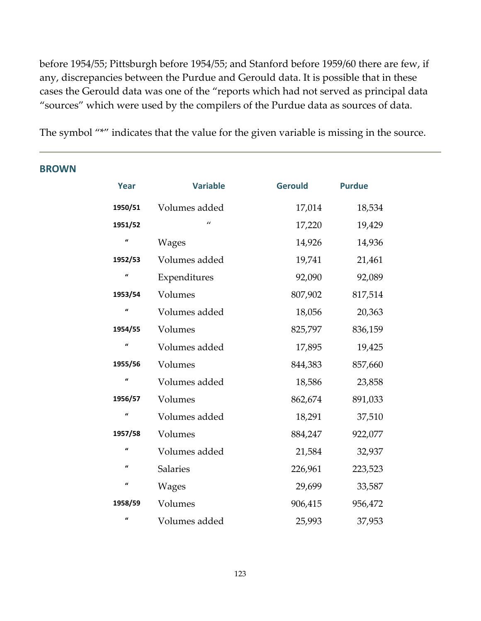before 1954/55; Pittsburgh before 1954/55; and Stanford before 1959/60 there are few, if any, discrepancies between the Purdue and Gerould data. It is possible that in these cases the Gerould data was one of the "reports which had not served as principal data "sources" which were used by the compilers of the Purdue data as sources of data.

The symbol "\*" indicates that the value for the given variable is missing in the source.

| <b>{UWN</b> |                     |                 |                |               |  |
|-------------|---------------------|-----------------|----------------|---------------|--|
|             | Year                | <b>Variable</b> | <b>Gerould</b> | <b>Purdue</b> |  |
|             | 1950/51             | Volumes added   | 17,014         | 18,534        |  |
|             | 1951/52             | $\prime\prime$  | 17,220         | 19,429        |  |
|             | $\boldsymbol{u}$    | <b>Wages</b>    | 14,926         | 14,936        |  |
|             | 1952/53             | Volumes added   | 19,741         | 21,461        |  |
|             | $\boldsymbol{u}$    | Expenditures    | 92,090         | 92,089        |  |
|             | 1953/54             | Volumes         | 807,902        | 817,514       |  |
|             | $\boldsymbol{u}$    | Volumes added   | 18,056         | 20,363        |  |
|             | 1954/55             | Volumes         | 825,797        | 836,159       |  |
|             | $\pmb{\mathcal{U}}$ | Volumes added   | 17,895         | 19,425        |  |
|             | 1955/56             | Volumes         | 844,383        | 857,660       |  |
|             | $\pmb{\mathcal{U}}$ | Volumes added   | 18,586         | 23,858        |  |
|             | 1956/57             | Volumes         | 862,674        | 891,033       |  |
|             | $\pmb{\mathcal{U}}$ | Volumes added   | 18,291         | 37,510        |  |
|             | 1957/58             | Volumes         | 884,247        | 922,077       |  |
|             | $\pmb{\mathcal{U}}$ | Volumes added   | 21,584         | 32,937        |  |
|             | $\pmb{\mathcal{U}}$ | Salaries        | 226,961        | 223,523       |  |
|             | $\pmb{\mathcal{U}}$ | <b>Wages</b>    | 29,699         | 33,587        |  |
|             | 1958/59             | Volumes         | 906,415        | 956,472       |  |
|             | $\pmb{\mathcal{U}}$ | Volumes added   | 25,993         | 37,953        |  |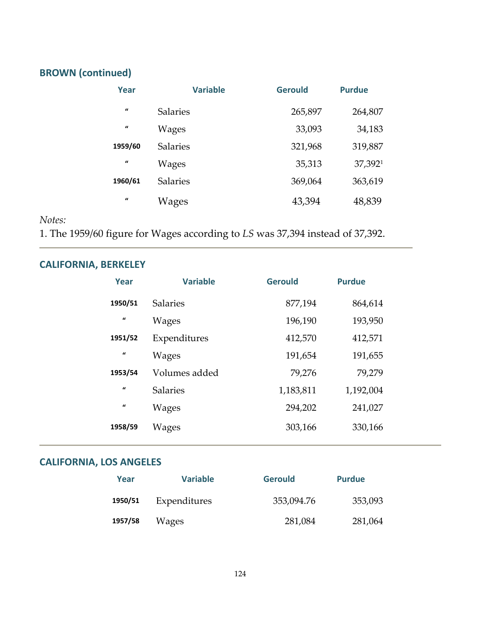# **BROWN (continued)**

| Year             | <b>Variable</b> | <b>Gerould</b> | <b>Purdue</b> |
|------------------|-----------------|----------------|---------------|
| $\boldsymbol{u}$ | <b>Salaries</b> | 265,897        | 264,807       |
| $\boldsymbol{u}$ | Wages           | 33,093         | 34,183        |
| 1959/60          | <b>Salaries</b> | 321,968        | 319,887       |
| $\boldsymbol{u}$ | Wages           | 35,313         | 37,3921       |
| 1960/61          | <b>Salaries</b> | 369,064        | 363,619       |
| $\mathbf{u}$     | Wages           | 43,394         | 48,839        |

#### *Notes:*

1. The 1959/60 figure for Wages according to *LS* was 37,394 instead of 37,392.

# **CALIFORNIA, BERKELEY**

| Year             | <b>Variable</b> | <b>Gerould</b> | <b>Purdue</b> |
|------------------|-----------------|----------------|---------------|
| 1950/51          | <b>Salaries</b> | 877,194        | 864,614       |
| $\mathbf{u}$     | Wages           | 196,190        | 193,950       |
| 1951/52          | Expenditures    | 412,570        | 412,571       |
| $\mathbf{u}$     | Wages           | 191,654        | 191,655       |
| 1953/54          | Volumes added   | 79,276         | 79,279        |
| $\mathbf{u}$     | <b>Salaries</b> | 1,183,811      | 1,192,004     |
| $\boldsymbol{u}$ | <b>Wages</b>    | 294,202        | 241,027       |
| 1958/59          | Wages           | 303,166        | 330,166       |

# **CALIFORNIA, LOS ANGELES**

| Year    | <b>Variable</b> | <b>Gerould</b> | <b>Purdue</b> |
|---------|-----------------|----------------|---------------|
| 1950/51 | Expenditures    | 353,094.76     | 353,093       |
| 1957/58 | Wages           | 281,084        | 281,064       |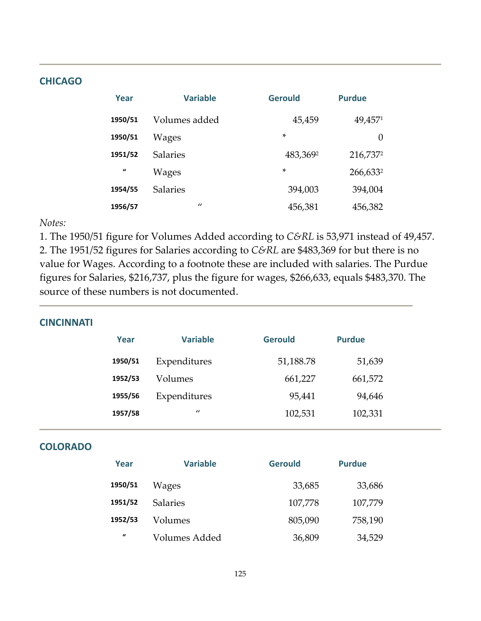#### **CHICAGO**

| Year         | <b>Variable</b> | <b>Gerould</b> | <b>Purdue</b> |
|--------------|-----------------|----------------|---------------|
| 1950/51      | Volumes added   | 45,459         | 49,4571       |
| 1950/51      | Wages           | $\ast$         | 0             |
| 1951/52      | <b>Salaries</b> | 483,3692       | 216,7372      |
| $\mathbf{u}$ | Wages           | $\ast$         | 266,6332      |
| 1954/55      | <b>Salaries</b> | 394,003        | 394,004       |
| 1956/57      | $\prime\prime$  | 456,381        | 456,382       |

*Notes:*

1. The 1950/51 figure for Volumes Added according to *C&RL* is 53,971 instead of 49,457.

2. The 1951/52 figures for Salaries according to *C&RL* are \$483,369 for but there is no value for Wages. According to a footnote these are included with salaries. The Purdue figures for Salaries, \$216,737, plus the figure for wages, \$266,633, equals \$483,370. The source of these numbers is not documented.

#### **CINCINNATI**

| <b>Variable</b> | <b>Gerould</b> | <b>Purdue</b> |  |
|-----------------|----------------|---------------|--|
| Expenditures    | 51,188.78      | 51,639        |  |
| Volumes         | 661,227        | 661,572       |  |
| Expenditures    | 95,441         | 94,646        |  |
| $\prime$        | 102,531        | 102,331       |  |
|                 |                |               |  |

#### **COLORADO**

| Year    | <b>Variable</b> | <b>Gerould</b> | <b>Purdue</b> |
|---------|-----------------|----------------|---------------|
| 1950/51 | Wages           | 33,685         | 33,686        |
| 1951/52 | <b>Salaries</b> | 107,778        | 107,779       |
| 1952/53 | Volumes         | 805,090        | 758,190       |
| $\iota$ | Volumes Added   | 36,809         | 34,529        |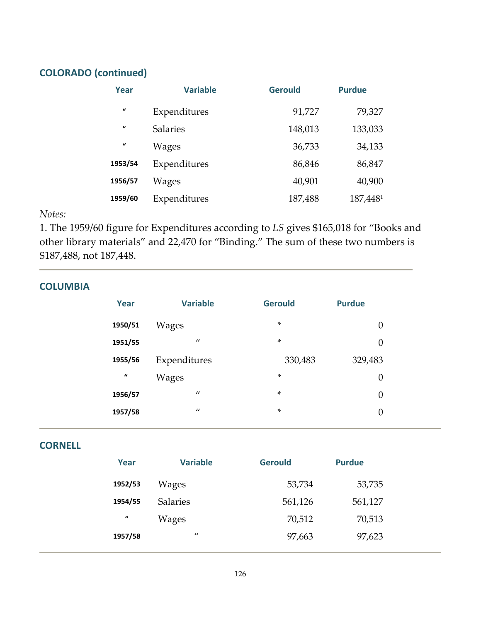#### **COLORADO (continued)**

| Year                | <b>Variable</b> | <b>Gerould</b> | <b>Purdue</b> |
|---------------------|-----------------|----------------|---------------|
| $\pmb{\mathcal{U}}$ | Expenditures    | 91,727         | 79,327        |
| $\mathbf{u}$        | <b>Salaries</b> | 148,013        | 133,033       |
| $\mathbf{u}$        | Wages           | 36,733         | 34,133        |
| 1953/54             | Expenditures    | 86,846         | 86,847        |
| 1956/57             | Wages           | 40,901         | 40,900        |
| 1959/60             | Expenditures    | 187,488        | 187,4481      |

#### *Notes:*

1. The 1959/60 figure for Expenditures according to *LS* gives \$165,018 for "Books and other library materials" and 22,470 for "Binding." The sum of these two numbers is \$187,488, not 187,448.

| <b>COLUMBIA</b>     |                 |                |                  |  |
|---------------------|-----------------|----------------|------------------|--|
| Year                | <b>Variable</b> | <b>Gerould</b> | <b>Purdue</b>    |  |
| 1950/51             | <b>Wages</b>    | $\ast$         | $\boldsymbol{0}$ |  |
| 1951/55             | $\prime\prime$  | $\star$        | $\theta$         |  |
| 1955/56             | Expenditures    | 330,483        | 329,483          |  |
| $\pmb{\mathcal{U}}$ | <b>Wages</b>    | $\star$        | $\boldsymbol{0}$ |  |
| 1956/57             | $\prime\prime$  | $\ast$         | $\boldsymbol{0}$ |  |
| 1957/58             | $\prime\prime$  | $\ast$         | $\boldsymbol{0}$ |  |

#### **CORNELL**

| Year             | <b>Variable</b> | <b>Gerould</b> | <b>Purdue</b> |
|------------------|-----------------|----------------|---------------|
| 1952/53          | Wages           | 53,734         | 53,735        |
| 1954/55          | <b>Salaries</b> | 561,126        | 561,127       |
| $\boldsymbol{u}$ | Wages           | 70,512         | 70,513        |
| 1957/58          | $\prime\prime$  | 97,663         | 97,623        |
|                  |                 |                |               |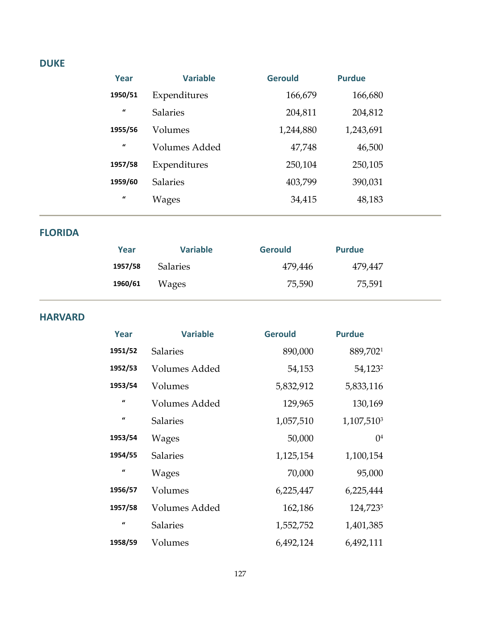#### **DUKE**

| Year             | <b>Variable</b> | <b>Gerould</b> | <b>Purdue</b> |  |
|------------------|-----------------|----------------|---------------|--|
| 1950/51          | Expenditures    | 166,679        | 166,680       |  |
| $\mathbf{u}$     | <b>Salaries</b> | 204,811        | 204,812       |  |
| 1955/56          | Volumes         | 1,244,880      | 1,243,691     |  |
| $\boldsymbol{u}$ | Volumes Added   | 47,748         | 46,500        |  |
| 1957/58          | Expenditures    | 250,104        | 250,105       |  |
| 1959/60          | <b>Salaries</b> | 403,799        | 390,031       |  |
| $\mathbf{u}$     | Wages           | 34,415         | 48,183        |  |
|                  |                 |                |               |  |

#### **FLORIDA**

| Year    | <b>Variable</b> | <b>Gerould</b> | <b>Purdue</b> |  |
|---------|-----------------|----------------|---------------|--|
| 1957/58 | <b>Salaries</b> | 479,446        | 479,447       |  |
| 1960/61 | Wages           | 75,590         | 75,591        |  |

#### **HARVARD**

| Year         | <b>Variable</b> | <b>Gerould</b> | <b>Purdue</b>          |
|--------------|-----------------|----------------|------------------------|
| 1951/52      | <b>Salaries</b> | 890,000        | 889,7021               |
| 1952/53      | Volumes Added   | 54,153         | 54,123 <sup>2</sup>    |
| 1953/54      | Volumes         | 5,832,912      | 5,833,116              |
| $\mathbf{u}$ | Volumes Added   | 129,965        | 130,169                |
| $\mathbf{u}$ | <b>Salaries</b> | 1,057,510      | 1,107,510 <sup>3</sup> |
| 1953/54      | <b>Wages</b>    | 50,000         | 0 <sup>4</sup>         |
| 1954/55      | <b>Salaries</b> | 1,125,154      | 1,100,154              |
| $\mathbf{u}$ | <b>Wages</b>    | 70,000         | 95,000                 |
| 1956/57      | Volumes         | 6,225,447      | 6,225,444              |
| 1957/58      | Volumes Added   | 162,186        | 124,7235               |
| $\epsilon$   | <b>Salaries</b> | 1,552,752      | 1,401,385              |
| 1958/59      | Volumes         | 6,492,124      | 6,492,111              |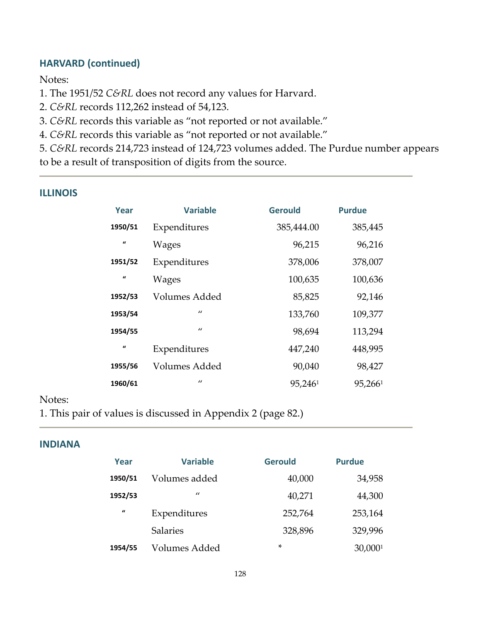#### **HARVARD (continued)**

Notes:

1. The 1951/52 *C&RL* does not record any values for Harvard.

2. *C&RL* records 112,262 instead of 54,123.

3. *C&RL* records this variable as "not reported or not available."

4. *C&RL* records this variable as "not reported or not available."

5. *C&RL* records 214,723 instead of 124,723 volumes added. The Purdue number appears to be a result of transposition of digits from the source.

#### **ILLINOIS**

| Year         | <b>Variable</b> | <b>Gerould</b> | <b>Purdue</b>       |
|--------------|-----------------|----------------|---------------------|
| 1950/51      | Expenditures    | 385,444.00     | 385,445             |
| $\bf{u}$     | <b>Wages</b>    | 96,215         | 96,216              |
| 1951/52      | Expenditures    | 378,006        | 378,007             |
| $\mathbf{u}$ | Wages           | 100,635        | 100,636             |
| 1952/53      | Volumes Added   | 85,825         | 92,146              |
| 1953/54      | $\prime$        | 133,760        | 109,377             |
| 1954/55      | $\prime$        | 98,694         | 113,294             |
| $\bf{u}$     | Expenditures    | 447,240        | 448,995             |
| 1955/56      | Volumes Added   | 90,040         | 98,427              |
| 1960/61      | $\prime$        | 95,2461        | 95,266 <sup>1</sup> |

#### Notes:

1. This pair of values is discussed in Appendix 2 (page 82.)

#### **INDIANA**

| Year    | <b>Variable</b> | <b>Gerould</b> | <b>Purdue</b> |  |
|---------|-----------------|----------------|---------------|--|
| 1950/51 | Volumes added   | 40,000         | 34,958        |  |
| 1952/53 | $\prime$        | 40,271         | 44,300        |  |
| $\iota$ | Expenditures    | 252,764        | 253,164       |  |
|         | <b>Salaries</b> | 328,896        | 329,996       |  |
| 1954/55 | Volumes Added   | *              | 30,0001       |  |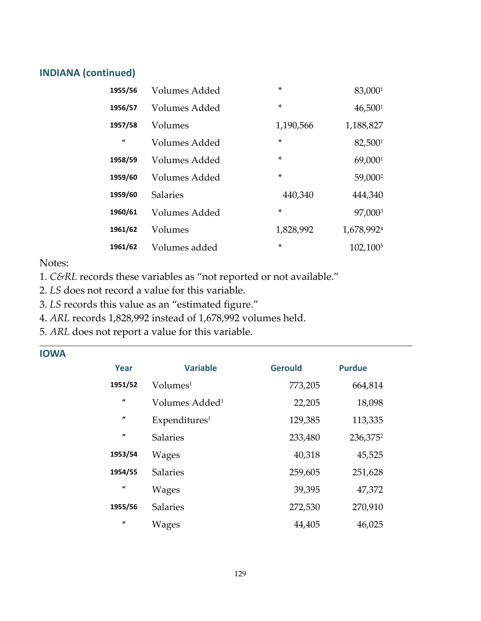#### **INDIANA (continued)**

| 1955/56      | Volumes Added   | *         | 83,0001                |
|--------------|-----------------|-----------|------------------------|
| 1956/57      | Volumes Added   | *         | 46,500 <sup>1</sup>    |
| 1957/58      | Volumes         | 1,190,566 | 1,188,827              |
| $\mathbf{u}$ | Volumes Added   | $\ast$    | 82,5001                |
| 1958/59      | Volumes Added   | $\ast$    | 69,0001                |
| 1959/60      | Volumes Added   | *         | 59,000 <sup>2</sup>    |
| 1959/60      | <b>Salaries</b> | 440,340   | 444,340                |
| 1960/61      | Volumes Added   | $\ast$    | 97,0003                |
| 1961/62      | Volumes         | 1,828,992 | 1,678,992 <sup>4</sup> |
| 1961/62      | Volumes added   | $\ast$    | 102,100 <sup>5</sup>   |

#### Notes:

1. *C&RL* records these variables as "not reported or not available."

- 2. *LS* does not record a value for this variable.
- 3. *LS* records this value as an "estimated figure."
- 4. *ARL* records 1,828,992 instead of 1,678,992 volumes held.
- 5. *ARL* does not report a value for this variable.

| Year         | <b>Variable</b>            | <b>Gerould</b> | <b>Purdue</b>        |
|--------------|----------------------------|----------------|----------------------|
| 1951/52      | Volume <sup>1</sup>        | 773,205        | 664,814              |
| $\mathbf{u}$ | Volumes Added <sup>1</sup> | 22,205         | 18,098               |
| $\mathbf{u}$ | Expenditures <sup>1</sup>  | 129,385        | 113,335              |
| $\mathbf{u}$ | <b>Salaries</b>            | 233,480        | 236,375 <sup>2</sup> |
| 1953/54      | Wages                      | 40,318         | 45,525               |
| 1954/55      | <b>Salaries</b>            | 259,605        | 251,628              |
| $\mathbf{u}$ | Wages                      | 39,395         | 47,372               |
| 1955/56      | <b>Salaries</b>            | 272,530        | 270,910              |
| $\mathbf{u}$ | Wages                      | 44,405         | 46,025               |

#### **IOWA**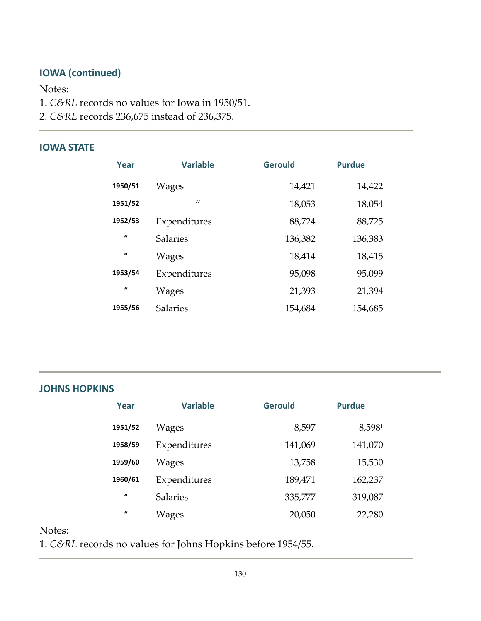# **IOWA (continued)**

Notes:

- 1. *C&RL* records no values for Iowa in 1950/51.
- 2. *C&RL* records 236,675 instead of 236,375.

#### **IOWA STATE**

| Year             | <b>Variable</b> | <b>Gerould</b> | <b>Purdue</b> |
|------------------|-----------------|----------------|---------------|
| 1950/51          | Wages           | 14,421         | 14,422        |
| 1951/52          | $\prime$        | 18,053         | 18,054        |
| 1952/53          | Expenditures    | 88,724         | 88,725        |
| $\boldsymbol{u}$ | <b>Salaries</b> | 136,382        | 136,383       |
| $\boldsymbol{u}$ | <b>Wages</b>    | 18,414         | 18,415        |
| 1953/54          | Expenditures    | 95,098         | 95,099        |
| $\mathbf{u}$     | Wages           | 21,393         | 21,394        |
| 1955/56          | <b>Salaries</b> | 154,684        | 154,685       |

#### **JOHNS HOPKINS**

| Year         | <b>Variable</b> | <b>Gerould</b> | <b>Purdue</b> |
|--------------|-----------------|----------------|---------------|
| 1951/52      | Wages           | 8,597          | 8,5981        |
| 1958/59      | Expenditures    | 141,069        | 141,070       |
| 1959/60      | Wages           | 13,758         | 15,530        |
| 1960/61      | Expenditures    | 189,471        | 162,237       |
| $\mathbf{u}$ | <b>Salaries</b> | 335,777        | 319,087       |
| $\mathbf{u}$ | Wages           | 20,050         | 22,280        |

Notes:

1. *C&RL* records no values for Johns Hopkins before 1954/55.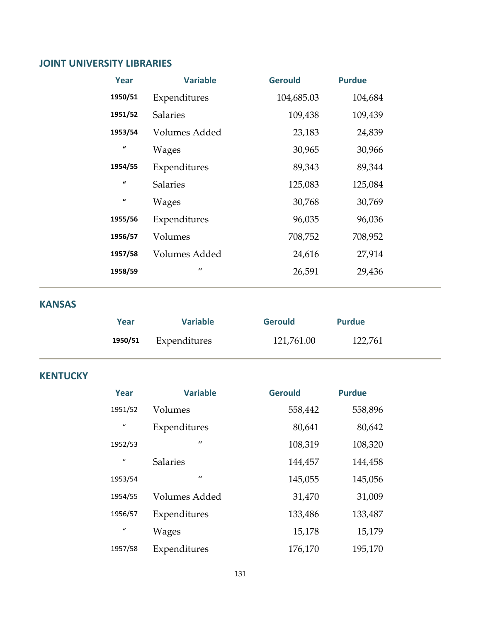#### **JOINT UNIVERSITY LIBRARIES**

| Year               | <b>Variable</b>      | <b>Gerould</b> | <b>Purdue</b> |
|--------------------|----------------------|----------------|---------------|
| 1950/51            | Expenditures         | 104,685.03     | 104,684       |
| 1951/52            | <b>Salaries</b>      | 109,438        | 109,439       |
| 1953/54            | Volumes Added        | 23,183         | 24,839        |
| $\mathbf{u}$       | <b>Wages</b>         | 30,965         | 30,966        |
| 1954/55            | Expenditures         | 89,343         | 89,344        |
| $\boldsymbol{\mu}$ | <b>Salaries</b>      | 125,083        | 125,084       |
| $\boldsymbol{u}$   | <b>Wages</b>         | 30,768         | 30,769        |
| 1955/56            | Expenditures         | 96,035         | 96,036        |
| 1956/57            | Volumes              | 708,752        | 708,952       |
| 1957/58            | <b>Volumes Added</b> | 24,616         | 27,914        |
| 1958/59            | $\prime\prime$       | 26,591         | 29,436        |

#### **KANSAS**

| Year    | <b>Variable</b> | <b>Gerould</b> | <b>Purdue</b> |
|---------|-----------------|----------------|---------------|
| 1950/51 | Expenditures    | 121,761.00     | 122,761       |

#### **KENTUCKY**

| Year             | <b>Variable</b> | <b>Gerould</b> | <b>Purdue</b> |
|------------------|-----------------|----------------|---------------|
| 1951/52          | Volumes         | 558,442        | 558,896       |
| $\mathbf{u}$     | Expenditures    | 80,641         | 80,642        |
| 1952/53          | $\prime$        | 108,319        | 108,320       |
| $\boldsymbol{u}$ | <b>Salaries</b> | 144,457        | 144,458       |
| 1953/54          | $\prime$        | 145,055        | 145,056       |
| 1954/55          | Volumes Added   | 31,470         | 31,009        |
| 1956/57          | Expenditures    | 133,486        | 133,487       |
| $\mathcal{U}$    | <b>Wages</b>    | 15,178         | 15,179        |
| 1957/58          | Expenditures    | 176,170        | 195,170       |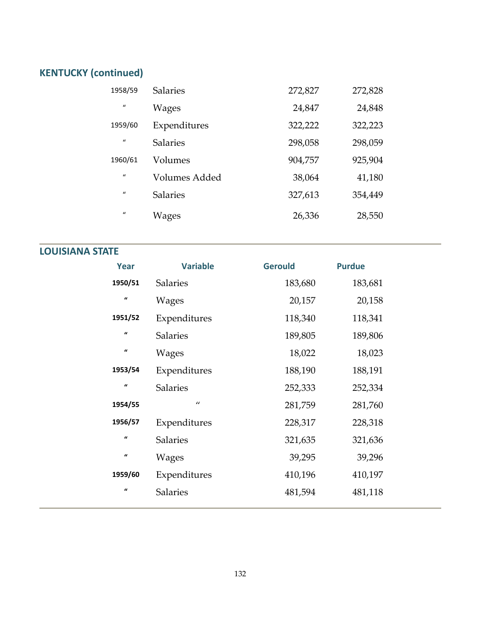# **KENTUCKY (continued)**

| 1958/59      | <b>Salaries</b> | 272,827 | 272,828 |
|--------------|-----------------|---------|---------|
| $\mathbf{u}$ | Wages           | 24,847  | 24,848  |
| 1959/60      | Expenditures    | 322,222 | 322,223 |
| $\iota$      | <b>Salaries</b> | 298,058 | 298,059 |
| 1960/61      | Volumes         | 904,757 | 925,904 |
| $\mathbf{u}$ | Volumes Added   | 38,064  | 41,180  |
| $\mathbf{u}$ | <b>Salaries</b> | 327,613 | 354,449 |
| $\mathbf{u}$ | Wages           | 26,336  | 28,550  |

#### **LOUISIANA STATE**

| Year                | <b>Variable</b> | <b>Gerould</b> | <b>Purdue</b> |
|---------------------|-----------------|----------------|---------------|
| 1950/51             | <b>Salaries</b> | 183,680        | 183,681       |
| $\pmb{\mathcal{U}}$ | Wages           | 20,157         | 20,158        |
| 1951/52             | Expenditures    | 118,340        | 118,341       |
| $\pmb{\mathcal{U}}$ | <b>Salaries</b> | 189,805        | 189,806       |
| $\pmb{\mathcal{U}}$ | <b>Wages</b>    | 18,022         | 18,023        |
| 1953/54             | Expenditures    | 188,190        | 188,191       |
| $\pmb{\mathcal{U}}$ | <b>Salaries</b> | 252,333        | 252,334       |
| 1954/55             | $\prime\prime$  | 281,759        | 281,760       |
| 1956/57             | Expenditures    | 228,317        | 228,318       |
| $\pmb{\mathcal{U}}$ | <b>Salaries</b> | 321,635        | 321,636       |
| $\pmb{\mathcal{U}}$ | Wages           | 39,295         | 39,296        |
| 1959/60             | Expenditures    | 410,196        | 410,197       |
| $\pmb{\mathcal{U}}$ | Salaries        | 481,594        | 481,118       |
|                     |                 |                |               |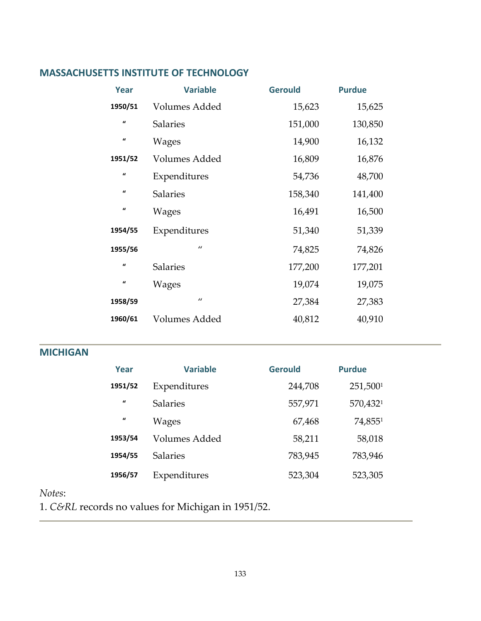#### **MASSACHUSETTS INSTITUTE OF TECHNOLOGY**

| Year                | <b>Variable</b>      | <b>Gerould</b> | <b>Purdue</b> |
|---------------------|----------------------|----------------|---------------|
| 1950/51             | <b>Volumes Added</b> | 15,623         | 15,625        |
| $\pmb{\mathcal{U}}$ | <b>Salaries</b>      | 151,000        | 130,850       |
| $\iota$             | Wages                | 14,900         | 16,132        |
| 1951/52             | <b>Volumes Added</b> | 16,809         | 16,876        |
| $\pmb{\mathcal{U}}$ | Expenditures         | 54,736         | 48,700        |
| $\pmb{\mathcal{U}}$ | <b>Salaries</b>      | 158,340        | 141,400       |
| $\iota$             | Wages                | 16,491         | 16,500        |
| 1954/55             | Expenditures         | 51,340         | 51,339        |
| 1955/56             | $\prime$             | 74,825         | 74,826        |
| $\mathbf{u}$        | <b>Salaries</b>      | 177,200        | 177,201       |
| $\iota$             | Wages                | 19,074         | 19,075        |
| 1958/59             | $\prime\prime$       | 27,384         | 27,383        |
| 1960/61             | Volumes Added        | 40,812         | 40,910        |

#### **MICHIGAN**

| Year         | <b>Variable</b> | <b>Gerould</b> | <b>Purdue</b> |
|--------------|-----------------|----------------|---------------|
| 1951/52      | Expenditures    | 244,708        | 251,5001      |
| $\mathbf{u}$ | <b>Salaries</b> | 557,971        | 570,4321      |
| $\mathbf{u}$ | <b>Wages</b>    | 67,468         | 74,8551       |
| 1953/54      | Volumes Added   | 58,211         | 58,018        |
| 1954/55      | <b>Salaries</b> | 783,945        | 783,946       |
| 1956/57      | Expenditures    | 523,304        | 523,305       |

#### *Notes*:

1. *C&RL* records no values for Michigan in 1951/52.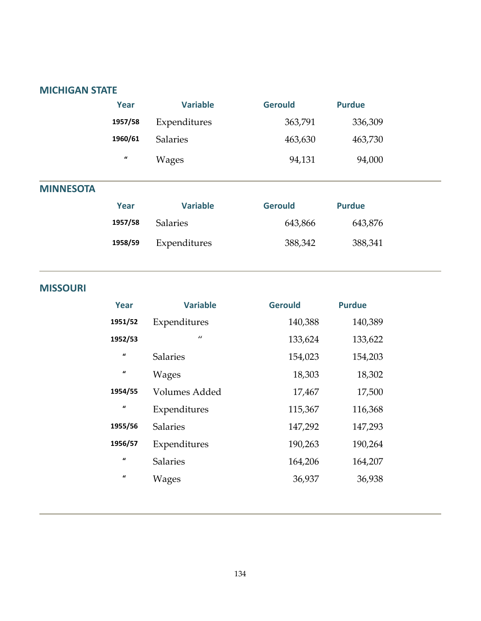#### **MICHIGAN STATE**

#### **MISSOURI**

| Year                | <b>Variable</b> | <b>Gerould</b> | <b>Purdue</b> |
|---------------------|-----------------|----------------|---------------|
| 1951/52             | Expenditures    | 140,388        | 140,389       |
| 1952/53             | $\prime$        | 133,624        | 133,622       |
| $\mathbf{u}$        | <b>Salaries</b> | 154,023        | 154,203       |
| $\pmb{\mathcal{U}}$ | <b>Wages</b>    | 18,303         | 18,302        |
| 1954/55             | Volumes Added   | 17,467         | 17,500        |
| $\mathbf{u}$        | Expenditures    | 115,367        | 116,368       |
| 1955/56             | <b>Salaries</b> | 147,292        | 147,293       |
| 1956/57             | Expenditures    | 190,263        | 190,264       |
| $\mathbf{u}$        | <b>Salaries</b> | 164,206        | 164,207       |
| $\mathbf{u}$        | Wages           | 36,937         | 36,938        |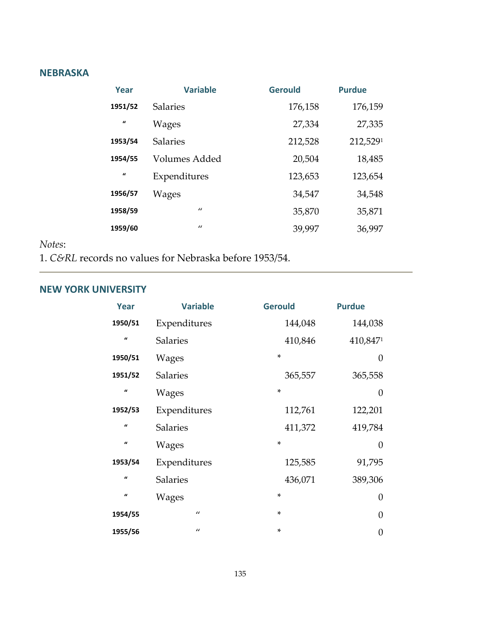#### **NEBRASKA**

| Year         | <b>Variable</b> | <b>Gerould</b> | <b>Purdue</b> |
|--------------|-----------------|----------------|---------------|
| 1951/52      | <b>Salaries</b> | 176,158        | 176,159       |
| $\mathbf{u}$ | Wages           | 27,334         | 27,335        |
| 1953/54      | <b>Salaries</b> | 212,528        | 212,5291      |
| 1954/55      | Volumes Added   | 20,504         | 18,485        |
| $\mathbf{u}$ | Expenditures    | 123,653        | 123,654       |
| 1956/57      | Wages           | 34,547         | 34,548        |
| 1958/59      | $\prime\prime$  | 35,870         | 35,871        |
| 1959/60      | $\prime\prime$  | 39,997         | 36,997        |

#### *Notes*:

1. *C&RL* records no values for Nebraska before 1953/54.

#### **NEW YORK UNIVERSITY**

| Year                | <b>Variable</b> | <b>Gerould</b> | <b>Purdue</b>  |
|---------------------|-----------------|----------------|----------------|
| 1950/51             | Expenditures    | 144,048        | 144,038        |
| $\mathbf{u}$        | <b>Salaries</b> | 410,846        | 410,8471       |
| 1950/51             | <b>Wages</b>    | $\ast$         | $\overline{0}$ |
| 1951/52             | <b>Salaries</b> | 365,557        | 365,558        |
| $\pmb{\mathcal{U}}$ | <b>Wages</b>    | $\ast$         | $\overline{0}$ |
| 1952/53             | Expenditures    | 112,761        | 122,201        |
| $\pmb{\mathcal{U}}$ | <b>Salaries</b> | 411,372        | 419,784        |
| $\iota$             | <b>Wages</b>    | $\ast$         | $\overline{0}$ |
| 1953/54             | Expenditures    | 125,585        | 91,795         |
| $\mathbf{u}$        | <b>Salaries</b> | 436,071        | 389,306        |
| $\pmb{\mathcal{U}}$ | <b>Wages</b>    | *              | $\overline{0}$ |
| 1954/55             | $\prime$        | $\star$        | $\overline{0}$ |
| 1955/56             | $\prime\prime$  | $\ast$         | 0              |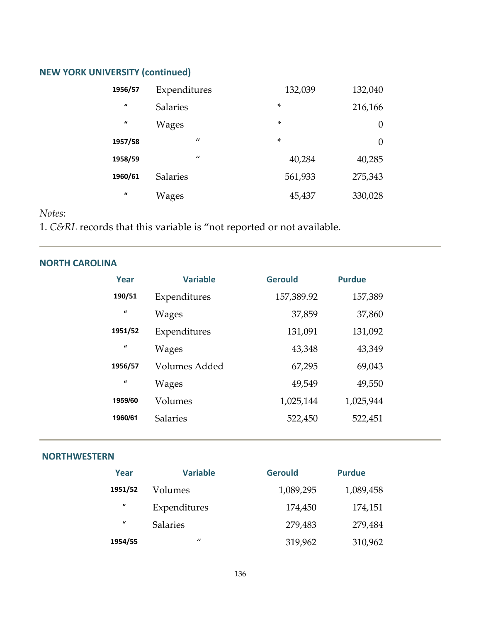# **NEW YORK UNIVERSITY (continued)**

| 1956/57          | Expenditures    | 132,039 | 132,040 |
|------------------|-----------------|---------|---------|
| $\mathbf{u}$     | <b>Salaries</b> | *       | 216,166 |
| $\boldsymbol{u}$ | <b>Wages</b>    | *       | 0       |
| 1957/58          | $\prime$        | *       | 0       |
| 1958/59          | $\prime$        | 40,284  | 40,285  |
| 1960/61          | <b>Salaries</b> | 561,933 | 275,343 |
| $\boldsymbol{u}$ | Wages           | 45,437  | 330,028 |

#### *Notes*:

1. *C&RL* records that this variable is "not reported or not available.

#### **NORTH CAROLINA**

| Year             | <b>Variable</b>      | <b>Gerould</b> | <b>Purdue</b> |
|------------------|----------------------|----------------|---------------|
| 190/51           | Expenditures         | 157,389.92     | 157,389       |
| $\boldsymbol{u}$ | Wages                | 37,859         | 37,860        |
| 1951/52          | Expenditures         | 131,091        | 131,092       |
| $\mathbf{u}$     | Wages                | 43,348         | 43,349        |
| 1956/57          | <b>Volumes Added</b> | 67,295         | 69,043        |
| $\mathbf{u}$     | <b>Wages</b>         | 49,549         | 49,550        |
| 1959/60          | Volumes              | 1,025,144      | 1,025,944     |
| 1960/61          | <b>Salaries</b>      | 522,450        | 522,451       |

#### **NORTHWESTERN**

| Year             | <b>Variable</b> | <b>Gerould</b> | <b>Purdue</b> |
|------------------|-----------------|----------------|---------------|
| 1951/52          | Volumes         | 1,089,295      | 1,089,458     |
| $\boldsymbol{u}$ | Expenditures    | 174,450        | 174,151       |
| $\boldsymbol{u}$ | <b>Salaries</b> | 279,483        | 279,484       |
| 1954/55          | $\prime\prime$  | 319,962        | 310,962       |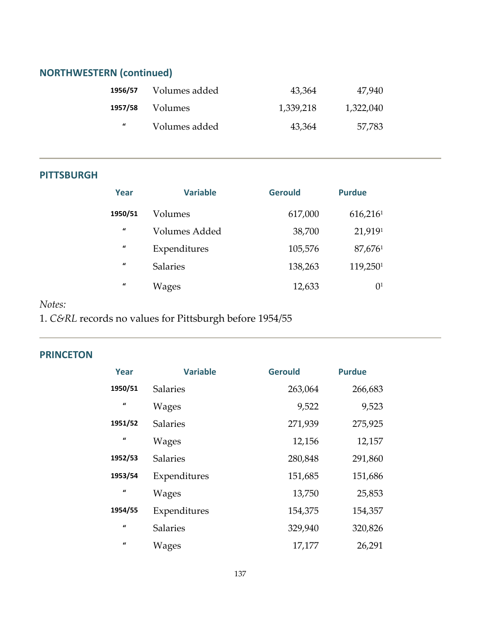# **NORTHWESTERN (continued)**

| 1956/57  | Volumes added | 43,364    | 47,940    |
|----------|---------------|-----------|-----------|
| 1957/58  | Volumes       | 1,339,218 | 1,322,040 |
| $\bf{u}$ | Volumes added | 43,364    | 57,783    |

#### **PITTSBURGH**

| Year         | <b>Variable</b> | <b>Gerould</b> | <b>Purdue</b>  |
|--------------|-----------------|----------------|----------------|
| 1950/51      | Volumes         | 617,000        | 616,2161       |
| $\mathbf{u}$ | Volumes Added   | 38,700         | 21,9191        |
| $\mathbf{u}$ | Expenditures    | 105,576        | 87,6761        |
| $\mathbf{u}$ | <b>Salaries</b> | 138,263        | 119,2501       |
| $\mathbf{u}$ | Wages           | 12,633         | 0 <sup>1</sup> |

#### *Notes:*

1. *C&RL* records no values for Pittsburgh before 1954/55

#### **PRINCETON**

| Year             | <b>Variable</b> | <b>Gerould</b> | <b>Purdue</b> |
|------------------|-----------------|----------------|---------------|
| 1950/51          | <b>Salaries</b> | 263,064        | 266,683       |
| $\boldsymbol{u}$ | Wages           | 9,522          | 9,523         |
| 1951/52          | <b>Salaries</b> | 271,939        | 275,925       |
| $\boldsymbol{u}$ | Wages           | 12,156         | 12,157        |
| 1952/53          | <b>Salaries</b> | 280,848        | 291,860       |
| 1953/54          | Expenditures    | 151,685        | 151,686       |
| $\boldsymbol{u}$ | <b>Wages</b>    | 13,750         | 25,853        |
| 1954/55          | Expenditures    | 154,375        | 154,357       |
| $\boldsymbol{u}$ | <b>Salaries</b> | 329,940        | 320,826       |
| $\boldsymbol{u}$ | <b>Wages</b>    | 17,177         | 26,291        |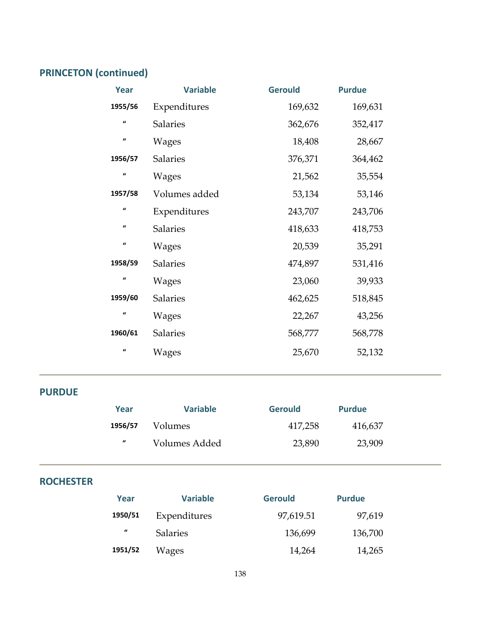# **PRINCETON (continued)**

| Year                | <b>Variable</b> | <b>Gerould</b> | <b>Purdue</b> |
|---------------------|-----------------|----------------|---------------|
| 1955/56             | Expenditures    | 169,632        | 169,631       |
| $\boldsymbol{u}$    | <b>Salaries</b> | 362,676        | 352,417       |
| $\pmb{\mathcal{U}}$ | Wages           | 18,408         | 28,667        |
| 1956/57             | <b>Salaries</b> | 376,371        | 364,462       |
| $\mathbf{u}$        | Wages           | 21,562         | 35,554        |
| 1957/58             | Volumes added   | 53,134         | 53,146        |
| $\pmb{\mathcal{U}}$ | Expenditures    | 243,707        | 243,706       |
| $\pmb{\mathcal{U}}$ | <b>Salaries</b> | 418,633        | 418,753       |
| $\pmb{\mathcal{U}}$ | Wages           | 20,539         | 35,291        |
| 1958/59             | Salaries        | 474,897        | 531,416       |
| $\pmb{\mathcal{U}}$ | Wages           | 23,060         | 39,933        |
| 1959/60             | Salaries        | 462,625        | 518,845       |
| $\mathbf{u}$        | Wages           | 22,267         | 43,256        |
| 1960/61             | <b>Salaries</b> | 568,777        | 568,778       |
| $\mathbf{u}$        | Wages           | 25,670         | 52,132        |

#### **PURDUE**

| Year             | <b>Variable</b> | <b>Gerould</b> | <b>Purdue</b> |
|------------------|-----------------|----------------|---------------|
| 1956/57          | <i>Volumes</i>  | 417,258        | 416,637       |
| $\boldsymbol{u}$ | Volumes Added   | 23,890         | 23,909        |

#### **ROCHESTER**

| Year             | <b>Variable</b> | <b>Gerould</b> | <b>Purdue</b> |
|------------------|-----------------|----------------|---------------|
| 1950/51          | Expenditures    | 97,619.51      | 97,619        |
| $\boldsymbol{u}$ | <b>Salaries</b> | 136,699        | 136,700       |
| 1951/52          | Wages           | 14,264         | 14,265        |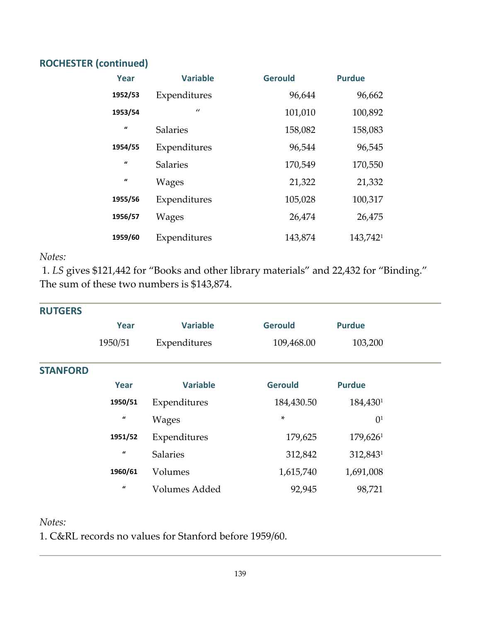#### **ROCHESTER (continued)**

| Year         | <b>Variable</b> | <b>Gerould</b> | <b>Purdue</b> |
|--------------|-----------------|----------------|---------------|
| 1952/53      | Expenditures    | 96,644         | 96,662        |
| 1953/54      | $\prime$        | 101,010        | 100,892       |
| $\iota$      | <b>Salaries</b> | 158,082        | 158,083       |
| 1954/55      | Expenditures    | 96,544         | 96,545        |
| $\mathbf{u}$ | <b>Salaries</b> | 170,549        | 170,550       |
| $\mathbf{u}$ | Wages           | 21,322         | 21,332        |
| 1955/56      | Expenditures    | 105,028        | 100,317       |
| 1956/57      | Wages           | 26,474         | 26,475        |
| 1959/60      | Expenditures    | 143,874        | 143,7421      |

#### *Notes:*

1. *LS* gives \$121,442 for "Books and other library materials" and 22,432 for "Binding." The sum of these two numbers is \$143,874.

| <b>RUTGERS</b>  |                     |                 |                |                |  |
|-----------------|---------------------|-----------------|----------------|----------------|--|
|                 | Year                | <b>Variable</b> | <b>Gerould</b> | <b>Purdue</b>  |  |
|                 | 1950/51             | Expenditures    | 109,468.00     | 103,200        |  |
| <b>STANFORD</b> |                     |                 |                |                |  |
|                 | Year                | <b>Variable</b> | <b>Gerould</b> | <b>Purdue</b>  |  |
|                 | 1950/51             | Expenditures    | 184,430.50     | 184,4301       |  |
|                 | $\pmb{\mathcal{U}}$ | <b>Wages</b>    | $\star$        | 0 <sup>1</sup> |  |
|                 | 1951/52             | Expenditures    | 179,625        | 179,6261       |  |
|                 | $\boldsymbol{u}$    | <b>Salaries</b> | 312,842        | 312,8431       |  |
|                 | 1960/61             | Volumes         | 1,615,740      | 1,691,008      |  |
|                 | $\boldsymbol{u}$    | Volumes Added   | 92,945         | 98,721         |  |

#### *Notes:*

1. C&RL records no values for Stanford before 1959/60.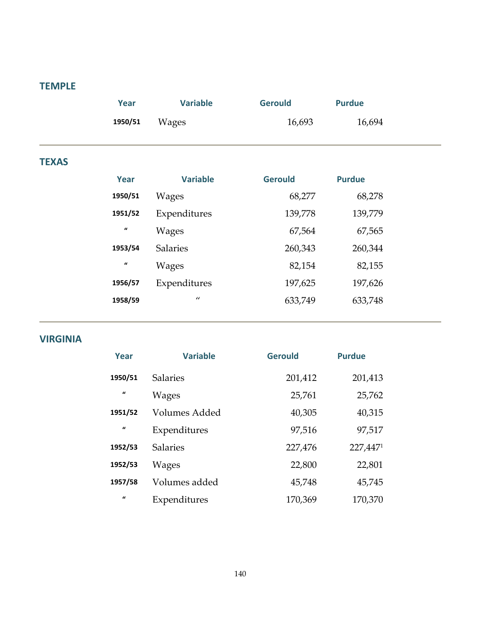#### **TEMPLE**

|              | Year    | <b>Variable</b> | <b>Gerould</b> | <b>Purdue</b> |
|--------------|---------|-----------------|----------------|---------------|
|              | 1950/51 | <b>Wages</b>    | 16,693         | 16,694        |
|              |         |                 |                |               |
| <b>TEXAS</b> |         |                 |                |               |
|              | Year    | <b>Variable</b> | <b>Gerould</b> | <b>Purdue</b> |
|              | 1950/51 | <b>Wages</b>    | 68,277         | 68,278        |
|              | 1951/52 | Expenditures    | 139,778        | 139,779       |

| ------           | LAPURTURIUS     | 107,770 | 10 <i>,117</i> |
|------------------|-----------------|---------|----------------|
| $\boldsymbol{u}$ | Wages           | 67,564  | 67,565         |
| 1953/54          | <b>Salaries</b> | 260,343 | 260,344        |
| $\boldsymbol{u}$ | Wages           | 82,154  | 82,155         |
| 1956/57          | Expenditures    | 197,625 | 197,626        |
| 1958/59          | $\prime$        | 633,749 | 633,748        |
|                  |                 |         |                |

#### **VIRGINIA**

| Year                | <b>Variable</b> | <b>Gerould</b> | <b>Purdue</b> |
|---------------------|-----------------|----------------|---------------|
| 1950/51             | <b>Salaries</b> | 201,412        | 201,413       |
| $\pmb{\mathcal{U}}$ | Wages           | 25,761         | 25,762        |
| 1951/52             | Volumes Added   | 40,305         | 40,315        |
| $\boldsymbol{u}$    | Expenditures    | 97,516         | 97,517        |
| 1952/53             | <b>Salaries</b> | 227,476        | 227,4471      |
| 1952/53             | Wages           | 22,800         | 22,801        |
| 1957/58             | Volumes added   | 45,748         | 45,745        |
| $\mathbf{u}$        | Expenditures    | 170,369        | 170,370       |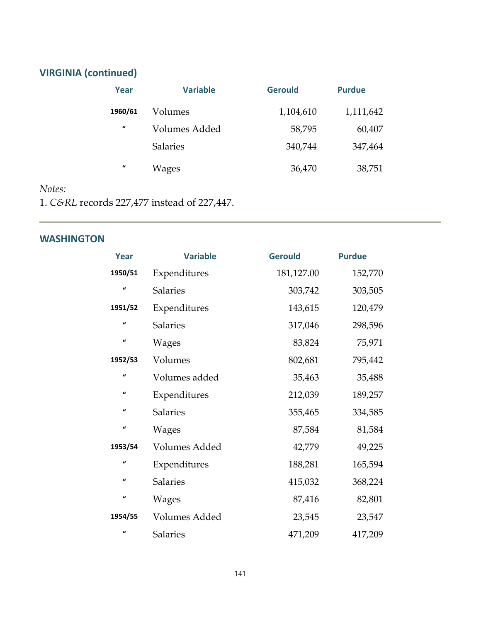# **VIRGINIA (continued)**

| Year             | <b>Variable</b> | <b>Gerould</b> | <b>Purdue</b> |
|------------------|-----------------|----------------|---------------|
| 1960/61          | Volumes         | 1,104,610      | 1,111,642     |
| $\boldsymbol{u}$ | Volumes Added   | 58,795         | 60,407        |
|                  | <b>Salaries</b> | 340,744        | 347,464       |
| $\mathbf{u}$     | Wages           | 36,470         | 38,751        |

#### *Notes:*

1. *C&RL* records 227,477 instead of 227,447.

#### **WASHINGTON**

| Year             | <b>Variable</b>      | <b>Gerould</b> | <b>Purdue</b> |
|------------------|----------------------|----------------|---------------|
| 1950/51          | Expenditures         | 181,127.00     | 152,770       |
| $\boldsymbol{u}$ | <b>Salaries</b>      | 303,742        | 303,505       |
| 1951/52          | Expenditures         | 143,615        | 120,479       |
| $\mathbf{u}$     | <b>Salaries</b>      | 317,046        | 298,596       |
| $\mathbf{u}$     | Wages                | 83,824         | 75,971        |
| 1952/53          | Volumes              | 802,681        | 795,442       |
| $\boldsymbol{u}$ | Volumes added        | 35,463         | 35,488        |
| $\boldsymbol{u}$ | Expenditures         | 212,039        | 189,257       |
| $\boldsymbol{u}$ | <b>Salaries</b>      | 355,465        | 334,585       |
| $\boldsymbol{u}$ | Wages                | 87,584         | 81,584        |
| 1953/54          | <b>Volumes Added</b> | 42,779         | 49,225        |
| $\mathbf{u}$     | Expenditures         | 188,281        | 165,594       |
| $\boldsymbol{u}$ | <b>Salaries</b>      | 415,032        | 368,224       |
| $\mathbf{u}$     | <b>Wages</b>         | 87,416         | 82,801        |
| 1954/55          | Volumes Added        | 23,545         | 23,547        |
| $\mathbf{u}$     | <b>Salaries</b>      | 471,209        | 417,209       |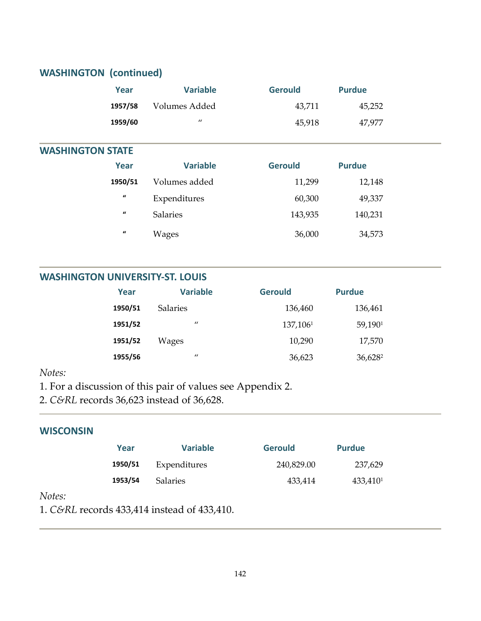# **WASHINGTON (continued)**

| Year    | <b>Variable</b>   | <b>Gerould</b> | <b>Purdue</b> |  |
|---------|-------------------|----------------|---------------|--|
| 1957/58 | Volumes Added     | 43,711         | 45,252        |  |
| 1959/60 | $^{\prime\prime}$ | 45,918         | 47,977        |  |

#### **WASHINGTON STATE**

| Year             | <b>Variable</b> | <b>Gerould</b> | <b>Purdue</b> |  |
|------------------|-----------------|----------------|---------------|--|
| 1950/51          | Volumes added   | 11,299         | 12,148        |  |
| $\boldsymbol{u}$ | Expenditures    | 60,300         | 49,337        |  |
| $\iota$          | <b>Salaries</b> | 143,935        | 140,231       |  |
| $\boldsymbol{u}$ | Wages           | 36,000         | 34,573        |  |

#### **WASHINGTON UNIVERSITY‐ST. LOUIS**

| Year    | <b>Variable</b> | <b>Gerould</b> | <b>Purdue</b>       |
|---------|-----------------|----------------|---------------------|
| 1950/51 | <b>Salaries</b> | 136,460        | 136,461             |
| 1951/52 | $\prime$        | 137,1061       | 59,1901             |
| 1951/52 | Wages           | 10,290         | 17,570              |
| 1955/56 | $\prime$        | 36,623         | 36,628 <sup>2</sup> |

#### $Notes:$

- 1. For a discussion of this pair of values see Appendix 2.
- 2. *C&RL* records 36,623 instead of 36,628.

#### **WISCONSIN**

| Year    | <b>Variable</b> | <b>Gerould</b> | <b>Purdue</b>        |
|---------|-----------------|----------------|----------------------|
| 1950/51 | Expenditures    | 240,829.00     | 237,629              |
| 1953/54 | <b>Salaries</b> | 433.414        | 433,410 <sup>1</sup> |

#### $Notes:$

1. *C&RL* records 433,414 instead of 433,410.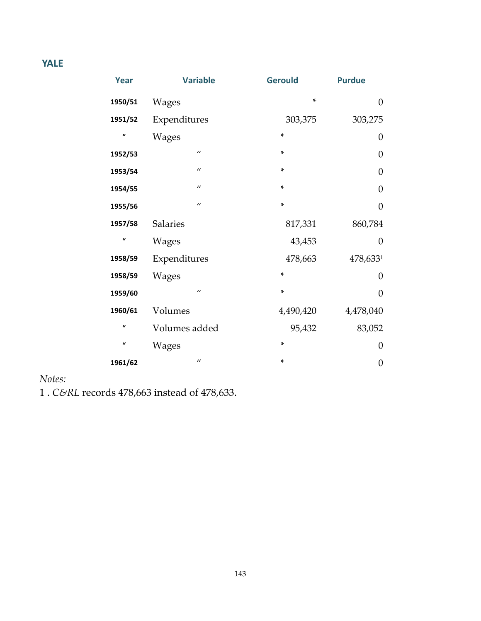# **YALE**

| <b>Year</b>         | <b>Variable</b> | <b>Gerould</b> | <b>Purdue</b>    |
|---------------------|-----------------|----------------|------------------|
| 1950/51             | <b>Wages</b>    | ×              | $\overline{0}$   |
| 1951/52             | Expenditures    | 303,375        | 303,275          |
| $\mathbf{u}$        | <b>Wages</b>    | ×              | $\boldsymbol{0}$ |
| 1952/53             | $\prime\prime$  | *              | $\boldsymbol{0}$ |
| 1953/54             | $\prime\prime$  | *              | $\overline{0}$   |
| 1954/55             | $\prime\prime$  | $\ast$         | $\overline{0}$   |
| 1955/56             | $\prime\prime$  | $\ast$         | $\overline{0}$   |
| 1957/58             | <b>Salaries</b> | 817,331        | 860,784          |
| $\mathbf{u}$        | <b>Wages</b>    | 43,453         | $\overline{0}$   |
| 1958/59             | Expenditures    | 478,663        | 478,6331         |
| 1958/59             | <b>Wages</b>    | ×              | $\overline{0}$   |
| 1959/60             | $\prime\prime$  | $\ast$         | $\overline{0}$   |
| 1960/61             | Volumes         | 4,490,420      | 4,478,040        |
| $\mathbf{u}$        | Volumes added   | 95,432         | 83,052           |
| $\pmb{\mathcal{U}}$ | <b>Wages</b>    | *              | $\overline{0}$   |
| 1961/62             | $\prime\prime$  | *              | $\boldsymbol{0}$ |

#### *Notes:*

1 . *C&RL* records 478,663 instead of 478,633.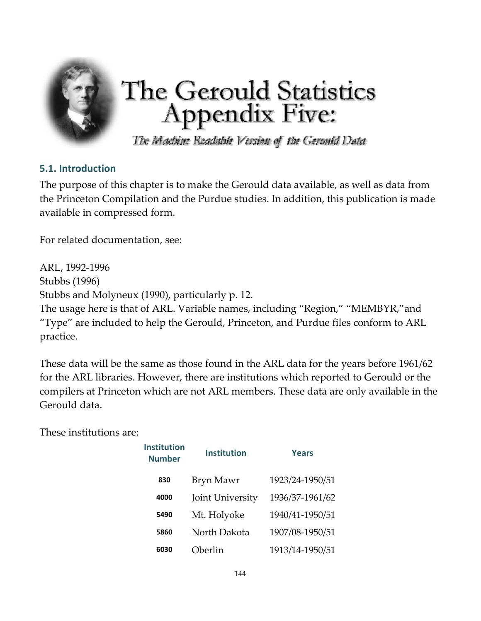

# The Gerould Statistics<br>Appendix Five:

The Machine Readable Version of the Geranid Data

### **5.1. Introduction**

The purpose of this chapter is to make the Gerould data available, as well as data from the Princeton Compilation and the Purdue studies. In addition, this publication is made available in compressed form.

For related documentation, see:

ARL, 1992‐1996 Stubbs (1996) Stubbs and Molyneux (1990), particularly p. 12.

The usage here is that of ARL. Variable names, including "Region," "MEMBYR,"and "Type" are included to help the Gerould, Princeton, and Purdue files conform to ARL practice.

These data will be the same as those found in the ARL data for the years before 1961/62 for the ARL libraries. However, there are institutions which reported to Gerould or the compilers at Princeton which are not ARL members. These data are only available in the Gerould data.

These institutions are:

| <b>Institution</b><br><b>Number</b> | <b>Institution</b> | Years           |
|-------------------------------------|--------------------|-----------------|
| 830                                 | Bryn Mawr          | 1923/24-1950/51 |
| 4000                                | Joint University   | 1936/37-1961/62 |
| 5490                                | Mt. Holyoke        | 1940/41-1950/51 |
| 5860                                | North Dakota       | 1907/08-1950/51 |
| 6030                                | Oberlin            | 1913/14-1950/51 |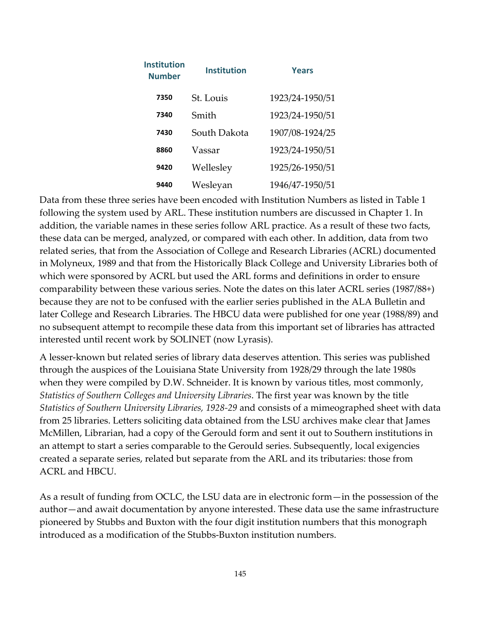| <b>Institution</b><br><b>Number</b> | <b>Institution</b><br><b>Years</b> |                 |
|-------------------------------------|------------------------------------|-----------------|
| 7350                                | St. Louis                          | 1923/24-1950/51 |
| 7340                                | Smith                              | 1923/24-1950/51 |
| 7430                                | South Dakota                       | 1907/08-1924/25 |
| 8860                                | Vassar                             | 1923/24-1950/51 |
| 9420                                | Wellesley                          | 1925/26-1950/51 |
| 9440                                | Wesleyan                           | 1946/47-1950/51 |

Data from these three series have been encoded with Institution Numbers as listed in Table 1 following the system used by ARL. These institution numbers are discussed in Chapter 1. In addition, the variable names in these series follow ARL practice. As a result of these two facts, these data can be merged, analyzed, or compared with each other. In addition, data from two related series, that from the Association of College and Research Libraries (ACRL) documented in Molyneux, 1989 and that from the Historically Black College and University Libraries both of which were sponsored by ACRL but used the ARL forms and definitions in order to ensure comparability between these various series. Note the dates on this later ACRL series (1987/88+) because they are not to be confused with the earlier series published in the ALA Bulletin and later College and Research Libraries. The HBCU data were published for one year (1988/89) and no subsequent attempt to recompile these data from this important set of libraries has attracted interested until recent work by SOLINET (now Lyrasis).

A lesser‐known but related series of library data deserves attention. This series was published through the auspices of the Louisiana State University from 1928/29 through the late 1980s when they were compiled by D.W. Schneider. It is known by various titles, most commonly, *Statistics of Southern Colleges and University Libraries*. The first year was known by the title *Statistics of Southern University Libraries, 1928‐29* and consists of a mimeographed sheet with data from 25 libraries. Letters soliciting data obtained from the LSU archives make clear that James McMillen, Librarian, had a copy of the Gerould form and sent it out to Southern institutions in an attempt to start a series comparable to the Gerould series. Subsequently, local exigencies created a separate series, related but separate from the ARL and its tributaries: those from ACRL and HBCU.

As a result of funding from OCLC, the LSU data are in electronic form—in the possession of the author—and await documentation by anyone interested. These data use the same infrastructure pioneered by Stubbs and Buxton with the four digit institution numbers that this monograph introduced as a modification of the Stubbs‐Buxton institution numbers.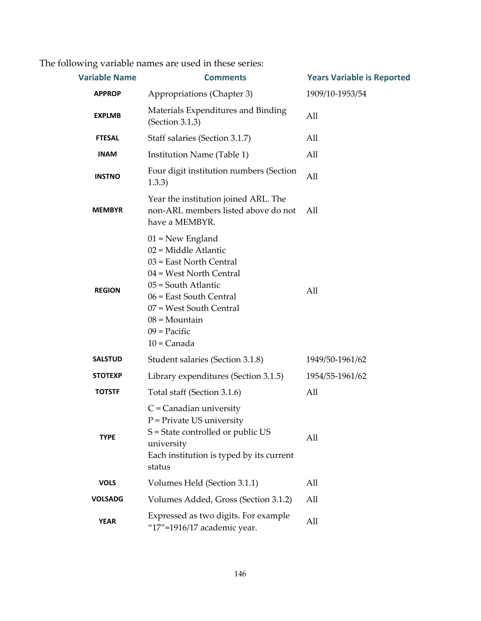The following variable names are used in these series:

| <b>Variable Name</b> | <b>Comments</b>                                                                                                                                                                                                                            | <b>Years Variable is Reported</b> |
|----------------------|--------------------------------------------------------------------------------------------------------------------------------------------------------------------------------------------------------------------------------------------|-----------------------------------|
| <b>APPROP</b>        | Appropriations (Chapter 3)<br>1909/10-1953/54                                                                                                                                                                                              |                                   |
| <b>EXPLMB</b>        | Materials Expenditures and Binding<br>(Section 3.1.3)                                                                                                                                                                                      | All                               |
| <b>FTESAL</b>        | Staff salaries (Section 3.1.7)                                                                                                                                                                                                             | All                               |
| <b>INAM</b>          | Institution Name (Table 1)                                                                                                                                                                                                                 | All                               |
| <b>INSTNO</b>        | Four digit institution numbers (Section<br>1.3.3)                                                                                                                                                                                          | All                               |
| <b>MEMBYR</b>        | Year the institution joined ARL. The<br>non-ARL members listed above do not<br>have a MEMBYR.                                                                                                                                              | All                               |
| <b>REGION</b>        | $01$ = New England<br>02 = Middle Atlantic<br>03 = East North Central<br>04 = West North Central<br>05 = South Atlantic<br>06 = East South Central<br>07 = West South Central<br>$08 = \text{Mountain}$<br>$09$ = Pacific<br>$10 =$ Canada | All                               |
| <b>SALSTUD</b>       | Student salaries (Section 3.1.8)                                                                                                                                                                                                           | 1949/50-1961/62                   |
| <b>STOTEXP</b>       | Library expenditures (Section 3.1.5)                                                                                                                                                                                                       | 1954/55-1961/62                   |
| <b>TOTSTF</b>        | Total staff (Section 3.1.6)                                                                                                                                                                                                                | All                               |
| <b>TYPE</b>          | $C$ = Canadian university<br>$P =$ Private US university<br>S = State controlled or public US<br>university<br>Each institution is typed by its current<br>status                                                                          | All                               |
| <b>VOLS</b>          | Volumes Held (Section 3.1.1)                                                                                                                                                                                                               | All                               |
| <b>VOLSADG</b>       | Volumes Added, Gross (Section 3.1.2)                                                                                                                                                                                                       | All                               |
| <b>YEAR</b>          | Expressed as two digits. For example<br>"17"=1916/17 academic year.                                                                                                                                                                        | All                               |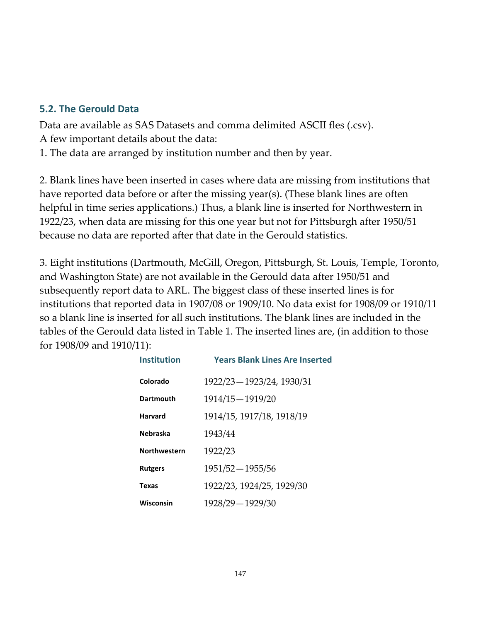## **5.2. The Gerould Data**

Data are available as SAS Datasets and comma delimited ASCII fles (.csv). A few important details about the data:

1. The data are arranged by institution number and then by year.

2. Blank lines have been inserted in cases where data are missing from institutions that have reported data before or after the missing year(s). (These blank lines are often helpful in time series applications.) Thus, a blank line is inserted for Northwestern in 1922/23, when data are missing for this one year but not for Pittsburgh after 1950/51 because no data are reported after that date in the Gerould statistics.

3. Eight institutions (Dartmouth, McGill, Oregon, Pittsburgh, St. Louis, Temple, Toronto, and Washington State) are not available in the Gerould data after 1950/51 and subsequently report data to ARL. The biggest class of these inserted lines is for institutions that reported data in 1907/08 or 1909/10. No data exist for 1908/09 or 1910/11 so a blank line is inserted for all such institutions. The blank lines are included in the tables of the Gerould data listed in Table 1. The inserted lines are, (in addition to those for 1908/09 and 1910/11):

| <b>Institution</b>  | <b>Years Blank Lines Are Inserted</b> |
|---------------------|---------------------------------------|
| Colorado            | 1922/23 - 1923/24, 1930/31            |
| Dartmouth           | 1914/15 - 1919/20                     |
| Harvard             | 1914/15, 1917/18, 1918/19             |
| <b>Nebraska</b>     | 1943/44                               |
| <b>Northwestern</b> | 1922/23                               |
| <b>Rutgers</b>      | 1951/52 - 1955/56                     |
| Texas               | 1922/23, 1924/25, 1929/30             |
| Wisconsin           | 1928/29 - 1929/30                     |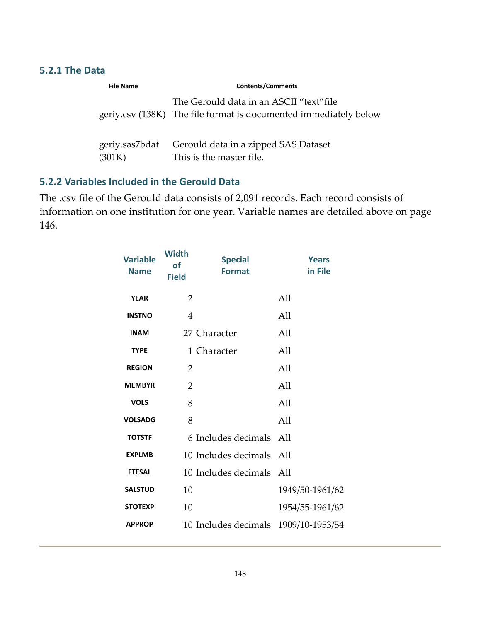#### **5.2.1 The Data**

| <b>File Name</b>         | <b>Contents/Comments</b>                                                                                     |
|--------------------------|--------------------------------------------------------------------------------------------------------------|
|                          | The Gerould data in an ASCII "text" file<br>geriy.csv (138K) The file format is documented immediately below |
| geriy.sas7bdat<br>(301K) | Gerould data in a zipped SAS Dataset<br>This is the master file.                                             |

## **5.2.2 Variables Included in the Gerould Data**

The .csv file of the Gerould data consists of 2,091 records. Each record consists of information on one institution for one year. Variable names are detailed above on page 146.

| <b>Variable</b><br><b>Name</b> | <b>Width</b><br><b>of</b><br><b>Field</b> | <b>Special</b><br><b>Format</b>      | <b>Years</b><br>in File |
|--------------------------------|-------------------------------------------|--------------------------------------|-------------------------|
| <b>YEAR</b>                    | $\overline{2}$                            |                                      | All                     |
| <b>INSTNO</b>                  | $\overline{4}$                            |                                      | All                     |
| <b>INAM</b>                    |                                           | 27 Character                         | All                     |
| <b>TYPE</b>                    |                                           | 1 Character                          | All                     |
| <b>REGION</b>                  | 2                                         |                                      | All                     |
| <b>MEMBYR</b>                  | $\overline{2}$                            |                                      | All                     |
| <b>VOLS</b>                    | 8                                         |                                      | All                     |
| <b>VOLSADG</b>                 | 8                                         |                                      | All                     |
| <b>TOTSTF</b>                  |                                           | 6 Includes decimals All              |                         |
| <b>EXPLMB</b>                  |                                           | 10 Includes decimals All             |                         |
| <b>FTESAL</b>                  |                                           | 10 Includes decimals All             |                         |
| <b>SALSTUD</b>                 | 10                                        |                                      | 1949/50-1961/62         |
| <b>STOTEXP</b>                 | 10                                        |                                      | 1954/55-1961/62         |
| <b>APPROP</b>                  |                                           | 10 Includes decimals 1909/10-1953/54 |                         |
|                                |                                           |                                      |                         |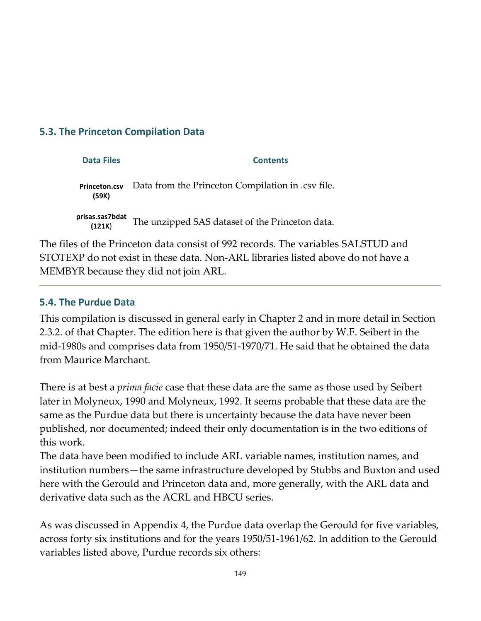## **5.3. The Princeton Compilation Data**

| <b>Data Files</b>             | <b>Contents</b>                                   |
|-------------------------------|---------------------------------------------------|
| <b>Princeton.csv</b><br>(59K) | Data from the Princeton Compilation in .csv file. |
| prisas.sas7bdat<br>(121K)     | The unzipped SAS dataset of the Princeton data.   |

The files of the Princeton data consist of 992 records. The variables SALSTUD and STOTEXP do not exist in these data. Non‐ARL libraries listed above do not have a MEMBYR because they did not join ARL.

#### **5.4. The Purdue Data**

This compilation is discussed in general early in Chapter 2 and in more detail in Section 2.3.2. of that Chapter. The edition here is that given the author by W.F. Seibert in the mid‐1980s and comprises data from 1950/51‐1970/71. He said that he obtained the data from Maurice Marchant.

There is at best a *prima facie* case that these data are the same as those used by Seibert later in Molyneux, 1990 and Molyneux, 1992. It seems probable that these data are the same as the Purdue data but there is uncertainty because the data have never been published, nor documented; indeed their only documentation is in the two editions of this work.

The data have been modified to include ARL variable names, institution names, and institution numbers—the same infrastructure developed by Stubbs and Buxton and used here with the Gerould and Princeton data and, more generally, with the ARL data and derivative data such as the ACRL and HBCU series.

As was discussed in Appendix 4, the Purdue data overlap the Gerould for five variables, across forty six institutions and for the years 1950/51‐1961/62. In addition to the Gerould variables listed above, Purdue records six others: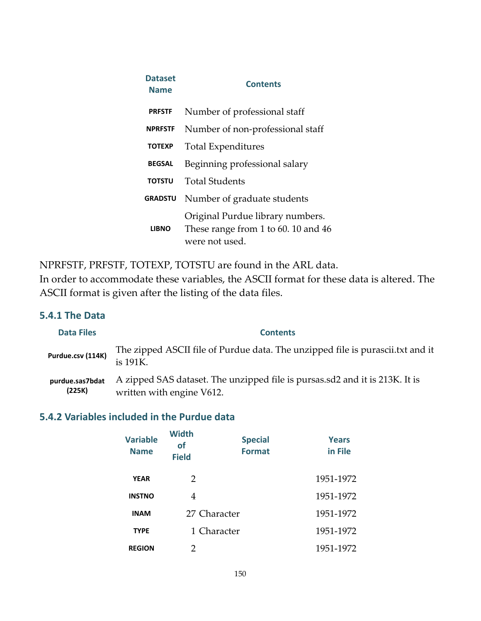| <b>Dataset</b><br><b>Name</b> | <b>Contents</b>                                                                           |
|-------------------------------|-------------------------------------------------------------------------------------------|
| <b>PRFSTF</b>                 | Number of professional staff                                                              |
| <b>NPRFSTF</b>                | Number of non-professional staff                                                          |
| <b>TOTEXP</b>                 | <b>Total Expenditures</b>                                                                 |
| <b>BEGSAL</b>                 | Beginning professional salary                                                             |
| <b>TOTSTU</b>                 | Total Students                                                                            |
| <b>GRADSTU</b>                | Number of graduate students                                                               |
| <b>LIBNO</b>                  | Original Purdue library numbers.<br>These range from 1 to 60, 10 and 46<br>were not used. |

NPRFSTF, PRFSTF, TOTEXP, TOTSTU are found in the ARL data.

In order to accommodate these variables, the ASCII format for these data is altered. The ASCII format is given after the listing of the data files.

## **5.4.1 The Data**

| <b>Data Files</b>         | <b>Contents</b>                                                                                          |
|---------------------------|----------------------------------------------------------------------------------------------------------|
| Purdue.csv (114K)         | The zipped ASCII file of Purdue data. The unzipped file is purascii.txt and it<br>is 191K.               |
| purdue.sas7bdat<br>(225K) | A zipped SAS dataset. The unzipped file is pursas.sd2 and it is 213K. It is<br>written with engine V612. |

# **5.4.2 Variables included in the Purdue data**

| <b>Variable</b><br><b>Name</b> | <b>Width</b><br><b>of</b><br><b>Field</b> | <b>Special</b><br><b>Format</b> | <b>Years</b><br>in File |
|--------------------------------|-------------------------------------------|---------------------------------|-------------------------|
| <b>YEAR</b>                    | $\mathcal{P}$                             |                                 | 1951-1972               |
| <b>INSTNO</b>                  | 4                                         |                                 | 1951-1972               |
| <b>INAM</b>                    | 27 Character                              |                                 | 1951-1972               |
| <b>TYPE</b>                    |                                           | 1 Character                     | 1951-1972               |
| <b>REGION</b>                  | 2                                         |                                 | 1951-1972               |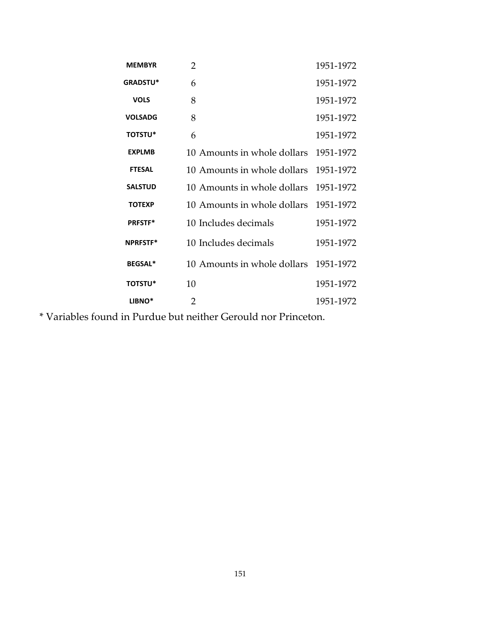| <b>MEMBYR</b>      | $\overline{2}$              | 1951-1972 |
|--------------------|-----------------------------|-----------|
| <b>GRADSTU*</b>    | 6                           | 1951-1972 |
| <b>VOLS</b>        | 8                           | 1951-1972 |
| <b>VOLSADG</b>     | 8                           | 1951-1972 |
| <b>TOTSTU*</b>     | 6                           | 1951-1972 |
| <b>EXPLMB</b>      | 10 Amounts in whole dollars | 1951-1972 |
| <b>FTESAL</b>      | 10 Amounts in whole dollars | 1951-1972 |
| <b>SALSTUD</b>     | 10 Amounts in whole dollars | 1951-1972 |
| <b>TOTEXP</b>      | 10 Amounts in whole dollars | 1951-1972 |
| <b>PRFSTF*</b>     | 10 Includes decimals        | 1951-1972 |
| <b>NPRFSTF*</b>    | 10 Includes decimals        | 1951-1972 |
| <b>BEGSAL*</b>     | 10 Amounts in whole dollars | 1951-1972 |
| <b>TOTSTU*</b>     | 10                          | 1951-1972 |
| LIBNO <sup>*</sup> | $\overline{2}$              | 1951-1972 |

\* Variables found in Purdue but neither Gerould nor Princeton.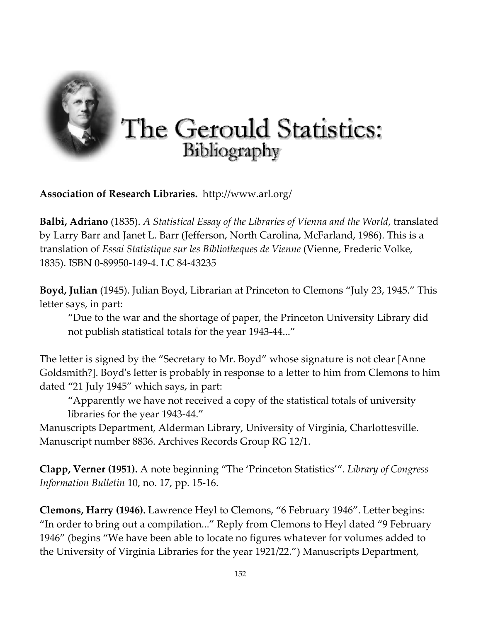

**Association of Research Libraries.** http://www.arl.org/

**Balbi, Adriano** (1835). *A Statistical Essay of the Libraries of Vienna and the World*, translated by Larry Barr and Janet L. Barr (Jefferson, North Carolina, McFarland, 1986). This is a translation of *Essai Statistique sur les Bibliotheques de Vienne* (Vienne, Frederic Volke, 1835). ISBN 0‐89950‐149‐4. LC 84‐43235

**Boyd, Julian** (1945). Julian Boyd, Librarian at Princeton to Clemons "July 23, 1945." This letter says, in part:

"Due to the war and the shortage of paper, the Princeton University Library did not publish statistical totals for the year 1943‐44..."

The letter is signed by the "Secretary to Mr. Boyd" whose signature is not clear [Anne Goldsmith?]. Boydʹs letter is probably in response to a letter to him from Clemons to him dated "21 July 1945" which says, in part:

"Apparently we have not received a copy of the statistical totals of university libraries for the year 1943‐44."

Manuscripts Department, Alderman Library, University of Virginia, Charlottesville. Manuscript number 8836. Archives Records Group RG 12/1.

**Clapp, Verner (1951).** A note beginning "The 'Princeton Statistics'". *Library of Congress Information Bulletin* 10, no. 17, pp. 15‐16.

**Clemons, Harry (1946).** Lawrence Heyl to Clemons, "6 February 1946". Letter begins: "In order to bring out a compilation..." Reply from Clemons to Heyl dated "9 February 1946" (begins "We have been able to locate no figures whatever for volumes added to the University of Virginia Libraries for the year 1921/22.") Manuscripts Department,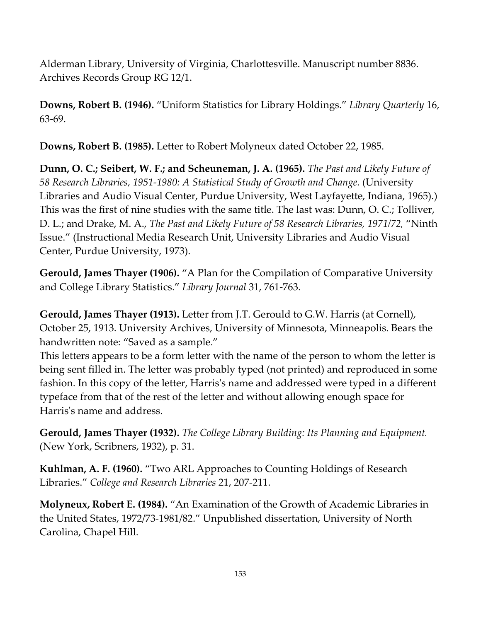Alderman Library, University of Virginia, Charlottesville. Manuscript number 8836. Archives Records Group RG 12/1.

**Downs, Robert B. (1946).** "Uniform Statistics for Library Holdings." *Library Quarterly* 16, 63‐69.

**Downs, Robert B. (1985).** Letter to Robert Molyneux dated October 22, 1985.

**Dunn, O. C.; Seibert, W. F.; and Scheuneman, J. A. (1965).** *The Past and Likely Future of 58 Research Libraries, 1951‐1980: A Statistical Study of Growth and Change.* (University Libraries and Audio Visual Center, Purdue University, West Layfayette, Indiana, 1965).) This was the first of nine studies with the same title. The last was: Dunn, O. C.; Tolliver, D. L.; and Drake, M. A., *The Past and Likely Future of 58 Research Libraries, 1971/72*, "Ninth Issue." (Instructional Media Research Unit, University Libraries and Audio Visual Center, Purdue University, 1973).

**Gerould, James Thayer (1906).** "A Plan for the Compilation of Comparative University and College Library Statistics." *Library Journal* 31, 761‐763.

**Gerould, James Thayer (1913).** Letter from J.T. Gerould to G.W. Harris (at Cornell), October 25, 1913. University Archives, University of Minnesota, Minneapolis. Bears the handwritten note: "Saved as a sample."

This letters appears to be a form letter with the name of the person to whom the letter is being sent filled in. The letter was probably typed (not printed) and reproduced in some fashion. In this copy of the letter, Harrisʹs name and addressed were typed in a different typeface from that of the rest of the letter and without allowing enough space for Harrisʹs name and address.

**Gerould, James Thayer (1932).** *The College Library Building: Its Planning and Equipment*. (New York, Scribners, 1932), p. 31.

**Kuhlman, A. F. (1960).** "Two ARL Approaches to Counting Holdings of Research Libraries." *College and Research Libraries* 21, 207‐211.

**Molyneux, Robert E. (1984).** "An Examination of the Growth of Academic Libraries in the United States, 1972/73‐1981/82." Unpublished dissertation, University of North Carolina, Chapel Hill.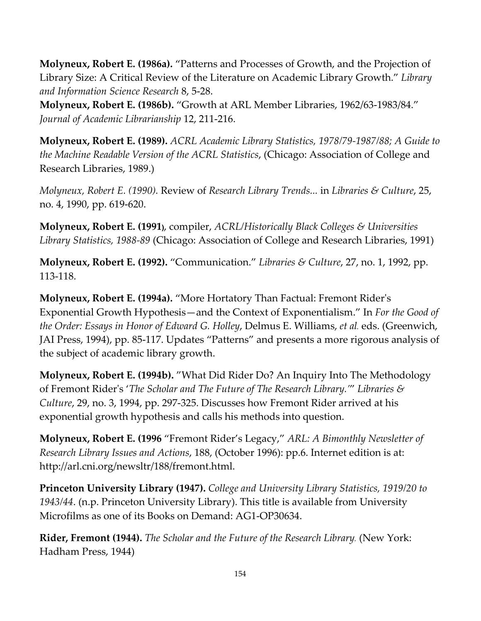**Molyneux, Robert E. (1986a).** "Patterns and Processes of Growth, and the Projection of Library Size: A Critical Review of the Literature on Academic Library Growth." *Library and Information Science Research* 8, 5‐28.

**Molyneux, Robert E. (1986b).** "Growth at ARL Member Libraries, 1962/63‐1983/84." *Journal of Academic Librarianship* 12, 211‐216.

**Molyneux, Robert E. (1989).** *ACRL Academic Library Statistics, 1978/79‐1987/88; A Guide to the Machine Readable Version of the ACRL Statistics*, (Chicago: Association of College and Research Libraries, 1989.)

*Molyneux, Robert E. (1990).* Review of *Research Library Trends...* in *Libraries & Culture*, 25, no. 4, 1990, pp. 619‐620.

**Molyneux, Robert E. (1991)**, compiler, *ACRL/Historically Black Colleges & Universities Library Statistics, 1988‐89* (Chicago: Association of College and Research Libraries, 1991)

**Molyneux, Robert E. (1992).** "Communication." *Libraries & Culture*, 27, no. 1, 1992, pp. 113‐118.

**Molyneux, Robert E. (1994a).** "More Hortatory Than Factual: Fremont Riderʹs Exponential Growth Hypothesis—and the Context of Exponentialism." In *For the Good of the Order: Essays in Honor of Edward G. Holley*, Delmus E. Williams, *et al*. eds. (Greenwich, JAI Press, 1994), pp. 85‐117. Updates "Patterns" and presents a more rigorous analysis of the subject of academic library growth.

**Molyneux, Robert E. (1994b).** "What Did Rider Do? An Inquiry Into The Methodology of Fremont Riderʹs '*The Scholar and The Future of The Research Library.'*" *Libraries & Culture*, 29, no. 3, 1994, pp. 297‐325. Discusses how Fremont Rider arrived at his exponential growth hypothesis and calls his methods into question.

**Molyneux, Robert E. (1996** "Fremont Rider's Legacy," *ARL: A Bimonthly Newsletter of Research Library Issues and Actions*, 188, (October 1996): pp.6. Internet edition is at: http://arl.cni.org/newsltr/188/fremont.html.

**Princeton University Library (1947).** *College and University Library Statistics, 1919/20 to 1943/44*. (n.p. Princeton University Library). This title is available from University Microfilms as one of its Books on Demand: AG1‐OP30634.

**Rider, Fremont (1944).** *The Scholar and the Future of the Research Library*. (New York: Hadham Press, 1944)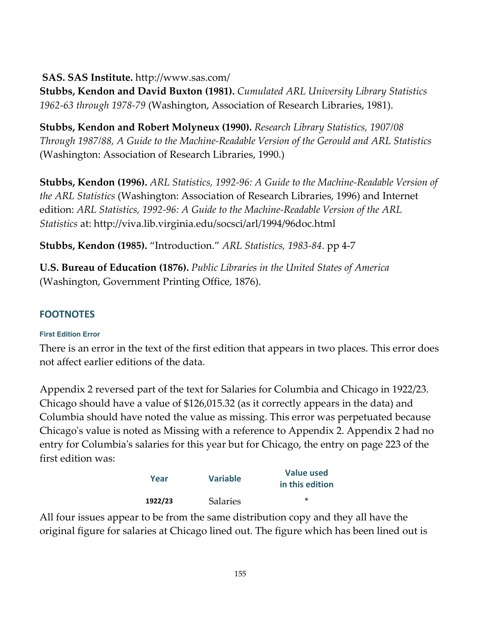#### **SAS. SAS Institute.** http://www.sas.com/

**Stubbs, Kendon and David Buxton (1981).** *Cumulated ARL University Library Statistics 1962‐63 through 1978‐79* (Washington, Association of Research Libraries, 1981).

**Stubbs, Kendon and Robert Molyneux (1990).** *Research Library Statistics, 1907/08 Through 1987/88, A Guide to the Machine‐Readable Version of the Gerould and ARL Statistics* (Washington: Association of Research Libraries, 1990.)

**Stubbs, Kendon (1996).** *ARL Statistics, 1992‐96: A Guide to the Machine‐Readable Version of the ARL Statistics* (Washington: Association of Research Libraries, 1996) and Internet edition: *ARL Statistics, 1992‐96: A Guide to the Machine‐Readable Version of the ARL Statistics* at: http://viva.lib.virginia.edu/socsci/arl/1994/96doc.html

**Stubbs, Kendon (1985).** "Introduction." *ARL Statistics, 1983‐84*. pp 4‐7

**U.S. Bureau of Education (1876).** *Public Libraries in the United States of America* (Washington, Government Printing Office, 1876).

# **FOOTNOTES**

#### **First Edition Error**

There is an error in the text of the first edition that appears in two places. This error does not affect earlier editions of the data.

Appendix 2 reversed part of the text for Salaries for Columbia and Chicago in 1922/23. Chicago should have a value of \$126,015.32 (as it correctly appears in the data) and Columbia should have noted the value as missing. This error was perpetuated because Chicagoʹs value is noted as Missing with a reference to Appendix 2. Appendix 2 had no entry for Columbiaʹs salaries for this year but for Chicago, the entry on page 223 of the first edition was:

| Year    | <b>Variable</b> | <b>Value used</b><br>in this edition |  |
|---------|-----------------|--------------------------------------|--|
| 1922/23 | <b>Salaries</b> | ×                                    |  |

All four issues appear to be from the same distribution copy and they all have the original figure for salaries at Chicago lined out. The figure which has been lined out is